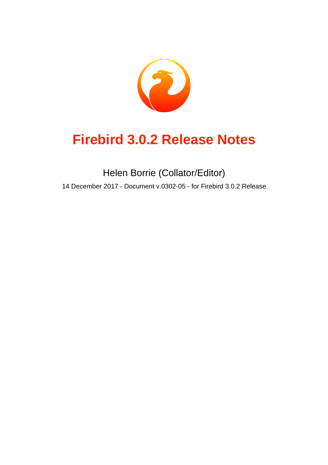

# **Firebird 3.0.2 Release Notes**

Helen Borrie (Collator/Editor) 14 December 2017 - Document v.0302-05 - for Firebird 3.0.2 Release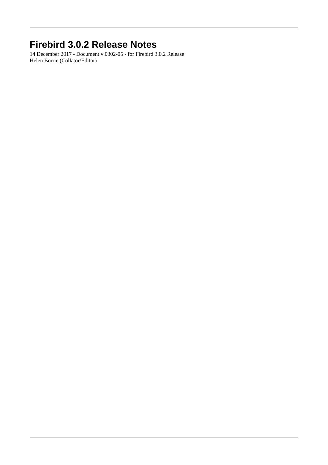# **Firebird 3.0.2 Release Notes**

14 December 2017 - Document v.0302-05 - for Firebird 3.0.2 Release Helen Borrie (Collator/Editor)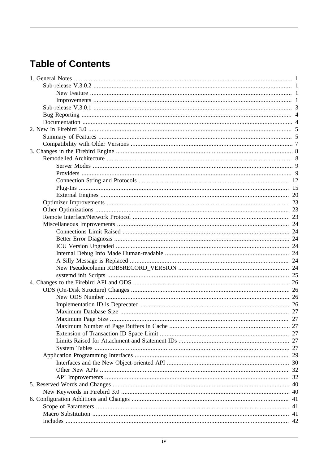# **Table of Contents**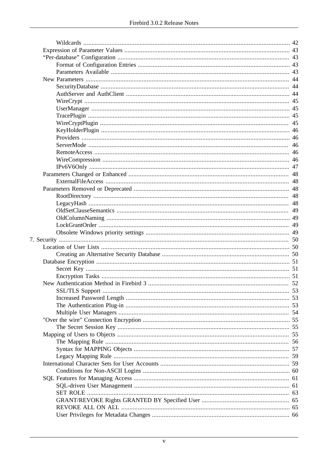|  | 49 |
|--|----|
|  |    |
|  |    |
|  |    |
|  |    |
|  |    |
|  |    |
|  |    |
|  |    |
|  |    |
|  |    |
|  |    |
|  |    |
|  |    |
|  |    |
|  |    |
|  |    |
|  |    |
|  |    |
|  |    |
|  |    |
|  |    |
|  |    |
|  |    |
|  |    |
|  |    |
|  |    |
|  |    |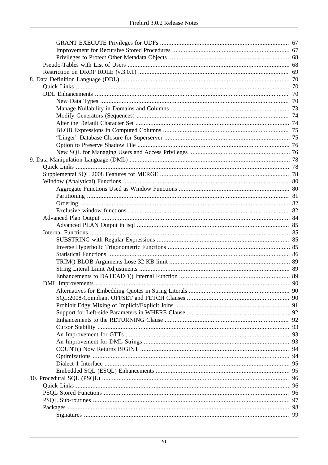|  | 95 |  |  |
|--|----|--|--|
|  | 96 |  |  |
|  | 96 |  |  |
|  |    |  |  |
|  | 97 |  |  |
|  | 98 |  |  |
|  |    |  |  |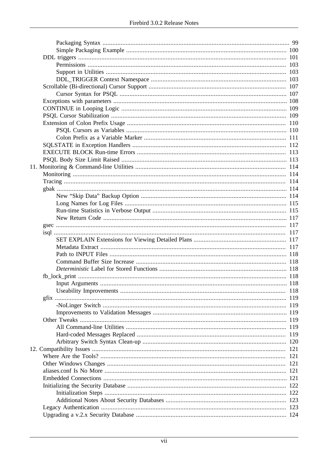| 118 |
|-----|
|     |
|     |
|     |
|     |
|     |
|     |
|     |
|     |
|     |
|     |
|     |
|     |
|     |
|     |
|     |
|     |
|     |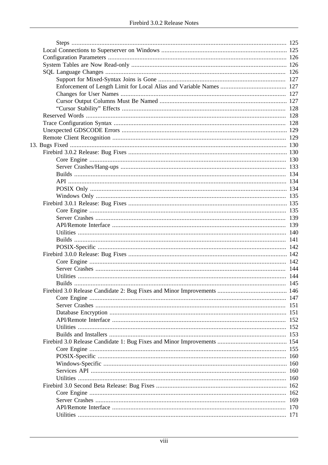|  | 169 |
|--|-----|
|  | 170 |
|  |     |
|  |     |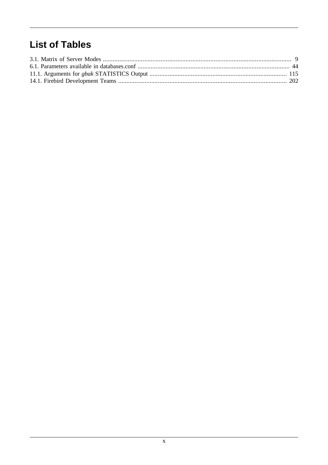# **List of Tables**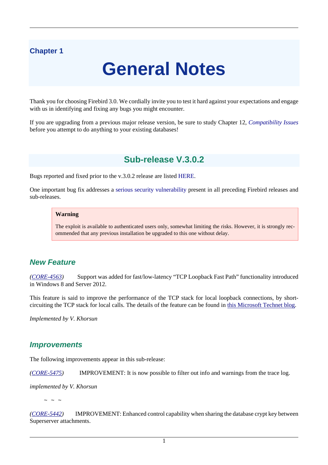## <span id="page-10-0"></span>**Chapter 1**

# **General Notes**

Thank you for choosing Firebird 3.0. We cordially invite you to test it hard against your expectations and engage with us in identifying and fixing any bugs you might encounter.

<span id="page-10-1"></span>If you are upgrading from a previous major release version, be sure to study Chapter 12, *[Compatibility Issues](#page-130-0)* before you attempt to do anything to your existing databases!

# **Sub-release V.3.0.2**

Bugs reported and fixed prior to the v.3.0.2 release are listed [HERE](#page-139-1).

One important bug fix addresses a [serious security vulnerability](#page-139-3) present in all preceding Firebird releases and sub-releases.

#### **Warning**

The exploit is available to authenticated users only, somewhat limiting the risks. However, it is strongly recommended that any previous installation be upgraded to this one without delay.

# <span id="page-10-2"></span>**New Feature**

*([CORE-4563](http://tracker.firebirdsql.org/browse/CORE-4563))* Support was added for fast/low-latency "TCP Loopback Fast Path" functionality introduced in Windows 8 and Server 2012.

This feature is said to improve the performance of the TCP stack for local loopback connections, by shortcircuiting the TCP stack for local calls. The details of the feature can be found in [this Microsoft Technet blog.](http://tinyurl.com/za6tvch)

<span id="page-10-3"></span>*Implemented by V. Khorsun*

## **Improvements**

The following improvements appear in this sub-release:

*([CORE-5475](http://tracker.firebirdsql.org/browse/CORE-5475))* IMPROVEMENT: It is now possible to filter out info and warnings from the trace log.

*implemented by V. Khorsun*

 $\sim$  ~ ~

*([CORE-5442](http://tracker.firebirdsql.org/browse/CORE-5442))* IMPROVEMENT: Enhanced control capability when sharing the database crypt key between Superserver attachments.

1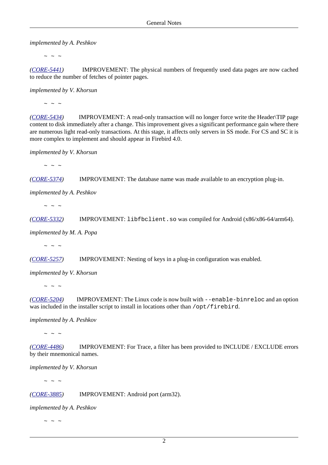*implemented by A. Peshkov*

 $\sim$  ~ ~

*([CORE-5441](http://tracker.firebirdsql.org/browse/CORE-5441))* IMPROVEMENT: The physical numbers of frequently used data pages are now cached to reduce the number of fetches of pointer pages.

*implemented by V. Khorsun*

 $\sim$  ~ ~

*([CORE-5434](http://tracker.firebirdsql.org/browse/CORE-5434))* IMPROVEMENT: A read-only transaction will no longer force write the Header\TIP page content to disk immediately after a change. This improvement gives a significant performance gain where there are numerous light read-only transactions. At this stage, it affects only servers in SS mode. For CS and SC it is more complex to implement and should appear in Firebird 4.0.

*implemented by V. Khorsun*

 $\sim$  ~ ~

*([CORE-5374](http://tracker.firebirdsql.org/browse/CORE-5374))* IMPROVEMENT: The database name was made available to an encryption plug-in.

*implemented by A. Peshkov*

 $\sim$  ~ ~

*([CORE-5332](http://tracker.firebirdsql.org/browse/CORE-5332))* IMPROVEMENT: libfbclient.so was compiled for Android (x86/x86-64/arm64).

*implemented by M. A. Popa*

 $\sim$  ~ ~

*([CORE-5257](http://tracker.firebirdsql.org/browse/CORE-5257))* IMPROVEMENT: Nesting of keys in a plug-in configuration was enabled.

*implemented by V. Khorsun*

 $\sim$  ~ ~

*([CORE-5204](http://tracker.firebirdsql.org/browse/CORE-5204))* IMPROVEMENT: The Linux code is now built with --enable-binreloc and an option was included in the installer script to install in locations other than /opt/firebird.

*implemented by A. Peshkov*

 $\sim$  ~ ~

*([CORE-4486](http://tracker.firebirdsql.org/browse/CORE-4486))* IMPROVEMENT: For Trace, a filter has been provided to INCLUDE / EXCLUDE errors by their mnemonical names.

*implemented by V. Khorsun*

 $\sim$   $\sim$   $\sim$ 

*([CORE-3885](http://tracker.firebirdsql.org/browse/CORE-3885))* IMPROVEMENT: Android port (arm32).

*implemented by A. Peshkov*

 $\sim$  ~ ~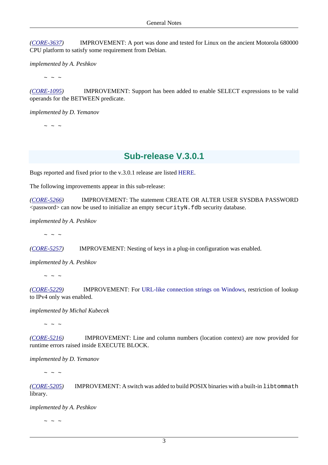*([CORE-3637](http://tracker.firebirdsql.org/browse/CORE-3637))* IMPROVEMENT: A port was done and tested for Linux on the ancient Motorola 680000 CPU platform to satisfy some requirement from Debian.

*implemented by A. Peshkov*

 $\sim$  ~ ~

*([CORE-1095](http://tracker.firebirdsql.org/browse/CORE-1095))* IMPROVEMENT: Support has been added to enable SELECT expressions to be valid operands for the BETWEEN predicate.

*implemented by D. Yemanov*

<span id="page-12-0"></span> $\sim$  ~ ~

# **Sub-release V.3.0.1**

Bugs reported and fixed prior to the v.3.0.1 release are listed [HERE](#page-144-1).

The following improvements appear in this sub-release:

*([CORE-5266](http://tracker.firebirdsql.org/browse/CORE-5266))* IMPROVEMENT: The statement CREATE OR ALTER USER SYSDBA PASSWORD <password> can now be used to initialize an empty securityN.fdb security database.

*implemented by A. Peshkov*

 $\sim$  ~ ~

*([CORE-5257](http://tracker.firebirdsql.org/browse/CORE-5257))* IMPROVEMENT: Nesting of keys in a plug-in configuration was enabled.

*implemented by A. Peshkov*

 $\sim$   $\sim$   $\sim$ 

*([CORE-5229](http://tracker.firebirdsql.org/browse/CORE-5229))* IMPROVEMENT: For [URL-like connection strings on Windows,](#page-44-0) restriction of lookup to IPv4 only was enabled.

*implemented by Michal Kubecek*

 $\sim$  ~ ~

*([CORE-5216](http://tracker.firebirdsql.org/browse/CORE-5216))* IMPROVEMENT: Line and column numbers (location context) are now provided for runtime errors raised inside EXECUTE BLOCK.

*implemented by D. Yemanov*

 $\sim$  ~ ~

*([CORE-5205](http://tracker.firebirdsql.org/browse/CORE-5205))* IMPROVEMENT: A switch was added to build POSIX binaries with a built-in libtommath library.

*implemented by A. Peshkov*

 $\sim$   $\sim$   $\sim$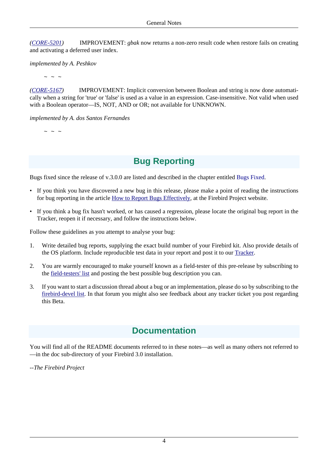*([CORE-5201](http://tracker.firebirdsql.org/browse/CORE-5201))* IMPROVEMENT: *gbak* now returns a non-zero result code when restore fails on creating and activating a deferred user index.

*implemented by A. Peshkov*

 $\sim$   $\sim$   $\sim$ 

*([CORE-5167](http://tracker.firebirdsql.org/browse/CORE-5167))* IMPROVEMENT: Implicit conversion between Boolean and string is now done automatically when a string for 'true' or 'false' is used as a value in an expression. Case-insensitive. Not valid when used with a Boolean operator—IS, NOT, AND or OR; not available for UNKNOWN.

*implemented by A. dos Santos Fernandes*

<span id="page-13-0"></span> $\sim$  ~ ~

# **Bug Reporting**

Bugs fixed since the release of v.3.0.0 are listed and described in the chapter entitled [Bugs Fixed.](#page-139-0)

- If you think you have discovered a new bug in this release, please make a point of reading the instructions for bug reporting in the article [How to Report Bugs Effectively](http://www.firebirdsql.org/en/how-to-report-bugs/), at the Firebird Project website.
- If you think a bug fix hasn't worked, or has caused a regression, please locate the original bug report in the Tracker, reopen it if necessary, and follow the instructions below.

Follow these guidelines as you attempt to analyse your bug:

- 1. Write detailed bug reports, supplying the exact build number of your Firebird kit. Also provide details of the OS platform. Include reproducible test data in your report and post it to our [Tracker](http://tracker.firebirdsql.org).
- 2. You are warmly encouraged to make yourself known as a field-tester of this pre-release by subscribing to the [field-testers' list](mailto:firebird-test-request@lists.sourceforge.net?subject=subscribe) and posting the best possible bug description you can.
- <span id="page-13-1"></span>3. If you want to start a discussion thread about a bug or an implementation, please do so by subscribing to the [firebird-devel list](mailto:firebird-devel-request@lists.sourceforge.net?subject=subscribe). In that forum you might also see feedback about any tracker ticket you post regarding this Beta.

# **Documentation**

You will find all of the README documents referred to in these notes—as well as many others not referred to —in the doc sub-directory of your Firebird 3.0 installation.

*--The Firebird Project*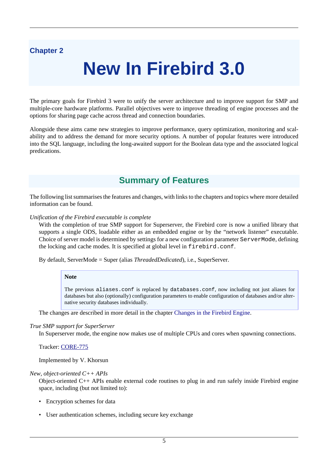# <span id="page-14-0"></span>**Chapter 2**

# **New In Firebird 3.0**

The primary goals for Firebird 3 were to unify the server architecture and to improve support for SMP and multiple-core hardware platforms. Parallel objectives were to improve threading of engine processes and the options for sharing page cache across thread and connection boundaries.

<span id="page-14-1"></span>Alongside these aims came new strategies to improve performance, query optimization, monitoring and scalability and to address the demand for more security options. A number of popular features were introduced into the SQL language, including the long-awaited support for the Boolean data type and the associated logical predications.

# **Summary of Features**

The following list summarises the features and changes, with links to the chapters and topics where more detailed information can be found.

#### *Unification of the Firebird executable is complete*

With the completion of true SMP support for Superserver, the Firebird core is now a unified library that supports a single ODS, loadable either as an embedded engine or by the "network listener" executable. Choice of server model is determined by settings for a new configuration parameter ServerMode, defining the locking and cache modes. It is specified at global level in firebird.conf.

By default, ServerMode = Super (alias *ThreadedDedicated*), i.e., SuperServer.

#### **Note**

The previous aliases.conf is replaced by databases.conf, now including not just aliases for databases but also (optionally) configuration parameters to enable configuration of databases and/or alternative security databases individually.

The changes are described in more detail in the chapter [Changes in the Firebird Engine.](#page-17-0)

#### *True SMP support for SuperServer*

In Superserver mode, the engine now makes use of multiple CPUs and cores when spawning connections.

Tracker: [CORE-775](http://tracker.firebirdsql.org/browse/CORE-775)

Implemented by V. Khorsun

#### *New, object-oriented C++ APIs*

Object-oriented C++ APIs enable external code routines to plug in and run safely inside Firebird engine space, including (but not limited to):

- Encryption schemes for data
- User authentication schemes, including secure key exchange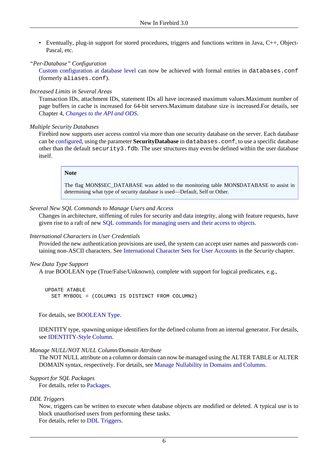• Eventually, plug-in support for stored procedures, triggers and functions written in Java, C++, Object-Pascal, etc.

#### *"Per-Database" Configuration*

[Custom configuration at database level](#page-52-1) can now be achieved with formal entries in databases.conf (formerly aliases.conf).

#### *Increased Limits in Several Areas*

Transaction IDs, attachment IDs, statement IDs all have increased maximum values.Maximum number of page buffers in cache is increased for 64-bit servers.Maximum database size is increased.For details, see Chapter 4, *[Changes to the API and ODS](#page-35-0)*.

#### *Multiple Security Databases*

Firebird now supports user access control via more than one security database on the server. Each database can be [configured](#page-52-1), using the parameter **SecurityDatabase** in databases.conf, to use a specific database other than the default security3.fdb. The user structures may even be defined within the user database itself.

#### **Note**

The flag MON\$SEC\_DATABASE was added to the monitoring table MON\$DATABASE to assist in determining what type of security database is used—Default, Self or Other.

#### *Several New SQL Commands to Manage Users and Access*

Changes in architecture, stiffening of rules for security and data integrity, along with feature requests, have given rise to a raft of new [SQL commands for managing users and their access to objects](#page-70-0).

#### *International Characters in User Credentials*

Provided the new authentication provisions are used, the system can accept user names and passwords containing non-ASCII characters. See [International Character Sets for User Accounts](#page-68-1) in the *Security* chapter.

#### *New Data Type Support*

A true BOOLEAN type (True/False/Unknown), complete with support for logical predicates, e.g.,

 UPDATE ATABLE SET MYBOOL = (COLUMN1 IS DISTINCT FROM COLUMN2)

For details, see [BOOLEAN Type](#page-79-4).

IDENTITY type, spawning unique identifiers for the defined column from an internal generator. For details, see [IDENTITY-Style Column](#page-81-0).

#### *Manage NULL/NOT NULL Column/Domain Attribute*

The NOT NULL attribute on a column or domain can now be managed using the ALTER TABLE or ALTER DOMAIN syntax, respectively. For details, see [Manage Nullability in Domains and Columns](#page-82-0).

*Support for SQL Packages*

For details, refer to [Packages](#page-107-0).

#### *DDL Triggers*

Now, triggers can be written to execute when database objects are modified or deleted. A typical use is to block unauthorised users from performing these tasks. For details, refer to [DDL Triggers](#page-110-0).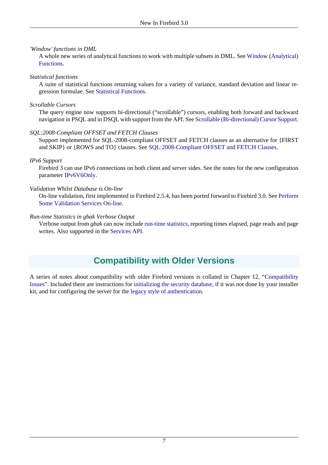#### *'Window' functions in DML*

A whole new series of analytical functions to work with multiple subsets in DML. See [Window \(Analytical\)](#page-89-0) [Functions.](#page-89-0)

#### *Statistical functions*

A suite of statistical functions returning values for a variety of variance, standard deviation and linear regression formulae. See [Statistical Functions](#page-95-0).

#### *Scrollable Cursors*

The query engine now supports bi-directional ("scrollable") cursors, enabling both forward and backward navigation in PSQL and in DSQL with support from the API. See [Scrollable \(Bi-directional\) Cursor Support.](#page-116-0)

#### *SQL:2008-Compliant OFFSET and FETCH Clauses*

Support implemented for SQL-2008-compliant OFFSET and FETCH clauses as an alternative for {FIRST and SKIP} or {ROWS and TO} clauses. See [SQL:2008-Compliant OFFSET and FETCH Clauses.](#page-99-2)

#### *IPv6 Support*

Firebird 3 can use IPv6 connections on both client and server sides. See the notes for the new configuration parameter [IPv6V6Only](#page-56-0).

#### *Validation Whilst Database is On-line*

On-line validation, first implemented in Firebird 2.5.4, has been ported forward to Firebird 3.0. See [Perform](#page-45-0) [Some Validation Services On-line](#page-45-0).

#### *Run-time Statistics in gbak Verbose Output*

<span id="page-16-0"></span>Verbose output from *gbak* can now include [run-time statistics](#page-124-1), reporting times elapsed, page reads and page writes. Also supported in the [Services API.](#page-43-0)

# **Compatibility with Older Versions**

A series of notes about compatibility with older Firebird versions is collated in Chapter 12, ["Compatibility](#page-130-0) [Issues"](#page-130-0). Included there are instructions for [initializing the security database,](#page-131-0) if it was not done by your installer kit, and for configuring the server for the [legacy style of authentication](#page-132-1).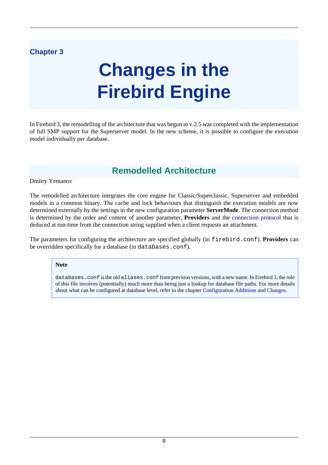# <span id="page-17-0"></span>**Chapter 3**

# **Changes in the Firebird Engine**

<span id="page-17-1"></span>In Firebird 3, the remodelling of the architecture that was begun in v.2.5 was completed with the implementation of full SMP support for the Superserver model. In the new scheme, it is possible to configure the execution model individually per database.

# **Remodelled Architecture**

#### Dmitry Yemanov

The remodelled architecture integrates the core engine for Classic/Superclassic, Superserver and embedded models in a common binary. The cache and lock behaviours that distinguish the execution models are now determined externally by the settings in the new configuration parameter **ServerMode**. The connection method is determined by the order and content of another parameter, **Providers** and the [connection protocol](#page-21-0) that is deduced at run-time from the connection string supplied when a client requests an attachment.

The parameters for configuring the architecture are specified globally (in firebird.conf). **Providers** can be overridden specifically for a database (in databases.conf).

#### **Note**

databases.conf is the old aliases.conf from previous versions, with a new name. In Firebird 3, the role of this file involves (potentially) much more than being just a lookup for database file paths. For more details about what can be configured at database level, refer to the chapter [Configuration Additions and Changes](#page-50-0).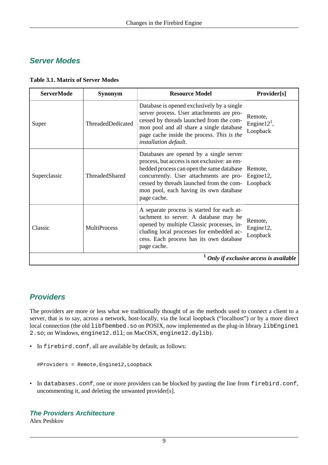# <span id="page-18-0"></span>**Server Modes**

<span id="page-18-2"></span>

|  | <b>Table 3.1. Matrix of Server Modes</b> |  |
|--|------------------------------------------|--|
|  |                                          |  |

| <b>ServerMode</b>                                   | <b>Synonym</b>      | <b>Resource Model</b>                                                                                                                                                                                                                                                                | Provider[s]                           |
|-----------------------------------------------------|---------------------|--------------------------------------------------------------------------------------------------------------------------------------------------------------------------------------------------------------------------------------------------------------------------------------|---------------------------------------|
| Super                                               | ThreadedDedicated   | Database is opened exclusively by a single<br>server process. User attachments are pro-<br>cessed by threads launched from the com-<br>mon pool and all share a single database<br>page cache inside the process. This is the<br>installation default.                               | Remote,<br>Engine $121$ ,<br>Loopback |
| Superclassic                                        | ThreadedShared      | Databases are opened by a single server<br>process, but access is not exclusive: an em-<br>bedded process can open the same database<br>concurrently. User attachments are pro-<br>cessed by threads launched from the com-<br>mon pool, each having its own database<br>page cache. | Remote,<br>Engine12,<br>Loopback      |
| Classic                                             | <b>MultiProcess</b> | A separate process is started for each at-<br>tachment to server. A database may be<br>opened by multiple Classic processes, in-<br>cluding local processes for embedded ac-<br>cess. Each process has its own database<br>page cache.                                               | Remote,<br>Engine12,<br>Loopback      |
| $\frac{1}{2}$ Only if exclusive access is available |                     |                                                                                                                                                                                                                                                                                      |                                       |

# <span id="page-18-1"></span>**Providers**

The providers are more or less what we traditionally thought of as the methods used to connect a client to a server, that is to say, across a network, host-locally, via the local loopback ("localhost") or by a more direct local connection (the old libfbembed.so on POSIX, now implemented as the plug-in library libEngine1 2.so; on Windows, engine12.dll; on MacOSX, engine12.dylib).

• In firebird.conf, all are available by default, as follows:

#Providers = Remote,Engine12,Loopback

<span id="page-18-3"></span>• In databases.conf, one or more providers can be blocked by pasting the line from firebird.conf, uncommenting it, and deleting the unwanted provider[s].

## **The Providers Architecture**

Alex Peshkov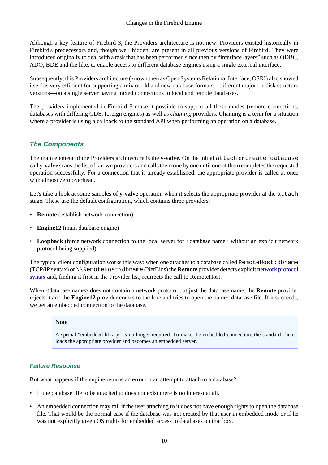Although a key feature of Firebird 3, the Providers architecture is not new. Providers existed historically in Firebird's predecessors and, though well hidden, are present in all previous versions of Firebird. They were introduced originally to deal with a task that has been performed since then by "interface layers" such as ODBC, ADO, BDE and the like, to enable access to different database engines using a single external interface.

Subsequently, this Providers architecture (known then as Open Systems Relational Interface, OSRI) also showed itself as very efficient for supporting a mix of old and new database formats—different major on-disk structure versions—on a single server having mixed connections to local and remote databases.

The providers implemented in Firebird 3 make it possible to support all these modes (remote connections, databases with differing ODS, foreign engines) as well as *chaining* providers. Chaining is a term for a situation where a provider is using a callback to the standard API when performing an operation on a database.

## **The Components**

The main element of the Providers architecture is the **y-valve**. On the initial attach or create database call **y-valve** scans the list of known providers and calls them one by one until one of them completes the requested operation successfully. For a connection that is already established, the appropriate provider is called at once with almost zero overhead.

Let's take a look at some samples of **y-valve** operation when it selects the appropriate provider at the attach stage. These use the default configuration, which contains three providers:

- **Remote** (establish network connection)
- **Engine12** (main database engine)
- **Loopback** (force network connection to the local server for  $\lt$  database name> without an explicit network protocol being supplied).

The typical client configuration works this way: when one attaches to a database called RemoteHost:dbname (TCP/IP syntax) or \\RemoteHost\dbname (NetBios) the **Remote** provider detects explicit [network protocol](#page-21-0) [syntax](#page-21-0) and, finding it first in the Provider list, redirects the call to RemoteHost.

When <database name> does not contain a network protocol but just the database name, the **Remote** provider rejects it and the **Engine12** provider comes to the fore and tries to open the named database file. If it succeeds, we get an embedded connection to the database.

#### **Note**

A special "embedded library" is no longer required. To make the embedded connection, the standard client loads the appropriate provider and becomes an embedded server.

#### **Failure Response**

But what happens if the engine returns an error on an attempt to attach to a database?

- If the database file to be attached to does not exist there is no interest at all.
- An embedded connection may fail if the user attaching to it does not have enough rights to open the database file. That would be the normal case if the database was not created by that user in embedded mode or if he was not explicitly given OS rights for embedded access to databases on that box.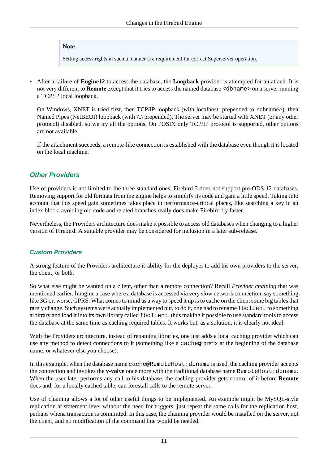#### **Note**

Setting access rights in such a manner is a requirement for correct Superserver operation.

• After a failure of **Engine12** to access the database, the **Loopback** provider is attempted for an attach. It is not very different to **Remote** except that it tries to access the named database <dbname> on a server running a TCP/IP local loopback.

On Windows, XNET is tried first, then TCP/IP loopback (with localhost: prepended to <dbname>), then Named Pipes (NetBEUI) loopback (with \\.\ prepended). The server may be started with XNET (or any other protocol) disabled, so we try all the options. On POSIX only TCP/IP protocol is supported, other options are not available

If the attachment succeeds, a remote-like connection is established with the database even though it is located on the local machine.

## **Other Providers**

Use of providers is not limited to the three standard ones. Firebird 3 does not support pre-ODS 12 databases. Removing support for old formats from the engine helps to simplify its code and gain a little speed. Taking into account that this speed gain sometimes takes place in performance-critical places, like searching a key in an index block, avoiding old code and related branches really does make Firebird fly faster.

Nevertheless, the Providers architecture does make it possible to access old databases when changing to a higher version of Firebird. A suitable provider may be considered for inclusion in a later sub-release.

## **Custom Providers**

A strong feature of the Providers architecture is ability for the deployer to add his own providers to the server, the client, or both.

So what else might be wanted on a client, other than a remote connection? Recall *Provider chaining* that was mentioned earlier. Imagine a case where a database is accessed via very slow network connection, say something like 3G or, worse, GPRS. What comes to mind as a way to speed it up is to cache on the client some big tables that rarely change. Such systems were actually implemented but, to do it, one had to rename fbclient to something arbitrary and load it into its own library called fbclient, thus making it possible to use standard tools to access the database at the same time as caching required tables. It works but, as a solution, it is clearly not ideal.

With the Providers architecture, instead of renaming libraries, one just adds a local caching provider which can use any method to detect connections to it (something like a cache@ prefix at the beginning of the database name, or whatever else you choose).

In this example, when the database name cache@RemoteHost:dbname is used, the caching provider accepts the connection and invokes the **y-valve** once more with the traditional database name RemoteHost:dbname. When the user later performs any call to his database, the caching provider gets control of it before **Remote** does and, for a locally cached table, can forestall calls to the remote server.

Use of chaining allows a lot of other useful things to be implemented. An example might be MySQL-style replication at statement level without the need for triggers: just repeat the same calls for the replication host, perhaps whena transaction is committed. In this case, the chaining provider would be installed on the server, not the client, and no modification of the command line would be needed.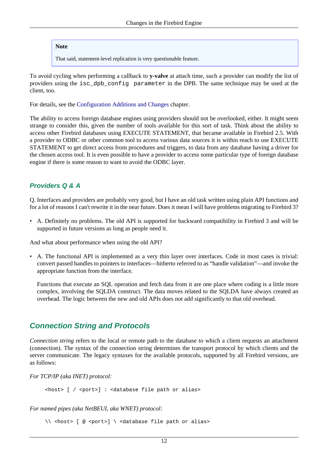#### **Note**

That said, statement-level replication is very questionable feature.

To avoid cycling when performing a callback to **y-valve** at attach time, such a provider can modify the list of providers using the isc\_dpb\_config parameter in the DPB. The same technique may be used at the client, too.

For details, see the [Configuration Additions and Changes](#page-50-0) chapter.

The ability to access foreign database engines using providers should not be overlooked, either. It might seem strange to consider this, given the number of tools available for this sort of task. Think about the ability to access other Firebird databases using EXECUTE STATEMENT, that became available in Firebird 2.5. With a provider to ODBC or other common tool to access various data sources it is within reach to use EXECUTE STATEMENT to get direct access from procedures and triggers, to data from any database having a driver for the chosen access tool. It is even possible to have a provider to access some particular type of foreign database engine if there is some reason to want to avoid the ODBC layer.

## **Providers Q & A**

Q. Interfaces and providers are probably very good, but I have an old task written using plain API functions and for a lot of reasons I can't rewrite it in the near future. Does it mean I will have problems migrating to Firebird 3?

• A. Definitely no problems. The old API is supported for backward compatibility in Firebird 3 and will be supported in future versions as long as people need it.

And what about performance when using the old API?

• A. The functional API is implemented as a very thin layer over interfaces. Code in most cases is trivial: convert passed handles to pointers to interfaces—hitherto referred to as "handle validation"—and invoke the appropriate function from the interface.

Functions that execute an SQL operation and fetch data from it are one place where coding is a little more complex, involving the SQLDA construct. The data moves related to the SQLDA have always created an overhead. The logic between the new and old APIs does not add significantly to that old overhead.

## <span id="page-21-0"></span>**Connection String and Protocols**

*Connection string* refers to the local or remote path to the database to which a client requests an attachment (connection). The syntax of the connection string determines the transport protocol by which clients and the server communicate. The legacy syntaxes for the available protocols, supported by all Firebird versions, are as follows:

*For TCP/IP (aka INET) protocol:*

<host> [ / <port>] : <database file path or alias>

*For named pipes (aka NetBEUI, aka WNET) protocol:*

```
\setminus \setminus <host> [ @ <port>] \setminus <database file path or alias>
```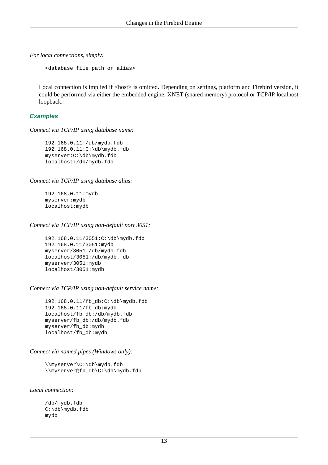*For local connections, simply:*

<database file path or alias>

Local connection is implied if <host> is omitted. Depending on settings, platform and Firebird version, it could be performed via either the embedded engine, XNET (shared memory) protocol or TCP/IP localhost loopback.

#### **Examples**

*Connect via TCP/IP using database name:*

 192.168.0.11:/db/mydb.fdb 192.168.0.11:C:\db\mydb.fdb myserver:C:\db\mydb.fdb localhost:/db/mydb.fdb

*Connect via TCP/IP using database alias:*

 192.168.0.11:mydb myserver:mydb localhost:mydb

*Connect via TCP/IP using non-default port 3051:*

 192.168.0.11/3051:C:\db\mydb.fdb 192.168.0.11/3051:mydb myserver/3051:/db/mydb.fdb localhost/3051:/db/mydb.fdb myserver/3051:mydb localhost/3051:mydb

*Connect via TCP/IP using non-default service name:*

 192.168.0.11/fb\_db:C:\db\mydb.fdb 192.168.0.11/fb\_db:mydb localhost/fb\_db:/db/mydb.fdb myserver/fb\_db:/db/mydb.fdb myserver/fb\_db:mydb localhost/fb\_db:mydb

#### *Connect via named pipes (Windows only):*

 \\myserver\C:\db\mydb.fdb \\myserver@fb\_db\C:\db\mydb.fdb

*Local connection:*

 /db/mydb.fdb C:\db\mydb.fdb mydb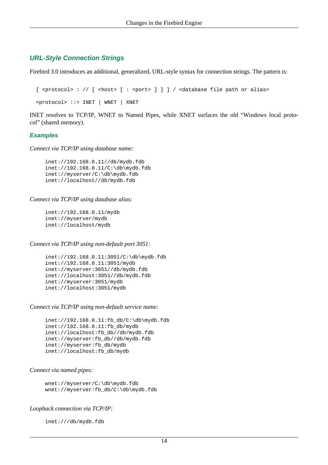#### **URL-Style Connection Strings**

Firebird 3.0 introduces an additional, generalized, URL-style syntax for connection strings. The pattern is:

```
[ <protocol> : // [ <host> [ : <port> ] ] ] / <database file path or alias>
 <protocol> ::= INET | WNET | XNET
```
INET resolves to TCP/IP, WNET to Named Pipes, while XNET surfaces the old "Windows local protocol" (shared memory).

#### **Examples**

*Connect via TCP/IP using database name:*

```
 inet://192.168.0.11//db/mydb.fdb
 inet://192.168.0.11/C:\db\mydb.fdb
 inet://myserver/C:\db\mydb.fdb
 inet://localhost//db/mydb.fdb
```
#### *Connect via TCP/IP using database alias:*

 inet://192.168.0.11/mydb inet://myserver/mydb inet://localhost/mydb

#### *Connect via TCP/IP using non-default port 3051:*

```
 inet://192.168.0.11:3051/C:\db\mydb.fdb
 inet://192.168.0.11:3051/mydb
 inet://myserver:3051//db/mydb.fdb
 inet://localhost:3051//db/mydb.fdb
 inet://myserver:3051/mydb
 inet://localhost:3051/mydb
```
#### *Connect via TCP/IP using non-default service name:*

```
\int\left|2.168.0.11:f\phi db/C:\db\mydb.fdb inet://192.168.0.11:fb_db/mydb
 inet://localhost:fb_db//db/mydb.fdb
 inet://myserver:fb_db//db/mydb.fdb
 inet://myserver:fb_db/mydb
 inet://localhost:fb_db/mydb
```
#### *Connect via named pipes:*

```
 wnet://myserver/C:\db\mydb.fdb
 wnet://myserver:fb_db/C:\db\mydb.fdb
```
#### *Loopback connection via TCP/IP:*

inet:///db/mydb.fdb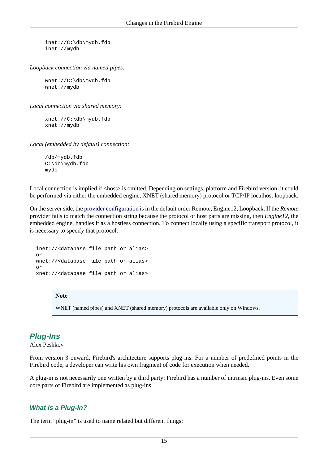inet://C:\db\mydb.fdb inet://mydb

*Loopback connection via named pipes:*

 wnet://C:\db\mydb.fdb wnet://mydb

*Local connection via shared memory:*

 xnet://C:\db\mydb.fdb xnet://mydb

*Local (embedded by default) connection:*

 /db/mydb.fdb C:\db\mydb.fdb mydb

Local connection is implied if <host> is omitted. Depending on settings, platform and Firebird version, it could be performed via either the embedded engine, XNET (shared memory) protocol or TCP/IP localhost loopback.

On the server side, the [provider configuration](#page-18-1) is in the default order Remote, Engine12, Loopback. If the *Remote* provider fails to match the connection string because the protocol or host parts are missing, then *Engine12*, the embedded engine, handles it as a hostless connection. To connect locally using a specific transport protocol, it is necessary to specify that protocol:

 inet://<database file path or alias> or wnet://<database file path or alias> or xnet://<database file path or alias>

#### **Note**

WNET (named pipes) and XNET (shared memory) protocols are available only on Windows.

# <span id="page-24-0"></span>**Plug-Ins**

Alex Peshkov

From version 3 onward, Firebird's architecture supports plug-ins. For a number of predefined points in the Firebird code, a developer can write his own fragment of code for execution when needed.

A plug-in is not necessarily one written by a third party: Firebird has a number of intrinsic plug-ins. Even some core parts of Firebird are implemented as plug-ins.

#### **What is a Plug-In?**

The term "plug-in" is used to name related but different things: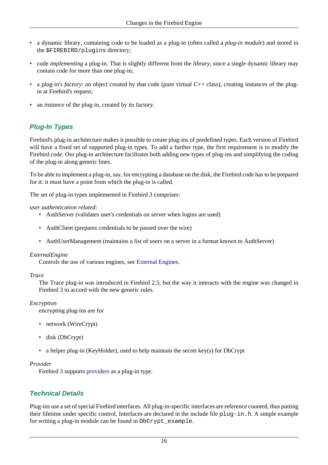- a dynamic library, containing code to be loaded as a plug-in (often called a *plug-in module*) and stored in the \$FIREBIRD/plugins directory;
- code *implementing* a plug-in. That is slightly different from the *library*, since a single dynamic library may contain code for more than one plug-in;
- a plug-in's *factory*: an object created by that code (pure virtual C++ class), creating instances of the plugin at Firebird's request;
- an *instance* of the plug-in, created by its factory.

## **Plug-In Types**

Firebird's plug-in architecture makes it possible to create plug-ins of predefined types. Each version of Firebird will have a fixed set of supported plug-in types. To add a further type, the first requirement is to modify the Firebird code. Our plug-in architecture facilitates both adding new types of plug-ins and simplifying the coding of the plug-in along generic lines.

To be able to implement a plug-in, say, for encrypting a database on the disk, the Firebird code has to be prepared for it: it must have a point from which the plug-in is called.

The set of plug-in types implemented in Firebird 3 comprises:

#### *user authentication related:*

- AuthServer (validates user's credentials on server when logins are used)
- AuthClient (prepares credentials to be passed over the wire)
- AuthUserManagement (maintains a list of users on a server in a format known to AuthServer)

#### *ExternalEngine*

Controls the use of various engines, see [External Engines](#page-29-0).

#### *Trace*

The Trace plug-in was introduced in Firebird 2.5, but the way it interacts with the engine was changed in Firebird 3 to accord with the new generic rules.

#### *Encryption*

encrypting plug-ins are for

- network (WireCrypt)
- disk (DbCrypt)
- a helper plug-in (KeyHolder), used to help maintain the secret key(s) for DbCrypt

#### *Provider*

Firebird 3 supports [providers](#page-18-3) as a plug-in type.

## **Technical Details**

Plug-ins use a set of special Firebird interfaces. All plug-in-specific interfaces are reference counted, thus putting their lifetime under specific control. Interfaces are declared in the include file plug-in.h. A simple example for writing a plug-in module can be found in DbCrypt\_example.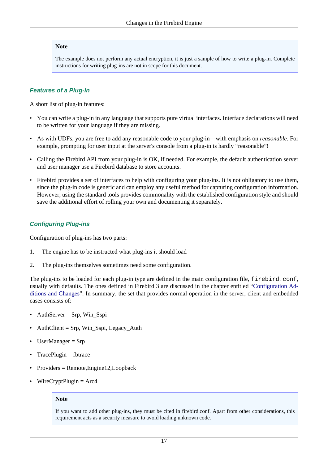#### **Note**

The example does not perform any actual encryption, it is just a sample of how to write a plug-in. Complete instructions for writing plug-ins are not in scope for this document.

#### **Features of a Plug-In**

A short list of plug-in features:

- You can write a plug-in in any language that supports pure virtual interfaces. Interface declarations will need to be written for your language if they are missing.
- As with UDFs, you are free to add any reasonable code to your plug-in—with emphasis on *reasonable*. For example, prompting for user input at the server's console from a plug-in is hardly "reasonable"!
- Calling the Firebird API from your plug-in is OK, if needed. For example, the default authentication server and user manager use a Firebird database to store accounts.
- Firebird provides a set of interfaces to help with configuring your plug-ins. It is not obligatory to use them, since the plug-in code is generic and can employ any useful method for capturing configuration information. However, using the standard tools provides commonality with the established configuration style and should save the additional effort of rolling your own and documenting it separately.

#### **Configuring Plug-ins**

Configuration of plug-ins has two parts:

- 1. The engine has to be instructed what plug-ins it should load
- 2. The plug-ins themselves sometimes need some configuration.

The plug-ins to be loaded for each plug-in type are defined in the main configuration file, firebird.conf, usually with defaults. The ones defined in Firebird 3 are discussed in the chapter entitled ["Configuration Ad](#page-50-0)[ditions and Changes](#page-50-0)". In summary, the set that provides normal operation in the server, client and embedded cases consists of:

- AuthServer = Srp, Win\_Sspi
- $\text{Author} = \text{Srp}$ , Win\_Sspi, Legacy\_Auth
- UserManager = Srp
- $TracePluein = fbtrace$
- Providers = Remote,Engine12,Loopback
- $WireCryptPlugin = Arc4$

#### **Note**

If you want to add other plug-ins, they must be cited in firebird.conf. Apart from other considerations, this requirement acts as a security measure to avoid loading unknown code.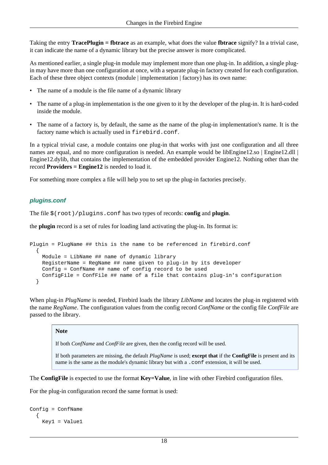Taking the entry **TracePlugin = fbtrace** as an example, what does the value **fbtrace** signify? In a trivial case, it can indicate the name of a dynamic library but the precise answer is more complicated.

As mentioned earlier, a single plug-in module may implement more than one plug-in. In addition, a single plugin may have more than one configuration at once, with a separate plug-in factory created for each configuration. Each of these three object contexts (module | implementation | factory) has its own name:

- The name of a module is the file name of a dynamic library
- The name of a plug-in implementation is the one given to it by the developer of the plug-in. It is hard-coded inside the module.
- The name of a factory is, by default, the same as the name of the plug-in implementation's name. It is the factory name which is actually used in firebird.conf.

In a typical trivial case, a module contains one plug-in that works with just one configuration and all three names are equal, and no more configuration is needed. An example would be libEngine12.so | Engine12.dll | Engine12.dylib, that contains the implementation of the embedded provider Engine12. Nothing other than the record **Providers = Engine12** is needed to load it.

For something more complex a file will help you to set up the plug-in factories precisely.

## **plugins.conf**

The file \$(root)/plugins.conf has two types of records: **config** and **plugin**.

the **plugin** record is a set of rules for loading land activating the plug-in. Its format is:

```
Plugin = PlugName ## this is the name to be referenced in firebird.conf
   {
    Module = LibName ## name of dynamic library
    RegisterName = RegName ## name given to plug-in by its developer
    Config = ConfName ## name of config record to be used
     ConfigFile = ConfFile ## name of a file that contains plug-in's configuration
   }
```
When plug-in *PlugName* is needed, Firebird loads the library *LibName* and locates the plug-in registered with the name *RegName*. The configuration values from the config record *ConfName* or the config file *ConfFile* are passed to the library.

#### **Note**

If both *ConfName* and *ConfFile* are given, then the config record will be used.

If both parameters are missing, the default *PlugName* is used; **except that** if the **ConfigFile** is present and its name is the same as the module's dynamic library but with a .conf extension, it will be used.

The **ConfigFile** is expected to use the format **Key=Value**, in line with other Firebird configuration files.

For the plug-in configuration record the same format is used:

```
Config = ConfName
   {
     Key1 = Value1
```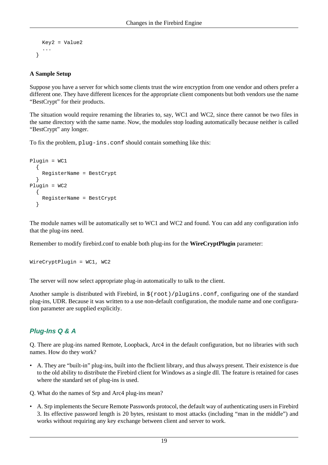```
 Key2 = Value2
    ...
 }
```
#### **A Sample Setup**

Suppose you have a server for which some clients trust the wire encryption from one vendor and others prefer a different one. They have different licences for the appropriate client components but both vendors use the name "BestCrypt" for their products.

The situation would require renaming the libraries to, say, WC1 and WC2, since there cannot be two files in the same directory with the same name. Now, the modules stop loading automatically because neither is called "BestCrypt" any longer.

To fix the problem, plug-ins.conf should contain something like this:

```
Plugin = WC1
   {
     RegisterName = BestCrypt
   }
Plugin = WC2
   {
     RegisterName = BestCrypt
   }
```
The module names will be automatically set to WC1 and WC2 and found. You can add any configuration info that the plug-ins need.

Remember to modify firebird.conf to enable both plug-ins for the **WireCryptPlugin** parameter:

```
WireCryptPlugin = WC1, WC2
```
The server will now select appropriate plug-in automatically to talk to the client.

Another sample is distributed with Firebird, in  $\frac{1}{2}$  (root)/plugins.conf, configuring one of the standard plug-ins, UDR. Because it was written to a use non-default configuration, the module name and one configuration parameter are supplied explicitly.

## **Plug-Ins Q & A**

Q. There are plug-ins named Remote, Loopback, Arc4 in the default configuration, but no libraries with such names. How do they work?

• A. They are "built-in" plug-ins, built into the fbclient library, and thus always present. Their existence is due to the old ability to distribute the Firebird client for Windows as a single dll. The feature is retained for cases where the standard set of plug-ins is used.

Q. What do the names of Srp and Arc4 plug-ins mean?

• A. Srp implements the Secure Remote Passwords protocol, the default way of authenticating users in Firebird 3. Its effective password length is 20 bytes, resistant to most attacks (including "man in the middle") and works without requiring any key exchange between client and server to work.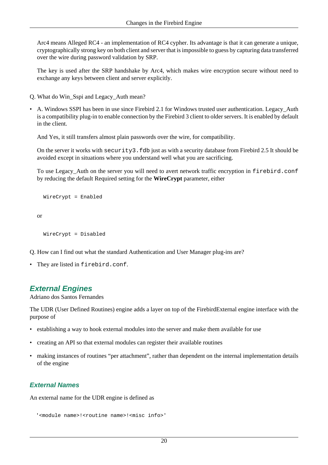Arc4 means Alleged RC4 - an implementation of RC4 cypher. Its advantage is that it can generate a unique, cryptographically strong key on both client and server that is impossible to guess by capturing data transferred over the wire during password validation by SRP.

The key is used after the SRP handshake by Arc4, which makes wire encryption secure without need to exchange any keys between client and server explicitly.

- Q. What do Win\_Sspi and Legacy\_Auth mean?
- A. Windows SSPI has been in use since Firebird 2.1 for Windows trusted user authentication. Legacy\_Auth is a compatibility plug-in to enable connection by the Firebird 3 client to older servers. It is enabled by default in the client.

And Yes, it still transfers almost plain passwords over the wire, for compatibility.

On the server it works with  $security3$ . fdb just as with a security database from Firebird 2.5 It should be avoided except in situations where you understand well what you are sacrificing.

To use Legacy\_Auth on the server you will need to avert network traffic encryption in firebird.conf by reducing the default Required setting for the **WireCrypt** parameter, either

```
 WireCrypt = Enabled
```
or

```
 WireCrypt = Disabled
```
Q. How can I find out what the standard Authentication and User Manager plug-ins are?

<span id="page-29-0"></span>• They are listed in firebird.conf.

# **External Engines**

Adriano dos Santos Fernandes

The UDR (User Defined Routines) engine adds a layer on top of the FirebirdExternal engine interface with the purpose of

- establishing a way to hook external modules into the server and make them available for use
- creating an API so that external modules can register their available routines
- making instances of routines "per attachment", rather than dependent on the internal implementation details of the engine

## **External Names**

An external name for the UDR engine is defined as

```
 '<module name>!<routine name>!<misc info>'
```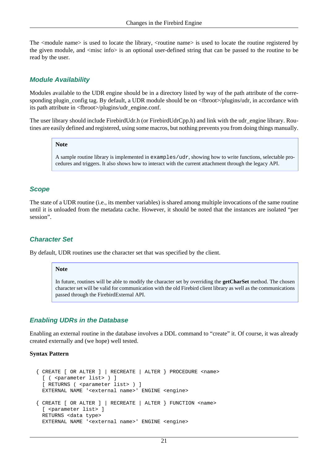The <module name> is used to locate the library, <routine name> is used to locate the routine registered by the given module, and <misc info> is an optional user-defined string that can be passed to the routine to be read by the user.

### **Module Availability**

Modules available to the UDR engine should be in a directory listed by way of the path attribute of the corresponding plugin config tag. By default, a UDR module should be on <fbroot>/plugins/udr, in accordance with its path attribute in <fbroot>/plugins/udr\_engine.conf.

The user library should include FirebirdUdr.h (or FirebirdUdrCpp.h) and link with the udr\_engine library. Routines are easily defined and registered, using some macros, but nothing prevents you from doing things manually.

#### **Note**

A sample routine library is implemented in examples/udr, showing how to write functions, selectable procedures and triggers. It also shows how to interact with the current attachment through the legacy API.

#### **Scope**

The state of a UDR routine (i.e., its member variables) is shared among multiple invocations of the same routine until it is unloaded from the metadata cache. However, it should be noted that the instances are isolated "per session".

#### **Character Set**

By default, UDR routines use the character set that was specified by the client.

#### **Note**

In future, routines will be able to modify the character set by overriding the **getCharSet** method. The chosen character set will be valid for communication with the old Firebird client library as well as the communications passed through the FirebirdExternal API.

#### **Enabling UDRs in the Database**

Enabling an external routine in the database involves a DDL command to "create" it. Of course, it was already created externally and (we hope) well tested.

#### **Syntax Pattern**

```
 { CREATE [ OR ALTER ] | RECREATE | ALTER } PROCEDURE <name>
  [ ( <parameter list> ) ]
  [ RETURNS ( <parameter list> ) ]
  EXTERNAL NAME '<external name>' ENGINE <engine>
 { CREATE [ OR ALTER ] | RECREATE | ALTER } FUNCTION <name>
  [ <parameter list> ]
  RETURNS <data type>
  EXTERNAL NAME '<external name>' ENGINE <engine>
```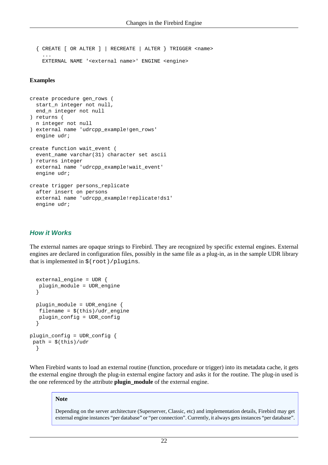{ CREATE [ OR ALTER ] | RECREATE | ALTER } TRIGGER <name> ... EXTERNAL NAME '<external name>' ENGINE <engine>

#### **Examples**

```
create procedure gen_rows (
   start_n integer not null,
   end_n integer not null
) returns (
  n integer not null
) external name 'udrcpp_example!gen_rows'
   engine udr;
create function wait_event (
  event name varchar(31) character set ascii
) returns integer
   external name 'udrcpp_example!wait_event'
   engine udr;
create trigger persons_replicate
   after insert on persons
   external name 'udrcpp_example!replicate!ds1'
   engine udr;
```
#### **How it Works**

The external names are opaque strings to Firebird. They are recognized by specific external engines. External engines are declared in configuration files, possibly in the same file as a plug-in, as in the sample UDR library that is implemented in \$(root)/plugins.

```
 external_engine = UDR {
    plugin_module = UDR_engine
   }
   plugin_module = UDR_engine {
    filename = $(this)/udr_engine
    plugin_config = UDR_config
   }
plugin_config = UDR_config {
path = $^{ (this) / udr
   }
```
When Firebird wants to load an external routine (function, procedure or trigger) into its metadata cache, it gets the external engine through the plug-in external engine factory and asks it for the routine. The plug-in used is the one referenced by the attribute **plugin\_module** of the external engine.

#### **Note**

Depending on the server architecture (Superserver, Classic, etc) and implementation details, Firebird may get external engine instances "per database" or "per connection". Currently, it always gets instances "per database".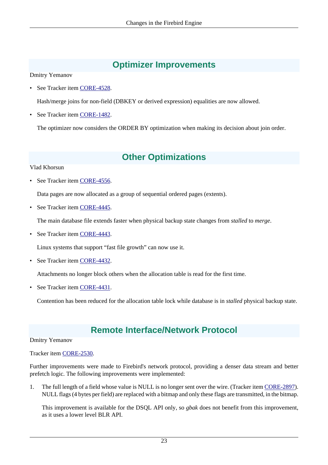# **Optimizer Improvements**

<span id="page-32-0"></span>Dmitry Yemanov

• See Tracker item [CORE-4528](http://tracker.firebirdsql.org/browse/CORE-4528).

Hash/merge joins for non-field (DBKEY or derived expression) equalities are now allowed.

See Tracker item [CORE-1482](http://tracker.firebirdsql.org/browse/CORE-1482).

<span id="page-32-1"></span>The optimizer now considers the ORDER BY optimization when making its decision about join order.

# **Other Optimizations**

#### Vlad Khorsun

• See Tracker item [CORE-4556](http://tracker.firebirdsql.org/browse/CORE-4556).

Data pages are now allocated as a group of sequential ordered pages (extents).

See Tracker item [CORE-4445](http://tracker.firebirdsql.org/browse/CORE-4445).

The main database file extends faster when physical backup state changes from *stalled* to *merge*.

• See Tracker item [CORE-4443](http://tracker.firebirdsql.org/browse/CORE-4443).

Linux systems that support "fast file growth" can now use it.

• See Tracker item [CORE-4432](http://tracker.firebirdsql.org/browse/CORE-4432).

Attachments no longer block others when the allocation table is read for the first time.

• See Tracker item [CORE-4431](http://tracker.firebirdsql.org/browse/CORE-4431).

<span id="page-32-2"></span>Contention has been reduced for the allocation table lock while database is in *stalled* physical backup state.

# **Remote Interface/Network Protocol**

#### Dmitry Yemanov

#### Tracker item [CORE-2530](http://tracker.firebirdsql.org/browse/CORE-2530).

Further improvements were made to Firebird's network protocol, providing a denser data stream and better prefetch logic. The following improvements were implemented:

1. The full length of a field whose value is NULL is no longer sent over the wire. (Tracker item [CORE-2897\)](http://tracker.firebirdsql.org/browse/CORE-2897). NULL flags (4 bytes per field) are replaced with a bitmap and only these flags are transmitted, in the bitmap.

This improvement is available for the DSQL API only, so *gbak* does not benefit from this improvement, as it uses a lower level BLR API.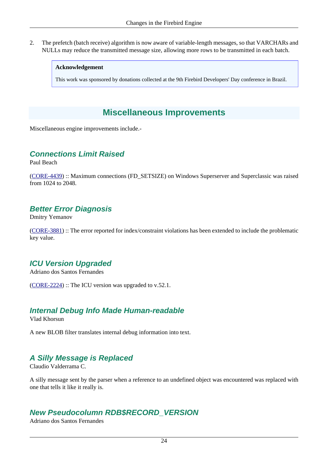2. The prefetch (batch receive) algorithm is now aware of variable-length messages, so that VARCHARs and NULLs may reduce the transmitted message size, allowing more rows to be transmitted in each batch.

#### **Acknowledgement**

<span id="page-33-0"></span>This work was sponsored by donations collected at the 9th Firebird Developers' Day conference in Brazil.

# **Miscellaneous Improvements**

<span id="page-33-1"></span>Miscellaneous engine improvements include.-

## **Connections Limit Raised**

Paul Beach

<span id="page-33-2"></span>([CORE-4439\)](http://tracker.firebirdsql.org/browse/CORE-4439) :: Maximum connections (FD\_SETSIZE) on Windows Superserver and Superclassic was raised from 1024 to 2048.

## **Better Error Diagnosis**

Dmitry Yemanov

<span id="page-33-3"></span>([CORE-3881\)](http://tracker.firebirdsql.org/browse/CORE-3881) :: The error reported for index/constraint violations has been extended to include the problematic key value.

# **ICU Version Upgraded**

Adriano dos Santos Fernandes

<span id="page-33-4"></span>([CORE-2224\)](http://tracker.firebirdsql.org/browse/CORE-2224) :: The ICU version was upgraded to v.52.1.

## **Internal Debug Info Made Human-readable**

Vlad Khorsun

<span id="page-33-5"></span>A new BLOB filter translates internal debug information into text.

# **A Silly Message is Replaced**

Claudio Valderrama C.

<span id="page-33-6"></span>A silly message sent by the parser when a reference to an undefined object was encountered was replaced with one that tells it like it really is.

# **New Pseudocolumn RDB\$RECORD\_VERSION**

Adriano dos Santos Fernandes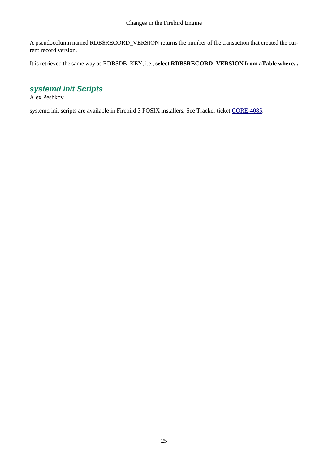A pseudocolumn named RDB\$RECORD\_VERSION returns the number of the transaction that created the current record version.

<span id="page-34-0"></span>It is retrieved the same way as RDB\$DB\_KEY, i.e., **select RDB\$RECORD\_VERSION from aTable where...**

# **systemd init Scripts**

Alex Peshkov

systemd init scripts are available in Firebird 3 POSIX installers. See Tracker ticket [CORE-4085.](http://tracker.firebirdsql.org/browse/CORE-4085)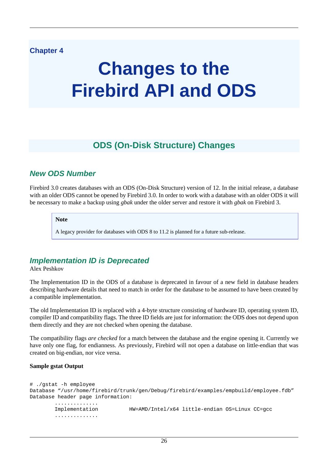## <span id="page-35-0"></span>**Chapter 4**

# **Changes to the Firebird API and ODS**

# **ODS (On-Disk Structure) Changes**

# <span id="page-35-2"></span><span id="page-35-1"></span>**New ODS Number**

Firebird 3.0 creates databases with an ODS (On-Disk Structure) version of 12. In the initial release, a database with an older ODS cannot be opened by Firebird 3.0. In order to work with a database with an older ODS it will be necessary to make a backup using *gbak* under the older server and restore it with *gbak* on Firebird 3.

#### **Note**

A legacy provider for databases with ODS 8 to 11.2 is planned for a future sub-release.

# <span id="page-35-3"></span>**Implementation ID is Deprecated**

Alex Peshkov

The Implementation ID in the ODS of a database is deprecated in favour of a new field in database headers describing hardware details that need to match in order for the database to be assumed to have been created by a compatible implementation.

The old Implementation ID is replaced with a 4-byte structure consisting of hardware ID, operating system ID, compiler ID and compatibility flags. The three ID fields are just for information: the ODS does not depend upon them directly and they are not checked when opening the database.

The compatibility flags *are checked* for a match between the database and the engine opening it. Currently we have only one flag, for endianness. As previously, Firebird will not open a database on little-endian that was created on big-endian, nor vice versa.

#### **Sample gstat Output**

```
# ./gstat -h employee
Database "/usr/home/firebird/trunk/gen/Debug/firebird/examples/empbuild/employee.fdb"
Database header page information:
         ..............
         Implementation HW=AMD/Intel/x64 little-endian OS=Linux CC=gcc
         ..............
```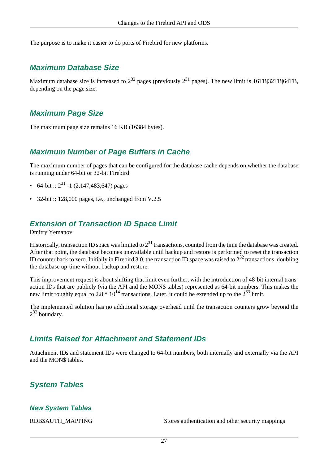The purpose is to make it easier to do ports of Firebird for new platforms.

## **Maximum Database Size**

Maximum database size is increased to  $2^{32}$  pages (previously  $2^{31}$  pages). The new limit is 16TB|32TB|64TB, depending on the page size.

## **Maximum Page Size**

The maximum page size remains 16 KB (16384 bytes).

## **Maximum Number of Page Buffers in Cache**

The maximum number of pages that can be configured for the database cache depends on whether the database is running under 64-bit or 32-bit Firebird:

- 64-bit ::  $2^{31}$  -1 (2,147,483,647) pages
- 32-bit :: 128,000 pages, i.e., unchanged from V.2.5

## **Extension of Transaction ID Space Limit**

Dmitry Yemanov

Historically, transaction ID space was limited to  $2^{31}$  transactions, counted from the time the database was created. After that point, the database becomes unavailable until backup and restore is performed to reset the transaction ID counter back to zero. Initially in Firebird 3.0, the transaction ID space was raised to  $2^{32}$  transactions, doubling the database up-time without backup and restore.

This improvement request is about shifting that limit even further, with the introduction of 48-bit internal transaction IDs that are publicly (via the API and the MON\$ tables) represented as 64-bit numbers. This makes the new limit roughly equal to 2.8  $* 10^{14}$  transactions. Later, it could be extended up to the  $2^{63}$  limit.

The implemented solution has no additional storage overhead until the transaction counters grow beyond the  $2^{32}$  boundary.

## **Limits Raised for Attachment and Statement IDs**

Attachment IDs and statement IDs were changed to 64-bit numbers, both internally and externally via the API and the MON\$ tables.

## **System Tables**

## **New System Tables**

RDB\$AUTH\_MAPPING Stores authentication and other security mappings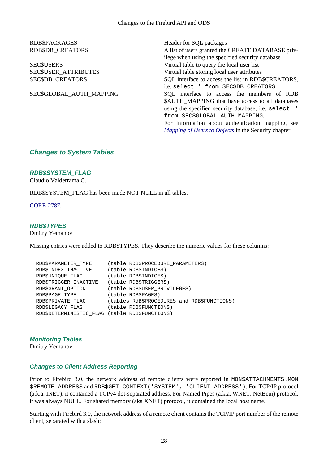# RDB\$PACKAGES Header for SQL packages

RDB\$DB\_CREATORS A list of users granted the CREATE DATABASE privilege when using the specified security database SEC\$USERS Virtual table to query the local user list SEC\$USER\_ATTRIBUTES Virtual table storing local user attributes SEC\$DB\_CREATORS SQL interface to access the list in RDB\$CREATORS, i.e. select \* from SEC\$DB\_CREATORS SEC\$GLOBAL\_AUTH\_MAPPING SQL interface to access the members of RDB \$AUTH\_MAPPING that have access to all databases using the specified security database, i.e. select \* from SEC\$GLOBAL\_AUTH\_MAPPING. For information about authentication mapping, see *[Mapping of Users to Objects](#page-64-0)* in the Security chapter.

## **Changes to System Tables**

#### **RDB\$SYSTEM\_FLAG**

Claudio Valderrama C.

RDB\$SYSTEM\_FLAG has been made NOT NULL in all tables.

[CORE-2787](http://tracker.firebirdsql.org/browse/CORE-2787).

#### **RDB\$TYPES**

Dmitry Yemanov

Missing entries were added to RDB\$TYPES. They describe the numeric values for these columns:

```
 RDB$PARAMETER_TYPE (table RDB$PROCEDURE_PARAMETERS)
 RDB$INDEX_INACTIVE (table RDB$INDICES)
 RDB$UNIQUE_FLAG (table RDB$INDICES)
  RDB$TRIGGER_INACTIVE (table RDB$TRIGGERS)
  RDB$GRANT_OPTION (table RDB$USER_PRIVILEGES)
 RDB$PAGE_TYPE (table RDB$PAGES)
  RDB$PRIVATE_FLAG (tables RdB$PROCEDURES and RDB$FUNCTIONS)
 RDB$LEGACY_FLAG (table RDB$FUNCTIONS)
  RDB$DETERMINISTIC_FLAG (table RDB$FUNCTIONS)
```
**Monitoring Tables**

Dmitry Yemanov

#### **Changes to Client Address Reporting**

Prior to Firebird 3.0, the network address of remote clients were reported in MON\$ATTACHMENTS.MON \$REMOTE\_ADDRESS and RDB\$GET\_CONTEXT('SYSTEM', 'CLIENT\_ADDRESS'). For TCP/IP protocol (a.k.a. INET), it contained a TCPv4 dot-separated address. For Named Pipes (a.k.a. WNET, NetBeui) protocol, it was always NULL. For shared memory (aka XNET) protocol, it contained the local host name.

Starting with Firebird 3.0, the network address of a remote client contains the TCP/IP port number of the remote client, separated with a slash: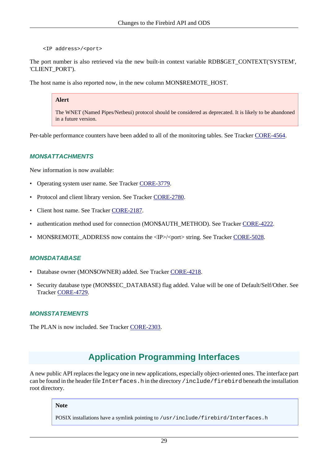<IP address>/<port>

The port number is also retrieved via the new built-in context variable RDB\$GET\_CONTEXT('SYSTEM', 'CLIENT\_PORT').

The host name is also reported now, in the new column MON\$REMOTE\_HOST.

#### **Alert**

The WNET (Named Pipes/Netbeui) protocol should be considered as deprecated. It is likely to be abandoned in a future version.

Per-table performance counters have been added to all of the monitoring tables. See Tracker [CORE-4564](http://tracker.firebirdsql.org/browse/CORE-4564).

#### **MON\$ATTACHMENTS**

New information is now available:

- Operating system user name. See Tracker [CORE-3779](http://tracker.firebirdsql.org/browse/CORE-3779).
- Protocol and client library version. See Tracker [CORE-2780.](http://tracker.firebirdsql.org/browse/CORE-2780)
- Client host name. See Tracker [CORE-2187.](http://tracker.firebirdsql.org/browse/CORE-2187)
- authentication method used for connection (MON\$AUTH\_METHOD). See Tracker [CORE-4222](http://tracker.firebirdsql.org/browse/CORE-4222).
- MON\$REMOTE\_ADDRESS now contains the <IP>/<port> string. See Tracker [CORE-5028.](http://tracker.firebirdsql.org/browse/CORE-5028)

#### **MON\$DATABASE**

- Database owner (MON\$OWNER) added. See Tracker [CORE-4218](http://tracker.firebirdsql.org/browse/CORE-4218).
- Security database type (MON\$SEC\_DATABASE) flag added. Value will be one of Default/Self/Other. See Tracker [CORE-4729](http://tracker.firebirdsql.org/browse/CORE-4729).

#### **MON\$STATEMENTS**

The PLAN is now included. See Tracker [CORE-2303](http://tracker.firebirdsql.org/browse/CORE-2303).

# **Application Programming Interfaces**

A new public API replaces the legacy one in new applications, especially object-oriented ones. The interface part can be found in the header file Interfaces.h in the directory /include/firebird beneath the installation root directory.

#### **Note**

POSIX installations have a symlink pointing to /usr/include/firebird/Interfaces.h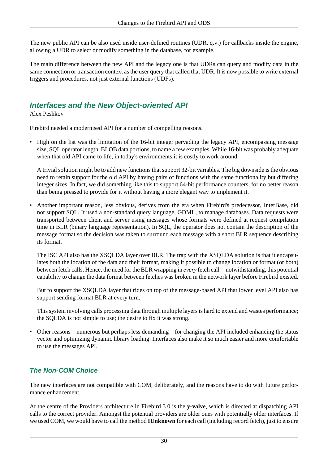The new public API can be also used inside user-defined routines (UDR, q.v.) for callbacks inside the engine, allowing a UDR to select or modify something in the database, for example.

The main difference between the new API and the legacy one is that UDRs can query and modify data in the same connection or transaction context as the user query that called that UDR. It is now possible to write external triggers and procedures, not just external functions (UDFs).

## **Interfaces and the New Object-oriented API**

Alex Peshkov

Firebird needed a modernised API for a number of compelling reasons.

• High on the list was the limitation of the 16-bit integer pervading the legacy API, encompassing message size, SQL operator length, BLOB data portions, to name a few examples. While 16-bit was probably adequate when that old API came to life, in today's environments it is costly to work around.

A trivial solution might be to add new functions that support 32-bit variables. The big downside is the obvious need to retain support for the old API by having pairs of functions with the same functionality but differing integer sizes. In fact, we did something like this to support 64-bit performance counters, for no better reason than being pressed to provide for it without having a more elegant way to implement it.

• Another important reason, less obvious, derives from the era when Firebird's predecessor, InterBase, did not support SQL. It used a non-standard query language, GDML, to manage databases. Data requests were transported between client and server using messages whose formats were defined at request compilation time in BLR (binary language representation). In SQL, the operator does not contain the description of the message format so the decision was taken to surround each message with a short BLR sequence describing its format.

The ISC API also has the XSQLDA layer over BLR. The trap with the XSQLDA solution is that it encapsulates both the location of the data and their format, making it possible to change location or format (or both) between fetch calls. Hence, the need for the BLR wrapping in *every* fetch call—notwithstanding, this potential capability to change the data format between fetches was broken in the network layer before Firebird existed.

But to support the XSQLDA layer that rides on top of the message-based API that lower level API also has support sending format BLR at every turn.

This system involving calls processing data through multiple layers is hard to extend and wastes performance; the SQLDA is not simple to use; the desire to fix it was strong.

• Other reasons—numerous but perhaps less demanding—for changing the API included enhancing the status vector and optimizing dynamic library loading. Interfaces also make it so much easier and more comfortable to use the messages API.

## **The Non-COM Choice**

The new interfaces are not compatible with COM, deliberately, and the reasons have to do with future performance enhancement.

At the centre of the Providers architecture in Firebird 3.0 is the **y-valve**, which is directed at dispatching API calls to the correct provider. Amongst the potential providers are older ones with potentially older interfaces. If we used COM, we would have to call the method **IUnknown** for each call (including record fetch), just to ensure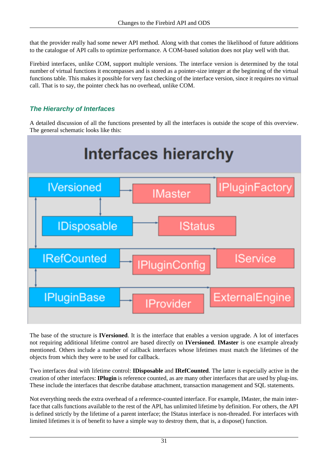that the provider really had some newer API method. Along with that comes the likelihood of future additions to the catalogue of API calls to optimize performance. A COM-based solution does not play well with that.

Firebird interfaces, unlike COM, support multiple versions. The interface version is determined by the total number of virtual functions it encompasses and is stored as a pointer-size integer at the beginning of the virtual functions table. This makes it possible for very fast checking of the interface version, since it requires no virtual call. That is to say, the pointer check has no overhead, unlike COM.

## **The Hierarchy of Interfaces**

A detailed discussion of all the functions presented by all the interfaces is outside the scope of this overview. The general schematic looks like this:



The base of the structure is **IVersioned**. It is the interface that enables a version upgrade. A lot of interfaces not requiring additional lifetime control are based directly on **IVersioned**. **IMaster** is one example already mentioned. Others include a number of callback interfaces whose lifetimes must match the lifetimes of the objects from which they were to be used for callback.

Two interfaces deal with lifetime control: **IDisposable** and **IRefCounted**. The latter is especially active in the creation of other interfaces: **IPlugin** is reference counted, as are many other interfaces that are used by plug-ins. These include the interfaces that describe database attachment, transaction management and SQL statements.

Not everything needs the extra overhead of a reference-counted interface. For example, IMaster, the main interface that calls functions available to the rest of the API, has unlimited lifetime by definition. For others, the API is defined strictly by the lifetime of a parent interface; the IStatus interface is non-threaded. For interfaces with limited lifetimes it is of benefit to have a simple way to destroy them, that is, a dispose() function.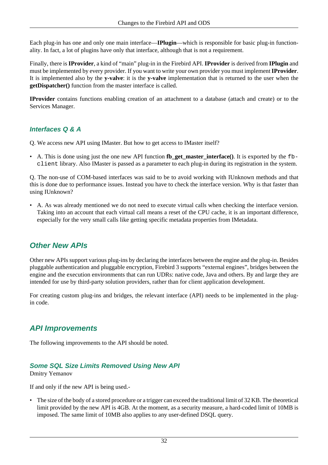Each plug-in has one and only one main interface—**IPlugin**—which is responsible for basic plug-in functionality. In fact, a lot of plugins have only that interface, although that is not a requirement.

Finally, there is **IProvider**, a kind of "main" plug-in in the Firebird API. **IProvider** is derived from **IPlugin** and must be implemented by every provider. If you want to write your own provider you must implement **IProvider**. It is implemented also by the **y-valve**: it is the **y-valve** implementation that is returned to the user when the **getDispatcher()** function from the master interface is called.

**IProvider** contains functions enabling creation of an attachment to a database (attach and create) or to the Services Manager.

## **Interfaces Q & A**

- Q. We access new API using IMaster. But how to get access to IMaster itself?
- A. This is done using just the one new API function **fb\_get\_master\_interface()**. It is exported by the fbclient library. Also IMaster is passed as a parameter to each plug-in during its registration in the system.

Q. The non-use of COM-based interfaces was said to be to avoid working with IUnknown methods and that this is done due to performance issues. Instead you have to check the interface version. Why is that faster than using IUnknown?

• A. As was already mentioned we do not need to execute virtual calls when checking the interface version. Taking into an account that each virtual call means a reset of the CPU cache, it is an important difference, especially for the very small calls like getting specific metadata properties from IMetadata.

## **Other New APIs**

Other new APIs support various plug-ins by declaring the interfaces between the engine and the plug-in. Besides pluggable authentication and pluggable encryption, Firebird 3 supports "external engines", bridges between the engine and the execution environments that can run UDRs: native code, Java and others. By and large they are intended for use by third-party solution providers, rather than for client application development.

For creating custom plug-ins and bridges, the relevant interface (API) needs to be implemented in the plugin code.

## **API Improvements**

The following improvements to the API should be noted.

## **Some SQL Size Limits Removed Using New API**

Dmitry Yemanov

If and only if the new API is being used.-

• The size of the body of a stored procedure or a trigger can exceed the traditional limit of 32 KB. The theoretical limit provided by the new API is 4GB. At the moment, as a security measure, a hard-coded limit of 10MB is imposed. The same limit of 10MB also applies to any user-defined DSQL query.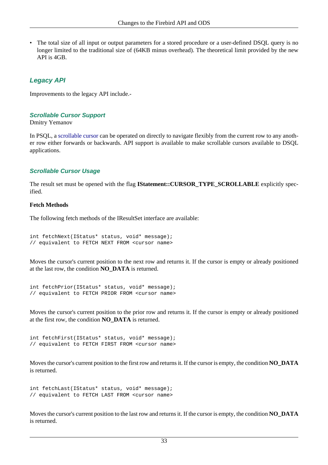The total size of all input or output parameters for a stored procedure or a user-defined DSQL query is no longer limited to the traditional size of (64KB minus overhead). The theoretical limit provided by the new API is 4GB.

## **Legacy API**

Improvements to the legacy API include.-

#### **Scrollable Cursor Support**

Dmitry Yemanov

In PSQL, a [scrollable cursor](#page-116-0) can be operated on directly to navigate flexibly from the current row to any another row either forwards or backwards. API support is available to make scrollable cursors available to DSQL applications.

## **Scrollable Cursor Usage**

The result set must be opened with the flag **IStatement::CURSOR\_TYPE\_SCROLLABLE** explicitly specified.

#### **Fetch Methods**

The following fetch methods of the IResultSet interface are available:

```
int fetchNext(IStatus* status, void* message);
// equivalent to FETCH NEXT FROM <cursor name>
```
Moves the cursor's current position to the next row and returns it. If the cursor is empty or already positioned at the last row, the condition **NO\_DATA** is returned.

```
int fetchPrior(IStatus* status, void* message);
// equivalent to FETCH PRIOR FROM <cursor name>
```
Moves the cursor's current position to the prior row and returns it. If the cursor is empty or already positioned at the first row, the condition **NO\_DATA** is returned.

```
int fetchFirst(IStatus* status, void* message);
// equivalent to FETCH FIRST FROM <cursor name>
```
Moves the cursor's current position to the first row and returns it. If the cursor is empty, the condition **NO\_DATA** is returned.

```
int fetchLast(IStatus* status, void* message);
// equivalent to FETCH LAST FROM <cursor name>
```
Moves the cursor's current position to the last row and returns it. If the cursor is empty, the condition **NO\_DATA** is returned.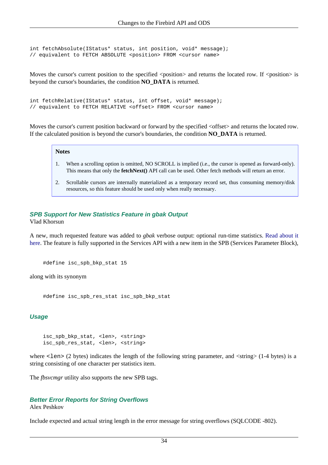```
int fetchAbsolute(IStatus* status, int position, void* message);
// equivalent to FETCH ABSOLUTE <position> FROM <cursor name>
```
Moves the cursor's current position to the specified <position> and returns the located row. If <position> is beyond the cursor's boundaries, the condition **NO\_DATA** is returned.

```
int fetchRelative(IStatus* status, int offset, void* message);
// equivalent to FETCH RELATIVE <offset> FROM <cursor name>
```
Moves the cursor's current position backward or forward by the specified  $\leq$  offset $\geq$  and returns the located row. If the calculated position is beyond the cursor's boundaries, the condition **NO\_DATA** is returned.

#### **Notes**

- 1. When a scrolling option is omitted, NO SCROLL is implied (i.e., the cursor is opened as forward-only). This means that only the **fetchNext()** API call can be used. Other fetch methods will return an error.
- 2. Scrollable cursors are internally materialized as a temporary record set, thus consuming memory/disk resources, so this feature should be used only when really necessary.

## **SPB Support for New Statistics Feature in gbak Output**

Vlad Khorsun

A new, much requested feature was added to *gbak* verbose output: optional run-time statistics. [Read about it](#page-124-0) [here.](#page-124-0) The feature is fully supported in the Services API with a new item in the SPB (Services Parameter Block),

```
#define isc_spb_bkp_stat 15
```
along with its synonym

#define isc\_spb\_res\_stat isc\_spb\_bkp\_stat

#### **Usage**

```
isc_spb_bkp_stat, <len>, <string>
isc_spb_res_stat, <len>, <string>
```
where  $\le$  len $>$  (2 bytes) indicates the length of the following string parameter, and  $\le$  string $>$  (1-4 bytes) is a string consisting of one character per statistics item.

The *fbsvcmgr* utility also supports the new SPB tags.

#### **Better Error Reports for String Overflows**

Alex Peshkov

Include expected and actual string length in the error message for string overflows (SQLCODE -802).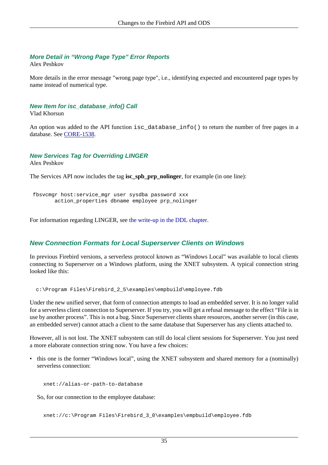## **More Detail in "Wrong Page Type" Error Reports**

Alex Peshkov

More details in the error message "wrong page type", i.e., identifying expected and encountered page types by name instead of numerical type.

## **New Item for isc\_database\_info() Call**

Vlad Khorsun

An option was added to the API function isc\_database\_info() to return the number of free pages in a database. See [CORE-1538](http://tracker.firebirdsql.org/browse/CORE-1538).

## **New Services Tag for Overriding LINGER**

Alex Peshkov

The Services API now includes the tag **isc\_spb\_prp\_nolinger**, for example (in one line):

```
 fbsvcmgr host:service_mgr user sysdba password xxx
        action_properties dbname employee prp_nolinger
```
For information regarding LINGER, see [the write-up in the DDL chapter.](#page-84-0)

## **New Connection Formats for Local Superserver Clients on Windows**

In previous Firebird versions, a serverless protocol known as "Windows Local" was available to local clients connecting to Superserver on a Windows platform, using the XNET subsystem. A typical connection string looked like this:

c:\Program Files\Firebird\_2\_5\examples\empbuild\employee.fdb

Under the new unified server, that form of connection attempts to load an embedded server. It is no longer valid for a serverless client connection to Superserver. If you try, you will get a refusal message to the effect "File is in use by another process". This is not a bug. Since Superserver clients share resources, another server (in this case, an embedded server) cannot attach a client to the same database that Superserver has any clients attached to.

However, all is not lost. The XNET subsystem can still do local client sessions for Superserver. You just need a more elaborate connection string now. You have a few choices:

• this one is the former "Windows local", using the XNET subsystem and shared memory for a (nominally) serverless connection:

xnet://alias-or-path-to-database

So, for our connection to the employee database:

xnet://c:\Program Files\Firebird\_3\_0\examples\empbuild\employee.fdb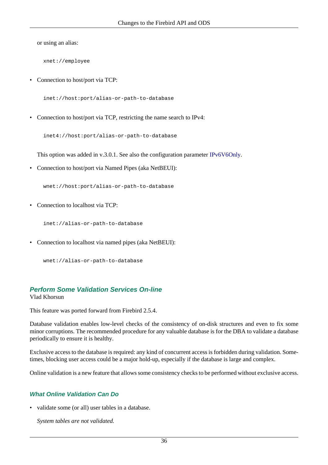or using an alias:

xnet://employee

• Connection to host/port via TCP:

inet://host:port/alias-or-path-to-database

• Connection to host/port via TCP, restricting the name search to IPv4:

inet4://host:port/alias-or-path-to-database

This option was added in v.3.0.1. See also the configuration parameter [IPv6V6Only.](#page-56-0)

• Connection to host/port via Named Pipes (aka NetBEUI):

wnet://host:port/alias-or-path-to-database

• Connection to localhost via TCP:

inet://alias-or-path-to-database

• Connection to localhost via named pipes (aka NetBEUI):

wnet://alias-or-path-to-database

## **Perform Some Validation Services On-line**

Vlad Khorsun

This feature was ported forward from Firebird 2.5.4.

Database validation enables low-level checks of the consistency of on-disk structures and even to fix some minor corruptions. The recommended procedure for any valuable database is for the DBA to validate a database periodically to ensure it is healthy.

Exclusive access to the database is required: any kind of concurrent access is forbidden during validation. Sometimes, blocking user access could be a major hold-up, especially if the database is large and complex.

Online validation is a new feature that allows some consistency checks to be performed without exclusive access.

## **What Online Validation Can Do**

• validate some (or all) user tables in a database.

*System tables are not validated.*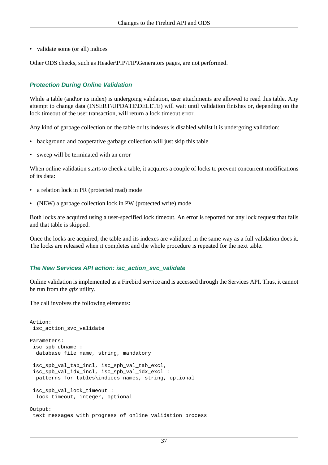• validate some (or all) indices

Other ODS checks, such as Header\PIP\TIP\Generators pages, are not performed.

## **Protection During Online Validation**

While a table (and\or its index) is undergoing validation, user attachments are allowed to read this table. Any attempt to change data (INSERT\UPDATE\DELETE) will wait until validation finishes or, depending on the lock timeout of the user transaction, will return a lock timeout error.

Any kind of garbage collection on the table or its indexes is disabled whilst it is undergoing validation:

- background and cooperative garbage collection will just skip this table
- sweep will be terminated with an error

When online validation starts to check a table, it acquires a couple of locks to prevent concurrent modifications of its data:

- a relation lock in PR (protected read) mode
- (NEW) a garbage collection lock in PW (protected write) mode

Both locks are acquired using a user-specified lock timeout. An error is reported for any lock request that fails and that table is skipped.

Once the locks are acquired, the table and its indexes are validated in the same way as a full validation does it. The locks are released when it completes and the whole procedure is repeated for the next table.

#### **The New Services API action: isc\_action\_svc\_validate**

Online validation is implemented as a Firebird service and is accessed through the Services API. Thus, it cannot be run from the *gfix* utility.

The call involves the following elements:

```
Action:
  isc_action_svc_validate
Parameters:
  isc_spb_dbname :
   database file name, string, mandatory
  isc_spb_val_tab_incl, isc_spb_val_tab_excl,
  isc_spb_val_idx_incl, isc_spb_val_idx_excl :
  patterns for tables\indices names, string, optional
  isc_spb_val_lock_timeout :
   lock timeout, integer, optional
Output:
  text messages with progress of online validation process
```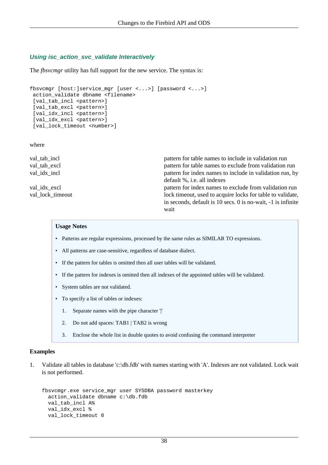## **Using isc\_action\_svc\_validate Interactively**

The *fbsvcmgr* utility has full support for the new service. The syntax is:

```
fbsvcmgr [host:]service_mgr [user <...>] [password <...>]
  action_validate dbname <filename>
 [val tab incl <pattern>]
 [val_tab_excl <pattern>]
 [val idx incl <pattern>]
 [val idx excl <pattern>]
 [val lock timeout <number>]
```
where

| val tab incl     | pattern for table names to include in validation run         |
|------------------|--------------------------------------------------------------|
| val_tab_excl     | pattern for table names to exclude from validation run       |
| val idx incl     | pattern for index names to include in validation run, by     |
|                  | default %, <i>i.e.</i> all indexes                           |
| val_idx_excl     | pattern for index names to exclude from validation run       |
| val lock timeout | lock timeout, used to acquire locks for table to validate,   |
|                  | in seconds, default is 10 secs. 0 is no-wait, -1 is infinite |
|                  | wait                                                         |
|                  |                                                              |

#### **Usage Notes**

- Patterns are regular expressions, processed by the same rules as SIMILAR TO expressions.
- All patterns are case-sensitive, regardless of database dialect.
- If the pattern for tables is omitted then all user tables will be validated.
- If the pattern for indexes is omitted then all indexes of the appointed tables will be validated.
- System tables are not validated.
- To specify a list of tables or indexes:
	- 1. Separate names with the pipe character '|'
	- 2. Do not add spaces: TAB1 | TAB2 is wrong
	- 3. Enclose the whole list in double quotes to avoid confusing the command interpreter

#### **Examples**

1. Validate all tables in database 'c:\db.fdb' with names starting with 'A'. Indexes are not validated. Lock wait is not performed.

```
fbsvcmgr.exe service_mgr user SYSDBA password masterkey
   action_validate dbname c:\db.fdb
 val tab incl A%
 val idx excl %
  val lock timeout 0
```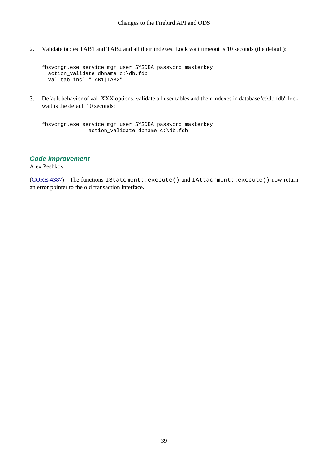2. Validate tables TAB1 and TAB2 and all their indexes. Lock wait timeout is 10 seconds (the default):

```
fbsvcmgr.exe service_mgr user SYSDBA password masterkey
   action_validate dbname c:\db.fdb
   val_tab_incl "TAB1|TAB2"
```
3. Default behavior of val\_XXX options: validate all user tables and their indexes in database 'c:\db.fdb', lock wait is the default 10 seconds:

```
fbsvcmgr.exe service_mgr user SYSDBA password masterkey
                action_validate dbname c:\db.fdb
```
### **Code Improvement**

Alex Peshkov

([CORE-4387\)](http://tracker.firebirdsql.org/browse/CORE-4387) The functions IStatement::execute() and IAttachment::execute() now return an error pointer to the old transaction interface.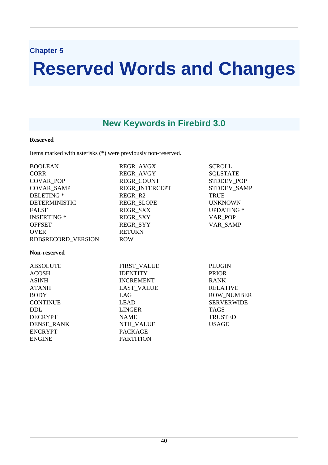## **Chapter 5**

# **Reserved Words and Changes**

# **New Keywords in Firebird 3.0**

## **Reserved**

Items marked with asterisks (\*) were previously non-reserved.

| <b>BOOLEAN</b>        | REGR_AVGX        | <b>SCROLL</b>     |
|-----------------------|------------------|-------------------|
| <b>CORR</b>           | REGR_AVGY        | <b>SQLSTATE</b>   |
| COVAR_POP             | REGR_COUNT       | STDDEV_POP        |
| <b>COVAR SAMP</b>     | REGR INTERCEPT   | STDDEV_SAMP       |
| DELETING <sup>*</sup> | REGR R2          | <b>TRUE</b>       |
| <b>DETERMINISTIC</b>  | REGR_SLOPE       | <b>UNKNOWN</b>    |
| <b>FALSE</b>          | REGR_SXX         | <b>UPDATING</b> * |
| <b>INSERTING *</b>    | REGR_SXY         | VAR_POP           |
| <b>OFFSET</b>         | <b>REGR SYY</b>  | VAR SAMP          |
| <b>OVER</b>           | <b>RETURN</b>    |                   |
| RDB\$RECORD_VERSION   | <b>ROW</b>       |                   |
| Non-reserved          |                  |                   |
| <b>ABSOLUTE</b>       | FIRST VALUE      | <b>PLUGIN</b>     |
| <b>ACOSH</b>          | <b>IDENTITY</b>  | <b>PRIOR</b>      |
| <b>ASINH</b>          | <b>INCREMENT</b> | <b>RANK</b>       |
| <b>ATANH</b>          | LAST_VALUE       | <b>RELATIVE</b>   |
| <b>BODY</b>           | LAG              | <b>ROW_NUMBER</b> |
| <b>CONTINUE</b>       | <b>LEAD</b>      | <b>SERVERWIDE</b> |
| DDL.                  | LINGER           | <b>TAGS</b>       |
| <b>DECRYPT</b>        | <b>NAME</b>      | <b>TRUSTED</b>    |
| <b>DENSE_RANK</b>     | <b>NTH_VALUE</b> | <b>USAGE</b>      |
| <b>ENCRYPT</b>        | <b>PACKAGE</b>   |                   |
| <b>ENGINE</b>         | <b>PARTITION</b> |                   |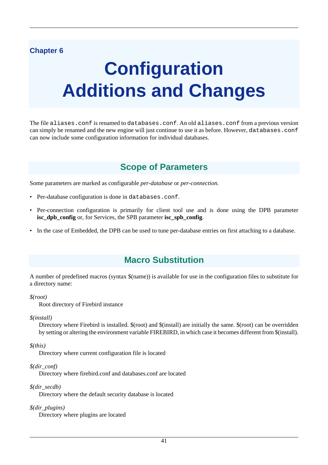## **Chapter 6**

# **Configuration Additions and Changes**

<span id="page-50-0"></span>The file aliases.conf is renamed to databases.conf. An old aliases.conf from a previous version can simply be renamed and the new engine will just continue to use it as before. However, databases.conf can now include some configuration information for individual databases.

# **Scope of Parameters**

Some parameters are marked as configurable *per-database* or *per-connection*.

- Per-database configuration is done in databases.conf.
- Per-connection configuration is primarily for client tool use and is done using the DPB parameter **isc\_dpb\_config** or, for Services, the SPB parameter **isc\_spb\_config**.
- In the case of Embedded, the DPB can be used to tune per-database entries on first attaching to a database.

# **Macro Substitution**

A number of predefined macros (syntax \$(name)) is available for use in the configuration files to substitute for a directory name:

#### *\$(root)*

Root directory of Firebird instance

#### *\$(install)*

Directory where Firebird is installed. \$(root) and \$(install) are initially the same. \$(root) can be overridden by setting or altering the environment variable FIREBIRD, in which case it becomes different from \$(install).

#### *\$(this)*

Directory where current configuration file is located

#### *\$(dir\_conf)*

Directory where firebird.conf and databases.conf are located

#### *\$(dir\_secdb)*

Directory where the default security database is located

#### *\$(dir\_plugins)*

Directory where plugins are located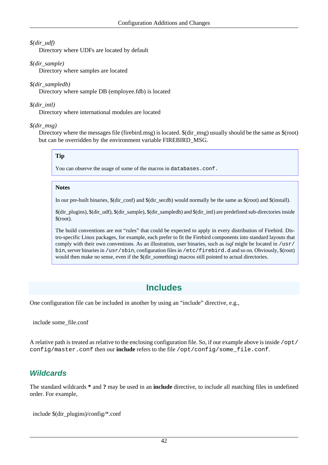## *\$(dir\_udf)*

Directory where UDFs are located by default

### *\$(dir\_sample)*

Directory where samples are located

#### *\$(dir\_sampledb)*

Directory where sample DB (employee.fdb) is located

### *\$(dir\_intl)*

Directory where international modules are located

#### *\$(dir\_msg)*

Directory where the messages file (firebird.msg) is located. \$(dir\_msg) usually should be the same as \$(root) but can be overridden by the environment variable FIREBIRD\_MSG.

## **Tip**

You can observe the usage of some of the macros in databases.conf.

#### **Notes**

In our pre-built binaries, \$(dir\_conf) and \$(dir\_secdb) would normally be the same as \$(root) and \$(install).

\$(dir\_plugins), \$(dir\_udf), \$(dir\_sample), \$(dir\_sampledb) and \$(dir\_intl) are predefined sub-directories inside \$(root).

The build conventions are not "rules" that could be expected to apply in every distribution of Firebird. Distro-specific Linux packages, for example, each prefer to fit the Firebird components into standard layouts that comply with their own conventions. As an illustration, user binaries, such as *isql* might be located in /usr/ bin, server binaries in /usr/sbin, configuration files in /etc/firebird.d and so on. Obviously, \$(root) would then make no sense, even if the \$(dir\_something) macros still pointed to actual directories.

# **Includes**

One configuration file can be included in another by using an "include" directive, e.g.,

include some\_file.conf

A relative path is treated as relative to the enclosing configuration file. So, if our example above is inside  $\sqrt{\text{opt}}$ config/master.conf then our **include** refers to the file /opt/config/some\_file.conf.

## **Wildcards**

The standard wildcards **\*** and **?** may be used in an **include** directive, to include all matching files in undefined order. For example,

include \$(dir\_plugins)/config/\*.conf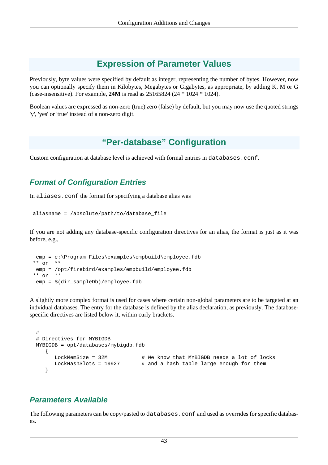# **Expression of Parameter Values**

Previously, byte values were specified by default as integer, representing the number of bytes. However, now you can optionally specify them in Kilobytes, Megabytes or Gigabytes, as appropriate, by adding K, M or G (case-insensitive). For example, **24M** is read as 25165824 (24 \* 1024 \* 1024).

Boolean values are expressed as non-zero (true)|zero (false) by default, but you may now use the quoted strings 'y', 'yes' or 'true' instead of a non-zero digit.

# **"Per-database" Configuration**

Custom configuration at database level is achieved with formal entries in databases.conf.

## **Format of Configuration Entries**

In aliases.conf the format for specifying a database alias was

```
 aliasname = /absolute/path/to/database_file
```
If you are not adding any database-specific configuration directives for an alias, the format is just as it was before, e.g.,

```
 emp = c:\Program Files\examples\empbuild\employee.fdb
 ** or **
 emp = /opt/firebird/examples/empbuild/employee.fdb
 ** or **
 emp = $(dir_sampleDb)/employee.fdb
```
A slightly more complex format is used for cases where certain non-global parameters are to be targeted at an indvidual databases. The entry for the database is defined by the alias declaration, as previously. The databasespecific directives are listed below it, within curly brackets.

```
 #
 # Directives for MYBIGDB
 MYBIGDB = opt/databases/mybigdb.fdb
   {
     LockMemSize = 32M \# We know that MYBIGDB needs a lot of locks
     LockHashSlots = 19927 # and a hash table large enough for them
    }
```
## **Parameters Available**

The following parameters can be copy/pasted to databases.conf and used as overrides for specific databases.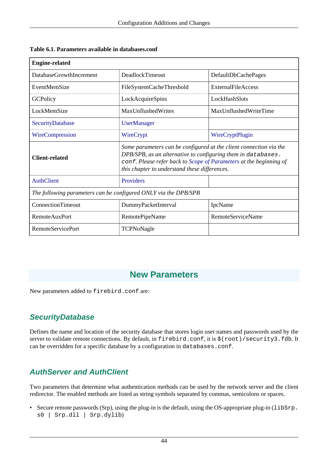| <b>Engine-related</b>                                           |                                                                                                                                                                                                                                                           |                            |  |  |
|-----------------------------------------------------------------|-----------------------------------------------------------------------------------------------------------------------------------------------------------------------------------------------------------------------------------------------------------|----------------------------|--|--|
| DatabaseGrowthIncrement                                         | DeadlockTimeout                                                                                                                                                                                                                                           | <b>DefaultDbCachePages</b> |  |  |
| EventMemSize                                                    | FileSystemCacheThreshold                                                                                                                                                                                                                                  | <b>ExternalFileAccess</b>  |  |  |
| <b>GCPolicy</b>                                                 | LockAcquireSpins                                                                                                                                                                                                                                          | LockHashSlots              |  |  |
| LockMemSize                                                     | MaxUnflushedWrites                                                                                                                                                                                                                                        | MaxUnflushedWriteTime      |  |  |
| SecurityDatabase                                                | <b>UserManager</b>                                                                                                                                                                                                                                        |                            |  |  |
| WireCompression                                                 | WireCrypt                                                                                                                                                                                                                                                 | WireCryptPlugin            |  |  |
| Client-related                                                  | Some parameters can be configured at the client connection via the<br>DPB/SPB, as an alternative to configuring them in databases.<br>conf. Please refer back to Scope of Parameters at the beginning of<br>this chapter to understand these differences. |                            |  |  |
| <b>AuthClient</b>                                               | Providers                                                                                                                                                                                                                                                 |                            |  |  |
| The following parameters can be configured ONLY via the DPB/SPB |                                                                                                                                                                                                                                                           |                            |  |  |
| ConnectionTimeout                                               | DummyPacketInterval                                                                                                                                                                                                                                       | IpcName                    |  |  |
| <b>RemoteAuxPort</b>                                            | RemotePipeName                                                                                                                                                                                                                                            | <b>RemoteServiceName</b>   |  |  |
| <b>RemoteServicePort</b>                                        | TCPNoNagle                                                                                                                                                                                                                                                |                            |  |  |

**Table 6.1. Parameters available in databases.conf**

# **New Parameters**

<span id="page-53-0"></span>New parameters added to firebird.conf are:

# **SecurityDatabase**

Defines the name and location of the security database that stores login user names and passwords used by the server to validate remote connections. By default, in firebird.conf, it is  $\frac{1}{5}$  (root)/security3.fdb. It can be overridden for a specific database by a configuration in databases.conf.

## <span id="page-53-1"></span>**AuthServer and AuthClient**

Two parameters that determine what authentication methods can be used by the network server and the client redirector. The enabled methods are listed as string symbols separated by commas, semicolons or spaces.

• Secure remote passwords (Srp), using the plug-in is the default, using the OS-appropriate plug-in (libSrp. s0 | Srp.dll | Srp.dylib)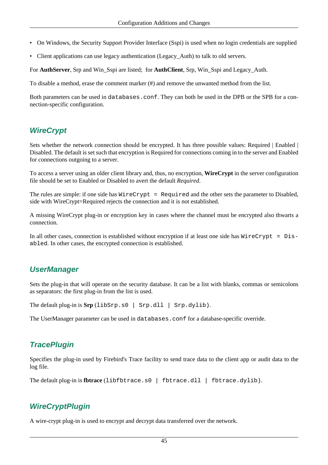- On Windows, the Security Support Provider Interface (Sspi) is used when no login credentials are supplied
- Client applications can use legacy authentication (Legacy\_Auth) to talk to old servers.

For **AuthServer**, Srp and Win\_Sspi are listed; for **AuthClient**, Srp, Win\_Sspi and Legacy\_Auth.

To disable a method, erase the comment marker (#) and remove the unwanted method from the list.

<span id="page-54-1"></span>Both parameters can be used in databases.conf. They can both be used in the DPB or the SPB for a connection-specific configuration.

## **WireCrypt**

Sets whether the network connection should be encrypted. It has three possible values: Required | Enabled | Disabled. The default is set such that encryption is Required for connections coming in to the server and Enabled for connections outgoing to a server.

To access a server using an older client library and, thus, no encryption, **WireCrypt** in the server configuration file should be set to Enabled or Disabled to avert the default *Required*.

The rules are simple: if one side has  $WireCrypt = Required$  and the other sets the parameter to Disabled, side with WireCrypt=Required rejects the connection and it is not established.

A missing WireCrypt plug-in or encryption key in cases where the channel must be encrypted also thwarts a connection.

<span id="page-54-0"></span>In all other cases, connection is established without encryption if at least one side has  $\text{WireCrypt} = \text{Dis}$ abled. In other cases, the encrypted connection is established.

## **UserManager**

Sets the plug-in that will operate on the security database. It can be a list with blanks, commas or semicolons as separators: the first plug-in from the list is used.

The default plug-in is  $Srp$  (libSrp.s0 | Srp.dll | Srp.dylib).

The UserManager parameter can be used in databases.conf for a database-specific override.

## **TracePlugin**

Specifies the plug-in used by Firebird's Trace facility to send trace data to the client app or audit data to the log file.

<span id="page-54-2"></span>The default plug-in is **fbtrace** (libfbtrace.s0 | fbtrace.dll | fbtrace.dylib).

## **WireCryptPlugin**

A wire-crypt plug-in is used to encrypt and decrypt data transferred over the network.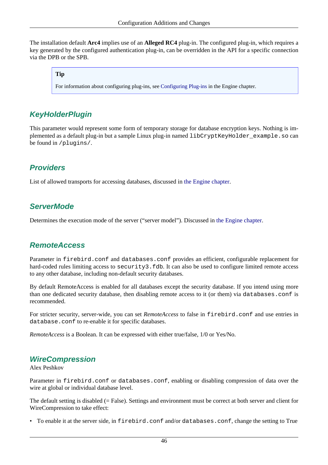The installation default **Arc4** implies use of an **Alleged RC4** plug-in. The configured plug-in, which requires a key generated by the configured authentication plug-in, can be overridden in the API for a specific connection via the DPB or the SPB.

## **Tip**

For information about configuring plug-ins, see [Configuring Plug-ins](#page-26-0) in the Engine chapter.

## **KeyHolderPlugin**

This parameter would represent some form of temporary storage for database encryption keys. Nothing is implemented as a default plug-in but a sample Linux plug-in named libCryptKeyHolder\_example.so can be found in /plugins/.

## **Providers**

List of allowed transports for accessing databases, discussed in [the Engine chapter](#page-18-0).

## **ServerMode**

Determines the execution mode of the server ("server model"). Discussed in [the Engine chapter.](#page-18-1)

## **RemoteAccess**

Parameter in firebird.conf and databases.conf provides an efficient, configurable replacement for hard-coded rules limiting access to security3.fdb. It can also be used to configure limited remote access to any other database, including non-default security databases.

By default RemoteAccess is enabled for all databases except the security database. If you intend using more than one dedicated security database, then disabling remote access to it (or them) via databases.conf is recommended.

For stricter security, server-wide, you can set *RemoteAccess* to false in firebird.conf and use entries in database.conf to re-enable it for specific databases.

<span id="page-55-0"></span>*RemoteAccess* is a Boolean. It can be expressed with either true/false, 1/0 or Yes/No.

## **WireCompression**

Alex Peshkov

Parameter in firebird.conf or databases.conf, enabling or disabling compression of data over the wire at global or individual database level.

The default setting is disabled (= False). Settings and environment must be correct at both server and client for WireCompression to take effect:

• To enable it at the server side, in firebird.conf and/or databases.conf, change the setting to True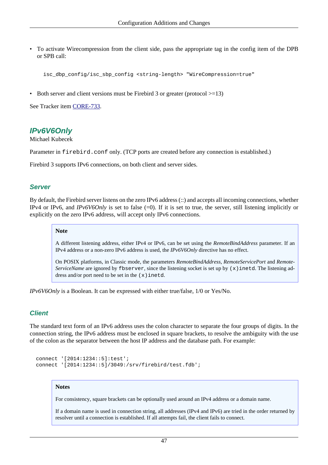• To activate Wirecompression from the client side, pass the appropriate tag in the config item of the DPB or SPB call:

```
 isc_dbp_config/isc_sbp_config <string-length> "WireCompression=true"
```
• Both server and client versions must be Firebird 3 or greater (protocol  $> = 13$ )

<span id="page-56-0"></span>See Tracker item [CORE-733](http://tracker.firebirdsql.org/browse/CORE-733).

## **IPv6V6Only**

Michael Kubecek

Parameter in firebird.conf only. (TCP ports are created before any connection is established.)

Firebird 3 supports IPv6 connections, on both client and server sides.

## **Server**

By default, the Firebird server listens on the zero IPv6 address (::) and accepts all incoming connections, whether IPv4 or IPv6, and *IPv6V6Only* is set to false (=0). If it is set to true, the server, still listening implicitly or explicitly on the zero IPv6 address, will accept only IPv6 connections.

#### **Note**

A different listening address, either IPv4 or IPv6, can be set using the *RemoteBindAddress* parameter. If an IPv4 address or a non-zero IPv6 address is used, the *IPv6V6Only* directive has no effect.

On POSIX platforms, in Classic mode, the parameters *RemoteBindAddress*, *RemoteServicePort* and *Remote-ServiceName* are ignored by fbserver, since the listening socket is set up by  $(x)$  inetd. The listening address and/or port need to be set in the  $(x)$  inetd.

*IPv6V6Only* is a Boolean. It can be expressed with either true/false, 1/0 or Yes/No.

## **Client**

The standard text form of an IPv6 address uses the colon character to separate the four groups of digits. In the connection string, the IPv6 address must be enclosed in square brackets, to resolve the ambiguity with the use of the colon as the separator between the host IP address and the database path. For example:

```
 connect '[2014:1234::5]:test';
 connect '[2014:1234::5]/3049:/srv/firebird/test.fdb';
```
#### **Notes**

For consistency, square brackets can be optionally used around an IPv4 address or a domain name.

If a domain name is used in connection string, all addresses (IPv4 and IPv6) are tried in the order returned by resolver until a connection is established. If all attempts fail, the client fails to connect.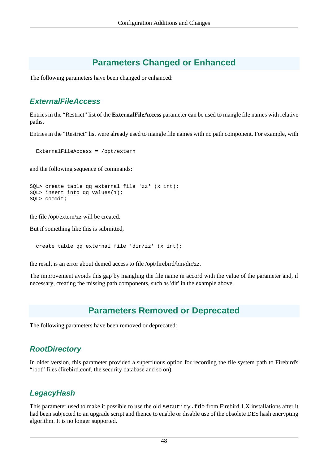# **Parameters Changed or Enhanced**

The following parameters have been changed or enhanced:

## **ExternalFileAccess**

Entries in the "Restrict" list of the **ExternalFileAccess** parameter can be used to mangle file names with relative paths.

Entries in the "Restrict" list were already used to mangle file names with no path component. For example, with

ExternalFileAccess = /opt/extern

and the following sequence of commands:

```
SQL> create table qq external file 'zz' (x int);
SQL> insert into qq values(1);
SQL> commit;
```
the file /opt/extern/zz will be created.

But if something like this is submitted,

create table qq external file 'dir/zz' (x int);

the result is an error about denied access to file /opt/firebird/bin/dir/zz.

The improvement avoids this gap by mangling the file name in accord with the value of the parameter and, if necessary, creating the missing path components, such as 'dir' in the example above.

# **Parameters Removed or Deprecated**

The following parameters have been removed or deprecated:

## **RootDirectory**

In older version, this parameter provided a superfluous option for recording the file system path to Firebird's "root" files (firebird.conf, the security database and so on).

## **LegacyHash**

This parameter used to make it possible to use the old security. fdb from Firebird 1.X installations after it had been subjected to an upgrade script and thence to enable or disable use of the obsolete DES hash encrypting algorithm. It is no longer supported.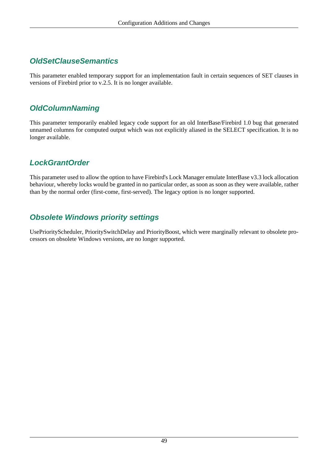## **OldSetClauseSemantics**

This parameter enabled temporary support for an implementation fault in certain sequences of SET clauses in versions of Firebird prior to v.2.5. It is no longer available.

## **OldColumnNaming**

This parameter temporarily enabled legacy code support for an old InterBase/Firebird 1.0 bug that generated unnamed columns for computed output which was not explicitly aliased in the SELECT specification. It is no longer available.

## **LockGrantOrder**

This parameter used to allow the option to have Firebird's Lock Manager emulate InterBase v3.3 lock allocation behaviour, whereby locks would be granted in no particular order, as soon as soon as they were available, rather than by the normal order (first-come, first-served). The legacy option is no longer supported.

## **Obsolete Windows priority settings**

UsePriorityScheduler, PrioritySwitchDelay and PriorityBoost, which were marginally relevant to obsolete processors on obsolete Windows versions, are no longer supported.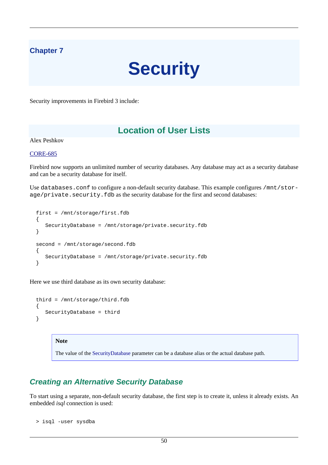## **Chapter 7**

# **Security**

Security improvements in Firebird 3 include:

# **Location of User Lists**

Alex Peshkov

#### [CORE-685](http://tracker.firebirdsql.org/browse/CORE-685)

Firebird now supports an unlimited number of security databases. Any database may act as a security database and can be a security database for itself.

Use databases.conf to configure a non-default security database. This example configures /mnt/storage/private.security.fdb as the security database for the first and second databases:

```
 first = /mnt/storage/first.fdb
  \{ SecurityDatabase = /mnt/storage/private.security.fdb
   }
   second = /mnt/storage/second.fdb
  \left\{ \right. SecurityDatabase = /mnt/storage/private.security.fdb
 }
```
Here we use third database as its own security database:

```
 third = /mnt/storage/third.fdb
\left\{ \right. SecurityDatabase = third
 }
```
#### **Note**

The value of the [SecurityDatabase](#page-53-0) parameter can be a database alias or the actual database path.

## **Creating an Alternative Security Database**

To start using a separate, non-default security database, the first step is to create it, unless it already exists. An embedded *isql* connection is used:

```
 > isql -user sysdba
```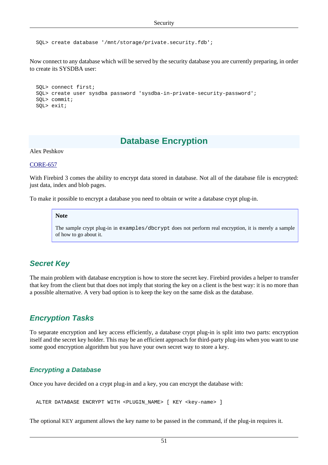SQL> create database '/mnt/storage/private.security.fdb';

Now connect to any database which will be served by the security database you are currently preparing, in order to create its SYSDBA user:

```
 SQL> connect first;
 SQL> create user sysdba password 'sysdba-in-private-security-password';
 SQL> commit;
 SQL> exit;
```
# **Database Encryption**

Alex Peshkov

[CORE-657](http://tracker.firebirdsql.org/browse/CORE-657)

With Firebird 3 comes the ability to encrypt data stored in database. Not all of the database file is encrypted: just data, index and blob pages.

To make it possible to encrypt a database you need to obtain or write a database crypt plug-in.

#### **Note**

The sample crypt plug-in in examples/dbcrypt does not perform real encryption, it is merely a sample of how to go about it.

## **Secret Key**

The main problem with database encryption is how to store the secret key. Firebird provides a helper to transfer that key from the client but that does not imply that storing the key on a client is the best way: it is no more than a possible alternative. A very bad option is to keep the key on the same disk as the database.

## **Encryption Tasks**

To separate encryption and key access efficiently, a database crypt plug-in is split into two parts: encryption itself and the secret key holder. This may be an efficient approach for third-party plug-ins when you want to use some good encryption algorithm but you have your own secret way to store a key.

## **Encrypting a Database**

Once you have decided on a crypt plug-in and a key, you can encrypt the database with:

```
ALTER DATABASE ENCRYPT WITH <PLUGIN_NAME> [ KEY <key-name> ]
```
The optional KEY argument allows the key name to be passed in the command, if the plug-in requires it.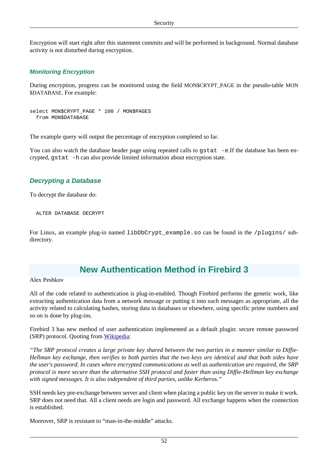Encryption will start right after this statement commits and will be performed in background. Normal database activity is not disturbed during encryption.

## **Monitoring Encryption**

During encryption, progress can be monitored using the field MON\$CRYPT\_PAGE in the pseudo-table MON \$DATABASE. For example:

```
select MON$CRYPT_PAGE * 100 / MON$PAGES
   from MON$DATABASE
```
The example query will output the percentage of encryption completed so far.

You can also watch the database header page using repeated calls to gstat -e.If the database has been encrypted, gstat -h can also provide limited information about encryption state.

## **Decrypting a Database**

To decrypt the database do:

```
 ALTER DATABASE DECRYPT
```
For Linux, an example plug-in named libDbCrypt\_example.so can be found in the /plugins/ subdirectory.

## **New Authentication Method in Firebird 3**

Alex Peshkov

All of the code related to authentication is plug-in-enabled. Though Firebird performs the generic work, like extracting authentication data from a network message or putting it into such messages as appropriate, all the activity related to calculating hashes, storing data in databases or elsewhere, using specific prime numbers and so on is done by plug-ins.

Firebird 3 has new method of user authentication implemented as a default plugin: secure remote password (SRP) protocol. Quoting from [Wikipedia:](http://en.wikipedia.org/wiki/Secure_Remote_Password_protocol)

*"The SRP protocol creates a large private key shared between the two parties in a manner similar to Diffie-Hellman key exchange, then verifies to both parties that the two keys are identical and that both sides have the user's password. In cases where encrypted communications as well as authentication are required, the SRP protocol is more secure than the alternative SSH protocol and faster than using Diffie-Hellman key exchange with signed messages. It is also independent of third parties, unlike Kerberos."*

SSH needs key pre-exchange between server and client when placing a public key on the server to make it work. SRP does not need that. All a client needs are login and password. All exchange happens when the connection is established.

Moreover, SRP is resistant to "man-in-the-middle" attacks.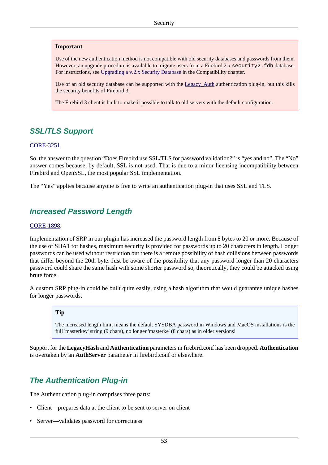#### **Important**

Use of the new authentication method is not compatible with old security databases and passwords from them. However, an upgrade procedure is available to migrate users from a Firebird 2.x security 2.fdb database. For instructions, see [Upgrading a v.2.x Security Database](#page-133-0) in the Compatibility chapter.

Use of an old security database can be supported with the Legacy\_Auth authentication plug-in, but this kills the security benefits of Firebird 3.

The Firebird 3 client is built to make it possible to talk to old servers with the default configuration.

## **SSL/TLS Support**

#### [CORE-3251](http://tracker.firebirdsql.org/browse/CORE-3251)

So, the answer to the question "Does Firebird use SSL/TLS for password validation?" is "yes and no". The "No" answer comes because, by default, SSL is not used. That is due to a minor licensing incompatibility between Firebird and OpenSSL, the most popular SSL implementation.

The "Yes" applies because anyone is free to write an authentication plug-in that uses SSL and TLS.

## **Increased Password Length**

#### [CORE-1898](http://tracker.firebirdsql.org/browse/CORE-1898).

Implementation of SRP in our plugin has increased the password length from 8 bytes to 20 or more. Because of the use of SHA1 for hashes, maximum security is provided for passwords up to 20 characters in length. Longer passwords can be used without restriction but there is a remote possibility of hash collisions between passwords that differ beyond the 20th byte. Just be aware of the possibility that any password longer than 20 characters password could share the same hash with some shorter password so, theoretically, they could be attacked using brute force.

A custom SRP plug-in could be built quite easily, using a hash algorithm that would guarantee unique hashes for longer passwords.

#### **Tip**

The increased length limit means the default SYSDBA password in Windows and MacOS installations is the full 'masterkey' string (9 chars), no longer 'masterke' (8 chars) as in older versions!

Support for the **LegacyHash** and **Authentication** parameters in firebird.conf has been dropped. **Authentication** is overtaken by an **AuthServer** parameter in firebird.conf or elsewhere.

## **The Authentication Plug-in**

The Authentication plug-in comprises three parts:

- Client—prepares data at the client to be sent to server on client
- Server—validates password for correctness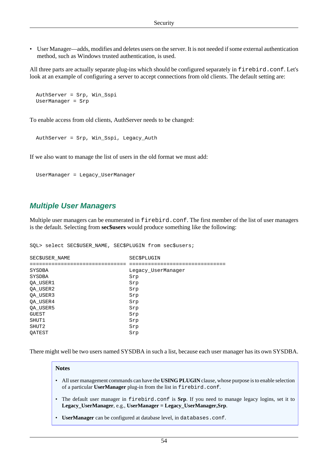• User Manager—adds, modifies and deletes users on the server. It is not needed if some external authentication method, such as Windows trusted authentication, is used.

All three parts are actually separate plug-ins which should be configured separately in firebird.conf. Let's look at an example of configuring a server to accept connections from old clients. The default setting are:

```
 AuthServer = Srp, Win_Sspi
 UserManager = Srp
```
To enable access from old clients, AuthServer needs to be changed:

```
 AuthServer = Srp, Win_Sspi, Legacy_Auth
```
If we also want to manage the list of users in the old format we must add:

```
 UserManager = Legacy_UserManager
```
## **Multiple User Managers**

Multiple user managers can be enumerated in  $firebird$ .conf. The first member of the list of user managers is the default. Selecting from **sec\$users** would produce something like the following:

SQL> select SEC\$USER\_NAME, SEC\$PLUGIN from sec\$users;

| SEC\$USER NAME | <b>SEC\$PLUGIN</b> |
|----------------|--------------------|
|                |                    |
| SYSDBA         | Legacy UserManager |
| SYSDBA         | Srp                |
| QA USER1       | Srp                |
| QA USER2       | Srp                |
| OA USER3       | Srp                |
| QA USER4       | Srp                |
| QA USER5       | Srp                |
| <b>GUEST</b>   | Srp                |
| SHUT1          | Srp                |
| SHUT2          | Srp                |
| OATEST         | Srp                |

There might well be two users named SYSDBA in such a list, because each user manager has its own SYSDBA.

#### **Notes**

- All user management commands can have the **USING PLUGIN** clause, whose purpose is to enable selection of a particular **UserManager** plug-in from the list in firebird.conf.
- The default user manager in firebird.conf is **Srp**. If you need to manage legacy logins, set it to **Legacy\_UserManager**, e.g., **UserManager = Legacy\_UserManager,Srp**.
- **UserManager** can be configured at database level, in databases.conf.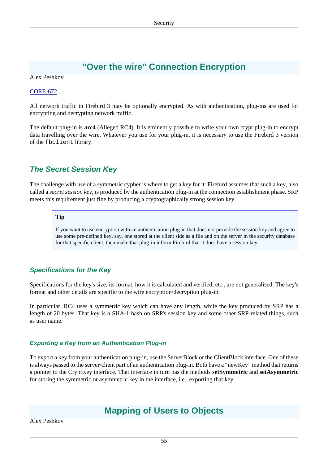# **"Over the wire" Connection Encryption**

Alex Peshkov

#### [CORE-672](http://tracker.firebirdsql.org/browse/CORE-672) ...

All network traffic in Firebird 3 may be optionally encrypted. As with authentication, plug-ins are used for encrypting and decrypting network traffic.

The default plug-in is **arc4** (Alleged RC4). It is eminently possible to write your own crypt plug-in to encrypt data travelling over the wire. Whatever you use for your plug-in, it is necessary to use the Firebird 3 version of the fbclient library.

## **The Secret Session Key**

The challenge with use of a symmetric cypher is where to get a key for it. Firebird assumes that such a key, also called a *secret session key*, is produced by the authentication plug-in at the connection establishment phase. SRP meets this requirement just fine by producing a cryptographically strong session key.

#### **Tip**

If you want to use encryption with an authentication plug-in that does not provide the session key and agree to use some pre-defined key, say, one stored at the client side as a file and on the server in the security database for that specific client, then make that plug-in inform Firebird that it does have a session key.

## **Specifications for the Key**

Specifications for the key's size, its format, how it is calculated and verified, etc., are not generalised. The key's format and other details are specific to the wire encryption/decryption plug-in.

In particular, RC4 uses a symmetric key which can have any length, while the key produced by SRP has a length of 20 bytes. That key is a SHA-1 hash on SRP's session key and some other SRP-related things, such as user name.

#### **Exporting a Key from an Authentication Plug-in**

<span id="page-64-0"></span>To export a key from your authentication plug-in, use the ServerBlock or the ClientBlock interface. One of these is always passed to the server/client part of an authentication plug-in. Both have a "newKey" method that returns a pointer to the CryptKey interface. That interface in turn has the methods **setSymmetric** and **setAsymmetric** for storing the symmetric or asymmetric key in the interface, i.e., exporting that key.

# **Mapping of Users to Objects**

Alex Peshkov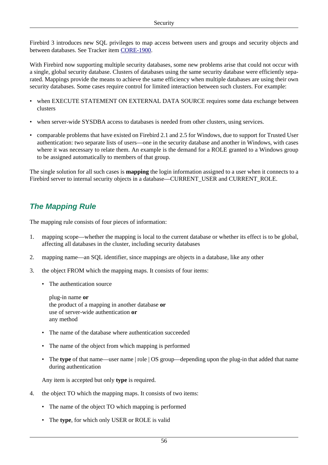Firebird 3 introduces new SQL privileges to map access between users and groups and security objects and between databases. See Tracker item [CORE-1900.](http://tracker.firebirdsql.org/browse/CORE-1900)

With Firebird now supporting multiple security databases, some new problems arise that could not occur with a single, global security database. Clusters of databases using the same security database were efficiently separated. Mappings provide the means to achieve the same efficiency when multiple databases are using their own security databases. Some cases require control for limited interaction between such clusters. For example:

- when EXECUTE STATEMENT ON EXTERNAL DATA SOURCE requires some data exchange between clusters
- when server-wide SYSDBA access to databases is needed from other clusters, using services.
- comparable problems that have existed on Firebird 2.1 and 2.5 for Windows, due to support for Trusted User authentication: two separate lists of users—one in the security database and another in Windows, with cases where it was necessary to relate them. An example is the demand for a ROLE granted to a Windows group to be assigned automatically to members of that group.

The single solution for all such cases is **mapping** the login information assigned to a user when it connects to a Firebird server to internal security objects in a database—CURRENT\_USER and CURRENT\_ROLE.

## **The Mapping Rule**

The mapping rule consists of four pieces of information:

- 1. mapping scope—whether the mapping is local to the current database or whether its effect is to be global, affecting all databases in the cluster, including security databases
- 2. mapping name—an SQL identifier, since mappings are objects in a database, like any other
- 3. the object FROM which the mapping maps. It consists of four items:
	- The authentication source

plug-in name **or** the product of a mapping in another database **or** use of server-wide authentication **or** any method

- The name of the database where authentication succeeded
- The name of the object from which mapping is performed
- The **type** of that name—user name | role | OS group—depending upon the plug-in that added that name during authentication

Any item is accepted but only **type** is required.

- 4. the object TO which the mapping maps. It consists of two items:
	- The name of the object TO which mapping is performed
	- The **type**, for which only USER or ROLE is valid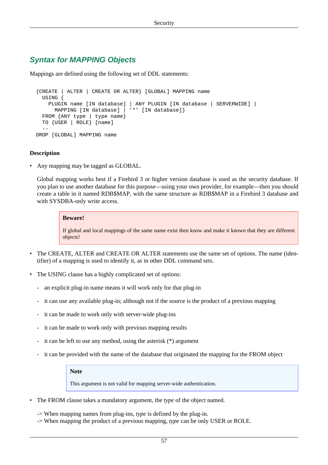## **Syntax for MAPPING Objects**

Mappings are defined using the following set of DDL statements:

```
 {CREATE | ALTER | CREATE OR ALTER} [GLOBAL] MAPPING name
    USING {
      PLUGIN name [IN database] | ANY PLUGIN [IN database | SERVERWIDE] |
        MAPPING [IN database] | '*' [IN database]}
   FROM {ANY type | type name}
    TO {USER | ROLE} [name]
 --
  DROP [GLOBAL] MAPPING name
```
#### **Description**

• Any mapping may be tagged as GLOBAL.

Global mapping works best if a Firebird 3 or higher version database is used as the security database. If you plan to use another database for this purpose—using your own provider, for example—then you should create a table in it named RDB\$MAP, with the same structure as RDB\$MAP in a Firebird 3 database and with SYSDBA-only write access.

#### **Beware!**

If global and local mappings of the same name exist then know and make it known that they are different objects!

- The CREATE, ALTER and CREATE OR ALTER statements use the same set of options. The name (identifier) of a mapping is used to identify it, as in other DDL command sets.
- The USING clause has a highly complicated set of options:
	- an explicit plug-in name means it will work only for that plug-in
	- it can use any available plug-in; although not if the source is the product of a previous mapping
	- it can be made to work only with server-wide plug-ins
	- it can be made to work only with previous mapping results
	- it can be left to use any method, using the asterisk (\*) argument
	- it can be provided with the name of the database that originated the mapping for the FROM object

#### **Note**

This argument is not valid for mapping server-wide authentication.

- The FROM clause takes a mandatory argument, the *type* of the object named.
	- -> When mapping names from plug-ins, *type* is defined by the plug-in.
	- -> When mapping the product of a previous mapping, *type* can be only USER or ROLE.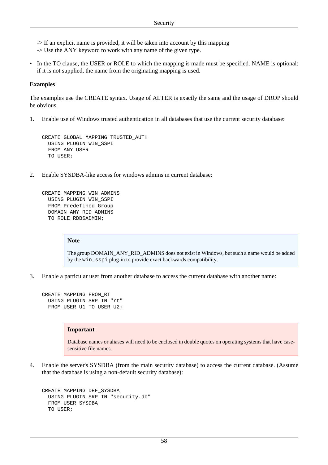- -> If an explicit name is provided, it will be taken into account by this mapping
- -> Use the ANY keyword to work with any name of the given type.
- In the TO clause, the USER or ROLE to which the mapping is made must be specified. NAME is optional: if it is not supplied, the name from the originating mapping is used.

#### **Examples**

The examples use the CREATE syntax. Usage of ALTER is exactly the same and the usage of DROP should be obvious.

1. Enable use of Windows trusted authentication in all databases that use the current security database:

```
CREATE GLOBAL MAPPING TRUSTED_AUTH
  USING PLUGIN WIN_SSPI
  FROM ANY USER
  TO USER;
```
2. Enable SYSDBA-like access for windows admins in current database:

```
CREATE MAPPING WIN_ADMINS
  USING PLUGIN WIN_SSPI
  FROM Predefined_Group
  DOMAIN_ANY_RID_ADMINS
  TO ROLE RDB$ADMIN;
```
#### **Note**

The group DOMAIN\_ANY\_RID\_ADMINS does not exist in Windows, but such a name would be added by the win\_sspi plug-in to provide exact backwards compatibility.

3. Enable a particular user from another database to access the current database with another name:

```
CREATE MAPPING FROM_RT
  USING PLUGIN SRP IN "rt"
  FROM USER U1 TO USER U2;
```
#### **Important**

Database names or aliases will need to be enclosed in double quotes on operating systems that have casesensitive file names.

4. Enable the server's SYSDBA (from the main security database) to access the current database. (Assume that the database is using a non-default security database):

```
CREATE MAPPING DEF_SYSDBA
  USING PLUGIN SRP IN "security.db"
   FROM USER SYSDBA
  TO USER;
```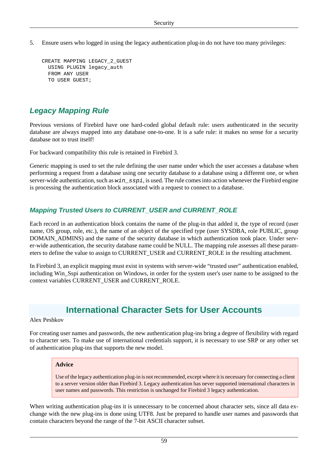5. Ensure users who logged in using the legacy authentication plug-in do not have too many privileges:

```
CREATE MAPPING LEGACY_2_GUEST
  USING PLUGIN legacy_auth
   FROM ANY USER
   TO USER GUEST;
```
## **Legacy Mapping Rule**

Previous versions of Firebird have one hard-coded global default rule: users authenticated in the security database are always mapped into any database one-to-one. It is a safe rule: it makes no sense for a security database not to trust itself!

For backward compatibility this rule is retained in Firebird 3.

Generic mapping is used to set the rule defining the user name under which the user accesses a database when performing a request from a database using one security database to a database using a different one, or when server-wide authentication, such as  $win\_sspi$ , is used. The rule comes into action whenever the Firebird engine is processing the authentication block associated with a request to connect to a database.

## **Mapping Trusted Users to CURRENT\_USER and CURRENT\_ROLE**

Each record in an authentication block contains the name of the plug-in that added it, the type of record (user name, OS group, role, etc.), the name of an object of the specified type (user SYSDBA, role PUBLIC, group DOMAIN\_ADMINS) and the name of the security database in which authentication took place. Under server-wide authentication, the security database name could be NULL. The mapping rule assesses all these parameters to define the value to assign to CURRENT\_USER and CURRENT\_ROLE in the resulting attachment.

In Firebird 3, an explicit mapping must exist in systems with server-wide "trusted user" authentication enabled, including Win\_Sspi authentication on Windows, in order for the system user's user name to be assigned to the context variables CURRENT\_USER and CURRENT\_ROLE.

# **International Character Sets for User Accounts**

#### Alex Peshkov

For creating user names and passwords, the new authentication plug-ins bring a degree of flexibility with regard to character sets. To make use of international credentials support, it is necessary to use SRP or any other set of authentication plug-ins that supports the new model.

#### **Advice**

Use of the legacy authentication plug-in is not recommended, except where it is necessary for connecting a client to a server version older than Firebird 3. Legacy authentication has never supported international characters in user names and passwords. This restriction is unchanged for Firebird 3 legacy authentication.

When writing authentication plug-ins it is unnecessary to be concerned about character sets, since all data exchange with the new plug-ins is done using UTF8. Just be prepared to handle user names and passwords that contain characters beyond the range of the 7-bit ASCII character subset.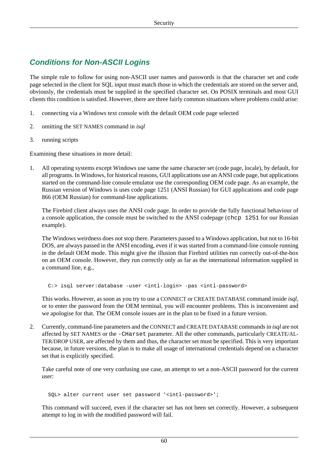## **Conditions for Non-ASCII Logins**

The simple rule to follow for using non-ASCII user names and passwords is that the character set and code page selected in the client for SQL input must match those in which the credentials are stored on the server and, obviously, the credentials must be supplied in the specified character set. On POSIX terminals and most GUI clients this condition is satisfied. However, there are three fairly common situations where problems could arise:

- 1. connecting via a Windows text console with the default OEM code page selected
- 2. omitting the SET NAMES command in *isql*
- 3. running scripts

Examining these situations in more detail:

1. All operating systems except Windows use same the same character set (code page, locale), by default, for all programs. In Windows, for historical reasons, GUI applications use an ANSI code page, but applications started on the command-line console emulator use the corresponding OEM code page. As an example, the Russian version of Windows is uses code page 1251 (ANSI Russian) for GUI applications and code page 866 (OEM Russian) for command-line applications.

The Firebird client always uses the ANSI code page. In order to provide the fully functional behaviour of a console application, the console must be switched to the ANSI codepage (chcp 1251 for our Russian example).

The Windows weirdness does not stop there. Parameters passed to a Windows application, but not to 16-bit DOS, are always passed in the ANSI encoding, even if it was started from a command-line console running in the default OEM mode. This might give the illusion that Firebird utilities run correctly out-of-the-box on an OEM console. However, they run correctly only as far as the international information supplied in a command line, e.g.,

C:> isql server:database -user <intl-login> -pas <intl-password>

This works. However, as soon as you try to use a CONNECT or CREATE DATABASE command inside *isql*, or to enter the password from the OEM terminal, you will encounter problems. This is inconvenient and we apologise for that. The OEM console issues are in the plan to be fixed in a future version.

2. Currently, command-line parameters and the CONNECT and CREATE DATABASE commands in *isql* are not affected by SET NAMES or the -CHarset parameter. All the other commands, particularly CREATE/AL-TER/DROP USER, are affected by them and thus, the character set must be specified. This is very important because, in future versions, the plan is to make all usage of international credentials depend on a character set that is explicitly specified.

Take careful note of one very confusing use case, an attempt to set a non-ASCII password for the current user:

SQL> alter current user set password '<intl-password>';

This command will succeed, even if the character set has not been set correctly. However, a subsequent attempt to log in with the modified password will fail.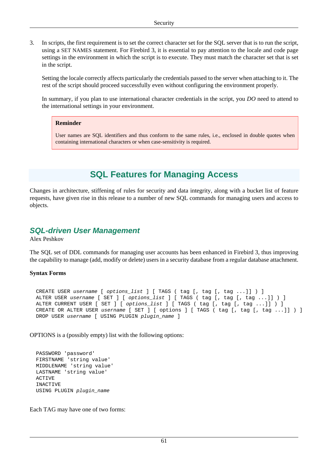3. In scripts, the first requirement is to set the correct character set for the SQL server that is to run the script, using a SET NAMES statement. For Firebird 3, it is essential to pay attention to the locale and code page settings in the environment in which the script is to execute. They must match the character set that is set in the script.

Setting the locale correctly affects particularly the credentials passed to the server when attaching to it. The rest of the script should proceed successfully even without configuring the environment properly.

In summary, if you plan to use international character credentials in the script, you *DO* need to attend to the international settings in your environment.

#### **Reminder**

User names are SQL identifiers and thus conform to the same rules, i.e., enclosed in double quotes when containing international characters or when case-sensitivity is required.

# **SQL Features for Managing Access**

Changes in architecture, stiffening of rules for security and data integrity, along with a bucket list of feature requests, have given rise in this release to a number of new SQL commands for managing users and access to objects.

## **SQL-driven User Management**

Alex Peshkov

The SQL set of DDL commands for managing user accounts has been enhanced in Firebird 3, thus improving the capability to manage (add, modify or delete) users in a security database from a regular database attachment.

#### **Syntax Forms**

CREATE USER username [ options\_list ] [ TAGS ( tag [, tag [, tag ... ] ] ) ] ALTER USER username [ SET ] [ options\_list ] [ TAGS ( tag [, tag [, tag ... ]] ) ] ALTER CURRENT USER [ SET ] [ options\_list ] [ TAGS ( tag [, tag [, tag ...]] ) ] CREATE OR ALTER USER username [ SET ] [ options ] [ TAGS ( tag [, tag [, tag ...]] ) ] DROP USER username [ USING PLUGIN plugin\_name ]

OPTIONS is a (possibly empty) list with the following options:

```
 PASSWORD 'password'
 FIRSTNAME 'string value'
 MIDDLENAME 'string value'
 LASTNAME 'string value'
 ACTIVE
 INACTIVE
 USING PLUGIN plugin_name
```
Each TAG may have one of two forms: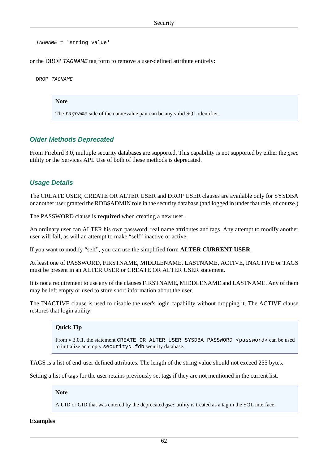TAGNAME = 'string value'

or the DROP TAGNAME tag form to remove a user-defined attribute entirely:

DROP TAGNAME

#### **Note**

The tagname side of the name/value pair can be any valid SQL identifier.

#### **Older Methods Deprecated**

From Firebird 3.0, multiple security databases are supported. This capability is not supported by either the *gsec* utility or the Services API. Use of both of these methods is deprecated.

#### **Usage Details**

The CREATE USER, CREATE OR ALTER USER and DROP USER clauses are available only for SYSDBA or another user granted the RDB\$ADMIN role in the security database (and logged in under that role, of course.)

The PASSWORD clause is **required** when creating a new user.

An ordinary user can ALTER his own password, real name attributes and tags. Any attempt to modify another user will fail, as will an attempt to make "self" inactive or active.

If you want to modify "self", you can use the simplified form **ALTER CURRENT USER**.

At least one of PASSWORD, FIRSTNAME, MIDDLENAME, LASTNAME, ACTIVE, INACTIVE or TAGS must be present in an ALTER USER or CREATE OR ALTER USER statement.

It is not a requirement to use any of the clauses FIRSTNAME, MIDDLENAME and LASTNAME. Any of them may be left empty or used to store short information about the user.

The INACTIVE clause is used to disable the user's login capability without dropping it. The ACTIVE clause restores that login ability.

#### **Quick Tip**

From v.3.0.1, the statement CREATE OR ALTER USER SYSDBA PASSWORD <password> can be used to initialize an empty securityN.fdb security database.

TAGS is a list of end-user defined attributes. The length of the string value should not exceed 255 bytes.

Setting a list of tags for the user retains previously set tags if they are not mentioned in the current list.

#### **Note**

A UID or GID that was entered by the deprecated *gsec* utility is treated as a tag in the SQL interface.

#### **Examples**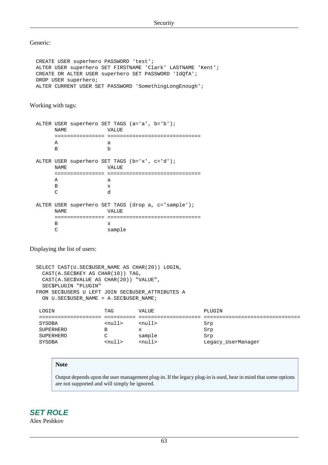Generic:

 CREATE USER superhero PASSWORD 'test'; ALTER USER superhero SET FIRSTNAME 'Clark' LASTNAME 'Kent'; CREATE OR ALTER USER superhero SET PASSWORD 'IdQfA'; DROP USER superhero; ALTER CURRENT USER SET PASSWORD 'SomethingLongEnough';

Working with tags:

 ALTER USER superhero SET TAGS (a='a', b='b'); NAME VALUE ================ ============================== A a B b ALTER USER superhero SET TAGS (b='x', c='d'); NAME VALUE ================ ============================== A a B x C d ALTER USER superhero SET TAGS (drop a, c='sample'); NAME VALUE ================ ============================== B x C sample

Displaying the list of users:

```
 SELECT CAST(U.SEC$USER_NAME AS CHAR(20)) LOGIN,
  CAST(A.SEC$KEY AS CHAR(10)) TAG,
  CAST(A.SEC$VALUE AS CHAR(20)) "VALUE",
  SEC$PLUGIN "PLUGIN"
 FROM SEC$USERS U LEFT JOIN SEC$USER_ATTRIBUTES A
  ON U.SEC$USER_NAME = A.SEC$USER_NAME;
 LOGIN TAG VALUE PLUGIN
 ==================== ========== ==================== ===============================
SYSDBA <null> <null> Srp
SUPERHERO B x Srp
 SUPERHERO C sample Srp
SYSDBA <null> <null> <null> <null> Legacy_UserManager
```
#### **Note**

Output depends upon the user management plug-in. If the legacy plug-in is used, bear in mind that some options are not supported and will simply be ignored.

<span id="page-72-0"></span>**SET ROLE** Alex Peshkov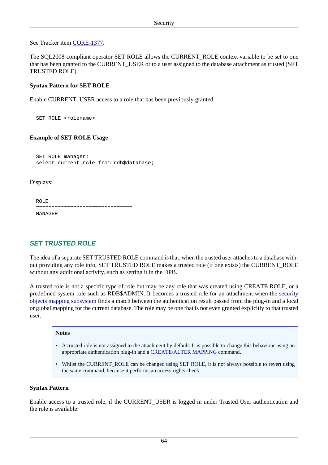See Tracker item [CORE-1377.](http://tracker.firebirdsql.org/browse/CORE-1377)

The SQL2008-compliant operator SET ROLE allows the CURRENT\_ROLE context variable to be set to one that has been granted to the CURRENT\_USER or to a user assigned to the database attachment as trusted (SET TRUSTED ROLE).

#### **Syntax Pattern for SET ROLE**

Enable CURRENT\_USER access to a role that has been previously granted:

SET ROLE <rolename>

#### **Example of SET ROLE Usage**

 SET ROLE manager; select current role from rdb\$database;

Displays:

```
 ROLE
 ===============================
 MANAGER
```
## <span id="page-73-0"></span>**SET TRUSTED ROLE**

The idea of a separate SET TRUSTED ROLE command is that, when the trusted user attaches to a database without providing any role info, SET TRUSTED ROLE makes a trusted role (if one exists) the CURRENT\_ROLE without any additional activity, such as setting it in the DPB.

A trusted role is not a specific type of role but may be any role that was created using CREATE ROLE, or a predefined system role such as RDB\$ADMIN. It becomes a trusted role for an attachment when the [security](#page-64-0) [objects mapping subsystem](#page-64-0) finds a match between the authentication result passed from the plug-in and a local or global mapping for the current database. The role may be one that is not even granted explicitly to that trusted user.

#### **Notes**

- A trusted role is not assigned to the attachment by default. It is possible to change this behaviour using an appropriate authentication plug-in and a [CREATE/ALTER MAPPING](#page-66-0) command.
- Whilst the CURRENT\_ROLE can be changed using SET ROLE, it is not always possible to revert using the same command, because it performs an access rights check.

#### **Syntax Pattern**

Enable access to a trusted role, if the CURRENT\_USER is logged in under Trusted User authentication and the role is available: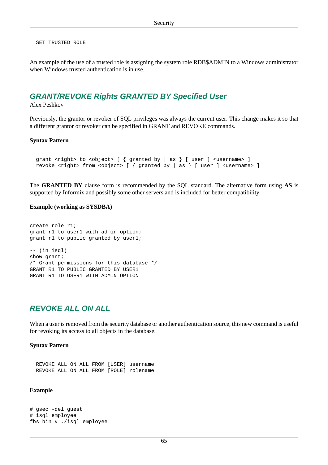SET TRUSTED ROLE

<span id="page-74-0"></span>An example of the use of a trusted role is assigning the system role RDB\$ADMIN to a Windows administrator when Windows trusted authentication is in use.

## **GRANT/REVOKE Rights GRANTED BY Specified User**

#### Alex Peshkov

Previously, the grantor or revoker of SQL privileges was always the current user. This change makes it so that a different grantor or revoker can be specified in GRANT and REVOKE commands.

#### **Syntax Pattern**

```
grant <right> to <object> [ { granted by | as } [ user ] <username> ]
revoke <right> from <object> [ { granted by | as } [ user ] <username> ]
```
The **GRANTED BY** clause form is recommended by the SQL standard. The alternative form using **AS** is supported by Informix and possibly some other servers and is included for better compatibility.

#### **Example (working as SYSDBA)**

```
create role r1;
grant r1 to user1 with admin option;
grant r1 to public granted by user1;
-- (in isql)
show grant;
/* Grant permissions for this database */
GRANT R1 TO PUBLIC GRANTED BY USER1
GRANT R1 TO USER1 WITH ADMIN OPTION
```
## <span id="page-74-1"></span>**REVOKE ALL ON ALL**

When a user is removed from the security database or another authentication source, this new command is useful for revoking its access to all objects in the database.

#### **Syntax Pattern**

```
 REVOKE ALL ON ALL FROM [USER] username
 REVOKE ALL ON ALL FROM [ROLE] rolename
```
#### **Example**

```
# gsec -del guest
# isql employee
fbs bin # ./isql employee
```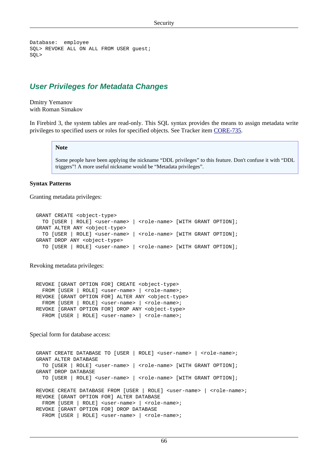```
Database: employee
SQL> REVOKE ALL ON ALL FROM USER guest;
SQL>
```
## <span id="page-75-0"></span>**User Privileges for Metadata Changes**

Dmitry Yemanov with Roman Simakov

In Firebird 3, the system tables are read-only. This SQL syntax provides the means to assign metadata write privileges to specified users or roles for specified objects. See Tracker item [CORE-735](http://tracker.firebirdsql.org/browse/CORE-735).

#### **Note**

Some people have been applying the nickname "DDL privileges" to this feature. Don't confuse it with "DDL triggers"! A more useful nickname would be "Metadata privileges".

#### **Syntax Patterns**

Granting metadata privileges:

```
 GRANT CREATE <object-type>
 TO [USER | ROLE] <user-name> | <role-name> [WITH GRANT OPTION];
 GRANT ALTER ANY <object-type>
 TO [USER | ROLE] <user-name> | <role-name> [WITH GRANT OPTION];
 GRANT DROP ANY <object-type>
 TO [USER | ROLE] <user-name> | <role-name> [WITH GRANT OPTION];
```
Revoking metadata privileges:

 REVOKE [GRANT OPTION FOR] CREATE <object-type> FROM [USER | ROLE] <user-name> | <role-name>; REVOKE [GRANT OPTION FOR] ALTER ANY <object-type> FROM [USER | ROLE] <user-name> | <role-name>; REVOKE [GRANT OPTION FOR] DROP ANY <object-type> FROM [USER | ROLE] <user-name> | <role-name>;

Special form for database access:

```
GRANT CREATE DATABASE TO [USER | ROLE] <user-name> | <role-name>;
 GRANT ALTER DATABASE
   TO [USER | ROLE] <user-name> | <role-name> [WITH GRANT OPTION];
 GRANT DROP DATABASE
   TO [USER | ROLE] <user-name> | <role-name> [WITH GRANT OPTION];
REVOKE CREATE DATABASE FROM [USER | ROLE] <user-name> | <role-name>;
 REVOKE [GRANT OPTION FOR] ALTER DATABASE
  FROM [USER | ROLE] <user-name> | <role-name>;
 REVOKE [GRANT OPTION FOR] DROP DATABASE
  FROM [USER | ROLE] <user-name> | <role-name>;
```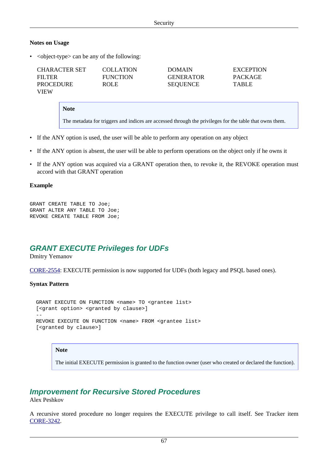#### **Notes on Usage**

• <br/>cobject-type> can be any of the following:

| CHARACTER SET    | <b>COLLATION</b> | <b>DOMAIN</b>    | <b>EXCEPTION</b> |
|------------------|------------------|------------------|------------------|
| FILTER           | <b>FUNCTION</b>  | <b>GENERATOR</b> | <b>PACKAGE</b>   |
| <b>PROCEDURE</b> | <b>ROLE</b>      | <b>SEQUENCE</b>  | <b>TABLE</b>     |
| VIEW             |                  |                  |                  |

**Note**

The metadata for triggers and indices are accessed through the privileges for the table that owns them.

- If the ANY option is used, the user will be able to perform any operation on any object
- If the ANY option is absent, the user will be able to perform operations on the object only if he owns it
- If the ANY option was acquired via a GRANT operation then, to revoke it, the REVOKE operation must accord with that GRANT operation

#### **Example**

```
GRANT CREATE TABLE TO Joe;
GRANT ALTER ANY TABLE TO Joe;
REVOKE CREATE TABLE FROM Joe;
```
## <span id="page-76-0"></span>**GRANT EXECUTE Privileges for UDFs**

Dmitry Yemanov

[CORE-2554](http://tracker.firebirdsql.org/browse/CORE-2554): EXECUTE permission is now supported for UDFs (both legacy and PSQL based ones).

#### **Syntax Pattern**

```
GRANT EXECUTE ON FUNCTION <name> TO <grantee list>
  [<grant option> <granted by clause>]
 --
 REVOKE EXECUTE ON FUNCTION <name> FROM <qrantee list>
  [<granted by clause>]
```
#### **Note**

The initial EXECUTE permission is granted to the function owner (user who created or declared the function).

## **Improvement for Recursive Stored Procedures**

Alex Peshkov

A recursive stored procedure no longer requires the EXECUTE privilege to call itself. See Tracker item [CORE-3242](http://tracker.firebirdsql.org/browse/CORE-3242).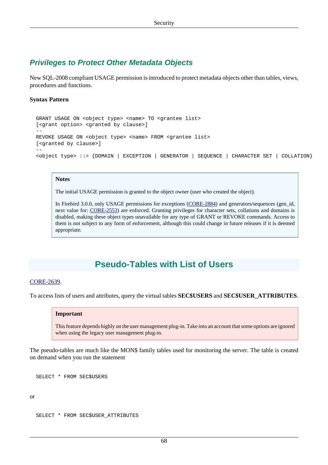## <span id="page-77-0"></span>**Privileges to Protect Other Metadata Objects**

New SQL-2008 compliant USAGE permission is introduced to protect metadata objects other than tables, views, procedures and functions.

#### **Syntax Pattern**

```
 GRANT USAGE ON <object type> <name> TO <grantee list>
  [<grant option> <granted by clause>]
 --
 REVOKE USAGE ON <object type> <name> FROM <grantee list>
  [<granted by clause>]
 --
  <object type> ::= {DOMAIN | EXCEPTION | GENERATOR | SEQUENCE | CHARACTER SET | COLLATION}
```
#### **Notes**

The initial USAGE permission is granted to the object owner (user who created the object).

In Firebird 3.0.0, only USAGE permissions for exceptions ([CORE-2884](http://tracker.firebirdsql.org/browse/CORE-2884)) and generators/sequences (gen id, next value for: [CORE-2553\)](http://tracker.firebirdsql.org/browse/CORE-2553) are enforced. Granting privileges for character sets, collations and domains is disabled, making these object types unavailable for any type of GRANT or REVOKE commands. Access to them is not subject to any form of enforcement, although this could change in future releases if it is deemed appropriate.

# **Pseudo-Tables with List of Users**

#### [CORE-2639](http://tracker.firebirdsql.org/browse/CORE-2639).

To access lists of users and attributes, query the virtual tables **SEC\$USERS** and **SEC\$USER\_ATTRIBUTES**.

#### **Important**

This feature depends highly on the user management plug-in. Take into an account that some options are ignored when using the legacy user management plug-in.

The pseudo-tables are much like the MON\$ family tables used for monitoring the server. The table is created on demand when you run the statement

SELECT \* FROM SEC\$USERS

or

```
 SELECT * FROM SEC$USER_ATTRIBUTES
```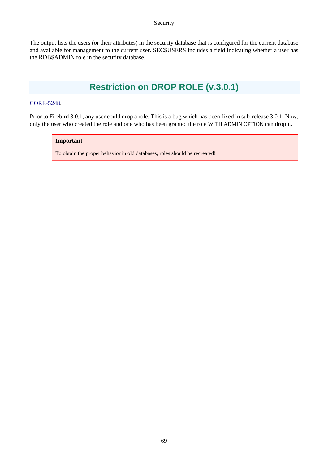The output lists the users (or their attributes) in the security database that is configured for the current database and available for management to the current user. SEC\$USERS includes a field indicating whether a user has the RDB\$ADMIN role in the security database.

# **Restriction on DROP ROLE (v.3.0.1)**

#### [CORE-5248](http://tracker.firebirdsql.org/browse/CORE-5248).

Prior to Firebird 3.0.1, any user could drop a role. This is a bug which has been fixed in sub-release 3.0.1. Now, only the user who created the role and one who has been granted the role WITH ADMIN OPTION can drop it.

#### **Important**

To obtain the proper behavior in old databases, roles should be recreated!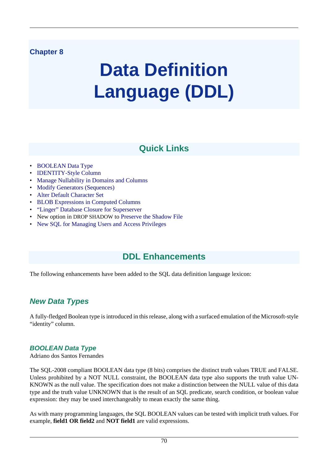# **Chapter 8**

# **Data Definition Language (DDL)**

# **Quick Links**

- [BOOLEAN Data Type](#page-79-0)
- [IDENTITY-Style Column](#page-81-0)
- [Manage Nullability in Domains and Columns](#page-82-0)
- [Modify Generators \(Sequences\)](#page-83-0)
- [Alter Default Character Set](#page-83-1)
- [BLOB Expressions in Computed Columns](#page-84-0)
- ["Linger" Database Closure for Superserver](#page-84-1)
- New option in DROP SHADOW to [Preserve the Shadow File](#page-85-0)
- [New SQL for Managing Users and Access Privileges](#page-85-1)

# **DDL Enhancements**

The following enhancements have been added to the SQL data definition language lexicon:

# **New Data Types**

<span id="page-79-0"></span>A fully-fledged Boolean type is introduced in this release, along with a surfaced emulation of the Microsoft-style "identity" column.

## **BOOLEAN Data Type**

Adriano dos Santos Fernandes

The SQL-2008 compliant BOOLEAN data type (8 bits) comprises the distinct truth values TRUE and FALSE. Unless prohibited by a NOT NULL constraint, the BOOLEAN data type also supports the truth value UN-KNOWN as the null value. The specification does not make a distinction between the NULL value of this data type and the truth value UNKNOWN that is the result of an SQL predicate, search condition, or boolean value expression: they may be used interchangeably to mean exactly the same thing.

As with many programming languages, the SQL BOOLEAN values can be tested with implicit truth values. For example, **field1 OR field2** and **NOT field1** are valid expressions.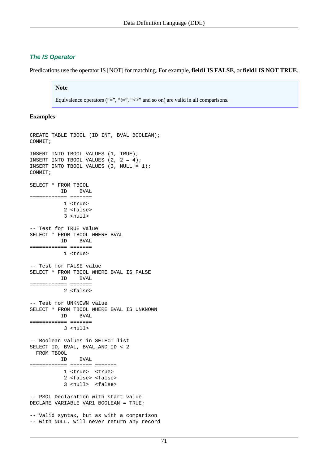#### **The IS Operator**

Predications use the operator IS [NOT] for matching. For example, **field1 IS FALSE**, or **field1 IS NOT TRUE**.

#### **Note**

Equivalence operators ("=", "!=", " $\ll$ " and so on) are valid in all comparisons.

#### **Examples**

```
CREATE TABLE TBOOL (ID INT, BVAL BOOLEAN);
COMMIT;
INSERT INTO TBOOL VALUES (1, TRUE);
INSERT INTO TBOOL VALUES (2, 2 = 4);
INSERT INTO TBOOL VALUES (3, NULL = 1);
COMMIT;
SELECT * FROM TBOOL
          ID BVAL
============ =======
            1 <true>
            2 <false>
            3 <null>
-- Test for TRUE value
SELECT * FROM TBOOL WHERE BVAL
          ID BVAL
============ =======
            1 <true>
-- Test for FALSE value
SELECT * FROM TBOOL WHERE BVAL IS FALSE
          ID BVAL
============ =======
            2 <false>
-- Test for UNKNOWN value
SELECT * FROM TBOOL WHERE BVAL IS UNKNOWN
          ID BVAL
============ =======
            3 <null>
-- Boolean values in SELECT list
SELECT ID, BVAL, BVAL AND ID < 2
  FROM TBOOL
          ID BVAL
============ ======= =======
            1 <true> <true>
            2 <false> <false>
            3 <null> <false>
-- PSQL Declaration with start value
DECLARE VARIABLE VAR1 BOOLEAN = TRUE;
-- Valid syntax, but as with a comparison 
-- with NULL, will never return any record
```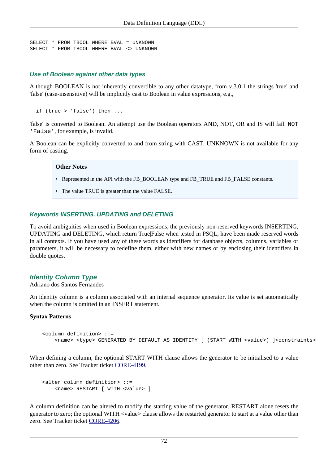```
SELECT * FROM TBOOL WHERE BVAL = UNKNOWN
SELECT * FROM TBOOL WHERE BVAL <> UNKNOWN
```
#### **Use of Boolean against other data types**

Although BOOLEAN is not inherently convertible to any other datatype, from v.3.0.1 the strings 'true' and 'false' (case-insensitive) will be implicitly cast to Boolean in value expressions, e.g.,

```
 if (true > 'false') then ...
```
'false' is converted to Boolean. An attempt use the Boolean operators AND, NOT, OR and IS will fail. NOT 'False', for example, is invalid.

A Boolean can be explicitly converted to and from string with CAST. UNKNOWN is not available for any form of casting.

#### **Other Notes**

- Represented in the API with the FB\_BOOLEAN type and FB\_TRUE and FB\_FALSE constants.
- The value TRUE is greater than the value FALSE.

#### **Keywords INSERTING, UPDATING and DELETING**

To avoid ambiguities when used in Boolean expressions, the previously non-reserved keywords INSERTING, UPDATING and DELETING, which return True|False when tested in PSQL, have been made reserved words in all contexts. If you have used any of these words as identifiers for database objects, columns, variables or parameters, it will be necessary to redefine them, either with new names or by enclosing their identifiers in double quotes.

## <span id="page-81-0"></span>**Identity Column Type**

Adriano dos Santos Fernandes

An identity column is a column associated with an internal sequence generator. Its value is set automatically when the column is omitted in an INSERT statement.

#### **Syntax Patterns**

```
 <column definition> ::=
     <name> <type> GENERATED BY DEFAULT AS IDENTITY [ (START WITH <value>) ]<constraints>
```
When defining a column, the optional START WITH clause allows the generator to be initialised to a value other than zero. See Tracker ticket [CORE-4199](http://tracker.firebirdsql.org/browse/CORE-4199).

```
 <alter column definition> ::=
     <name> RESTART [ WITH <value> ]
```
A column definition can be altered to modify the starting value of the generator. RESTART alone resets the generator to zero; the optional WITH <value> clause allows the restarted generator to start at a value other than zero. See Tracker ticket [CORE-4206](http://tracker.firebirdsql.org/browse/CORE-4206).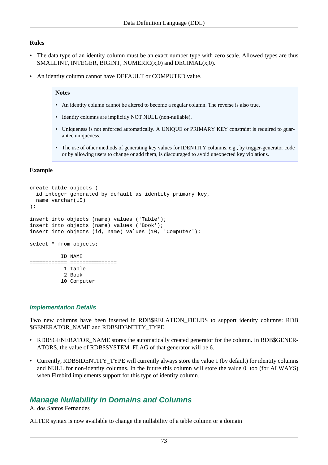#### **Rules**

- The data type of an identity column must be an exact number type with zero scale. Allowed types are thus SMALLINT, INTEGER, BIGINT, NUMERIC(x,0) and DECIMAL(x,0).
- An identity column cannot have DEFAULT or COMPUTED value.

#### **Notes**

- An identity column cannot be altered to become a regular column. The reverse is also true.
- Identity columns are implicitly NOT NULL (non-nullable).
- Uniqueness is not enforced automatically. A UNIQUE or PRIMARY KEY constraint is required to guarantee uniqueness.
- The use of other methods of generating key values for IDENTITY columns, e.g., by trigger-generator code or by allowing users to change or add them, is discouraged to avoid unexpected key violations.

#### **Example**

```
create table objects (
   id integer generated by default as identity primary key,
  name varchar(15)
);
insert into objects (name) values ('Table');
insert into objects (name) values ('Book');
insert into objects (id, name) values (10, 'Computer');
select * from objects;
           ID NAME
============ ===============
            1 Table
           2 Book
           10 Computer
```
#### **Implementation Details**

Two new columns have been inserted in RDB\$RELATION\_FIELDS to support identity columns: RDB \$GENERATOR\_NAME and RDB\$IDENTITY\_TYPE.

- RDB\$GENERATOR\_NAME stores the automatically created generator for the column. In RDB\$GENER-ATORS, the value of RDB\$SYSTEM\_FLAG of that generator will be 6.
- Currently, RDB\$IDENTITY TYPE will currently always store the value 1 (by default) for identity columns and NULL for non-identity columns. In the future this column will store the value 0, too (for ALWAYS) when Firebird implements support for this type of identity column.

## <span id="page-82-0"></span>**Manage Nullability in Domains and Columns**

A. dos Santos Fernandes

ALTER syntax is now available to change the nullability of a table column or a domain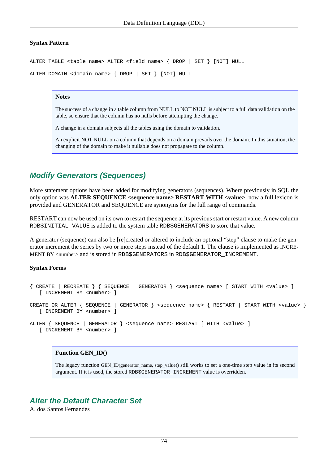#### **Syntax Pattern**

ALTER TABLE <table name> ALTER <field name> { DROP | SET } [NOT] NULL

ALTER DOMAIN <domain name> { DROP | SET } [NOT] NULL

#### **Notes**

The success of a change in a table column from NULL to NOT NULL is subject to a full data validation on the table, so ensure that the column has no nulls before attempting the change.

A change in a domain subjects all the tables using the domain to validation.

An explicit NOT NULL on a column that depends on a domain prevails over the domain. In this situation, the changing of the domain to make it nullable does not propagate to the column.

## <span id="page-83-0"></span>**Modify Generators (Sequences)**

More statement options have been added for modifying generators (sequences). Where previously in SQL the only option was **ALTER SEQUENCE <sequence name> RESTART WITH <value>**, now a full lexicon is provided and GENERATOR and SEQUENCE are synonyms for the full range of commands.

RESTART can now be used on its own to restart the sequence at its previous start or restart value. A new column RDB\$INITIAL\_VALUE is added to the system table RDB\$GENERATORS to store that value.

A generator (sequence) can also be [re]created or altered to include an optional "step" clause to make the generator increment the series by two or more steps instead of the default 1. The clause is implemented as INCRE-MENT BY <number> and is stored in RDB\$GENERATORS in RDB\$GENERATOR\_INCREMENT.

#### **Syntax Forms**

```
{ CREATE | RECREATE } { SEQUENCE | GENERATOR } <sequence name> [ START WITH <value> ]
   [ INCREMENT BY <number> ]
CREATE OR ALTER { SEQUENCE | GENERATOR } <sequence name> { RESTART | START WITH <value> }
   [ INCREMENT BY <number> ]
ALTER { SEQUENCE | GENERATOR } <sequence name> RESTART [ WITH <value> ]
   [ INCREMENT BY <number> ]
```
#### **Function GEN\_ID()**

The legacy function GEN\_ID(generator\_name, step\_value)) still works to set a one-time step value in its second argument. If it is used, the stored RDB\$GENERATOR\_INCREMENT value is overridden.

## <span id="page-83-1"></span>**Alter the Default Character Set**

A. dos Santos Fernandes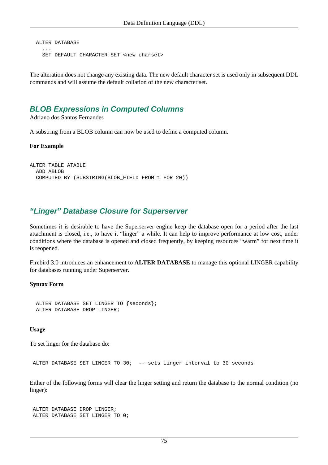```
 ALTER DATABASE
 ...
   SET DEFAULT CHARACTER SET <new_charset>
```
<span id="page-84-0"></span>The alteration does not change any existing data. The new default character set is used only in subsequent DDL commands and will assume the default collation of the new character set.

## **BLOB Expressions in Computed Columns**

Adriano dos Santos Fernandes

A substring from a BLOB column can now be used to define a computed column.

**For Example**

```
ALTER TABLE ATABLE 
  ADD ABLOB
  COMPUTED BY (SUBSTRING(BLOB_FIELD FROM 1 FOR 20))
```
## <span id="page-84-1"></span>**"Linger" Database Closure for Superserver**

Sometimes it is desirable to have the Superserver engine keep the database open for a period after the last attachment is closed, i.e., to have it "linger" a while. It can help to improve performance at low cost, under conditions where the database is opened and closed frequently, by keeping resources "warm" for next time it is reopened.

Firebird 3.0 introduces an enhancement to **ALTER DATABASE** to manage this optional LINGER capability for databases running under Superserver.

#### **Syntax Form**

```
 ALTER DATABASE SET LINGER TO {seconds};
 ALTER DATABASE DROP LINGER;
```
#### **Usage**

To set linger for the database do:

ALTER DATABASE SET LINGER TO 30; -- sets linger interval to 30 seconds

Either of the following forms will clear the linger setting and return the database to the normal condition (no linger):

```
 ALTER DATABASE DROP LINGER;
 ALTER DATABASE SET LINGER TO 0;
```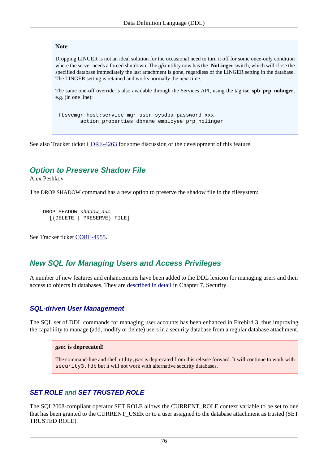#### **Note**

Dropping LINGER is not an ideal solution for the occasional need to turn it off for some once-only condition where the server needs a forced shutdown. The *gfix* utility now has the **-NoLinger** switch, which will close the specified database immediately the last attachment is gone, regardless of the LINGER setting in the database. The LINGER setting is retained and works normally the next time.

The same one-off override is also available through the Services API, using the tag **isc\_spb\_prp\_nolinger**, e.g. (in one line):

```
 fbsvcmgr host:service_mgr user sysdba password xxx
        action_properties dbname employee prp_nolinger
```
<span id="page-85-0"></span>See also Tracker ticket [CORE-4263](http://tracker.firebirdsql.org/browse/CORE-4263) for some discussion of the development of this feature.

## **Option to Preserve Shadow File**

Alex Peshkov

The DROP SHADOW command has a new option to preserve the shadow file in the filesystem:

```
DROP SHADOW shadow_num
   [{DELETE | PRESERVE} FILE]
```
<span id="page-85-1"></span>See Tracker ticket [CORE-4955.](http://tracker.firebirdsql.org/browse/CORE-4955)

## **New SQL for Managing Users and Access Privileges**

A number of new features and enhancements have been added to the DDL lexicon for managing users and their access to objects in databases. They are [described in detail](#page-70-0) in Chapter 7, Security.

## **[SQL-driven User Management](#page-70-1)**

The SQL set of DDL commands for managing user accounts has been enhanced in Firebird 3, thus improving the capability to manage (add, modify or delete) users in a security database from a regular database attachment.

#### *gsec* **is deprecated!**

The command-line and shell utility *gsec* is deprecated from this release forward. It will continue to work with security3.fdb but it will not work with alternative security databases.

## **[SET ROLE](#page-72-0) and [SET TRUSTED ROLE](#page-73-0)**

The SQL2008-compliant operator SET ROLE allows the CURRENT\_ROLE context variable to be set to one that has been granted to the CURRENT\_USER or to a user assigned to the database attachment as trusted (SET TRUSTED ROLE).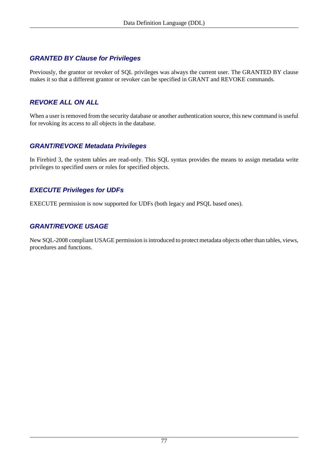## **[GRANTED BY Clause for Privileges](#page-74-0)**

Previously, the grantor or revoker of SQL privileges was always the current user. The GRANTED BY clause makes it so that a different grantor or revoker can be specified in GRANT and REVOKE commands.

## **[REVOKE ALL ON ALL](#page-74-1)**

When a user is removed from the security database or another authentication source, this new command is useful for revoking its access to all objects in the database.

## **[GRANT/REVOKE Metadata Privileges](#page-75-0)**

In Firebird 3, the system tables are read-only. This SQL syntax provides the means to assign metadata write privileges to specified users or roles for specified objects.

## **[EXECUTE Privileges for UDFs](#page-76-0)**

EXECUTE permission is now supported for UDFs (both legacy and PSQL based ones).

## **[GRANT/REVOKE USAGE](#page-77-0)**

New SQL-2008 compliant USAGE permission is introduced to protect metadata objects other than tables, views, procedures and functions.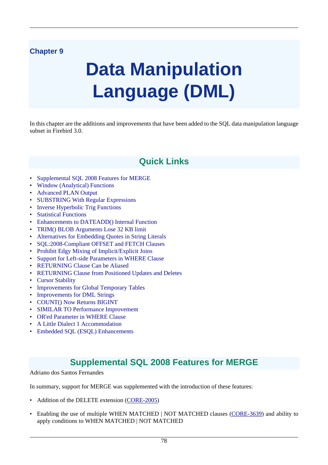# **Chapter 9**

# **Data Manipulation Language (DML)**

In this chapter are the additions and improvements that have been added to the SQL data manipulation language subset in Firebird 3.0.

# **Quick Links**

- [Supplemental SQL 2008 Features for MERGE](#page-87-0)
- [Window \(Analytical\) Functions](#page-89-0)
- [Advanced PLAN Output](#page-93-0)
- [SUBSTRING With Regular Expressions](#page-94-0)
- [Inverse Hyperbolic Trig Functions](#page-94-1)
- [Statistical Functions](#page-95-0)
- [Enhancements to DATEADD\(\) Internal Function](#page-98-0)
- [TRIM\(\) BLOB Arguments Lose 32 KB limit](#page-98-1)
- [Alternatives for Embedding Quotes in String Literals](#page-99-0)
- [SQL:2008-Compliant OFFSET and FETCH Clauses](#page-99-1)
- [Prohibit Edgy Mixing of Implicit/Explicit Joins](#page-100-0)
- [Support for Left-side Parameters in WHERE Clause](#page-101-0)
- [RETURNING Clause Can be Aliased](#page-101-1)
- [RETURNING Clause from Positioned Updates and Deletes](#page-101-2)
- [Cursor Stability](#page-102-0)
- [Improvements for Global Temporary Tables](#page-102-1)
- [Improvements for DML Strings](#page-102-2)
- [COUNT\(\) Now Returns BIGINT](#page-103-0)
- [SIMILAR TO Performance Improvement](#page-103-1)
- [OR'ed Parameter in WHERE Clause](#page-103-2)
- [A Little Dialect 1 Accommodation](#page-104-0)
- <span id="page-87-0"></span>• [Embedded SQL \(ESQL\) Enhancements](#page-104-1)

# **Supplemental SQL 2008 Features for MERGE**

Adriano dos Santos Fernandes

In summary, support for MERGE was supplemented with the introduction of these features:

- Addition of the DELETE extension [\(CORE-2005](http://tracker.firebirdsql.org/browse/CORE-2005))
- Enabling the use of multiple WHEN MATCHED | NOT MATCHED clauses ([CORE-3639\)](http://tracker.firebirdsql.org/browse/CORE-3639) and ability to apply conditions to WHEN MATCHED | NOT MATCHED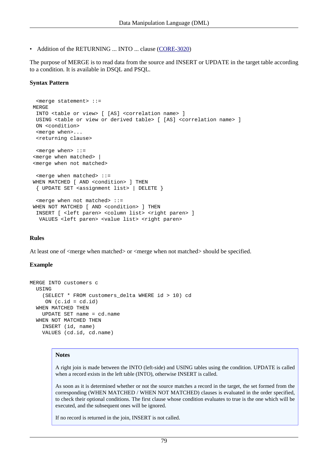• Addition of the RETURNING ... INTO ... clause [\(CORE-3020](http://tracker.firebirdsql.org/browse/CORE-3020))

The purpose of MERGE is to read data from the source and INSERT or UPDATE in the target table according to a condition. It is available in DSQL and PSQL.

#### **Syntax Pattern**

```
 <merge statement> ::=
MERGE
 INTO <table or view> [ [AS] <correlation name> ]
 USING <table or view or derived table> [ [AS] <correlation name> ]
 ON <condition>
  <merge when>...
 <returning clause>
 <merge when> ::=
 <merge when matched> |
 <merge when not matched>
  <merge when matched> ::=
WHEN MATCHED [ AND <condition> ] THEN
  { UPDATE SET <assignment list> | DELETE }
  <merge when not matched> ::=
WHEN NOT MATCHED [ AND <condition> ] THEN
 INSERT [ <left paren> <column list> <right paren> ]
 VALUES <left paren> <value list> <right paren>
```
#### **Rules**

At least one of <merge when matched> or <merge when not matched> should be specified.

#### **Example**

```
MERGE INTO customers c
 USING
     (SELECT * FROM customers_delta WHERE id > 10) cd
     ON (c.id = cd.id) WHEN MATCHED THEN
     UPDATE SET name = cd.name
   WHEN NOT MATCHED THEN
     INSERT (id, name)
     VALUES (cd.id, cd.name)
```
#### **Notes**

A right join is made between the INTO (left-side) and USING tables using the condition. UPDATE is called when a record exists in the left table (INTO), otherwise INSERT is called.

As soon as it is determined whether or not the source matches a record in the target, the set formed from the corresponding (WHEN MATCHED / WHEN NOT MATCHED) clauses is evaluated in the order specified, to check their optional conditions. The first clause whose condition evaluates to true is the one which will be executed, and the subsequent ones will be ignored.

If no record is returned in the join, INSERT is not called.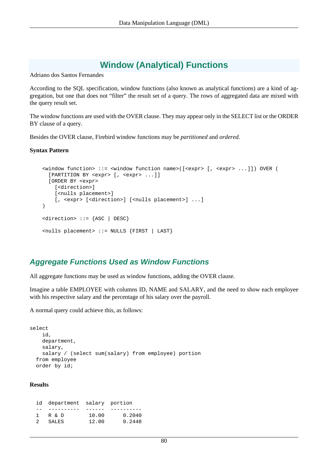# **Window (Analytical) Functions**

<span id="page-89-0"></span>Adriano dos Santos Fernandes

According to the SQL specification, window functions (also known as analytical functions) are a kind of aggregation, but one that does not "filter" the result set of a query. The rows of aggregated data are mixed with the query result set.

The window functions are used with the OVER clause. They may appear only in the SELECT list or the ORDER BY clause of a query.

Besides the OVER clause, Firebird window functions may be *partitioned* and *ordered*.

#### **Syntax Pattern**

```
 <window function> ::= <window function name>([<expr> [, <expr> ...]]) OVER (
   [PARTITION BY <expr> [, <expr> ...]]
   [ORDER BY <expr> 
     [<direction>] 
     [<nulls placement>] 
    [, <expr> [<direction>] [<nulls placement>] ...]
\lambda <direction> ::= {ASC | DESC}
 <nulls placement> ::= NULLS {FIRST | LAST}
```
## **Aggregate Functions Used as Window Functions**

All aggregate functions may be used as window functions, adding the OVER clause.

Imagine a table EMPLOYEE with columns ID, NAME and SALARY, and the need to show each employee with his respective salary and the percentage of his salary over the payroll.

A normal query could achieve this, as follows:

```
select
     id,
     department,
     salary,
     salary / (select sum(salary) from employee) portion
   from employee
   order by id;
```
#### **Results**

|               | id department salary portion |       |        |
|---------------|------------------------------|-------|--------|
|               |                              |       |        |
|               | R & D                        | 10.00 | 0.2040 |
| $\mathcal{P}$ | SALES                        | 12.00 | 0.2448 |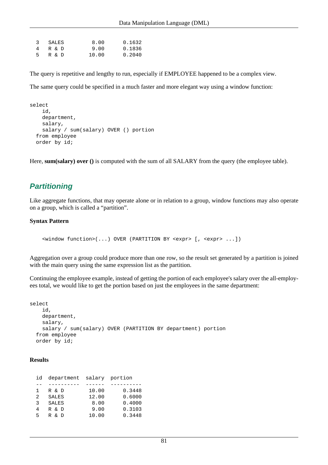|   | 3 SALES | 8.00  | 0.1632 |
|---|---------|-------|--------|
| 4 | R & D   | 9.00  | 0.1836 |
| 5 | R & D   | 10.00 | 0.2040 |

The query is repetitive and lengthy to run, especially if EMPLOYEE happened to be a complex view.

The same query could be specified in a much faster and more elegant way using a window function:

```
select
     id,
     department,
     salary,
     salary / sum(salary) OVER () portion
   from employee
   order by id;
```
Here, **sum(salary) over ()** is computed with the sum of all SALARY from the query (the employee table).

## **Partitioning**

Like aggregate functions, that may operate alone or in relation to a group, window functions may also operate on a group, which is called a "partition".

#### **Syntax Pattern**

<window function>(...) OVER (PARTITION BY <expr> [, <expr> ...])

Aggregation over a group could produce more than one row, so the result set generated by a partition is joined with the main query using the same expression list as the partition.

Continuing the employee example, instead of getting the portion of each employee's salary over the all-employees total, we would like to get the portion based on just the employees in the same department:

```
select
     id,
     department,
     salary,
     salary / sum(salary) OVER (PARTITION BY department) portion
   from employee
   order by id;
```
#### **Results**

| id | department salary portion |       |        |
|----|---------------------------|-------|--------|
|    |                           |       |        |
| 1. | R & D                     | 10.00 | 0.3448 |
| 2  | <b>SALES</b>              | 12.00 | 0.6000 |
| २  | <b>SALES</b>              | 8.00  | 0.4000 |
| 4  | R & D                     | 9.00  | 0.3103 |
| г, | & D<br>R                  | 10.00 | 0.3448 |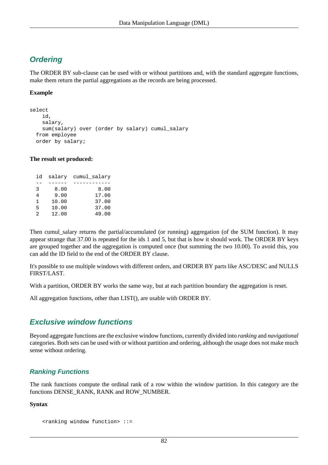# **Ordering**

The ORDER BY sub-clause can be used with or without partitions and, with the standard aggregate functions, make them return the partial aggregations as the records are being processed.

#### **Example**

```
select
     id,
     salary,
     sum(salary) over (order by salary) cumul_salary
   from employee
   order by salary;
```
#### **The result set produced:**

| id             |       | salary cumul salary |
|----------------|-------|---------------------|
|                |       |                     |
| 3              | 8.00  | 8.00                |
| 4              | 9.00  | 17.00               |
| 1              | 10.00 | 37.00               |
| 5              | 10.00 | 37.00               |
| $\mathfrak{D}$ | 12.00 | 49.00               |

Then cumul\_salary returns the partial/accumulated (or running) aggregation (of the SUM function). It may appear strange that 37.00 is repeated for the ids 1 and 5, but that is how it should work. The ORDER BY keys are grouped together and the aggregation is computed once (but summing the two 10.00). To avoid this, you can add the ID field to the end of the ORDER BY clause.

It's possible to use multiple windows with different orders, and ORDER BY parts like ASC/DESC and NULLS FIRST/LAST.

With a partition, ORDER BY works the same way, but at each partition boundary the aggregation is reset.

All aggregation functions, other than LIST(), are usable with ORDER BY.

## **Exclusive window functions**

Beyond aggregate functions are the exclusive window functions, currently divided into *ranking* and *navigational* categories. Both sets can be used with or without partition and ordering, although the usage does not make much sense without ordering.

## **Ranking Functions**

The rank functions compute the ordinal rank of a row within the window partition. In this category are the functions DENSE\_RANK, RANK and ROW\_NUMBER.

#### **Syntax**

```
 <ranking window function> ::=
```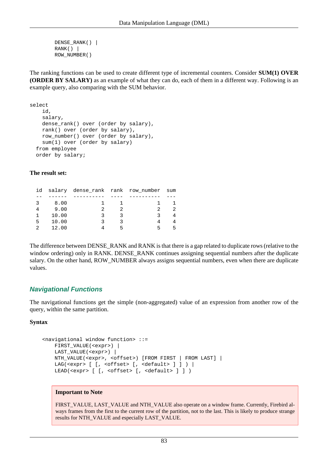```
 DENSE_RANK() |
RANK() ROW_NUMBER()
```
The ranking functions can be used to create different type of incremental counters. Consider **SUM(1) OVER (ORDER BY SALARY)** as an example of what they can do, each of them in a different way. Following is an example query, also comparing with the SUM behavior.

```
select
     id,
     salary,
     dense_rank() over (order by salary),
     rank() over (order by salary),
     row_number() over (order by salary),
     sum(1) over (order by salary)
   from employee
   order by salary;
```
#### **The result set:**

|   |       | id salary dense_rank rank row_number sum |  |  |
|---|-------|------------------------------------------|--|--|
|   |       |                                          |  |  |
|   | 8.00  |                                          |  |  |
|   | 9.00  |                                          |  |  |
|   | 10.00 |                                          |  |  |
| 5 | 10.00 |                                          |  |  |
|   | 12.00 |                                          |  |  |

The difference between DENSE\_RANK and RANK is that there is a gap related to duplicate rows (relative to the window ordering) only in RANK. DENSE\_RANK continues assigning sequential numbers after the duplicate salary. On the other hand, ROW\_NUMBER always assigns sequential numbers, even when there are duplicate values.

#### **Navigational Functions**

The navigational functions get the simple (non-aggregated) value of an expression from another row of the query, within the same partition.

#### **Syntax**

```
 <navigational window function> ::=
    FIRST_VALUE(<expr>) |
    LAST_VALUE(<expr>) |
    NTH_VALUE(<expr>, <offset>) [FROM FIRST | FROM LAST] |
    LAG(<expr> [ [, <offset> [, <default> ] ] ) |
   LEAD(<expr> [ [, <offset> [, <default> ] ] )
```
#### **Important to Note**

FIRST\_VALUE, LAST\_VALUE and NTH\_VALUE also operate on a window frame. Currently, Firebird always frames from the first to the current row of the partition, not to the last. This is likely to produce strange results for NTH\_VALUE and especially LAST\_VALUE.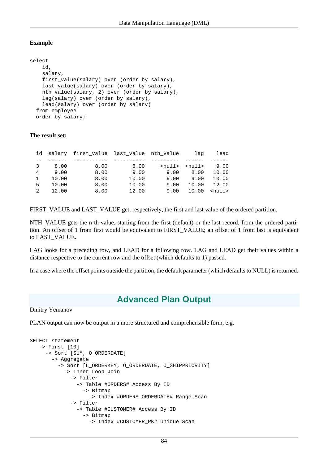## **Example**

```
select
     id,
     salary,
     first_value(salary) over (order by salary),
     last_value(salary) over (order by salary),
     nth_value(salary, 2) over (order by salary),
     lag(salary) over (order by salary),
     lead(salary) over (order by salary)
   from employee
   order by salary;
```
#### **The result set:**

|               |       | id salary first value last value nth value |       |              | laq           | lead          |
|---------------|-------|--------------------------------------------|-------|--------------|---------------|---------------|
|               |       |                                            |       |              |               |               |
| 3             | 8.00  | 8.00                                       | 8.00  | $<$ null $>$ | <null></null> | 9.00          |
| 4             | 9.00  | 8.00                                       | 9.00  | 9.00         | 8.00          | 10.00         |
|               | 10.00 | 8.00                                       | 10.00 | 9.00         | 9.00          | 10.00         |
| 5             | 10.00 | 8.00                                       | 10.00 | 9.00         | 10.00         | 12.00         |
| $\mathcal{L}$ | 12.00 | 8.00                                       | 12.00 | 9.00         | 10.00         | $\text{null}$ |
|               |       |                                            |       |              |               |               |

FIRST\_VALUE and LAST\_VALUE get, respectively, the first and last value of the ordered partition.

NTH\_VALUE gets the n-th value, starting from the first (default) or the last record, from the ordered partition. An offset of 1 from first would be equivalent to FIRST\_VALUE; an offset of 1 from last is equivalent to LAST\_VALUE.

LAG looks for a preceding row, and LEAD for a following row. LAG and LEAD get their values within a distance respective to the current row and the offset (which defaults to 1) passed.

<span id="page-93-0"></span>In a case where the offset points outside the partition, the default parameter (which defaults to NULL) is returned.

# **Advanced Plan Output**

Dmitry Yemanov

PLAN output can now be output in a more structured and comprehensible form, e.g.

```
SELECT statement
    -> First [10]
      -> Sort [SUM, O_ORDERDATE]
        -> Aggregate
          -> Sort [L_ORDERKEY, O_ORDERDATE, O_SHIPPRIORITY]
             -> Inner Loop Join
               -> Filter
                 -> Table #ORDERS# Access By ID
                   -> Bitmap
                     -> Index #ORDERS_ORDERDATE# Range Scan
               -> Filter
                 -> Table #CUSTOMER# Access By ID
                   -> Bitmap
                     -> Index #CUSTOMER_PK# Unique Scan
```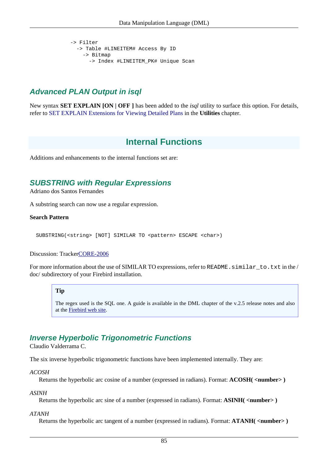```
 -> Filter
   -> Table #LINEITEM# Access By ID
     -> Bitmap
       -> Index #LINEITEM_PK# Unique Scan
```
# **Advanced PLAN Output in isql**

New syntax **SET EXPLAIN [ON | OFF ]** has been added to the *isql* utility to surface this option. For details, refer to [SET EXPLAIN Extensions for Viewing Detailed Plans](#page-126-0) in the **Utilities** chapter.

# **Internal Functions**

<span id="page-94-0"></span>Additions and enhancements to the internal functions set are:

## **SUBSTRING with Regular Expressions**

Adriano dos Santos Fernandes

A substring search can now use a regular expression.

#### **Search Pattern**

SUBSTRING(<string> [NOT] SIMILAR TO <pattern> ESCAPE <char>)

#### Discussion: Tracke[rCORE-2006](http://tracker.firebirdsql.org/browse/CORE-2006)

For more information about the use of SIMILAR TO expressions, refer to README. similar\_to.txt in the / doc/ subdirectory of your Firebird installation.

#### **Tip**

The regex used is the SQL one. A guide is available in the DML chapter of the v.2.5 release notes and also at the [Firebird web site.](http://www.firebirdsql.org/file/documentation/release_notes/html/rlsnotes253.html#rnfb25-dml-regex)

## <span id="page-94-1"></span>**Inverse Hyperbolic Trigonometric Functions**

Claudio Valderrama C.

The six inverse hyperbolic trigonometric functions have been implemented internally. They are:

*ACOSH*

Returns the hyperbolic arc cosine of a number (expressed in radians). Format: **ACOSH( <number> )**

*ASINH*

Returns the hyperbolic arc sine of a number (expressed in radians). Format: **ASINH( <number> )**

#### *ATANH*

Returns the hyperbolic arc tangent of a number (expressed in radians). Format: **ATANH( <number> )**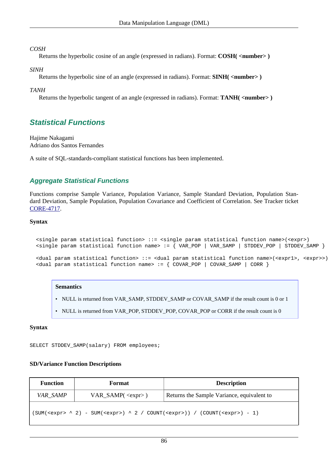#### *COSH*

Returns the hyperbolic cosine of an angle (expressed in radians). Format: **COSH( <number> )**

#### *SINH*

Returns the hyperbolic sine of an angle (expressed in radians). Format: **SINH( <number> )**

#### *TANH*

<span id="page-95-0"></span>Returns the hyperbolic tangent of an angle (expressed in radians). Format: **TANH( <number> )**

## **Statistical Functions**

Hajime Nakagami Adriano dos Santos Fernandes

A suite of SQL-standards-compliant statistical functions has been implemented.

## **Aggregate Statistical Functions**

Functions comprise Sample Variance, Population Variance, Sample Standard Deviation, Population Standard Deviation, Sample Population, Population Covariance and Coefficient of Correlation. See Tracker ticket [CORE-4717](http://tracker.firebirdsql.org/browse/CORE-4717).

#### **Syntax**

```
 <single param statistical function> ::= <single param statistical function name>(<expr>)
 <single param statistical function name> := { VAR_POP | VAR_SAMP | STDDEV_POP | STDDEV_SAMP }
 <dual param statistical function> ::= <dual param statistical function name>(<expr1>, <expr>>)
 <dual param statistical function name> := { COVAR_POP | COVAR_SAMP | CORR }
```
#### **Semantics**

- NULL is returned from VAR\_SAMP, STDDEV\_SAMP or COVAR\_SAMP if the result count is 0 or 1
- NULL is returned from VAR\_POP, STDDEV\_POP, COVAR\_POP or CORR if the result count is 0

#### **Syntax**

SELECT STDDEV\_SAMP(salary) FROM employees;

## **SD/Variance Function Descriptions**

| <b>Function</b>                                                     | Format               | <b>Description</b>                         |
|---------------------------------------------------------------------|----------------------|--------------------------------------------|
| VAR_SAMP                                                            | $VAR\_SAMP(<>expr>)$ | Returns the Sample Variance, equivalent to |
| $(SUM(2,expr) ^ 2) - SUM(2, 2 / COUNT(2,e;N) / (COUNT(2,expr) - 1)$ |                      |                                            |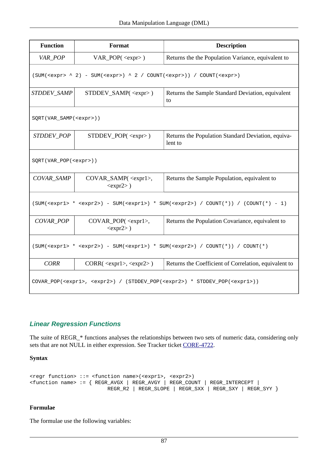| <b>Function</b>                                                                                            | Format                                                               | <b>Description</b>                                            |  |  |
|------------------------------------------------------------------------------------------------------------|----------------------------------------------------------------------|---------------------------------------------------------------|--|--|
| VAR_POP                                                                                                    | $VAR\_POP(expr)$                                                     | Returns the the Population Variance, equivalent to            |  |  |
|                                                                                                            | $(SUM(expr > ^ 2) - SUM(expr > ) ^ 2 / COUNT(expr >)) / COUNT(expr)$ |                                                               |  |  |
| STDDEV_SAMP                                                                                                | $STDDEV_SAMP(\langle expr \rangle)$                                  | Returns the Sample Standard Deviation, equivalent<br>to       |  |  |
| SQRT(VAR_SAMP( <expr>))</expr>                                                                             |                                                                      |                                                               |  |  |
| STDDEV_POP                                                                                                 | $STDDEV\_POP(< \langleexpr> )$                                       | Returns the Population Standard Deviation, equiva-<br>lent to |  |  |
| SQRT(VAR_POP( <expr>))</expr>                                                                              |                                                                      |                                                               |  |  |
| COVAR_SAMP                                                                                                 | COVAR_SAMP( <expr1>,<br/><math><expr2></expr2></math>)</expr1>       | Returns the Sample Population, equivalent to                  |  |  |
|                                                                                                            | $(SUM( *  ) - SUM( ) * SUM( ) / COUNT(*)) / (COUNT(*) - 1)$          |                                                               |  |  |
| <b>COVAR POP</b>                                                                                           | $COVAR\_POP(expr1)$ ,<br>$$ )                                        | Returns the Population Covariance, equivalent to              |  |  |
| $(SUM( *  ) - SUM( ) * SUM( ) / COUNT(*)) / COUNT(*)$                                                      |                                                                      |                                                               |  |  |
| <b>CORR</b>                                                                                                | $CORR(expr1), expr2)$                                                | Returns the Coefficient of Correlation, equivalent to         |  |  |
| COVAR_POP( <expr1>, <expr2>) / (STDDEV_POP(<expr2>) * STDDEV_POP(<expr1>))</expr1></expr2></expr2></expr1> |                                                                      |                                                               |  |  |

## **Linear Regression Functions**

The suite of REGR\_\* functions analyses the relationships between two sets of numeric data, considering only sets that are not NULL in either expression. See Tracker ticket [CORE-4722.](http://tracker.firebirdsql.org/browse/CORE-4722)

**Syntax**

```
<regr function> ::= <function name>(<expr1>, <expr2>)
<function name> := { REGR_AVGX | REGR_AVGY | REGR_COUNT | REGR_INTERCEPT |
                          REGR_R2 | REGR_SLOPE | REGR_SXX | REGR_SXY | REGR_SYY }
```
## **Formulae**

The formulae use the following variables: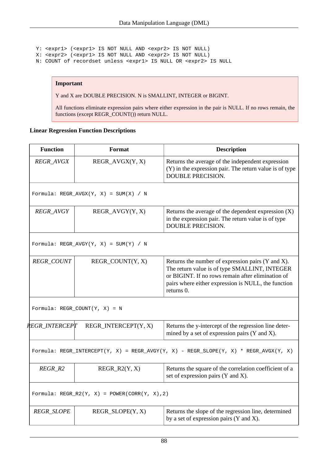Y: <expr1> (<expr1> IS NOT NULL AND <expr2> IS NOT NULL) X: <expr2> (<expr1> IS NOT NULL AND <expr2> IS NOT NULL) N: COUNT of recordset unless <expr1> IS NULL OR <expr2> IS NULL

#### **Important**

Y and X are DOUBLE PRECISION. N is SMALLINT, INTEGER or BIGINT.

All functions eliminate expression pairs where either expression in the pair is NULL. If no rows remain, the functions (except REGR\_COUNT()) return NULL.

#### **Linear Regression Function Descriptions**

| <b>Function</b>       | Format                                        | <b>Description</b>                                                                                                                                                                                                           |
|-----------------------|-----------------------------------------------|------------------------------------------------------------------------------------------------------------------------------------------------------------------------------------------------------------------------------|
| REGR_AVGX             | REGR_AVGX(Y, X)                               | Returns the average of the independent expression<br>(Y) in the expression pair. The return value is of type<br><b>DOUBLE PRECISION.</b>                                                                                     |
|                       | Formula: REGR_AVGX(Y, X) = $SUM(X)$ / N       |                                                                                                                                                                                                                              |
| REGR_AVGY             | REGR_AVGY(Y, X)                               | Returns the average of the dependent expression $(X)$<br>in the expression pair. The return value is of type<br><b>DOUBLE PRECISION.</b>                                                                                     |
|                       | Formula: REGR_AVGY(Y, X) = SUM(Y) / N         |                                                                                                                                                                                                                              |
| REGR_COUNT            | REGR_COUNT(Y, X)                              | Returns the number of expression pairs (Y and X).<br>The return value is of type SMALLINT, INTEGER<br>or BIGINT. If no rows remain after elimination of<br>pairs where either expression is NULL, the function<br>returns 0. |
|                       | Formula: $REGR_COUNT(Y, X) = N$               |                                                                                                                                                                                                                              |
| <i>REGR INTERCEPT</i> | REGR_INTERCEPT(Y, X)                          | Returns the y-intercept of the regression line deter-<br>mined by a set of expression pairs (Y and X).                                                                                                                       |
|                       |                                               | Formula: REGR_INTERCEPT(Y, X) = REGR_AVGY(Y, X) - REGR_SLOPE(Y, X) * REGR_AVGX(Y, X)                                                                                                                                         |
| $REGR_R2$             | $REGR_R2(Y, X)$                               | Returns the square of the correlation coefficient of a<br>set of expression pairs (Y and X).                                                                                                                                 |
|                       | Formula: REGR_R2(Y, X) = POWER(CORR(Y, X), 2) |                                                                                                                                                                                                                              |
| <b>REGR_SLOPE</b>     | REGR_SLOPE(Y, X)                              | Returns the slope of the regression line, determined<br>by a set of expression pairs (Y and X).                                                                                                                              |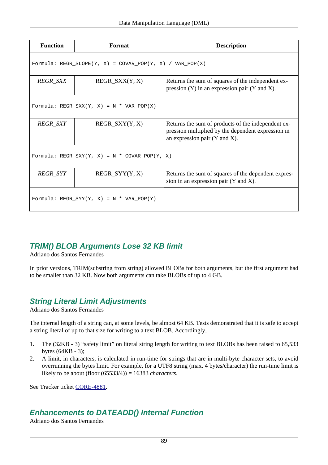| <b>Function</b>                               | Format                                                   | <b>Description</b>                                                                                                                                    |  |  |  |
|-----------------------------------------------|----------------------------------------------------------|-------------------------------------------------------------------------------------------------------------------------------------------------------|--|--|--|
|                                               | Formula: REGR SLOPE(Y, X) = COVAR POP(Y, X) / VAR POP(X) |                                                                                                                                                       |  |  |  |
| <b>REGR_SXX</b>                               | $REGR_SXX(Y, X)$                                         | Returns the sum of squares of the independent ex-<br>pression $(Y)$ in an expression pair $(Y \text{ and } X)$ .                                      |  |  |  |
| Formula: REGR_SXX(Y, X) = N * VAR_POP(X)      |                                                          |                                                                                                                                                       |  |  |  |
| <b>REGR SXY</b>                               | $REGR_SXY(Y, X)$                                         | Returns the sum of products of the independent ex-<br>pression multiplied by the dependent expression in<br>an expression pair $(Y \text{ and } X)$ . |  |  |  |
| Formula: REGR SXY(Y, X) = N * COVAR POP(Y, X) |                                                          |                                                                                                                                                       |  |  |  |
| REGR_SYY                                      | $REGR_SYY(Y, X)$                                         | Returns the sum of squares of the dependent expres-<br>sion in an expression pair (Y and X).                                                          |  |  |  |
| Formula: REGR SYY(Y, X) = N * VAR POP(Y)      |                                                          |                                                                                                                                                       |  |  |  |

## <span id="page-98-1"></span>**TRIM() BLOB Arguments Lose 32 KB limit**

Adriano dos Santos Fernandes

In prior versions, TRIM(substring from string) allowed BLOBs for both arguments, but the first argument had to be smaller than 32 KB. Now both arguments can take BLOBs of up to 4 GB.

## **String Literal Limit Adjustments**

Adriano dos Santos Fernandes

The internal length of a string can, at some levels, be almost 64 KB. Tests demonstrated that it is safe to accept a string literal of up to that size for writing to a text BLOB. Accordingly,

- 1. The (32KB 3) "safety limit" on literal string length for writing to text BLOBs has been raised to 65,533 bytes (64KB - 3);
- 2. A limit, in characters, is calculated in run-time for strings that are in multi-byte character sets, to avoid overrunning the bytes limit. For example, for a UTF8 string (max. 4 bytes/character) the run-time limit is likely to be about (floor (65533/4)) = 16383 *characters*.

<span id="page-98-0"></span>See Tracker ticket [CORE-4881.](http://tracker.firebirdsql.org/browse/CORE-4881)

# **Enhancements to DATEADD() Internal Function**

Adriano dos Santos Fernandes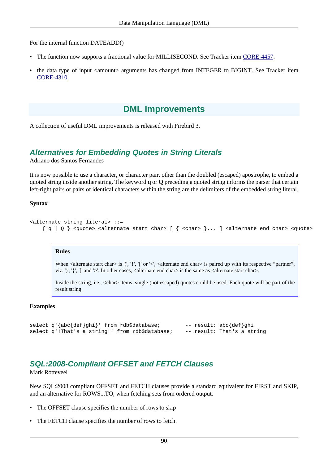For the internal function DATEADD()

- The function now supports a fractional value for MILLISECOND. See Tracker item [CORE-4457.](http://tracker.firebirdsql.org/browse/CORE-4457)
- the data type of input <amount> arguments has changed from INTEGER to BIGINT. See Tracker item [CORE-4310](http://tracker.firebirdsql.org/browse/CORE-4310).

# **DML Improvements**

<span id="page-99-0"></span>A collection of useful DML improvements is released with Firebird 3.

## **Alternatives for Embedding Quotes in String Literals**

Adriano dos Santos Fernandes

It is now possible to use a character, or character pair, other than the doubled (escaped) apostrophe, to embed a quoted string inside another string. The keyword **q** or **Q** preceding a quoted string informs the parser that certain left-right pairs or pairs of identical characters within the string are the delimiters of the embedded string literal.

#### **Syntax**

```
<alternate string literal> ::=
    \{ q | Q \} <quote> <alternate start char> [ \{ <char> \} \ldots ] <alternate end char> <quote>
```
#### **Rules**

When  $\alpha$  alternate start char $>$  is '(', '{', '[' or ' $\alpha$ ',  $\alpha$ lternate end char $>$  is paired up with its respective "partner", viz. ')', ' $\}'$ , ']' and '>'. In other cases,  $\langle$  alternate end char $\rangle$  is the same as  $\langle$  alternate start char $\rangle$ .

Inside the string, i.e., <char> items, single (not escaped) quotes could be used. Each quote will be part of the result string.

#### **Examples**

```
select q'{abc{def}ghi}' from rdb$database; -- result: abc{def}ghi
select q'!That's a string!' from rdb$database; -- result: That's a string
```
## <span id="page-99-1"></span>**SQL:2008-Compliant OFFSET and FETCH Clauses**

Mark Rotteveel

New SQL:2008 compliant OFFSET and FETCH clauses provide a standard equivalent for FIRST and SKIP, and an alternative for ROWS...TO, when fetching sets from ordered output.

- The OFFSET clause specifies the number of rows to skip
- The FETCH clause specifies the number of rows to fetch.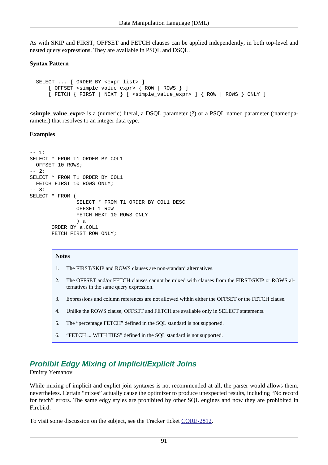As with SKIP and FIRST, OFFSET and FETCH clauses can be applied independently, in both top-level and nested query expressions. They are available in PSQL and DSQL.

#### **Syntax Pattern**

```
 SELECT ... [ ORDER BY <expr_list> ]
    [ OFFSET <simple_value_expr> { ROW | ROWS } ]
    [ FETCH { FIRST | NEXT } [ <simple_value_expr> ] { ROW | ROWS } ONLY ]
```
**<simple\_value\_expr>** is a (numeric) literal, a DSQL parameter (?) or a PSQL named parameter (:namedparameter) that resolves to an integer data type.

#### **Examples**

```
-- 1:SELECT * FROM T1 ORDER BY COL1
  OFFSET 10 ROWS;
-- 2:SELECT * FROM T1 ORDER BY COL1
  FETCH FIRST 10 ROWS ONLY;
-- 3:SELECT * FROM (
                SELECT * FROM T1 ORDER BY COL1 DESC
                OFFSET 1 ROW
                FETCH NEXT 10 ROWS ONLY
                ) a
        ORDER BY a.COL1
        FETCH FIRST ROW ONLY;
```
#### **Notes**

- 1. The FIRST/SKIP and ROWS clauses are non-standard alternatives.
- 2. The OFFSET and/or FETCH clauses cannot be mixed with clauses from the FIRST/SKIP or ROWS alternatives in the same query expression.
- 3. Expressions and column references are not allowed within either the OFFSET or the FETCH clause.
- 4. Unlike the ROWS clause, OFFSET and FETCH are available only in SELECT statements.
- 5. The "percentage FETCH" defined in the SQL standard is not supported.
- 6. "FETCH ... WITH TIES" defined in the SQL standard is not supported.

# <span id="page-100-0"></span>**Prohibit Edgy Mixing of Implicit/Explicit Joins**

#### Dmitry Yemanov

While mixing of implicit and explict join syntaxes is not recommended at all, the parser would allows them, nevertheless. Certain "mixes" actually cause the optimizer to produce unexpected results, including "No record for fetch" errors. The same edgy styles are prohibited by other SQL engines and now they are prohibited in Firebird.

To visit some discussion on the subject, see the Tracker ticket [CORE-2812.](http://tracker.firebirdsql.org/browse/CORE-2812)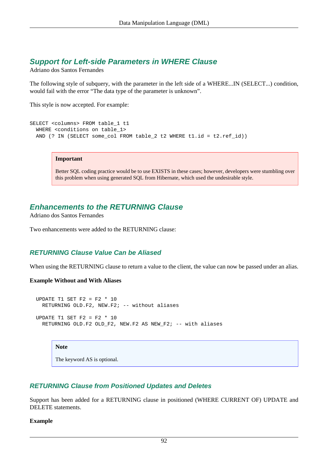## <span id="page-101-0"></span>**Support for Left-side Parameters in WHERE Clause**

Adriano dos Santos Fernandes

The following style of subquery, with the parameter in the left side of a WHERE...IN (SELECT...) condition, would fail with the error "The data type of the parameter is unknown".

This style is now accepted. For example:

```
SELECT <columns> FROM table_1 t1
 WHERE <conditions on table 1>
  AND (? IN (SELECT some_col FROM table_2 t2 WHERE t1.id = t2.ref_id))
```
#### **Important**

Better SQL coding practice would be to use EXISTS in these cases; however, developers were stumbling over this problem when using generated SQL from Hibernate, which used the undesirable style.

## **Enhancements to the RETURNING Clause**

Adriano dos Santos Fernandes

<span id="page-101-1"></span>Two enhancements were added to the RETURNING clause:

## **RETURNING Clause Value Can be Aliased**

When using the RETURNING clause to return a value to the client, the value can now be passed under an alias.

#### **Example Without and With Aliases**

```
UPDATE T1 SET F2 = F2 * 10 RETURNING OLD.F2, NEW.F2; -- without aliases
UPDATE T1 SET F2 = F2 * 10
   RETURNING OLD.F2 OLD_F2, NEW.F2 AS NEW_F2; -- with aliases
```
#### **Note**

The keyword AS is optional.

#### <span id="page-101-2"></span>**RETURNING Clause from Positioned Updates and Deletes**

Support has been added for a RETURNING clause in positioned (WHERE CURRENT OF) UPDATE and DELETE statements.

#### **Example**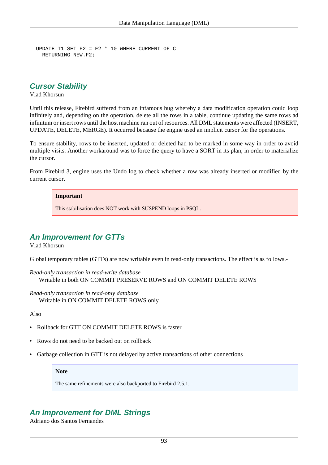```
UPDATE T1 SET F2 = F2 * 10 WHERE CURRENT OF C
  RETURNING NEW.F2;
```
#### <span id="page-102-0"></span>**Cursor Stability**

Vlad Khorsun

Until this release, Firebird suffered from an infamous bug whereby a data modification operation could loop infinitely and, depending on the operation, delete all the rows in a table, continue updating the same rows ad infinitum or insert rows until the host machine ran out of resources. All DML statements were affected (INSERT, UPDATE, DELETE, MERGE). It occurred because the engine used an implicit cursor for the operations.

To ensure stability, rows to be inserted, updated or deleted had to be marked in some way in order to avoid multiple visits. Another workaround was to force the query to have a SORT in its plan, in order to materialize the cursor.

From Firebird 3, engine uses the Undo log to check whether a row was already inserted or modified by the current cursor.

#### **Important**

This stabilisation does NOT work with SUSPEND loops in PSQL.

## <span id="page-102-1"></span>**An Improvement for GTTs**

Vlad Khorsun

Global temporary tables (GTTs) are now writable even in read-only transactions. The effect is as follows.-

*Read-only transaction in read-write database* Writable in both ON COMMIT PRESERVE ROWS and ON COMMIT DELETE ROWS

*Read-only transaction in read-only database* Writable in ON COMMIT DELETE ROWS only

Also

- Rollback for GTT ON COMMIT DELETE ROWS is faster
- Rows do not need to be backed out on rollback
- Garbage collection in GTT is not delayed by active transactions of other connections

#### **Note**

The same refinements were also backported to Firebird 2.5.1.

## <span id="page-102-2"></span>**An Improvement for DML Strings**

Adriano dos Santos Fernandes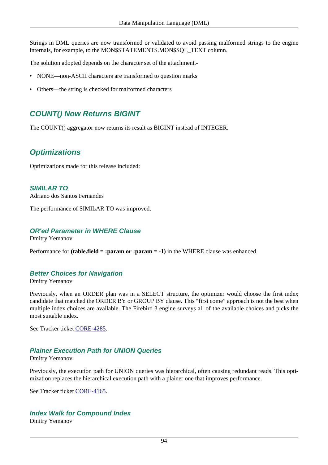Strings in DML queries are now transformed or validated to avoid passing malformed strings to the engine internals, for example, to the MON\$STATEMENTS.MON\$SQL\_TEXT column.

The solution adopted depends on the character set of the attachment.-

- NONE—non-ASCII characters are transformed to question marks
- <span id="page-103-0"></span>• Others—the string is checked for malformed characters

## **COUNT() Now Returns BIGINT**

The COUNT() aggregator now returns its result as BIGINT instead of INTEGER.

## **Optimizations**

<span id="page-103-1"></span>Optimizations made for this release included:

**SIMILAR TO** Adriano dos Santos Fernandes

<span id="page-103-2"></span>The performance of SIMILAR TO was improved.

#### **OR'ed Parameter in WHERE Clause**

Dmitry Yemanov

Performance for **(table.field = :param or :param = -1)** in the WHERE clause was enhanced.

## **Better Choices for Navigation**

Dmitry Yemanov

Previously, when an ORDER plan was in a SELECT structure, the optimizer would choose the first index candidate that matched the ORDER BY or GROUP BY clause. This "first come" approach is not the best when multiple index choices are available. The Firebird 3 engine surveys all of the available choices and picks the most suitable index.

See Tracker ticket [CORE-4285.](http://tracker.firebirdsql.org/browse/CORE-4285)

## **Plainer Execution Path for UNION Queries**

#### Dmitry Yemanov

Previously, the execution path for UNION queries was hierarchical, often causing redundant reads. This optimization replaces the hierarchical execution path with a plainer one that improves performance.

See Tracker ticket [CORE-4165.](http://tracker.firebirdsql.org/browse/CORE-4165)

## **Index Walk for Compound Index**

Dmitry Yemanov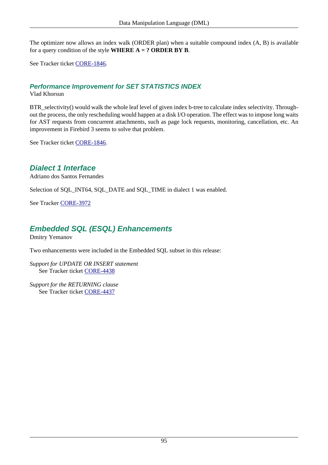The optimizer now allows an index walk (ORDER plan) when a suitable compound index (A, B) is available for a query condition of the style **WHERE A = ? ORDER BY B**.

See Tracker ticket [CORE-1846.](http://tracker.firebirdsql.org/browse/CORE-1846)

## **Performance Improvement for SET STATISTICS INDEX**

Vlad Khorsun

BTR\_selectivity() would walk the whole leaf level of given index b-tree to calculate index selectivity. Throughout the process, the only rescheduling would happen at a disk I/O operation. The effect was to impose long waits for AST requests from concurrent attachments, such as page lock requests, monitoring, cancellation, etc. An improvement in Firebird 3 seems to solve that problem.

<span id="page-104-0"></span>See Tracker ticket [CORE-1846.](http://tracker.firebirdsql.org/browse/CORE-1846)

## **Dialect 1 Interface**

Adriano dos Santos Fernandes

Selection of SQL\_INT64, SQL\_DATE and SQL\_TIME in dialect 1 was enabled.

<span id="page-104-1"></span>See Tracker [CORE-3972](http://tracker.firebirdsql.org/browse/CORE-3972)

## **Embedded SQL (ESQL) Enhancements**

Dmitry Yemanov

Two enhancements were included in the Embedded SQL subset in this release:

*Support for UPDATE OR INSERT statement* See Tracker ticket [CORE-4438](http://tracker.firebirdsql.org/browse/CORE-4438)

*Support for the RETURNING clause* See Tracker ticket [CORE-4437](http://tracker.firebirdsql.org/browse/CORE-4437)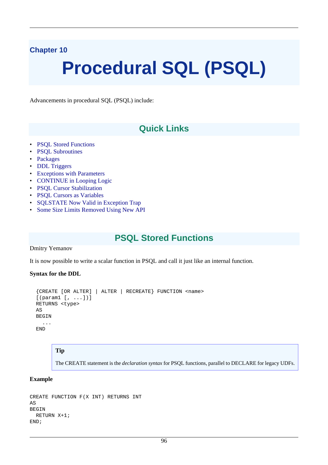## **Chapter 10**

# **Procedural SQL (PSQL)**

Advancements in procedural SQL (PSQL) include:

# **Quick Links**

- PSOL Stored Functions
- [PSQL Subroutines](#page-106-0)
- [Packages](#page-107-0)
- [DDL Triggers](#page-110-0)
- [Exceptions with Parameters](#page-117-0)
- [CONTINUE in Looping Logic](#page-118-0)
- [PSQL Cursor Stabilization](#page-118-1)
- [PSQL Cursors as Variables](#page-119-0)
- [SQLSTATE Now Valid in Exception Trap](#page-121-0)
- <span id="page-105-0"></span>• [Some Size Limits Removed Using New API](#page-122-0)

# **PSQL Stored Functions**

Dmitry Yemanov

It is now possible to write a scalar function in PSQL and call it just like an internal function.

#### **Syntax for the DDL**

```
 {CREATE [OR ALTER] | ALTER | RECREATE} FUNCTION <name>
[ (param1 [, ...])]
 RETURNS <type>
 AS
 BEGIN
   ...
 END
```
#### **Tip**

The CREATE statement is the *declaration syntax* for PSQL functions, parallel to DECLARE for legacy UDFs.

#### **Example**

```
CREATE FUNCTION F(X INT) RETURNS INT
AS
BEGIN
  RETURN X+1;
END;
```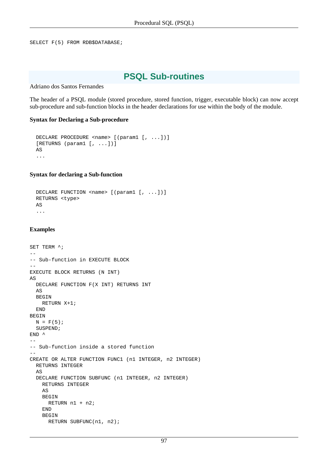```
SELECT F(5) FROM RDB$DATABASE;
```
# **PSQL Sub-routines**

Adriano dos Santos Fernandes

The header of a PSQL module (stored procedure, stored function, trigger, executable block) can now accept sub-procedure and sub-function blocks in the header declarations for use within the body of the module.

#### **Syntax for Declaring a Sub-procedure**

```
DECLARE PROCEDURE <name> [(param1 [, ...])]
[RETURNS (param1 [, ...])] AS
 ...
```
#### **Syntax for declaring a Sub-function**

```
 DECLARE FUNCTION <name> [(param1 [, ...])]
 RETURNS <type>
 AS
 ...
```
#### **Examples**

```
SET TERM ^{\wedge};
--
-- Sub-function in EXECUTE BLOCK
--
EXECUTE BLOCK RETURNS (N INT)
AS
  DECLARE FUNCTION F(X INT) RETURNS INT
   AS
   BEGIN
    RETURN X+1;
   END
BEGIN
  N = F(5); SUSPEND;
END<sup>^</sup>
--
-- Sub-function inside a stored function
--
CREATE OR ALTER FUNCTION FUNC1 (n1 INTEGER, n2 INTEGER)
   RETURNS INTEGER
   AS
   DECLARE FUNCTION SUBFUNC (n1 INTEGER, n2 INTEGER)
     RETURNS INTEGER
     AS
     BEGIN
      RETURN n1 + n2;
     END
     BEGIN
      RETURN SUBFUNC(n1, n2);
```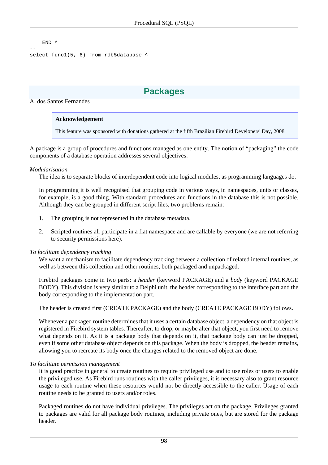```
END<sup>^</sup>
--
select func1(5, 6) from rdb$database ^
```
# **Packages**

#### A. dos Santos Fernandes

#### **Acknowledgement**

This feature was sponsored with donations gathered at the fifth Brazilian Firebird Developers' Day, 2008

A package is a group of procedures and functions managed as one entity. The notion of "packaging" the code components of a database operation addresses several objectives:

#### *Modularisation*

The idea is to separate blocks of interdependent code into logical modules, as programming languages do.

In programming it is well recognised that grouping code in various ways, in namespaces, units or classes, for example, is a good thing. With standard procedures and functions in the database this is not possible. Although they can be grouped in different script files, two problems remain:

- 1. The grouping is not represented in the database metadata.
- 2. Scripted routines all participate in a flat namespace and are callable by everyone (we are not referring to security permissions here).

#### *To facilitate dependency tracking*

We want a mechanism to facilitate dependency tracking between a collection of related internal routines, as well as between this collection and other routines, both packaged and unpackaged.

Firebird packages come in two parts: a *header* (keyword PACKAGE) and a *body* (keyword PACKAGE BODY). This division is very similar to a Delphi unit, the header corresponding to the interface part and the body corresponding to the implementation part.

The header is created first (CREATE PACKAGE) and the body (CREATE PACKAGE BODY) follows.

Whenever a packaged routine determines that it uses a certain database object, a dependency on that object is registered in Firebird system tables. Thereafter, to drop, or maybe alter that object, you first need to remove what depends on it. As it is a package body that depends on it, that package body can just be dropped, even if some other database object depends on this package. When the body is dropped, the header remains, allowing you to recreate its body once the changes related to the removed object are done.

#### *To facilitate permission management*

It is good practice in general to create routines to require privileged use and to use roles or users to enable the privileged use. As Firebird runs routines with the caller privileges, it is necessary also to grant resource usage to each routine when these resources would not be directly accessible to the caller. Usage of each routine needs to be granted to users and/or roles.

Packaged routines do not have individual privileges. The privileges act on the package. Privileges granted to packages are valid for all package body routines, including private ones, but are stored for the package header.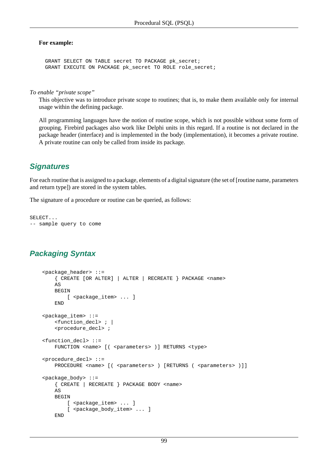### **For example:**

 GRANT SELECT ON TABLE secret TO PACKAGE pk\_secret; GRANT EXECUTE ON PACKAGE pk\_secret TO ROLE role\_secret;

*To enable "private scope"*

This objective was to introduce private scope to routines; that is, to make them available only for internal usage within the defining package.

All programming languages have the notion of routine scope, which is not possible without some form of grouping. Firebird packages also work like Delphi units in this regard. If a routine is not declared in the package header (interface) and is implemented in the body (implementation), it becomes a private routine. A private routine can only be called from inside its package.

## <span id="page-108-0"></span>**Signatures**

For each routine that is assigned to a package, elements of a digital signature (the set of [routine name, parameters and return type]) are stored in the system tables.

The signature of a procedure or routine can be queried, as follows:

```
SELECT...
-- sample query to come
```
# **Packaging Syntax**

```
 <package_header> ::=
     { CREATE [OR ALTER] | ALTER | RECREATE } PACKAGE <name>
   \DeltaS
    BEGIN
        [ <package_item> ... ]
     END
 <package_item> ::=
     <function_decl> ; |
     <procedure_decl> ;
 <function_decl> ::=
    FUNCTION <name> [( <parameters> )] RETURNS <type>
 <procedure_decl> ::=
    PROCEDURE <name> [( <parameters> ) [RETURNS ( <parameters> )]]
 <package_body> ::=
     { CREATE | RECREATE } PACKAGE BODY <name>
     AS
    BEGIN
        [ <package item> ... ]
        [ <package body item> ... ]
     END
```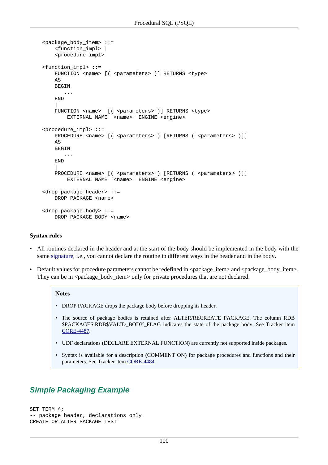```
 <package_body_item> ::=
         <function_impl> |
         <procedure_impl>
    <function_impl> ::=
       FUNCTION <name> [( <parameters> )] RETURNS <type>
        AS
        BEGIN
            ...
        END
 |
       FUNCTION <name> [( <parameters> )] RETURNS <type>
            EXTERNAL NAME '<name>' ENGINE <engine>
    <procedure_impl> ::=
       PROCEDURE <name> [( <parameters> ) [RETURNS ( <parameters> )]]
        AS
        BEGIN
            ...
        END
 |
        PROCEDURE <name> [ ( <parameters> ) [ RETURNS ( <parameters> ) ]]
            EXTERNAL NAME '<name>' ENGINE <engine>
    <drop_package_header> ::=
       DROP PACKAGE <name>
    <drop_package_body> ::=
       DROP PACKAGE BODY <name>
```
### **Syntax rules**

- All routines declared in the header and at the start of the body should be implemented in the body with the same [signature,](#page-108-0) i.e., you cannot declare the routine in different ways in the header and in the body.
- Default values for procedure parameters cannot be redefined in  $\epsilon$  package item and  $\epsilon$  package body item >. They can be in  $\epsilon$  package\_body\_item> only for private procedures that are not declared.

#### **Notes**

- DROP PACKAGE drops the package body before dropping its header.
- The source of package bodies is retained after ALTER/RECREATE PACKAGE. The column RDB \$PACKAGES.RDB\$VALID\_BODY\_FLAG indicates the state of the package body. See Tracker item [CORE-4487.](http://tracker.firebirdsql.org/browse/CORE-4487)
- UDF declarations (DECLARE EXTERNAL FUNCTION) are currently not supported inside packages.
- Syntax is available for a description (COMMENT ON) for package procedures and functions and their parameters. See Tracker item [CORE-4484](http://tracker.firebirdsql.org/browse/CORE-4484).

### **Simple Packaging Example**

```
SET TERM ^{\wedge};
-- package header, declarations only
CREATE OR ALTER PACKAGE TEST
```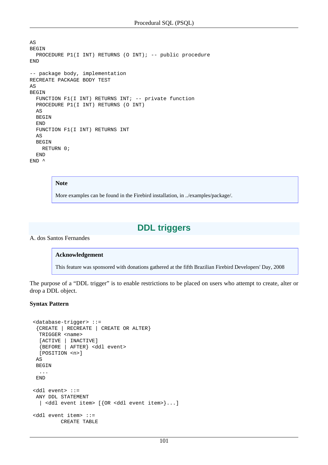```
AS
BEGIN
 PROCEDURE P1(I INT) RETURNS (O INT); -- public procedure
END
-- package body, implementation
RECREATE PACKAGE BODY TEST
AS
BEGIN
   FUNCTION F1(I INT) RETURNS INT; -- private function
   PROCEDURE P1(I INT) RETURNS (O INT)
   AS
   BEGIN
   END
   FUNCTION F1(I INT) RETURNS INT
   AS
   BEGIN
    RETURN 0;
   END
END<sup>^</sup>
```
#### **Note**

More examples can be found in the Firebird installation, in ../examples/package/.

# **DDL triggers**

A. dos Santos Fernandes

#### **Acknowledgement**

This feature was sponsored with donations gathered at the fifth Brazilian Firebird Developers' Day, 2008

The purpose of a "DDL trigger" is to enable restrictions to be placed on users who attempt to create, alter or drop a DDL object.

#### **Syntax Pattern**

```
 <database-trigger> ::=
  {CREATE | RECREATE | CREATE OR ALTER}
  TRIGGER <name>
   [ACTIVE | INACTIVE]
   {BEFORE | AFTER} <ddl event>
   [POSITION <n>]
  AS
  BEGIN
   ...
  END
 <ddl event> ::=
 ANY DDL STATEMENT
   | <ddl event item> [{OR <ddl event item>}...]
 <ddl event item> ::=
          CREATE TABLE
```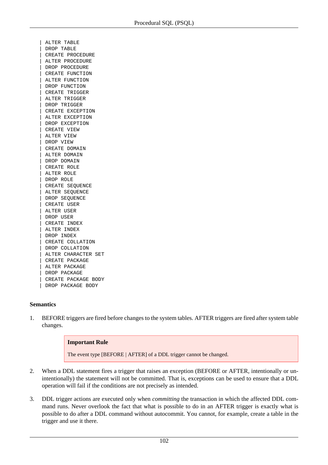| ALTER TABLE | DROP TABLE | CREATE PROCEDURE | ALTER PROCEDURE | DROP PROCEDURE | CREATE FUNCTION | ALTER FUNCTION | DROP FUNCTION | CREATE TRIGGER | ALTER TRIGGER | DROP TRIGGER | CREATE EXCEPTION | ALTER EXCEPTION | DROP EXCEPTION | CREATE VIEW ALTER VIEW | DROP VIEW CREATE DOMAIN | ALTER DOMAIN | DROP DOMAIN | CREATE ROLE | ALTER ROLE | DROP ROLE | CREATE SEQUENCE | ALTER SEQUENCE DROP SEQUENCE | CREATE USER | ALTER USER | DROP USER | CREATE INDEX | ALTER INDEX | DROP INDEX | CREATE COLLATION | DROP COLLATION | ALTER CHARACTER SET | CREATE PACKAGE | ALTER PACKAGE | DROP PACKAGE | CREATE PACKAGE BODY | DROP PACKAGE BODY

### **Semantics**

1. BEFORE triggers are fired before changes to the system tables. AFTER triggers are fired after system table changes.

### **Important Rule**

The event type [BEFORE | AFTER] of a DDL trigger cannot be changed.

- 2. When a DDL statement fires a trigger that raises an exception (BEFORE or AFTER, intentionally or unintentionally) the statement will not be committed. That is, exceptions can be used to ensure that a DDL operation will fail if the conditions are not precisely as intended.
- 3. DDL trigger actions are executed only when *committing* the transaction in which the affected DDL command runs. Never overlook the fact that what is possible to do in an AFTER trigger is exactly what is possible to do after a DDL command without autocommit. You cannot, for example, create a table in the trigger and use it there.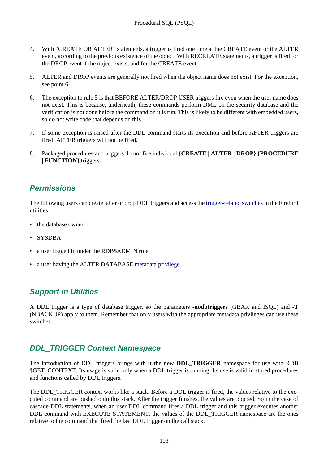- 4. With "CREATE OR ALTER" statements, a trigger is fired one time at the CREATE event or the ALTER event, according to the previous existence of the object. With RECREATE statements, a trigger is fired for the DROP event if the object exists, and for the CREATE event.
- 5. ALTER and DROP events are generally not fired when the object name does not exist. For the exception, see point 6.
- 6. The exception to rule 5 is that BEFORE ALTER/DROP USER triggers fire even when the user name does not exist. This is because, underneath, these commands perform DML on the security database and the verification is not done before the command on it is run. This is likely to be different with embedded users, so do not write code that depends on this.
- 7. If some exception is raised after the DDL command starts its execution and before AFTER triggers are fired, AFTER triggers will not be fired.
- 8. Packaged procedures and triggers do not fire individual **{CREATE | ALTER | DROP} {PROCEDURE | FUNCTION}** triggers.

## **Permissions**

The following users can create, alter or drop DDL triggers and access the [trigger-related switches](#page-112-0) in the Firebird utilities:

- the database owner
- SYSDBA
- a user logged in under the RDB\$ADMIN role
- <span id="page-112-0"></span>• a user having the ALTER DATABASE [metadata privilege](#page-75-0)

## **Support in Utilities**

A DDL trigger is a type of database trigger, so the parameters **-nodbtriggers** (GBAK and ISQL) and **-T** (NBACKUP) apply to them. Remember that only users with the appropriate metadata privileges can use these switches.

## **DDL\_TRIGGER Context Namespace**

The introduction of DDL triggers brings with it the new **DDL\_TRIGGER** namespace for use with RDB \$GET\_CONTEXT. Its usage is valid only when a DDL trigger is running. Its use is valid in stored procedures and functions called by DDL triggers.

The DDL\_TRIGGER context works like a stack. Before a DDL trigger is fired, the values relative to the executed command are pushed onto this stack. After the trigger finishes, the values are popped. So in the case of cascade DDL statements, when an user DDL command fires a DDL trigger and this trigger executes another DDL command with EXECUTE STATEMENT, the values of the DDL\_TRIGGER namespace are the ones relative to the command that fired the last DDL trigger on the call stack.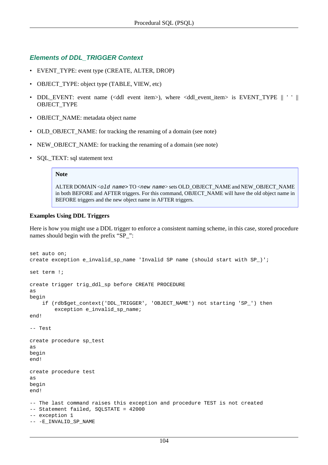### **Elements of DDL\_TRIGGER Context**

- EVENT TYPE: event type (CREATE, ALTER, DROP)
- OBJECT\_TYPE: object type (TABLE, VIEW, etc)
- DDL\_EVENT: event name (<ddl event item>), where <ddl\_event\_item> is EVENT\_TYPE || ' ' || OBJECT\_TYPE
- OBJECT\_NAME: metadata object name
- OLD\_OBJECT\_NAME: for tracking the renaming of a domain (see note)
- NEW\_OBJECT\_NAME: for tracking the renaming of a domain (see note)
- SQL\_TEXT: sql statement text

#### **Note**

ALTER DOMAIN <old name> TO <new name> sets OLD\_OBJECT\_NAME and NEW\_OBJECT\_NAME in both BEFORE and AFTER triggers. For this command, OBJECT\_NAME will have the old object name in BEFORE triggers and the new object name in AFTER triggers.

### **Examples Using DDL Triggers**

Here is how you might use a DDL trigger to enforce a consistent naming scheme, in this case, stored procedure names should begin with the prefix "SP\_":

```
set auto on;
create exception e_invalid_sp_name 'Invalid SP name (should start with SP_)';
set term !;
create trigger trig_ddl_sp before CREATE PROCEDURE
as
begin
     if (rdb$get_context('DDL_TRIGGER', 'OBJECT_NAME') not starting 'SP_') then
         exception e_invalid_sp_name;
end!
-- Test
create procedure sp_test
as
begin
end!
create procedure test
as
begin
end!
-- The last command raises this exception and procedure TEST is not created
-- Statement failed, SQLSTATE = 42000
-- exception 1
-- -E_INVALID_SP_NAME
```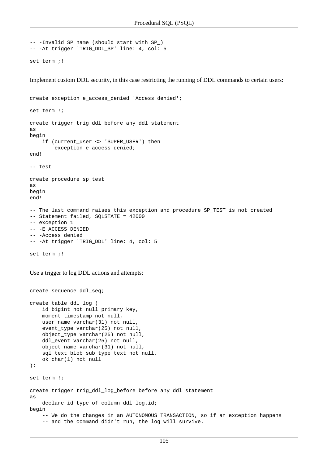```
-- -Invalid SP name (should start with SP_)
-- -At trigger 'TRIG_DDL_SP' line: 4, col: 5
set term ;!
```
Implement custom DDL security, in this case restricting the running of DDL commands to certain users:

```
create exception e_access_denied 'Access denied';
set term !;
create trigger trig_ddl before any ddl statement
as
begin
    if (current_user <> 'SUPER_USER') then
         exception e_access_denied;
end!
-- Test
create procedure sp_test
as
begin
end!
-- The last command raises this exception and procedure SP_TEST is not created
-- Statement failed, SQLSTATE = 42000
-- exception 1
-- -E_ACCESS_DENIED
-- -Access denied
-- -At trigger 'TRIG_DDL' line: 4, col: 5
set term i!
```
Use a trigger to log DDL actions and attempts:

create sequence ddl\_seq;

```
create table ddl_log (
     id bigint not null primary key,
     moment timestamp not null,
     user_name varchar(31) not null,
     event_type varchar(25) not null,
     object_type varchar(25) not null,
     ddl_event varchar(25) not null,
     object_name varchar(31) not null,
     sql_text blob sub_type text not null,
     ok char(1) not null
);
set term !;
create trigger trig_ddl_log_before before any ddl statement
as
    declare id type of column ddl log.id;
begin
     -- We do the changes in an AUTONOMOUS TRANSACTION, so if an exception happens 
     -- and the command didn't run, the log will survive.
```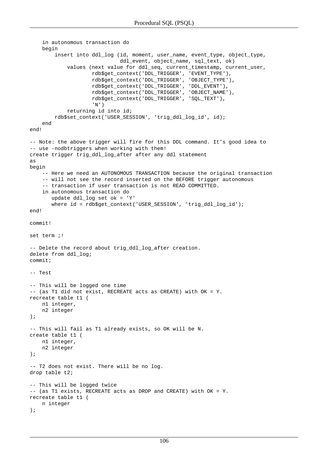```
 in autonomous transaction do
     begin
         insert into ddl_log (id, moment, user_name, event_type, object_type, 
                               ddl_event, object_name, sql_text, ok)
             values (next value for ddl_seq, current_timestamp, current_user,
                     rdb$get_context('DDL_TRIGGER', 'EVENT_TYPE'),
                     rdb$get_context('DDL_TRIGGER', 'OBJECT_TYPE'),
                     rdb$get_context('DDL_TRIGGER', 'DDL_EVENT'),
                     rdb$get_context('DDL_TRIGGER', 'OBJECT_NAME'),
                     rdb$get_context('DDL_TRIGGER', 'SQL_TEXT'),
                     'N')
             returning id into id;
         rdb$set_context('USER_SESSION', 'trig_ddl_log_id', id);
     end
end!
-- Note: the above trigger will fire for this DDL command. It's good idea to
-- use -nodbtriggers when working with them!
create trigger trig ddl log after after any ddl statement
as
begin
     -- Here we need an AUTONOMOUS TRANSACTION because the original transaction
     -- will not see the record inserted on the BEFORE trigger autonomous
     -- transaction if user transaction is not READ COMMITTED.
     in autonomous transaction do
        update ddl_log set ok = 'Y' 
        where id = rdb$get_context('USER_SESSION', 'trig_ddl_log_id');
end!
commit!
set term i!
-- Delete the record about trig ddl log after creation.
delete from ddl_log;
commit;
-- Test
-- This will be logged one time 
-- (as T1 did not exist, RECREATE acts as CREATE) with OK = Y.
recreate table t1 (
    n1 integer,
     n2 integer
);
-- This will fail as T1 already exists, so OK will be N.
create table t1 (
    n1 integer,
     n2 integer
);
-- T2 does not exist. There will be no log.
drop table t2;
-- This will be logged twice 
-- (as T1 exists, RECREATE acts as DROP and CREATE) with OK = Y.
recreate table t1 (
     n integer
);
```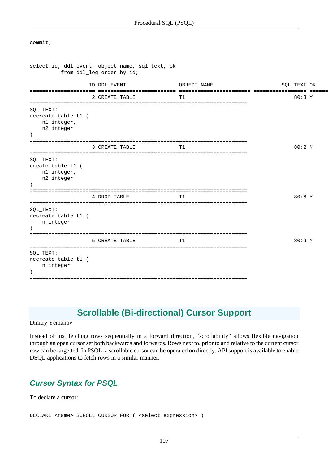commit;

```
select id, ddl_event, object_name, sql_text, ok
         from ddl_log order by id;
                ID DDL_EVENT OBJECT_NAME SQL_TEXT OK
===================== ========================= ======================= ================= ======
                2 CREATE TABLE TI T1 80:3 Y
======================================================================
SQL_TEXT:
recreate table t1 (
   n1 integer,
    n2 integer
)
======================================================================
               3 CREATE TABLE TI T1 80:2 N
======================================================================
SQL_TEXT:
create table t1 (
   n1 integer,
    n2 integer
)
======================================================================
                4 DROP TABLE T1 80:6 Y
======================================================================
SQL_TEXT:
recreate table t1 (
    n integer
\lambda======================================================================
                5 CREATE TABLE T1 80:9 Y
======================================================================
SQL_TEXT:
recreate table t1 (
   n integer
\lambda======================================================================
```
# **Scrollable (Bi-directional) Cursor Support**

Dmitry Yemanov

Instead of just fetching rows sequentially in a forward direction, "scrollability" allows flexible navigation through an open cursor set both backwards and forwards. Rows next to, prior to and relative to the current cursor row can be targetted. In PSQL, a scrollable cursor can be operated on directly. API support is available to enable DSQL applications to fetch rows in a similar manner.

## **Cursor Syntax for PSQL**

To declare a cursor:

DECLARE <name> SCROLL CURSOR FOR ( <select expression> )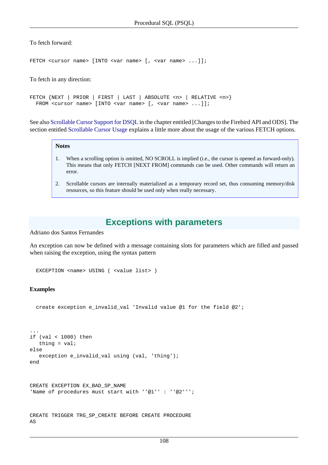### To fetch forward:

FETCH <cursor name> [INTO <var name> [, <var name> ...]];

#### To fetch in any direction:

FETCH {NEXT | PRIOR | FIRST | LAST | ABSOLUTE <n> | RELATIVE <n>} FROM <cursor name> [INTO <var name> [, <var name> ...]];

See also [Scrollable Cursor Support for DSQL](#page-42-0) in the chapter entitled [Changes to the Firebird API and ODS]. The section entitled [Scrollable Cursor Usage](#page-42-1) explains a little more about the usage of the various FETCH options.

#### **Notes**

- 1. When a scrolling option is omitted, NO SCROLL is implied (i.e., the cursor is opened as forward-only). This means that only FETCH [NEXT FROM] commands can be used. Other commands will return an error.
- 2. Scrollable cursors are internally materialized as a temporary record set, thus consuming memory/disk resources, so this feature should be used only when really necessary.

### **Exceptions with parameters**

Adriano dos Santos Fernandes

An exception can now be defined with a message containing slots for parameters which are filled and passed when raising the exception, using the syntax pattern

EXCEPTION <name> USING ( <value list> )

#### **Examples**

```
 create exception e_invalid_val 'Invalid value @1 for the field @2';
```

```
...
if (val < 1000) then
   thing = val;
else
   exception e_invalid_val using (val, 'thing');
end
```

```
CREATE EXCEPTION EX_BAD_SP_NAME
'Name of procedures must start with ''@1'' : ''@2''';
```

```
CREATE TRIGGER TRG_SP_CREATE BEFORE CREATE PROCEDURE
AS
```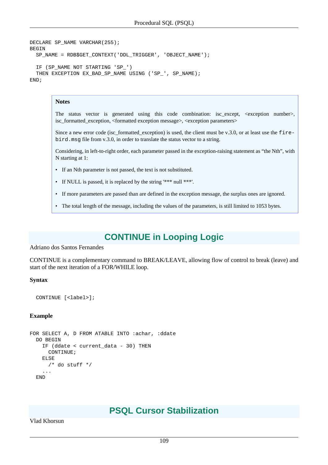```
DECLARE SP_NAME VARCHAR(255);
BEGIN
  SP_NAME = RDB$GET_CONTEXT('DDL_TRIGGER', 'OBJECT_NAME');
   IF (SP_NAME NOT STARTING 'SP_')
  THEN EXCEPTION EX_BAD_SP_NAME USING ('SP_', SP_NAME);
END;
```
### **Notes**

The status vector is generated using this code combination: isc\_except, <exception number>, isc\_formatted\_exception, <formatted exception message>, <exception parameters>

Since a new error code (isc\_formatted\_exception) is used, the client must be v.3.0, or at least use the firebird.msg file from v.3.0, in order to translate the status vector to a string.

Considering, in left-to-right order, each parameter passed in the exception-raising statement as "the Nth", with N starting at 1:

- If an Nth parameter is not passed, the text is not substituted.
- If NULL is passed, it is replaced by the string '\*\*\* null \*\*\*'.
- If more parameters are passed than are defined in the exception message, the surplus ones are ignored.
- The total length of the message, including the values of the parameters, is still limited to 1053 bytes.

# **CONTINUE in Looping Logic**

Adriano dos Santos Fernandes

CONTINUE is a complementary command to BREAK/LEAVE, allowing flow of control to break (leave) and start of the next iteration of a FOR/WHILE loop.

#### **Syntax**

CONTINUE [<label>];

#### **Example**

```
FOR SELECT A, D FROM ATABLE INTO :achar, :ddate
   DO BEGIN
     IF (ddate < current_data - 30) THEN
      CONTINUE;
     ELSE
       /* do stuff */
     ...
   END
```
## **PSQL Cursor Stabilization**

<span id="page-118-0"></span>Vlad Khorsun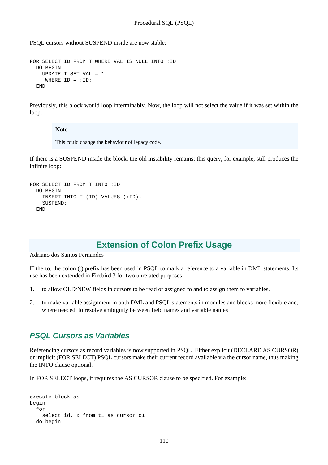PSQL cursors without SUSPEND inside are now stable:

```
FOR SELECT ID FROM T WHERE VAL IS NULL INTO :ID
  DO BEGIN
     UPDATE T SET VAL = 1
    WHERE ID = :ID; END
```
Previously, this block would loop interminably. Now, the loop will not select the value if it was set within the loop.

### **Note**

This could change the behaviour of legacy code.

If there is a SUSPEND inside the block, the old instability remains: this query, for example, still produces the infinite loop:

```
FOR SELECT ID FROM T INTO :ID
   DO BEGIN
     INSERT INTO T (ID) VALUES (:ID);
     SUSPEND;
   END
```
# **Extension of Colon Prefix Usage**

Adriano dos Santos Fernandes

Hitherto, the colon (:) prefix has been used in PSQL to mark a reference to a variable in DML statements. Its use has been extended in Firebird 3 for two unrelated purposes:

- 1. to allow OLD/NEW fields in cursors to be read or assigned to and to assign them to variables.
- 2. to make variable assignment in both DML and PSQL statements in modules and blocks more flexible and, where needed, to resolve ambiguity between field names and variable names

### **PSQL Cursors as Variables**

Referencing cursors as record variables is now supported in PSQL. Either explicit (DECLARE AS CURSOR) or implicit (FOR SELECT) PSQL cursors make their current record available via the cursor name, thus making the INTO clause optional.

In FOR SELECT loops, it requires the AS CURSOR clause to be specified. For example:

```
execute block as
begin
   for
    select id, x from t1 as cursor c1
  do begin
```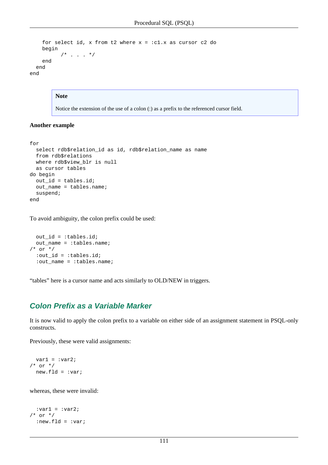```
for select id, x from t2 where x = :c1.x as cursor c2 do
     begin
           /* . . . \star/
     end
   end
end
```
#### **Note**

Notice the extension of the use of a colon (:) as a prefix to the referenced cursor field.

### **Another example**

```
for
   select rdb$relation_id as id, rdb$relation_name as name
   from rdb$relations
  where rdb$view_blr is null
  as cursor tables
do begin
  out_id = tables.id;
  out_name = tables.name;
   suspend;
end
```
To avoid ambiguity, the colon prefix could be used:

```
 out_id = :tables.id;
  out_name = :tables.name;
/* or */
  :out_id = :tables.id;
  :out_name = :tables.name;
```
"tables" here is a cursor name and acts similarly to OLD/NEW in triggers.

### **Colon Prefix as a Variable Marker**

It is now valid to apply the colon prefix to a variable on either side of an assignment statement in PSQL-only constructs.

Previously, these were valid assignments:

```
var1 = :var2;
/* or *newrld = 'vari
```
whereas, these were invalid:

```
:var1 = :var2;
/* or *:new.fld = :vari
```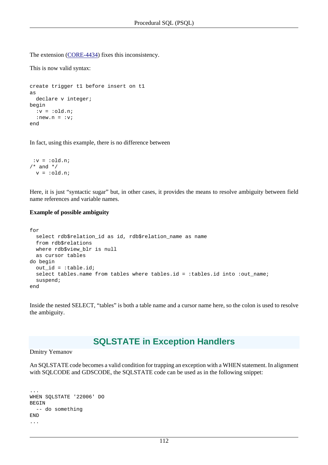The extension [\(CORE-4434](http://tracker.firebirdsql.org/browse/CORE-4434)) fixes this inconsistency.

This is now valid syntax:

```
create trigger t1 before insert on t1
as
 declare v integer;
begin
  :v = :old.n;:new.n = iv;end
```
In fact, using this example, there is no difference between

```
:v = :old.n;/* and */v = :old.n;
```
Here, it is just "syntactic sugar" but, in other cases, it provides the means to resolve ambiguity between field name references and variable names.

### **Example of possible ambiguity**

```
for
   select rdb$relation_id as id, rdb$relation_name as name
   from rdb$relations
  where rdb$view_blr is null
  as cursor tables
do begin
  out_id = :table.id;
  select tables.name from tables where tables.id = :tables.id into :out_name;
  suspend;
end
```
Inside the nested SELECT, "tables" is both a table name and a cursor name here, so the colon is used to resolve the ambiguity.

## **SQLSTATE in Exception Handlers**

#### Dmitry Yemanov

An SQLSTATE code becomes a valid condition for trapping an exception with a WHEN statement. In alignment with SQLCODE and GDSCODE, the SQLSTATE code can be used as in the following snippet:

```
...
WHEN SQLSTATE '22006' DO
BEGIN
   -- do something
END
...
```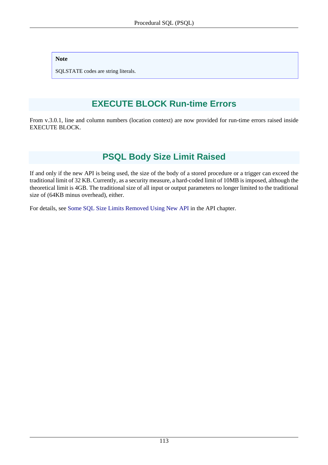### **Note**

SQLSTATE codes are string literals.

# **EXECUTE BLOCK Run-time Errors**

From v.3.0.1, line and column numbers (location context) are now provided for run-time errors raised inside EXECUTE BLOCK.

# **PSQL Body Size Limit Raised**

If and only if the new API is being used, the size of the body of a stored procedure or a trigger can exceed the traditional limit of 32 KB. Currently, as a security measure, a hard-coded limit of 10MB is imposed, although the theoretical limit is 4GB. The traditional size of all input or output parameters no longer limited to the traditional size of (64KB minus overhead), either.

For details, see [Some SQL Size Limits Removed Using New API](#page-41-0) in the API chapter.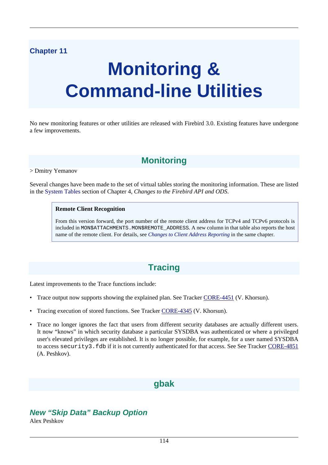# **Chapter 11**

# **Monitoring & Command-line Utilities**

No new monitoring features or other utilities are released with Firebird 3.0. Existing features have undergone a few improvements.

# **Monitoring**

> Dmitry Yemanov

Several changes have been made to the set of virtual tables storing the monitoring information. These are listed in the [System Tables](#page-38-0) section of Chapter 4, *Changes to the Firebird API and ODS*.

### **Remote Client Recognition**

From this version forward, the port number of the remote client address for TCPv4 and TCPv6 protocols is included in MON\$ATTACHMENTS.MON\$REMOTE\_ADDRESS. A new column in that table also reports the host name of the remote client. For details, see *[Changes to Client Address Reporting](#page-37-0)* in the same chapter.

# **Tracing**

Latest improvements to the Trace functions include:

- Trace output now supports showing the explained plan. See Tracker [CORE-4451](http://tracker.firebirdsql.org/browse/CORE-4451) (V. Khorsun).
- Tracing execution of stored functions. See Tracker [CORE-4345](http://tracker.firebirdsql.org/browse/CORE-4345) (V. Khorsun).
- Trace no longer ignores the fact that users from different security databases are actually different users. It now "knows" in which security database a particular SYSDBA was authenticated or where a privileged user's elevated privileges are established. It is no longer possible, for example, for a user named SYSDBA to access security3. fdb if it is not currently authenticated for that access. See See Tracker [CORE-4851](http://tracker.firebirdsql.org/browse/CORE-4851) (A. Peshkov).

# **gbak**

# **New "Skip Data" Backup Option**

Alex Peshkov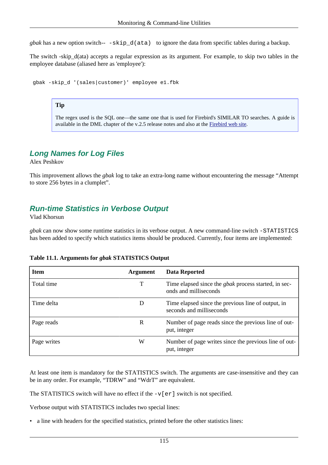*gbak* has a new option switch-- -skip\_d(ata) to ignore the data from specific tables during a backup.

The switch -skip\_d(ata) accepts a regular expression as its argument. For example, to skip two tables in the employee database (aliased here as 'employee'):

gbak -skip\_d '(sales|customer)' employee e1.fbk

### **Tip**

The regex used is the SQL one—the same one that is used for Firebird's SIMILAR TO searches. A guide is available in the DML chapter of the v.2.5 release notes and also at the [Firebird web site.](http://www.firebirdsql.org/file/documentation/release_notes/html/rlsnotes253.html#rnfb25-dml-regex)

### **Long Names for Log Files**

Alex Peshkov

This improvement allows the *gbak* log to take an extra-long name without encountering the message "Attempt to store 256 bytes in a clumplet".

### **Run-time Statistics in Verbose Output**

Vlad Khorsun

*gbak* can now show some runtime statistics in its verbose output. A new command-line switch -STATISTICS has been added to specify which statistics items should be produced. Currently, four items are implemented:

| <b>Item</b> | <b>Argument</b> | Data Reported                                                                        |
|-------------|-----------------|--------------------------------------------------------------------------------------|
| Total time  |                 | Time elapsed since the <i>gbak</i> process started, in sec-<br>onds and milliseconds |
| Time delta  |                 | Time elapsed since the previous line of output, in<br>seconds and milliseconds       |
| Page reads  | R               | Number of page reads since the previous line of out-<br>put, integer                 |
| Page writes | W               | Number of page writes since the previous line of out-<br>put, integer                |

### **Table 11.1. Arguments for** *gbak* **STATISTICS Output**

At least one item is mandatory for the STATISTICS switch. The arguments are case-insensitive and they can be in any order. For example, "TDRW" and "WdrT" are equivalent.

The STATISTICS switch will have no effect if the  $-v[er]$  switch is not specified.

Verbose output with STATISTICS includes two special lines:

• a line with headers for the specified statistics, printed before the other statistics lines: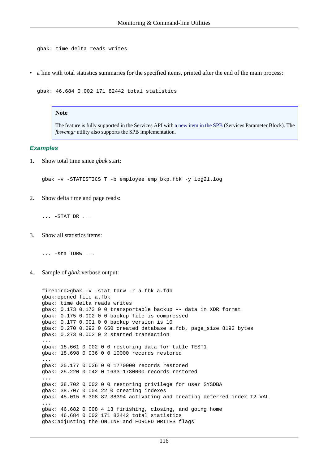gbak: time delta reads writes

• a line with total statistics summaries for the specified items, printed after the end of the main process:

gbak: 46.684 0.002 171 82442 total statistics

#### **Note**

The feature is fully supported in the Services API with [a new item in the SPB](#page-43-0) (Services Parameter Block). The *fbsvcmgr* utility also supports the SPB implementation.

#### **Examples**

1. Show total time since *gbak* start:

gbak -v -STATISTICS T -b employee emp\_bkp.fbk -y log21.log

2. Show delta time and page reads:

... -STAT DR ...

3. Show all statistics items:

... -sta TDRW ...

4. Sample of *gbak* verbose output:

```
firebird>gbak -v -stat tdrw -r a.fbk a.fdb
gbak:opened file a.fbk
gbak: time delta reads writes
gbak: 0.173 0.173 0 0 transportable backup -- data in XDR format
gbak: 0.175 0.002 0 0 backup file is compressed
gbak: 0.177 0.001 0 0 backup version is 10
gbak: 0.270 0.092 0 650 created database a.fdb, page_size 8192 bytes
gbak: 0.273 0.002 0 2 started transaction
...
gbak: 18.661 0.002 0 0 restoring data for table TEST1
gbak: 18.698 0.036 0 0 10000 records restored
...
gbak: 25.177 0.036 0 0 1770000 records restored
gbak: 25.220 0.042 0 1633 1780000 records restored
...
gbak: 38.702 0.002 0 0 restoring privilege for user SYSDBA
gbak: 38.707 0.004 22 0 creating indexes
gbak: 45.015 6.308 82 38394 activating and creating deferred index T2_VAL
...
gbak: 46.682 0.008 4 13 finishing, closing, and going home
gbak: 46.684 0.002 171 82442 total statistics
gbak:adjusting the ONLINE and FORCED WRITES flags
```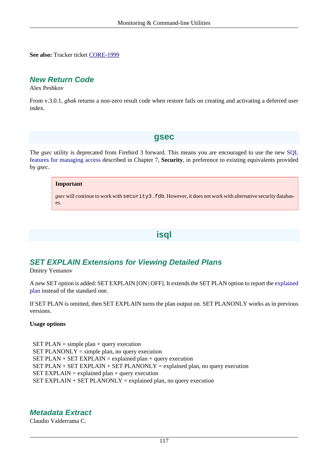**See also:** Tracker ticket [CORE-1999](http://tracker.firebirdsql.org/browse/CORE-1999)

### **New Return Code**

Alex Peshkov

From v.3.0.1, *gbak* returns a non-zero result code when restore fails on creating and activating a deferred user index.

### **gsec**

The *gsec* utility is deprecated from Firebird 3 forward. This means you are encouraged to use the new [SQL](#page-70-0) [features for managing access](#page-70-0) described in Chapter 7, **Security**, in preference to existing equivalents provided by *gsec*.

### **Important**

*gsec* will continue to work with security3.fdb. However, it does not work with alternative security databases.

## **isql**

## **SET EXPLAIN Extensions for Viewing Detailed Plans**

Dmitry Yemanov

A new SET option is added: SET EXPLAIN [ON | OFF]. It extends the SET PLAN option to report the [explained](#page-93-0) [plan](#page-93-0) instead of the standard one.

If SET PLAN is omitted, then SET EXPLAIN turns the plan output on. SET PLANONLY works as in previous versions.

### **Usage options**

SET PLAN = simple plan + query execution SET PLANONLY  $=$  simple plan, no query execution  $SET PLAN + SET EXPLAN = explained plan + query execution$ SET PLAN + SET EXPLAIN + SET PLANONLY = explained plan, no query execution SET EXPLAIN = explained plan + query execution SET EXPLAIN  $+$  SET PLANONLY = explained plan, no query execution

## **Metadata Extract**

Claudio Valderrama C.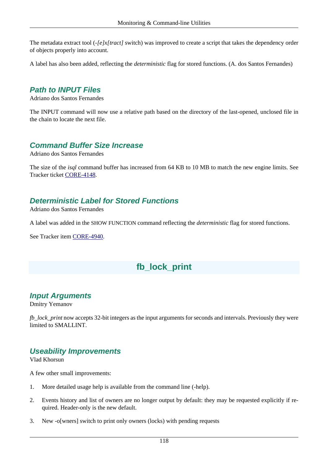The metadata extract tool (*-[e]x[tract]* switch) was improved to create a script that takes the dependency order of objects properly into account.

A label has also been added, reflecting the *deterministic* flag for stored functions. (A. dos Santos Fernandes)

### **Path to INPUT Files**

Adriano dos Santos Fernandes

The INPUT command will now use a relative path based on the directory of the last-opened, unclosed file in the chain to locate the next file.

### **Command Buffer Size Increase**

Adriano dos Santos Fernandes

The size of the *isql* command buffer has increased from 64 KB to 10 MB to match the new engine limits. See Tracker ticket [CORE-4148](http://tracker.firebirdsql.org/browse/CORE-4148).

# **Deterministic Label for Stored Functions**

Adriano dos Santos Fernandes

A label was added in the SHOW FUNCTION command reflecting the *deterministic* flag for stored functions.

See Tracker item [CORE-4940.](http://tracker.firebirdsql.org/browse/CORE-4940)

# **fb\_lock\_print**

### **Input Arguments**

Dmitry Yemanov

*fb\_lock\_print* now accepts 32-bit integers as the input arguments for seconds and intervals. Previously they were limited to SMALLINT.

## **Useability Improvements**

Vlad Khorsun

A few other small improvements:

- 1. More detailed usage help is available from the command line (-help).
- 2. Events history and list of owners are no longer output by default: they may be requested explicitly if required. Header-only is the new default.
- 3. New -o[wners] switch to print only owners (locks) with pending requests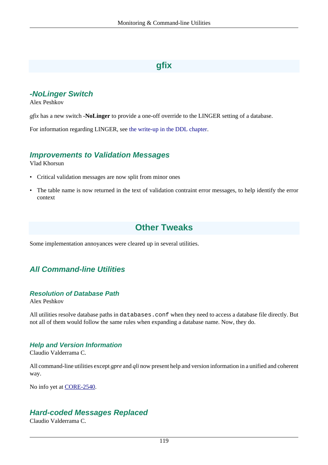# **gfix**

# **-NoLinger Switch**

Alex Peshkov

*gfix* has a new switch **-NoLinger** to provide a one-off override to the LINGER setting of a database.

For information regarding LINGER, see [the write-up in the DDL chapter.](#page-84-0)

### **Improvements to Validation Messages**

Vlad Khorsun

- Critical validation messages are now split from minor ones
- The table name is now returned in the text of validation contraint error messages, to help identify the error context

# **Other Tweaks**

Some implementation annoyances were cleared up in several utilities.

# **All Command-line Utilities**

### **Resolution of Database Path**

Alex Peshkov

All utilities resolve database paths in databases.conf when they need to access a database file directly. But not all of them would follow the same rules when expanding a database name. Now, they do.

### **Help and Version Information**

Claudio Valderrama C.

All command-line utilities except *gpre* and *qli* now present help and version information in a unified and coherent way.

No info yet at [CORE-2540.](http://tracker.firebirdsql.org/browse/CORE-2540)

### **Hard-coded Messages Replaced**

Claudio Valderrama C.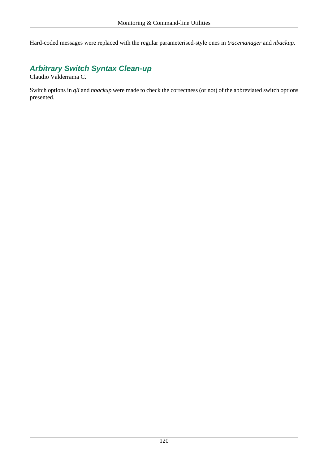Hard-coded messages were replaced with the regular parameterised-style ones in *tracemanager* and *nbackup*.

# **Arbitrary Switch Syntax Clean-up**

Claudio Valderrama C.

Switch options in *qli* and *nbackup* were made to check the correctness (or not) of the abbreviated switch options presented.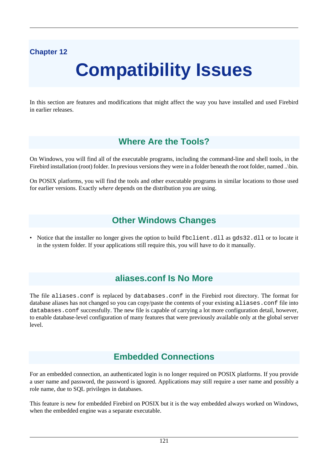# **Chapter 12**

# **Compatibility Issues**

In this section are features and modifications that might affect the way you have installed and used Firebird in earlier releases.

# **Where Are the Tools?**

On Windows, you will find all of the executable programs, including the command-line and shell tools, in the Firebird installation (root) folder. In previous versions they were in a folder beneath the root folder, named ..\bin.

On POSIX platforms, you will find the tools and other executable programs in similar locations to those used for earlier versions. Exactly *where* depends on the distribution you are using.

# **Other Windows Changes**

• Notice that the installer no longer gives the option to build fbclient.dll as gds32.dll or to locate it in the system folder. If your applications still require this, you will have to do it manually.

# **aliases.conf Is No More**

The file aliases.conf is replaced by databases.conf in the Firebird root directory. The format for database aliases has not changed so you can copy/paste the contents of your existing aliases.conf file into databases.conf successfully. The new file is capable of carrying a lot more configuration detail, however, to enable database-level configuration of many features that were previously available only at the global server level.

# **Embedded Connections**

For an embedded connection, an authenticated login is no longer required on POSIX platforms. If you provide a user name and password, the password is ignored. Applications may still require a user name and possibly a role name, due to SQL privileges in databases.

This feature is new for embedded Firebird on POSIX but it is the way embedded always worked on Windows, when the embedded engine was a separate executable.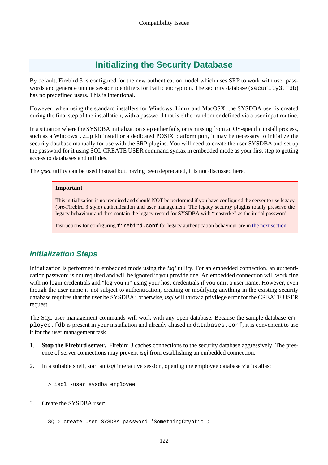# **Initializing the Security Database**

By default, Firebird 3 is configured for the new authentication model which uses SRP to work with user passwords and generate unique session identifiers for traffic encryption. The security database (security3.fdb) has no predefined users. This is intentional.

However, when using the standard installers for Windows, Linux and MacOSX, the SYSDBA user is created during the final step of the installation, with a password that is either random or defined via a user input routine.

In a situation where the SYSDBA initialization step either fails, or is missing from an OS-specific install process, such as a Windows . zip kit install or a dedicated POSIX platform port, it may be necessary to initialize the security database manually for use with the SRP plugins. You will need to create the user SYSDBA and set up the password for it using SQL CREATE USER command syntax in embedded mode as your first step to getting access to databases and utilities.

The *gsec* utility can be used instead but, having been deprecated, it is not discussed here.

### **Important**

This initialization is not required and should NOT be performed if you have configured the server to use legacy (pre-Firebird 3 style) authentication and user management. The legacy security plugins totally preserve the legacy behaviour and thus contain the legacy record for SYSDBA with "masterke" as the initial password.

Instructions for configuring firebird.conf for legacy authentication behaviour are in [the next section.](#page-132-0)

# **Initialization Steps**

Initialization is performed in embedded mode using the *isql* utility. For an embedded connection, an authentication password is not required and will be ignored if you provide one. An embedded connection will work fine with no login credentials and "log you in" using your host credentials if you omit a user name. However, even though the user name is not subject to authentication, creating or modifying anything in the existing security database requires that the user be SYSDBA; otherwise, *isql* will throw a privilege error for the CREATE USER request.

The SQL user management commands will work with any open database. Because the sample database employee.fdb is present in your installation and already aliased in databases.conf, it is convenient to use it for the user management task.

- 1. **Stop the Firebird server.** Firebird 3 caches connections to the security database aggressively. The presence of server connections may prevent *isql* from establishing an embedded connection.
- 2. In a suitable shell, start an *isql* interactive session, opening the employee database via its alias:

> isql -user sysdba employee

3. Create the SYSDBA user:

SQL> create user SYSDBA password 'SomethingCryptic';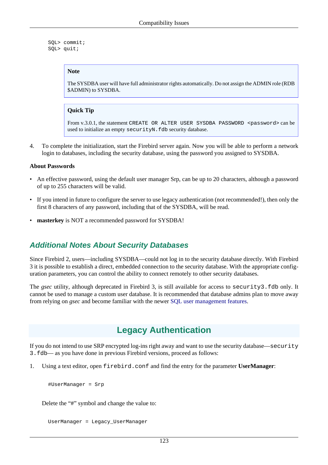```
 SQL> commit;
 SQL> quit;
```
### **Note**

The SYSDBA user will have full administrator rights automatically. Do not assign the ADMIN role (RDB \$ADMIN) to SYSDBA.

### **Quick Tip**

From v.3.0.1, the statement CREATE OR ALTER USER SYSDBA PASSWORD <password> can be used to initialize an empty securityN.fdb security database.

4. To complete the initialization, start the Firebird server again. Now you will be able to perform a network login to databases, including the security database, using the password you assigned to SYSDBA.

### **About Passwords**

- An effective password, using the default user manager Srp, can be up to 20 characters, although a password of up to 255 characters will be valid.
- If you intend in future to configure the server to use legacy authentication (not recommended!), then only the first 8 characters of any password, including that of the SYSDBA, will be read.
- **masterkey** is NOT a recommended password for SYSDBA!

### **Additional Notes About Security Databases**

Since Firebird 2, users—including SYSDBA—could not log in to the security database directly. With Firebird 3 it is possible to establish a direct, embedded connection to the security database. With the appropriate configuration parameters, you can control the ability to connect remotely to other security databases.

<span id="page-132-0"></span>The *gsec* utility, although deprecated in Firebird 3, is still available for access to security3.fdb only. It cannot be used to manage a custom user database. It is recommended that database admins plan to move away from relying on *gsec* and become familiar with the newer [SQL user management features.](#page-70-0)

# **Legacy Authentication**

If you do not intend to use SRP encrypted log-ins right away and want to use the security database—security 3.fdb— as you have done in previous Firebird versions, proceed as follows:

1. Using a text editor, open firebird.conf and find the entry for the parameter **UserManager**:

#UserManager = Srp

Delete the "#" symbol and change the value to:

```
 UserManager = Legacy_UserManager
```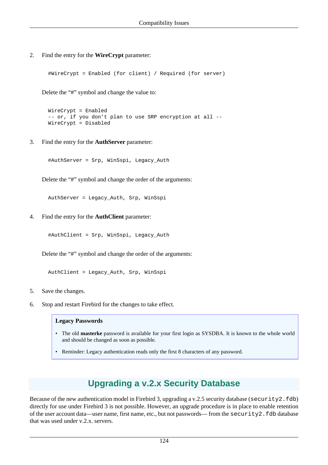2. Find the entry for the **WireCrypt** parameter:

#WireCrypt = Enabled (for client) / Required (for server)

Delete the "#" symbol and change the value to:

```
 WireCrypt = Enabled
 -- or, if you don't plan to use SRP encryption at all --
 WireCrypt = Disabled
```
3. Find the entry for the **AuthServer** parameter:

#AuthServer = Srp, WinSspi, Legacy\_Auth

Delete the "#" symbol and change the order of the arguments:

AuthServer = Legacy\_Auth, Srp, WinSspi

4. Find the entry for the **AuthClient** parameter:

#AuthClient = Srp, WinSspi, Legacy\_Auth

Delete the "#" symbol and change the order of the arguments:

AuthClient = Legacy\_Auth, Srp, WinSspi

- 5. Save the changes.
- 6. Stop and restart Firebird for the changes to take effect.

#### **Legacy Passwords**

- The old **masterke** password is available for your first login as SYSDBA. It is known to the whole world and should be changed as soon as possible.
- Reminder: Legacy authentication reads only the first 8 characters of any password.

# **Upgrading a v.2.x Security Database**

Because of the new authentication model in Firebird 3, upgrading a v.2.5 security database (security 2.fdb) directly for use under Firebird 3 is not possible. However, an upgrade procedure is in place to enable retention of the user account data—user name, first name, etc., but not passwords— from the security2.fdb database that was used under v.2.x. servers.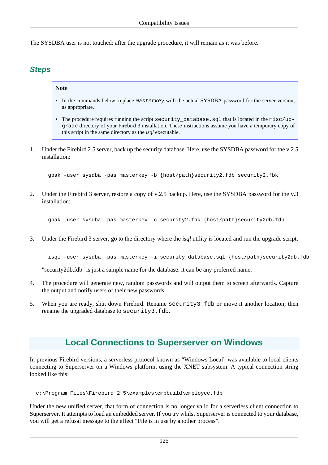The SYSDBA user is not touched: after the upgrade procedure, it will remain as it was before.

# **Steps**

### **Note**

- In the commands below, replace masterkey with the actual SYSDBA password for the server version, as appropriate.
- The procedure requires running the script security database.sql that is located in the misc/upgrade directory of your Firebird 3 installation. These instructions assume you have a temporary copy of this script in the same directory as the *isql* executable.
- 1. Under the Firebird 2.5 server, back up the security database. Here, use the SYSDBA password for the v.2.5 installation:

gbak -user sysdba -pas masterkey -b {host/path}security2.fdb security2.fbk

2. Under the Firebird 3 server, restore a copy of v.2.5 backup. Here, use the SYSDBA password for the v.3 installation:

gbak -user sysdba -pas masterkey -c security2.fbk {host/path}security2db.fdb

3. Under the Firebird 3 server, go to the directory where the *isql* utility is located and run the upgrade script:

isql -user sysdba -pas masterkey -i security\_database.sql {host/path}security2db.fdb

"security2db.fdb" is just a sample name for the database: it can be any preferred name.

- 4. The procedure will generate new, random passwords and will output them to screen afterwards. Capture the output and notify users of their new passwords.
- 5. When you are ready, shut down Firebird. Rename security3.fdb or move it another location; then rename the upgraded database to security3.fdb.

# **Local Connections to Superserver on Windows**

In previous Firebird versions, a serverless protocol known as "Windows Local" was available to local clients connecting to Superserver on a Windows platform, using the XNET subsystem. A typical connection string looked like this:

c:\Program Files\Firebird\_2\_5\examples\empbuild\employee.fdb

Under the new unified server, that form of connection is no longer valid for a serverless client connection to Superserver. It attempts to load an embedded server. If you try whilst Superserver is connected to your database, you will get a refusal message to the effect "File is in use by another process".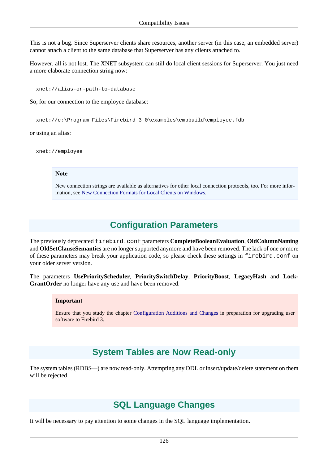This is not a bug. Since Superserver clients share resources, another server (in this case, an embedded server) cannot attach a client to the same database that Superserver has any clients attached to.

However, all is not lost. The XNET subsystem can still do local client sessions for Superserver. You just need a more elaborate connection string now:

xnet://alias-or-path-to-database

So, for our connection to the employee database:

xnet://c:\Program Files\Firebird\_3\_0\examples\empbuild\employee.fdb

or using an alias:

xnet://employee

#### **Note**

New connection strings are available as alternatives for other local connection protocols, too. For more information, see [New Connection Formats for Local Clients on Windows](#page-44-0).

# **Configuration Parameters**

The previously deprecated firebird.conf parameters **CompleteBooleanEvaluation**, **OldColumnNaming** and **OldSetClauseSemantics** are no longer supported anymore and have been removed. The lack of one or more of these parameters may break your application code, so please check these settings in firebird.conf on your older server version.

The parameters **UsePriorityScheduler**, **PrioritySwitchDelay**, **PriorityBoost**, **LegacyHash** and **Lock-GrantOrder** no longer have any use and have been removed.

#### **Important**

Ensure that you study the chapter [Configuration Additions and Changes](#page-50-0) in preparation for upgrading user software to Firebird 3.

# **System Tables are Now Read-only**

The system tables (RDB\$—) are now read-only. Attempting any DDL or insert/update/delete statement on them will be rejected.

# **SQL Language Changes**

It will be necessary to pay attention to some changes in the SQL language implementation.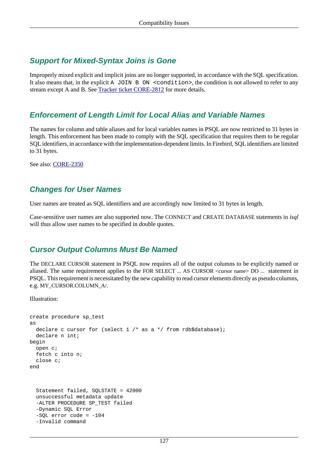# **Support for Mixed-Syntax Joins is Gone**

Improperly mixed explicit and implicit joins are no longer supported, in accordance with the SQL specification. It also means that, in the explicit A JOIN B ON <condition>, the condition is not allowed to refer to any stream except A and B. See [Tracker ticket CORE-2812](http://tracker.firebirdsql.org/browse/CORE-2812) for more details.

### **Enforcement of Length Limit for Local Alias and Variable Names**

The names for column and table aliases and for local variables names in PSQL are now restricted to 31 bytes in length. This enforcement has been made to comply with the SQL specification that requires them to be regular SQL identifiers, in accordance with the implementation-dependent limits. In Firebird, SQL identifiers are limited to 31 bytes.

See also: [CORE-2350](http://tracker.firebirdsql.org/browse/CORE-2350)

## **Changes for User Names**

User names are treated as SQL identifiers and are accordingly now limited to 31 bytes in length.

Case-sensitive user names are also supported now. The CONNECT and CREATE DATABASE statements in *isql* will thus allow user names to be specified in double quotes.

# **Cursor Output Columns Must Be Named**

The DECLARE CURSOR statement in PSQL now requires all of the output columns to be explicitly named or aliased. The same requirement applies to the FOR SELECT ... AS CURSOR <cursor name> DO ... statement in PSQL. This requirement is necessitated by the new capability to read cursor elements directly as pseudo columns, e.g. MY\_CURSOR.COLUMN\_A/.

Illustration:

```
create procedure sp_test
as
 declare c cursor for (select 1 /* as a */ from rdb$database);
  declare n int;
begin
  open c;
   fetch c into n;
   close c;
end
   Statement failed, SQLSTATE = 42000
   unsuccessful metadata update
  -ALTER PROCEDURE SP_TEST failed
   -Dynamic SQL Error
  -SOL error code = -104 -Invalid command
```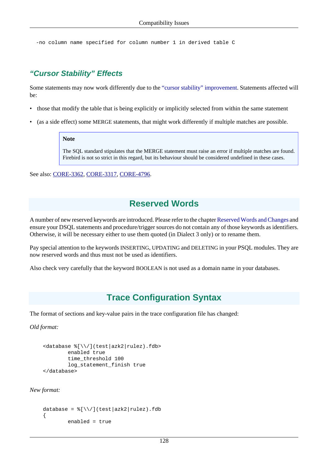-no column name specified for column number 1 in derived table C

### **"Cursor Stability" Effects**

Some statements may now work differently due to the ["cursor stability" improvement.](#page-118-0) Statements affected will be:

- those that modify the table that is being explicitly or implicitly selected from within the same statement
- (as a side effect) some MERGE statements, that might work differently if multiple matches are possible.

#### **Note**

The SQL standard stipulates that the MERGE statement must raise an error if multiple matches are found. Firebird is not so strict in this regard, but its behaviour should be considered undefined in these cases.

See also: [CORE-3362](http://tracker.firebirdsql.org/browse/CORE-3362), [CORE-3317,](http://tracker.firebirdsql.org/browse/CORE-3317) [CORE-4796](http://tracker.firebirdsql.org/browse/CORE-4796).

# **Reserved Words**

A number of new reserved keywords are introduced. Please refer to the chapter [Reserved Words and Changes](#page-49-0) and ensure your DSQL statements and procedure/trigger sources do not contain any of those keywords as identifiers. Otherwise, it will be necessary either to use them quoted (in Dialect 3 only) or to rename them.

Pay special attention to the keywords INSERTING, UPDATING and DELETING in your PSQL modules. They are now reserved words and thus must not be used as identifiers.

Also check very carefully that the keyword BOOLEAN is not used as a domain name in your databases.

# **Trace Configuration Syntax**

The format of sections and key-value pairs in the trace configuration file has changed:

*Old format:*

```
<database %[\\/](test|azk2|rulez).fdb>
         enabled true
         time_threshold 100
         log_statement_finish true
</database>
```
*New format:*

```
database = \frac{8}{\sqrt{1-\text{test}}} azk2|rulez).fdb
{
            enabled = true
```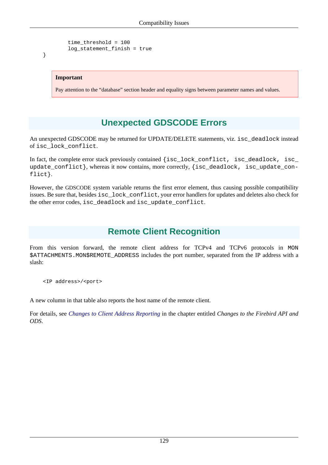```
 time_threshold = 100
 log_statement_finish = true
```
### **Important**

}

Pay attention to the "database" section header and equality signs between parameter names and values.

# **Unexpected GDSCODE Errors**

An unexpected GDSCODE may be returned for UPDATE/DELETE statements, viz. isc\_deadlock instead of isc\_lock\_conflict.

In fact, the complete error stack previously contained {isc\_lock\_conflict, isc\_deadlock, isc\_ update\_conflict}, whereas it now contains, more correctly, {isc\_deadlock, isc\_update\_conflict}.

However, the GDSCODE system variable returns the first error element, thus causing possible compatibility issues. Be sure that, besides isc\_lock\_conflict, your error handlers for updates and deletes also check for the other error codes, isc\_deadlock and isc\_update\_conflict.

# **Remote Client Recognition**

From this version forward, the remote client address for TCPv4 and TCPv6 protocols in MON \$ATTACHMENTS.MON\$REMOTE\_ADDRESS includes the port number, separated from the IP address with a slash:

<IP address>/<port>

A new column in that table also reports the host name of the remote client.

For details, see *[Changes to Client Address Reporting](#page-37-0)* in the chapter entitled *Changes to the Firebird API and ODS*.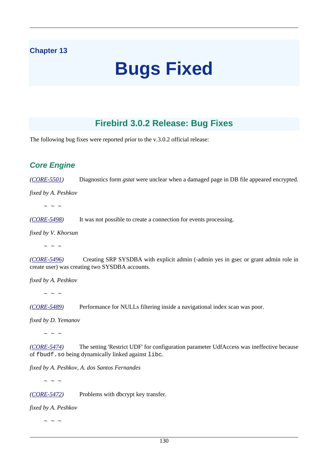## **Chapter 13**

# **Bugs Fixed**

# **Firebird 3.0.2 Release: Bug Fixes**

The following bug fixes were reported prior to the v.3.0.2 official release:

# **Core Engine**

*([CORE-5501](http://tracker.firebirdsql.org/browse/CORE-5501))* Diagnostics form *gstat* were unclear when a damaged page in DB file appeared encrypted.

*fixed by A. Peshkov*

 $\sim$   $\sim$   $\sim$ 

*([CORE-5498](http://tracker.firebirdsql.org/browse/CORE-5498))* It was not possible to create a connection for events processing.

*fixed by V. Khorsun*

 $\sim$  ~ ~

*([CORE-5496](http://tracker.firebirdsql.org/browse/CORE-5496))* Creating SRP SYSDBA with explicit admin (-admin yes in gsec or grant admin role in create user) was creating two SYSDBA accounts.

*fixed by A. Peshkov*

 $\sim$  ~ ~

*([CORE-5489](http://tracker.firebirdsql.org/browse/CORE-5489))* Performance for NULLs filtering inside a navigational index scan was poor.

*fixed by D. Yemanov*

 $\sim$   $\sim$   $\sim$ 

*([CORE-5474](http://tracker.firebirdsql.org/browse/CORE-5474))* The setting 'Restrict UDF' for configuration parameter UdfAccess was ineffective because of fbudf.so being dynamically linked against libc.

*fixed by A. Peshkov, A. dos Santos Fernandes*

 $\sim$  ~ ~

*([CORE-5472](http://tracker.firebirdsql.org/browse/CORE-5472))* Problems with dbcrypt key transfer.

*fixed by A. Peshkov*

 $\sim$   $\sim$   $\sim$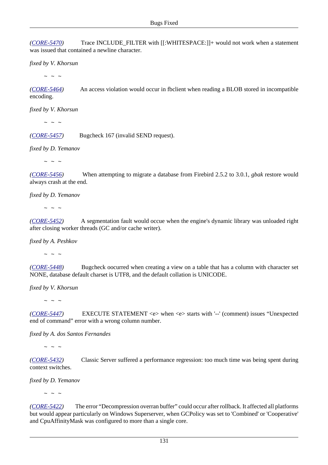*([CORE-5470](http://tracker.firebirdsql.org/browse/CORE-5470))* Trace INCLUDE\_FILTER with [[:WHITESPACE:]]+ would not work when a statement was issued that contained a newline character.

*fixed by V. Khorsun*

 $\sim$  ~ ~

*([CORE-5464](http://tracker.firebirdsql.org/browse/CORE-5464))* An access violation would occur in fbclient when reading a BLOB stored in incompatible encoding.

*fixed by V. Khorsun*

 $\sim$   $\sim$   $\sim$ 

*([CORE-5457](http://tracker.firebirdsql.org/browse/CORE-5457))* Bugcheck 167 (invalid SEND request).

*fixed by D. Yemanov*

 $\sim$  ~ ~

*([CORE-5456](http://tracker.firebirdsql.org/browse/CORE-5456))* When attempting to migrate a database from Firebird 2.5.2 to 3.0.1, *gbak* restore would always crash at the end.

*fixed by D. Yemanov*

 $\sim$  ~ ~

*([CORE-5452](http://tracker.firebirdsql.org/browse/CORE-5452))* A segmentation fault would occue when the engine's dynamic library was unloaded right after closing worker threads (GC and/or cache writer).

*fixed by A. Peshkov*

 $\sim$  ~ ~

*([CORE-5448](http://tracker.firebirdsql.org/browse/CORE-5448))* Bugcheck oocurred when creating a view on a table that has a column with character set NONE, database default charset is UTF8, and the default collation is UNICODE.

*fixed by V. Khorsun*

 $\sim$  ~ ~

*([CORE-5447](http://tracker.firebirdsql.org/browse/CORE-5447))* EXECUTE STATEMENT <e> when <e> starts with '--' (comment) issues "Unexpected end of command" error with a wrong column number.

*fixed by A. dos Santos Fernandes*

 $\sim$  ~ ~

*([CORE-5432](http://tracker.firebirdsql.org/browse/CORE-5432))* Classic Server suffered a performance regression: too much time was being spent during context switches.

*fixed by D. Yemanov*

 $\sim$   $\sim$   $\sim$ 

*([CORE-5422](http://tracker.firebirdsql.org/browse/CORE-5422))* The error "Decompression overran buffer" could occur after rollback. It affected all platforms but would appear particularly on Windows Superserver, when GCPolicy was set to 'Combined' or 'Cooperative' and CpuAffinityMask was configured to more than a single core.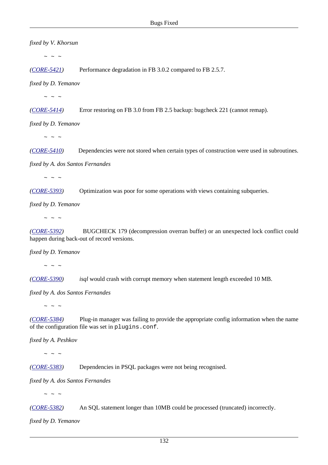*fixed by V. Khorsun*  $\sim$  ~ ~ *([CORE-5421](http://tracker.firebirdsql.org/browse/CORE-5421))* Performance degradation in FB 3.0.2 compared to FB 2.5.7. *fixed by D. Yemanov*  $\sim$  ~ ~ *([CORE-5414](http://tracker.firebirdsql.org/browse/CORE-5414))* Error restoring on FB 3.0 from FB 2.5 backup: bugcheck 221 (cannot remap). *fixed by D. Yemanov*  $\sim$  ~ ~ *([CORE-5410](http://tracker.firebirdsql.org/browse/CORE-5410))* Dependencies were not stored when certain types of construction were used in subroutines. *fixed by A. dos Santos Fernandes*  $\sim$   $\sim$   $\sim$ *([CORE-5393](http://tracker.firebirdsql.org/browse/CORE-5393))* Optimization was poor for some operations with views containing subqueries. *fixed by D. Yemanov*  $\sim$  ~ ~ *([CORE-5392](http://tracker.firebirdsql.org/browse/CORE-5392))* BUGCHECK 179 (decompression overran buffer) or an unexpected lock conflict could happen during back-out of record versions. *fixed by D. Yemanov*  $\sim$  ~ ~ *([CORE-5390](http://tracker.firebirdsql.org/browse/CORE-5390)) isql* would crash with corrupt memory when statement length exceeded 10 MB. *fixed by A. dos Santos Fernandes*  $\sim$  ~ ~ *([CORE-5384](http://tracker.firebirdsql.org/browse/CORE-5384))* Plug-in manager was failing to provide the appropriate config information when the name of the configuration file was set in plugins.conf.

*fixed by A. Peshkov*

 $\sim$  ~ ~

*([CORE-5383](http://tracker.firebirdsql.org/browse/CORE-5383))* Dependencies in PSQL packages were not being recognised.

*fixed by A. dos Santos Fernandes*

 $\sim$   $\sim$   $\sim$ 

*([CORE-5382](http://tracker.firebirdsql.org/browse/CORE-5382))* An SQL statement longer than 10MB could be processed (truncated) incorrectly.

*fixed by D. Yemanov*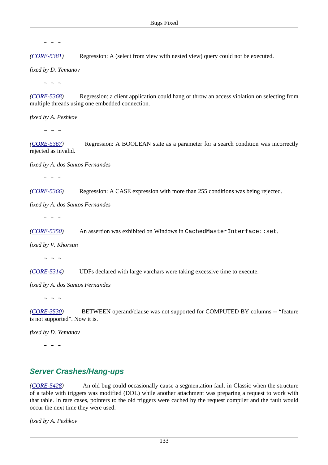$\sim$  ~ ~

*([CORE-5381](http://tracker.firebirdsql.org/browse/CORE-5381))* Regression: A (select from view with nested view) query could not be executed.

*fixed by D. Yemanov*

 $\sim$  ~ ~

*([CORE-5368](http://tracker.firebirdsql.org/browse/CORE-5368))* Regression: a client application could hang or throw an access violation on selecting from multiple threads using one embedded connection.

*fixed by A. Peshkov*

 $\sim$  ~ ~

*([CORE-5367](http://tracker.firebirdsql.org/browse/CORE-5367))* Regression: A BOOLEAN state as a parameter for a search condition was incorrectly rejected as invalid.

*fixed by A. dos Santos Fernandes*

 $\sim$  ~ ~

*([CORE-5366](http://tracker.firebirdsql.org/browse/CORE-5366))* Regression: A CASE expression with more than 255 conditions was being rejected.

*fixed by A. dos Santos Fernandes*

 $\sim$  ~ ~

*([CORE-5350](http://tracker.firebirdsql.org/browse/CORE-5350))* An assertion was exhibited on Windows in CachedMasterInterface::set.

*fixed by V. Khorsun*

 $\sim$  ~ ~

*([CORE-5314](http://tracker.firebirdsql.org/browse/CORE-5314))* UDFs declared with large varchars were taking excessive time to execute.

*fixed by A. dos Santos Fernandes*

 $\sim$  ~ ~

*([CORE-3530](http://tracker.firebirdsql.org/browse/CORE-3530))* BETWEEN operand/clause was not supported for COMPUTED BY columns -- "feature" is not supported". Now it is.

*fixed by D. Yemanov*

 $\sim$   $\sim$   $\sim$ 

## **Server Crashes/Hang-ups**

*([CORE-5428](http://tracker.firebirdsql.org/browse/CORE-5428))* An old bug could occasionally cause a segmentation fault in Classic when the structure of a table with triggers was modified (DDL) while another attachment was preparing a request to work with that table. In rare cases, pointers to the old triggers were cached by the request compiler and the fault would occur the next time they were used.

*fixed by A. Peshkov*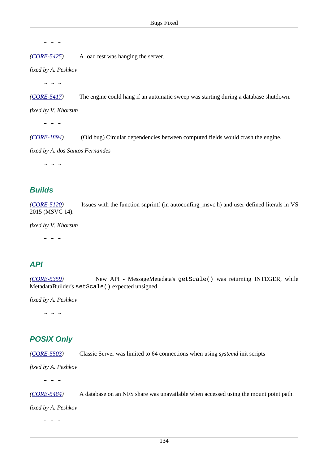$\sim$  ~ ~

*([CORE-5425](http://tracker.firebirdsql.org/browse/CORE-5425))* A load test was hanging the server.

*fixed by A. Peshkov*

 $\sim$  ~ ~

*([CORE-5417](http://tracker.firebirdsql.org/browse/CORE-5417))* The engine could hang if an automatic sweep was starting during a database shutdown.

*fixed by V. Khorsun*

 $\sim$  ~ ~

*([CORE-1894](http://tracker.firebirdsql.org/browse/CORE-1894))* (Old bug) Circular dependencies between computed fields would crash the engine.

*fixed by A. dos Santos Fernandes*

 $\sim$   $\sim$   $\sim$ 

### **Builds**

*([CORE-5120](http://tracker.firebirdsql.org/browse/CORE-5120))* Issues with the function snprintf (in autoconfing\_msvc.h) and user-defined literals in VS 2015 (MSVC 14).

*fixed by V. Khorsun*

 $\sim$   $\sim$   $\sim$ 

## **API**

*([CORE-5359](http://tracker.firebirdsql.org/browse/CORE-5359))* New API - MessageMetadata's getScale() was returning INTEGER, while MetadataBuilder's setScale() expected unsigned.

*fixed by A. Peshkov*

 $\sim$  ~ ~

## **POSIX Only**

*([CORE-5503](http://tracker.firebirdsql.org/browse/CORE-5503))* Classic Server was limited to 64 connections when using *systemd* init scripts

*fixed by A. Peshkov*

 $\sim$  ~ ~

*([CORE-5484](http://tracker.firebirdsql.org/browse/CORE-5484))* A database on an NFS share was unavailable when accessed using the mount point path.

*fixed by A. Peshkov*

 $\sim$   $\sim$   $\sim$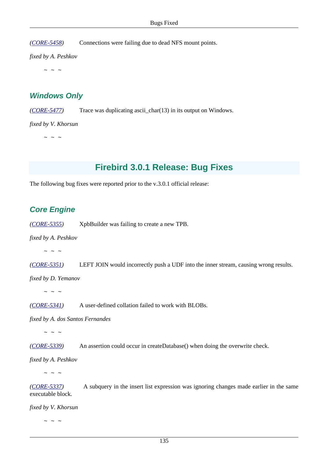*([CORE-5458](http://tracker.firebirdsql.org/browse/CORE-5458))* Connections were failing due to dead NFS mount points.

*fixed by A. Peshkov*

 $\sim$  ~ ~

## **Windows Only**

*([CORE-5477](http://tracker.firebirdsql.org/browse/CORE-5477))* Trace was duplicating ascii\_char(13) in its output on Windows.

*fixed by V. Khorsun*

 $\sim$   $\sim$   $\sim$ 

## **Firebird 3.0.1 Release: Bug Fixes**

The following bug fixes were reported prior to the v.3.0.1 official release:

## **Core Engine**

*([CORE-5355](http://tracker.firebirdsql.org/browse/CORE-5355))* XpbBuilder was failing to create a new TPB.

*fixed by A. Peshkov*

 $\sim$  ~ ~

*([CORE-5351](http://tracker.firebirdsql.org/browse/CORE-5351))* LEFT JOIN would incorrectly push a UDF into the inner stream, causing wrong results.

*fixed by D. Yemanov*

 $\sim$  ~ ~

*([CORE-5341](http://tracker.firebirdsql.org/browse/CORE-5341))* A user-defined collation failed to work with BLOBs.

*fixed by A. dos Santos Fernandes*

 $\sim$   $\sim$   $\sim$ 

*([CORE-5339](http://tracker.firebirdsql.org/browse/CORE-5339))* An assertion could occur in createDatabase() when doing the overwrite check.

*fixed by A. Peshkov*

 $\sim$  ~ ~

*([CORE-5337](http://tracker.firebirdsql.org/browse/CORE-5337))* A subquery in the insert list expression was ignoring changes made earlier in the same executable block.

*fixed by V. Khorsun*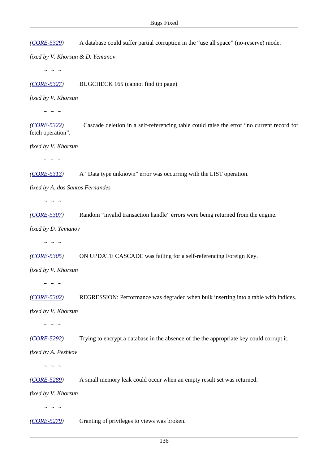*([CORE-5329](http://tracker.firebirdsql.org/browse/CORE-5329))* A database could suffer partial corruption in the "use all space" (no-reserve) mode.

*fixed by V. Khorsun & D. Yemanov*

 $\sim$  ~ ~

*([CORE-5327](http://tracker.firebirdsql.org/browse/CORE-5327))* BUGCHECK 165 (cannot find tip page)

*fixed by V. Khorsun*

 $\sim$  ~ ~

*([CORE-5322](http://tracker.firebirdsql.org/browse/CORE-5322))* Cascade deletion in a self-referencing table could raise the error "no current record for fetch operation".

*fixed by V. Khorsun*

 $\sim$  ~ ~

*([CORE-5313](http://tracker.firebirdsql.org/browse/CORE-5313))* A "Data type unknown" error was occurring with the LIST operation.

*fixed by A. dos Santos Fernandes*

 $\sim$   $\sim$   $\sim$ 

*([CORE-5307](http://tracker.firebirdsql.org/browse/CORE-5307))* Random "invalid transaction handle" errors were being returned from the engine.

*fixed by D. Yemanov*

 $\sim$  ~ ~

*([CORE-5305](http://tracker.firebirdsql.org/browse/CORE-5305))* ON UPDATE CASCADE was failing for a self-referencing Foreign Key.

*fixed by V. Khorsun*

 $\sim$   $\sim$   $\sim$ 

*([CORE-5302](http://tracker.firebirdsql.org/browse/CORE-5302))* REGRESSION: Performance was degraded when bulk inserting into a table with indices.

*fixed by V. Khorsun*

 $\sim$  ~ ~

*([CORE-5292](http://tracker.firebirdsql.org/browse/CORE-5292))* Trying to encrypt a database in the absence of the the appropriate key could corrupt it.

*fixed by A. Peshkov*

 $\sim$  ~ ~

*([CORE-5289](http://tracker.firebirdsql.org/browse/CORE-5289))* A small memory leak could occur when an empty result set was returned.

*fixed by V. Khorsun*

 $\sim$  ~ ~

*([CORE-5279](http://tracker.firebirdsql.org/browse/CORE-5279))* Granting of privileges to views was broken.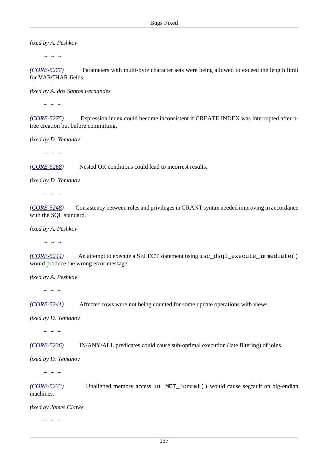*fixed by A. Peshkov*

 $\sim$  ~ ~

*([CORE-5277](http://tracker.firebirdsql.org/browse/CORE-5277))* Parameters with multi-byte character sets were being allowed to exceed the length limit for VARCHAR fields.

*fixed by A. dos Santos Fernandes*

 $\sim$  ~ ~

*([CORE-5275](http://tracker.firebirdsql.org/browse/CORE-5275))* Expression index could become inconsistent if CREATE INDEX was interrupted after btree creation but before committing.

*fixed by D. Yemanov*

 $\sim$  ~ ~

*([CORE-5268](http://tracker.firebirdsql.org/browse/CORE-5268))* Nested OR conditions could lead to incorrest results.

*fixed by D. Yemanov*

 $\sim$  ~ ~

*([CORE-5248](http://tracker.firebirdsql.org/browse/CORE-5248))* Consistency between roles and privileges in GRANT syntax needed improving in accordance with the SQL standard.

*fixed by A. Peshkov*

 $\sim$  ~ ~

*([CORE-5244](http://tracker.firebirdsql.org/browse/CORE-5244))* An attempt to execute a SELECT statement using isc\_dsql\_execute\_immediate() would produce the wrong error message.

*fixed by A. Peshkov*

 $\sim$  ~ ~

*([CORE-5241](http://tracker.firebirdsql.org/browse/CORE-5241))* Affected rows were not being counted for some update operations with views.

*fixed by D. Yemanov*

 $\sim$  ~ ~

*([CORE-5236](http://tracker.firebirdsql.org/browse/CORE-5236))* IN/ANY/ALL predicates could cause sub-optimal execution (late filtering) of joins.

*fixed by D. Yemanov*

 $\sim$  ~ ~

*([CORE-5233](http://tracker.firebirdsql.org/browse/CORE-5233))* Unaligned memory access in MET\_format() would cause segfault on big-endian machines.

*fixed by James Clarke*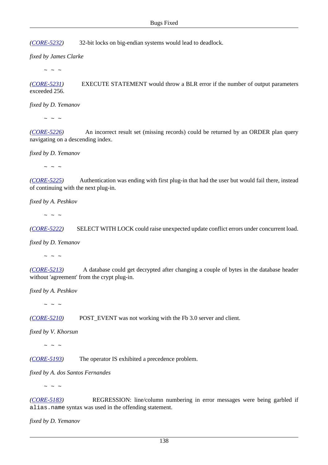*([CORE-5232](http://tracker.firebirdsql.org/browse/CORE-5232))* 32-bit locks on big-endian systems would lead to deadlock.

*fixed by James Clarke*

 $\sim$  ~ ~

*([CORE-5231](http://tracker.firebirdsql.org/browse/CORE-5231))* EXECUTE STATEMENT would throw a BLR error if the number of output parameters exceeded 256.

*fixed by D. Yemanov*

 $\sim$  ~ ~

*([CORE-5226](http://tracker.firebirdsql.org/browse/CORE-5226))* An incorrect result set (missing records) could be returned by an ORDER plan query navigating on a descending index.

*fixed by D. Yemanov*

 $\sim$  ~ ~

*([CORE-5225](http://tracker.firebirdsql.org/browse/CORE-5225))* Authentication was ending with first plug-in that had the user but would fail there, instead of continuing with the next plug-in.

*fixed by A. Peshkov*

 $\sim$  ~ ~

*([CORE-5222](http://tracker.firebirdsql.org/browse/CORE-5222))* SELECT WITH LOCK could raise unexpected update conflict errors under concurrent load.

*fixed by D. Yemanov*

 $\sim$  ~ ~

*([CORE-5213](http://tracker.firebirdsql.org/browse/CORE-5213))* A database could get decrypted after changing a couple of bytes in the database header without 'agreement' from the crypt plug-in.

*fixed by A. Peshkov*

 $\sim$  ~ ~

*([CORE-5210](http://tracker.firebirdsql.org/browse/CORE-5210))* POST\_EVENT was not working with the Fb 3.0 server and client.

*fixed by V. Khorsun*

 $\sim$   $\sim$   $\sim$ 

*([CORE-5193](http://tracker.firebirdsql.org/browse/CORE-5193))* The operator IS exhibited a precedence problem.

*fixed by A. dos Santos Fernandes*

 $\sim$  ~ ~

*([CORE-5183](http://tracker.firebirdsql.org/browse/CORE-5183))* REGRESSION: line/column numbering in error messages were being garbled if alias.name syntax was used in the offending statement.

*fixed by D. Yemanov*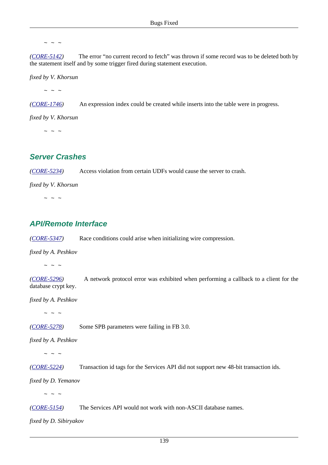*([CORE-5142](http://tracker.firebirdsql.org/browse/CORE-5142))* The error "no current record to fetch" was thrown if some record was to be deleted both by the statement itself and by some trigger fired during statement execution.

*fixed by V. Khorsun*

 $\sim$   $\sim$   $\sim$ 

*([CORE-1746](http://tracker.firebirdsql.org/browse/CORE-1746))* An expression index could be created while inserts into the table were in progress.

*fixed by V. Khorsun*

 $\sim$  ~ ~

### **Server Crashes**

*([CORE-5234](http://tracker.firebirdsql.org/browse/CORE-5234))* Access violation from certain UDFs would cause the server to crash.

*fixed by V. Khorsun*

 $\sim$  ~ ~

## **API/Remote Interface**

*([CORE-5347](http://tracker.firebirdsql.org/browse/CORE-5347))* Race conditions could arise when initializing wire compression.

*fixed by A. Peshkov*

 $\sim$  ~ ~

*([CORE-5296](http://tracker.firebirdsql.org/browse/CORE-5296))* A network protocol error was exhibited when performing a callback to a client for the database crypt key.

*fixed by A. Peshkov*

 $\sim$  ~ ~

*([CORE-5278](http://tracker.firebirdsql.org/browse/CORE-5278))* Some SPB parameters were failing in FB 3.0.

*fixed by A. Peshkov*

 $\sim$  ~ ~

*([CORE-5224](http://tracker.firebirdsql.org/browse/CORE-5224))* Transaction id tags for the Services API did not support new 48-bit transaction ids.

*fixed by D. Yemanov*

 $\sim$  ~ ~

*([CORE-5154](http://tracker.firebirdsql.org/browse/CORE-5154))* The Services API would not work with non-ASCII database names.

*fixed by D. Sibiryakov*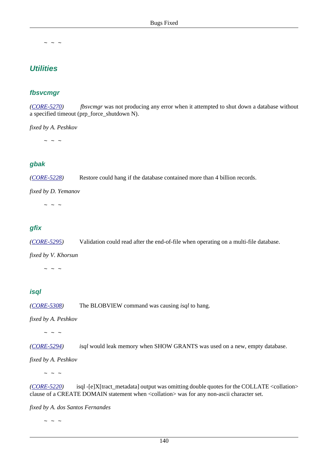## **Utilities**

### **fbsvcmgr**

*([CORE-5270](http://tracker.firebirdsql.org/browse/CORE-5270)) fbsvcmgr* was not producing any error when it attempted to shut down a database without a specified timeout (prp\_force\_shutdown N).

#### *fixed by A. Peshkov*

 $\sim$   $\sim$   $\sim$ 

### **gbak**

*([CORE-5228](http://tracker.firebirdsql.org/browse/CORE-5228))* Restore could hang if the database contained more than 4 billion records.

*fixed by D. Yemanov*

 $\sim$  ~ ~

### **gfix**

*([CORE-5295](http://tracker.firebirdsql.org/browse/CORE-5295))* Validation could read after the end-of-file when operating on a multi-file database.

*fixed by V. Khorsun*

 $\sim$  ~ ~

### **isql**

*([CORE-5308](http://tracker.firebirdsql.org/browse/CORE-5308))* The BLOBVIEW command was causing *isql* to hang.

*fixed by A. Peshkov*

 $\sim$   $\sim$   $\sim$ 

*([CORE-5294](http://tracker.firebirdsql.org/browse/CORE-5294)) isql* would leak memory when SHOW GRANTS was used on a new, empty database.

*fixed by A. Peshkov*

 $\sim$  ~ ~

*([CORE-5220](http://tracker.firebirdsql.org/browse/CORE-5220))* isql -[e]X[tract\_metadata] output was omitting double quotes for the COLLATE <collation> clause of a CREATE DOMAIN statement when <collation> was for any non-ascii character set.

*fixed by A. dos Santos Fernandes*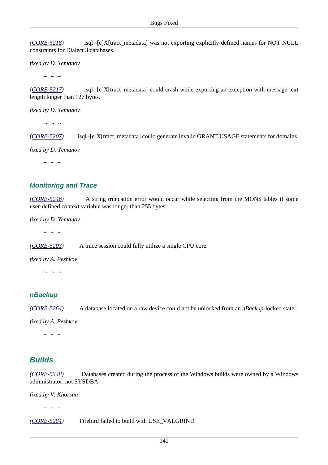*([CORE-5218](http://tracker.firebirdsql.org/browse/CORE-5218))* isql -[e]X[tract\_metadata] was not exporting explicitly defined names for NOT NULL constraints for Dialect 3 databases.

*fixed by D. Yemanov*

 $\sim$  ~ ~

*([CORE-5217](http://tracker.firebirdsql.org/browse/CORE-5217))* isql -[e]X[tract\_metadata] could crash while exporting an exception with message text length longer than 127 bytes.

*fixed by D. Yemanov*

 $\sim$  ~ ~

*([CORE-5207](http://tracker.firebirdsql.org/browse/CORE-5207))* isql -[e]X[tract\_metadata] could generate invalid GRANT USAGE statements for domains.

*fixed by D. Yemanov*

 $\sim$  ~ ~

### **Monitoring and Trace**

*([CORE-5246](http://tracker.firebirdsql.org/browse/CORE-5246))* A string truncation error would occur while selecting from the MON\$ tables if some user-defined context variable was longer than 255 bytes.

*fixed by D. Yemanov*

 $\sim$  ~ ~

*([CORE-5203](http://tracker.firebirdsql.org/browse/CORE-5203))* A trace session could fully utilize a single CPU core.

*fixed by A. Peshkov*

 $\sim$  ~ ~

#### **nBackup**

*([CORE-5264](http://tracker.firebirdsql.org/browse/CORE-5264))* A database located on a raw device could not be unlocked from an *nBackup*-locked state.

*fixed by A. Peshkov*

 $\sim$  ~ ~

## **Builds**

*([CORE-5348](http://tracker.firebirdsql.org/browse/CORE-5348))* Databases created during the process of the Windows builds were owned by a Windows administrator, not SYSDBA.

*fixed by V. Khorsun*

 $\sim$  ~ ~

*([CORE-5284](http://tracker.firebirdsql.org/browse/CORE-5284))* Firebird failed to build with USE\_VALGRIND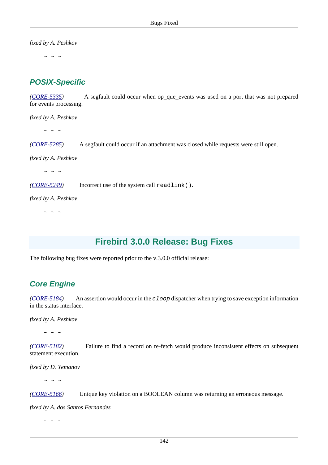*fixed by A. Peshkov*

 $\sim$  ~ ~

## **POSIX-Specific**

*([CORE-5335](http://tracker.firebirdsql.org/browse/CORE-5335))* A segfault could occur when op\_que\_events was used on a port that was not prepared for events processing.

*fixed by A. Peshkov*

 $\sim$  ~ ~

*([CORE-5285](http://tracker.firebirdsql.org/browse/CORE-5285))* A segfault could occur if an attachment was closed while requests were still open.

*fixed by A. Peshkov*

 $\sim$   $\sim$   $\sim$ 

*([CORE-5249](http://tracker.firebirdsql.org/browse/CORE-5249))* Incorrect use of the system call readlink().

*fixed by A. Peshkov*

 $\sim$  ~ ~

# **Firebird 3.0.0 Release: Bug Fixes**

The following bug fixes were reported prior to the v.3.0.0 official release:

## **Core Engine**

*([CORE-5184](http://tracker.firebirdsql.org/browse/CORE-5184))* An assertion would occur in the cloop dispatcher when trying to save exception information in the status interface.

*fixed by A. Peshkov*

 $\sim$  ~ ~

*([CORE-5182](http://tracker.firebirdsql.org/browse/CORE-5182))* Failure to find a record on re-fetch would produce inconsistent effects on subsequent statement execution.

*fixed by D. Yemanov*

 $\sim$  ~ ~

*([CORE-5166](http://tracker.firebirdsql.org/browse/CORE-5166))* Unique key violation on a BOOLEAN column was returning an erroneous message.

*fixed by A. dos Santos Fernandes*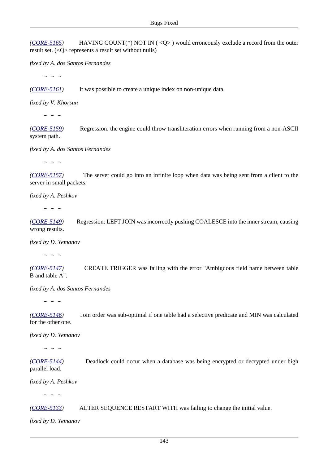*([CORE-5165](http://tracker.firebirdsql.org/browse/CORE-5165))* HAVING COUNT(\*) NOT IN ( <Q> ) would erroneously exclude a record from the outer result set. (<Q> represents a result set without nulls)

*fixed by A. dos Santos Fernandes*

 $\sim$  ~ ~

*([CORE-5161](http://tracker.firebirdsql.org/browse/CORE-5161))* It was possible to create a unique index on non-unique data.

*fixed by V. Khorsun*

 $\sim$   $\sim$   $\sim$ 

*([CORE-5159](http://tracker.firebirdsql.org/browse/CORE-5159))* Regression: the engine could throw transliteration errors when running from a non-ASCII system path.

*fixed by A. dos Santos Fernandes*

 $\sim$  ~ ~

*([CORE-5157](http://tracker.firebirdsql.org/browse/CORE-5157))* The server could go into an infinite loop when data was being sent from a client to the server in small packets.

*fixed by A. Peshkov*

 $\sim$   $\sim$   $\sim$ 

*([CORE-5149](http://tracker.firebirdsql.org/browse/CORE-5149))* Regression: LEFT JOIN was incorrectly pushing COALESCE into the inner stream, causing wrong results.

*fixed by D. Yemanov*

 $\sim$   $\sim$   $\sim$ 

*([CORE-5147](http://tracker.firebirdsql.org/browse/CORE-5147))* CREATE TRIGGER was failing with the error "Ambiguous field name between table B and table A".

*fixed by A. dos Santos Fernandes*

 $\sim$   $\sim$   $\sim$ 

*([CORE-5146](http://tracker.firebirdsql.org/browse/CORE-5146))* Join order was sub-optimal if one table had a selective predicate and MIN was calculated for the other one.

*fixed by D. Yemanov*

 $\sim$  ~ ~

*([CORE-5144](http://tracker.firebirdsql.org/browse/CORE-5144))* Deadlock could occur when a database was being encrypted or decrypted under high parallel load.

*fixed by A. Peshkov*

 $\sim$   $\sim$   $\sim$ 

*([CORE-5133](http://tracker.firebirdsql.org/browse/CORE-5133))* ALTER SEQUENCE RESTART WITH was failing to change the initial value.

*fixed by D. Yemanov*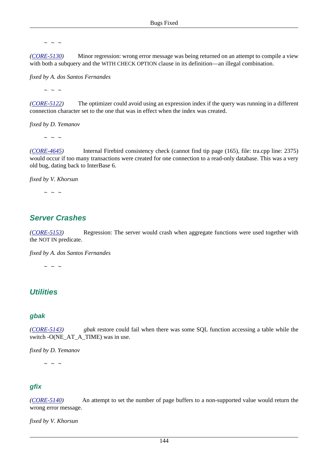*([CORE-5130](http://tracker.firebirdsql.org/browse/CORE-5130))* Minor regression: wrong error message was being returned on an attempt to compile a view with both a subquery and the WITH CHECK OPTION clause in its definition—an illegal combination.

*fixed by A. dos Santos Fernandes*

 $\sim$  ~ ~

*([CORE-5122](http://tracker.firebirdsql.org/browse/CORE-5122))* The optimizer could avoid using an expression index if the query was running in a different connection character set to the one that was in effect when the index was created.

*fixed by D. Yemanov*

 $\sim$  ~ ~

*([CORE-4645](http://tracker.firebirdsql.org/browse/CORE-4645))* Internal Firebird consistency check (cannot find tip page (165), file: tra.cpp line: 2375) would occur if too many transactions were created for one connection to a read-only database. This was a very old bug, dating back to InterBase 6.

*fixed by V. Khorsun*

 $\sim$  ~ ~

## **Server Crashes**

*([CORE-5153](http://tracker.firebirdsql.org/browse/CORE-5153))* Regression: The server would crash when aggregate functions were used together with the NOT IN predicate.

*fixed by A. dos Santos Fernandes*

 $\sim$  ~ ~

## **Utilities**

#### **gbak**

*([CORE-5143](http://tracker.firebirdsql.org/browse/CORE-5143)) gbak* restore could fail when there was some SQL function accessing a table while the switch -O(NE\_AT\_A\_TIME) was in use.

*fixed by D. Yemanov*

 $\sim$   $\sim$   $\sim$ 

#### **gfix**

*([CORE-5140](http://tracker.firebirdsql.org/browse/CORE-5140))* An attempt to set the number of page buffers to a non-supported value would return the wrong error message.

*fixed by V. Khorsun*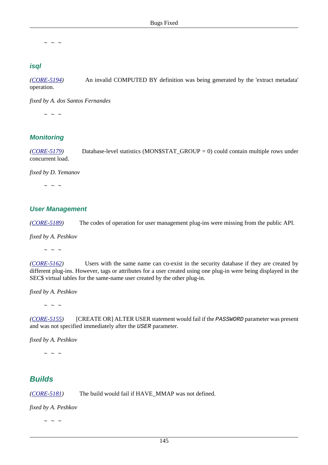#### **isql**

*([CORE-5194](http://tracker.firebirdsql.org/browse/CORE-5194))* An invalid COMPUTED BY definition was being generated by the 'extract metadata' operation.

*fixed by A. dos Santos Fernandes*

 $\sim$  ~ ~

### **Monitoring**

*([CORE-5179](http://tracker.firebirdsql.org/browse/CORE-5179))* Database-level statistics (MON\$STAT\_GROUP = 0) could contain multiple rows under concurrent load.

*fixed by D. Yemanov*

 $\sim$  ~ ~

#### **User Management**

*([CORE-5189](http://tracker.firebirdsql.org/browse/CORE-5189))* The codes of operation for user management plug-ins were missing from the public API.

*fixed by A. Peshkov*

 $\sim$  ~ ~

*([CORE-5162](http://tracker.firebirdsql.org/browse/CORE-5162))* Users with the same name can co-exist in the security database if they are created by different plug-ins. However, tags or attributes for a user created using one plug-in were being displayed in the SEC\$ virtual tables for the same-name user created by the other plug-in.

*fixed by A. Peshkov*

 $\sim$  ~ ~

*([CORE-5155](http://tracker.firebirdsql.org/browse/CORE-5155))* [CREATE OR] ALTER USER statement would fail if the PASSWORD parameter was present and was not specified immediately after the USER parameter.

*fixed by A. Peshkov*

 $\sim$  ~ ~

## **Builds**

*([CORE-5181](http://tracker.firebirdsql.org/browse/CORE-5181))* The build would fail if HAVE\_MMAP was not defined.

*fixed by A. Peshkov*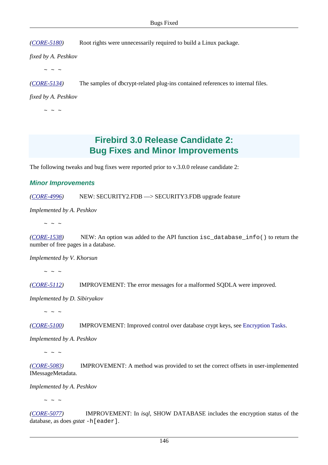*([CORE-5180](http://tracker.firebirdsql.org/browse/CORE-5180))* Root rights were unnecessarily required to build a Linux package.

*fixed by A. Peshkov*

 $\sim$  ~ ~

*([CORE-5134](http://tracker.firebirdsql.org/browse/CORE-5134))* The samples of dbcrypt-related plug-ins contained references to internal files.

*fixed by A. Peshkov*

 $\sim$  ~ ~

# **Firebird 3.0 Release Candidate 2: Bug Fixes and Minor Improvements**

The following tweaks and bug fixes were reported prior to v.3.0.0 release candidate 2:

#### **Minor Improvements**

*([CORE-4996](http://tracker.firebirdsql.org/browse/CORE-4996))* NEW: SECURITY2.FDB —> SECURITY3.FDB upgrade feature

*Implemented by A. Peshkov*

 $\sim$  ~ ~

*([CORE-1538](http://tracker.firebirdsql.org/browse/CORE-1538))* NEW: An option was added to the API function isc\_database\_info() to return the number of free pages in a database.

*Implemented by V. Khorsun*

 $\sim$  ~ ~

*([CORE-5112](http://tracker.firebirdsql.org/browse/CORE-5112))* IMPROVEMENT: The error messages for a malformed SQDLA were improved.

*Implemented by D. Sibiryakov*

 $\sim$  ~ ~

*([CORE-5100](http://tracker.firebirdsql.org/browse/CORE-5100))* IMPROVEMENT: Improved control over database crypt keys, see [Encryption Tasks](#page-60-0).

*Implemented by A. Peshkov*

 $\sim$  ~ ~

*([CORE-5083](http://tracker.firebirdsql.org/browse/CORE-5083))* IMPROVEMENT: A method was provided to set the correct offsets in user-implemented IMessageMetadata.

*Implemented by A. Peshkov*

 $\sim$  ~ ~

*([CORE-5077](http://tracker.firebirdsql.org/browse/CORE-5077))* IMPROVEMENT: In *isql*, SHOW DATABASE includes the encryption status of the database, as does *gstat* -h[eader].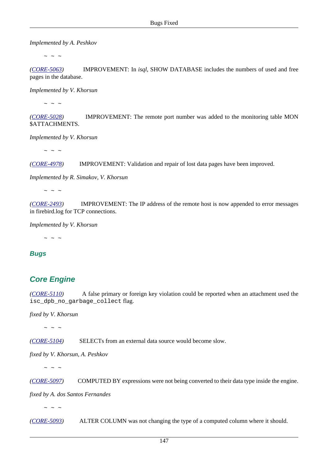*Implemented by A. Peshkov*

 $\sim$  ~ ~

*([CORE-5063](http://tracker.firebirdsql.org/browse/CORE-5063))* IMPROVEMENT: In *isql*, SHOW DATABASE includes the numbers of used and free pages in the database.

*Implemented by V. Khorsun*

 $\sim$   $\sim$   $\sim$ 

*([CORE-5028](http://tracker.firebirdsql.org/browse/CORE-5028))* IMPROVEMENT: The remote port number was added to the monitoring table MON \$ATTACHMENTS.

*Implemented by V. Khorsun*

 $\sim$  ~ ~

*([CORE-4978](http://tracker.firebirdsql.org/browse/CORE-4978))* IMPROVEMENT: Validation and repair of lost data pages have been improved.

*Implemented by R. Simakov, V. Khorsun*

 $\sim$  ~ ~

*([CORE-2493](http://tracker.firebirdsql.org/browse/CORE-2493))* IMPROVEMENT: The IP address of the remote host is now appended to error messages in firebird.log for TCP connections.

*Implemented by V. Khorsun*

 $\sim$  ~ ~

**Bugs**

## **Core Engine**

*([CORE-5110](http://tracker.firebirdsql.org/browse/CORE-5110))* A false primary or foreign key violation could be reported when an attachment used the isc\_dpb\_no\_garbage\_collect flag.

*fixed by V. Khorsun*

 $\sim$  ~ ~

*([CORE-5104](http://tracker.firebirdsql.org/browse/CORE-5104))* SELECTs from an external data source would become slow.

*fixed by V. Khorsun, A. Peshkov*

 $\sim$  ~ ~

*([CORE-5097](http://tracker.firebirdsql.org/browse/CORE-5097))* COMPUTED BY expressions were not being converted to their data type inside the engine.

*fixed by A. dos Santos Fernandes*

 $\sim$  ~ ~

*([CORE-5093](http://tracker.firebirdsql.org/browse/CORE-5093))* ALTER COLUMN was not changing the type of a computed column where it should.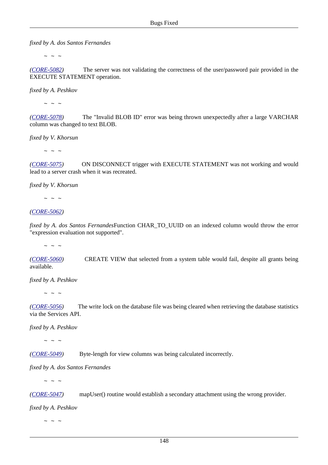*fixed by A. dos Santos Fernandes*

 $\sim$  ~ ~

*([CORE-5082](http://tracker.firebirdsql.org/browse/CORE-5082))* The server was not validating the correctness of the user/password pair provided in the EXECUTE STATEMENT operation.

*fixed by A. Peshkov*

 $\sim$   $\sim$   $\sim$ 

*([CORE-5078](http://tracker.firebirdsql.org/browse/CORE-5078))* The "Invalid BLOB ID" error was being thrown unexpectedly after a large VARCHAR column was changed to text BLOB.

*fixed by V. Khorsun*

 $\sim$  ~ ~

*([CORE-5075](http://tracker.firebirdsql.org/browse/CORE-5075))* ON DISCONNECT trigger with EXECUTE STATEMENT was not working and would lead to a server crash when it was recreated.

*fixed by V. Khorsun*

 $\sim$  ~ ~

*([CORE-5062](http://tracker.firebirdsql.org/browse/CORE-5062))* 

*fixed by A. dos Santos Fernandes*Function CHAR\_TO\_UUID on an indexed column would throw the error "expression evaluation not supported".

 $\sim$  ~ ~

*([CORE-5060](http://tracker.firebirdsql.org/browse/CORE-5060))* CREATE VIEW that selected from a system table would fail, despite all grants being available.

*fixed by A. Peshkov*

 $\sim$  ~ ~

*([CORE-5056](http://tracker.firebirdsql.org/browse/CORE-5056))* The write lock on the database file was being cleared when retrieving the database statistics via the Services API.

*fixed by A. Peshkov*

 $\sim$  ~ ~

*([CORE-5049](http://tracker.firebirdsql.org/browse/CORE-5049))* Byte-length for view columns was being calculated incorrectly.

*fixed by A. dos Santos Fernandes*

 $\sim$   $\sim$   $\sim$ 

*([CORE-5047](http://tracker.firebirdsql.org/browse/CORE-5047))* mapUser() routine would establish a secondary attachment using the wrong provider.

*fixed by A. Peshkov*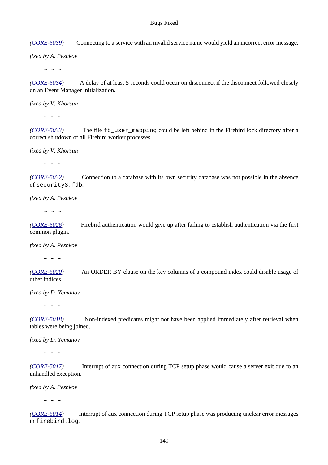*([CORE-5039](http://tracker.firebirdsql.org/browse/CORE-5039))* Connecting to a service with an invalid service name would yield an incorrect error message.

*fixed by A. Peshkov*

 $\sim$  ~ ~

*([CORE-5034](http://tracker.firebirdsql.org/browse/CORE-5034))* A delay of at least 5 seconds could occur on disconnect if the disconnect followed closely on an Event Manager initialization.

*fixed by V. Khorsun*

 $\sim$   $\sim$   $\sim$ 

*([CORE-5033](http://tracker.firebirdsql.org/browse/CORE-5033))* The file fb\_user\_mapping could be left behind in the Firebird lock directory after a correct shutdown of all Firebird worker processes.

*fixed by V. Khorsun*

 $\sim$  ~ ~

*([CORE-5032](http://tracker.firebirdsql.org/browse/CORE-5032))* Connection to a database with its own security database was not possible in the absence of security3.fdb.

*fixed by A. Peshkov*

 $\sim$  ~ ~

*([CORE-5026](http://tracker.firebirdsql.org/browse/CORE-5026))* Firebird authentication would give up after failing to establish authentication via the first common plugin.

*fixed by A. Peshkov*

 $\sim$  ~ ~

*([CORE-5020](http://tracker.firebirdsql.org/browse/CORE-5020))* An ORDER BY clause on the key columns of a compound index could disable usage of other indices.

*fixed by D. Yemanov*

 $\sim$  ~ ~

*([CORE-5018](http://tracker.firebirdsql.org/browse/CORE-5018))* Non-indexed predicates might not have been applied immediately after retrieval when tables were being joined.

*fixed by D. Yemanov*

 $\sim$  ~ ~

*([CORE-5017](http://tracker.firebirdsql.org/browse/CORE-5017))* Interrupt of aux connection during TCP setup phase would cause a server exit due to an unhandled exception.

*fixed by A. Peshkov*

 $\sim$   $\sim$   $\sim$ 

*([CORE-5014](http://tracker.firebirdsql.org/browse/CORE-5014))* Interrupt of aux connection during TCP setup phase was producing unclear error messages in firebird.log.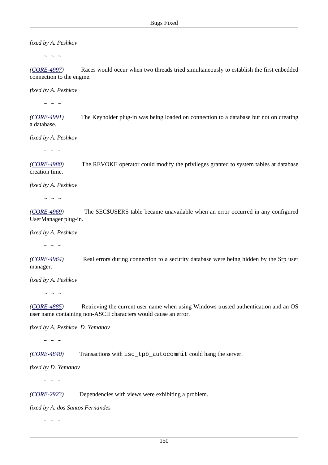*fixed by A. Peshkov*

 $\sim$  ~ ~

*([CORE-4997](http://tracker.firebirdsql.org/browse/CORE-4997))* Races would occur when two threads tried simultaneously to establish the first enbedded connection to the engine.

*fixed by A. Peshkov*

 $\sim$   $\sim$   $\sim$ 

*([CORE-4991](http://tracker.firebirdsql.org/browse/CORE-4991))* The Keyholder plug-in was being loaded on connection to a database but not on creating a database.

*fixed by A. Peshkov*

 $\sim$  ~ ~

*([CORE-4980](http://tracker.firebirdsql.org/browse/CORE-4980))* The REVOKE operator could modify the privileges granted to system tables at database creation time.

*fixed by A. Peshkov*

 $\sim$  ~ ~

*([CORE-4969](http://tracker.firebirdsql.org/browse/CORE-4969))* The SEC\$USERS table became unavailable when an error occurred in any configured UserManager plug-in.

*fixed by A. Peshkov*

 $\sim$   $\sim$   $\sim$ 

*([CORE-4964](http://tracker.firebirdsql.org/browse/CORE-4964))* Real errors during connection to a security database were being hidden by the Srp user manager.

*fixed by A. Peshkov*

 $\sim$  ~ ~

*([CORE-4885](http://tracker.firebirdsql.org/browse/CORE-4885))* Retrieving the current user name when using Windows trusted authentication and an OS user name containing non-ASCII characters would cause an error.

*fixed by A. Peshkov, D. Yemanov*

 $\sim$  ~ ~

*([CORE-4840](http://tracker.firebirdsql.org/browse/CORE-4840))* Transactions with isc\_tpb\_autocommit could hang the server.

*fixed by D. Yemanov*

 $\sim$   $\sim$   $\sim$ 

*([CORE-2923](http://tracker.firebirdsql.org/browse/CORE-2923))* Dependencies with views were exhibiting a problem.

*fixed by A. dos Santos Fernandes*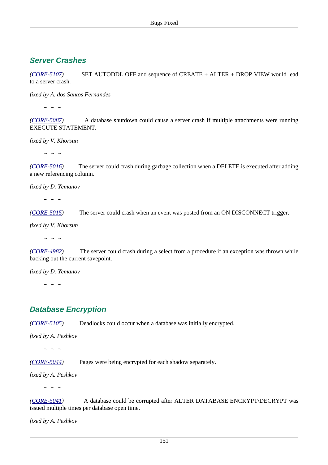## **Server Crashes**

*([CORE-5107](http://tracker.firebirdsql.org/browse/CORE-5107))* SET AUTODDL OFF and sequence of CREATE + ALTER + DROP VIEW would lead to a server crash.

*fixed by A. dos Santos Fernandes*

 $\sim$  ~ ~

*([CORE-5087](http://tracker.firebirdsql.org/browse/CORE-5087))* A database shutdown could cause a server crash if multiple attachments were running EXECUTE STATEMENT.

*fixed by V. Khorsun*

 $\sim$  ~ ~

*([CORE-5016](http://tracker.firebirdsql.org/browse/CORE-5016))* The server could crash during garbage collection when a DELETE is executed after adding a new referencing column.

*fixed by D. Yemanov*

 $\sim$  ~ ~

*([CORE-5015](http://tracker.firebirdsql.org/browse/CORE-5015))* The server could crash when an event was posted from an ON DISCONNECT trigger.

*fixed by V. Khorsun*

 $\sim$  ~ ~

*([CORE-4982](http://tracker.firebirdsql.org/browse/CORE-4982))* The server could crash during a select from a procedure if an exception was thrown while backing out the current savepoint.

*fixed by D. Yemanov*

 $\sim$  ~ ~

## **Database Encryption**

*([CORE-5105](http://tracker.firebirdsql.org/browse/CORE-5105))* Deadlocks could occur when a database was initially encrypted.

*fixed by A. Peshkov*

 $\sim$  ~ ~

*([CORE-5044](http://tracker.firebirdsql.org/browse/CORE-5044))* Pages were being encrypted for each shadow separately.

*fixed by A. Peshkov*

 $\sim$   $\sim$   $\sim$ 

*([CORE-5041](http://tracker.firebirdsql.org/browse/CORE-5041))* A database could be corrupted after ALTER DATABASE ENCRYPT/DECRYPT was issued multiple times per database open time.

*fixed by A. Peshkov*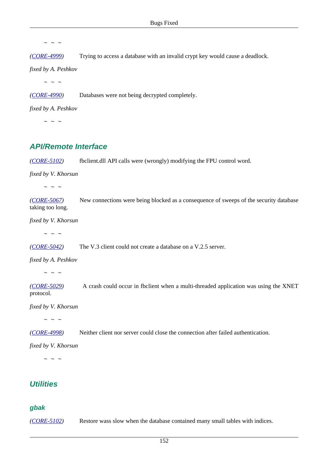*([CORE-4999](http://tracker.firebirdsql.org/browse/CORE-4999))* Trying to access a database with an invalid crypt key would cause a deadlock.

*fixed by A. Peshkov*

 $\sim$  ~ ~

*([CORE-4990](http://tracker.firebirdsql.org/browse/CORE-4990))* Databases were not being decrypted completely.

*fixed by A. Peshkov*

 $\sim$   $\sim$   $\sim$ 

## **API/Remote Interface**

*([CORE-5102](http://tracker.firebirdsql.org/browse/CORE-5102))* fbclient.dll API calls were (wrongly) modifying the FPU control word.

*fixed by V. Khorsun*

 $\sim$  ~ ~

*([CORE-5067](http://tracker.firebirdsql.org/browse/CORE-5067))* New connections were being blocked as a consequence of sweeps of the security database taking too long.

*fixed by V. Khorsun*

 $\sim$  ~ ~

*([CORE-5042](http://tracker.firebirdsql.org/browse/CORE-5042))* The V.3 client could not create a database on a V.2.5 server.

*fixed by A. Peshkov*

 $\sim$  ~ ~

*([CORE-5029](http://tracker.firebirdsql.org/browse/CORE-5029))* A crash could occur in fbclient when a multi-threaded application was using the XNET protocol.

*fixed by V. Khorsun*

 $\sim$  ~ ~

*([CORE-4998](http://tracker.firebirdsql.org/browse/CORE-4998))* Neither client nor server could close the connection after failed authentication.

*fixed by V. Khorsun*

 $\sim$  ~ ~

## **Utilities**

#### **gbak**

*([CORE-5102](http://tracker.firebirdsql.org/browse/CORE-5101))* Restore wass slow when the database contained many small tables with indices.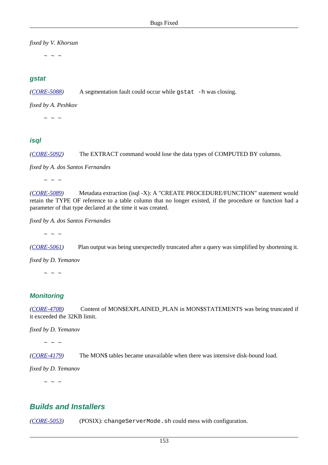*fixed by V. Khorsun*

 $\sim$  ~ ~

#### **gstat**

*([CORE-5088](http://tracker.firebirdsql.org/browse/CORE-5088))* A segmentation fault could occur while gstat -h was closing.

*fixed by A. Peshkov*

 $\sim$  ~ ~

### **isql**

*([CORE-5092](http://tracker.firebirdsql.org/browse/CORE-5092))* The EXTRACT command would lose the data types of COMPUTED BY columns.

*fixed by A. dos Santos Fernandes*

 $\sim$  ~ ~

*([CORE-5089](http://tracker.firebirdsql.org/browse/CORE-5089))* Metadata extraction (isql -X): A "CREATE PROCEDURE/FUNCTION" statement would retain the TYPE OF reference to a table column that no longer existed, if the procedure or function had a parameter of that type declared at the time it was created.

*fixed by A. dos Santos Fernandes*

 $\sim$  ~ ~

*([CORE-5061](http://tracker.firebirdsql.org/browse/CORE-5061))* Plan output was being unexpectedly truncated after a query was simplified by shortening it.

*fixed by D. Yemanov*

 $\sim$  ~ ~

### **Monitoring**

*([CORE-4708](http://tracker.firebirdsql.org/browse/CORE-4708))* Content of MON\$EXPLAINED\_PLAN in MON\$STATEMENTS was being truncated if it exceeded the 32KB limit.

*fixed by D. Yemanov*

 $\sim$  ~ ~

*([CORE-4179](http://tracker.firebirdsql.org/browse/CORE-4179))* The MON\$ tables became unavailable when there was intensive disk-bound load.

*fixed by D. Yemanov*

 $\sim$  ~ ~

## **Builds and Installers**

*([CORE-5053](http://tracker.firebirdsql.org/browse/CORE-5053))* (POSIX): changeServerMode.sh could mess with configuration.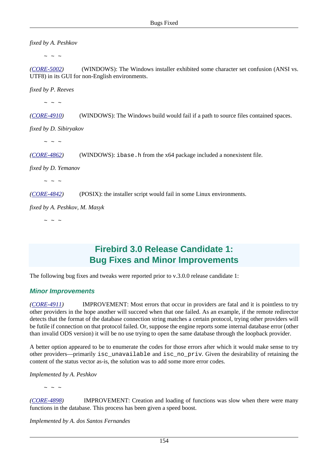*fixed by A. Peshkov*

 $\sim$   $\sim$   $\sim$ 

*([CORE-5002](http://tracker.firebirdsql.org/browse/CORE-5002))* (WINDOWS): The Windows installer exhibited some character set confusion (ANSI vs. UTF8) in its GUI for non-English environments.

*fixed by P. Reeves*

 $\sim$   $\sim$   $\sim$ 

*([CORE-4910](http://tracker.firebirdsql.org/browse/CORE-4910))* (WINDOWS): The Windows build would fail if a path to source files contained spaces.

*fixed by D. Sibiryakov*

 $\sim$  ~ ~

*([CORE-4862](http://tracker.firebirdsql.org/browse/CORE-4862))* (WINDOWS): ibase.h from the x64 package included a nonexistent file.

*fixed by D. Yemanov*

 $\sim$   $\sim$   $\sim$ 

*([CORE-4842](http://tracker.firebirdsql.org/browse/CORE-4842))* (POSIX): the installer script would fail in some Linux environments.

*fixed by A. Peshkov, M. Masyk*

 $\sim$  ~ ~

# **Firebird 3.0 Release Candidate 1: Bug Fixes and Minor Improvements**

The following bug fixes and tweaks were reported prior to v.3.0.0 release candidate 1:

#### **Minor Improvements**

*([CORE-4911](http://tracker.firebirdsql.org/browse/CORE-4911))* IMPROVEMENT: Most errors that occur in providers are fatal and it is pointless to try other providers in the hope another will succeed when that one failed. As an example, if the remote redirector detects that the format of the database connection string matches a certain protocol, trying other providers will be futile if connection on that protocol failed. Or, suppose the engine reports some internal database error (other than invalid ODS version) it will be no use trying to open the same database through the loopback provider.

A better option appeared to be to enumerate the codes for those errors after which it would make sense to try other providers—primarily isc\_unavailable and isc\_no\_priv. Given the desirability of retaining the content of the status vector as-is, the solution was to add some more error codes.

*Implemented by A. Peshkov*

 $\sim$  ~ ~

*([CORE-4898](http://tracker.firebirdsql.org/browse/CORE-4898))* IMPROVEMENT: Creation and loading of functions was slow when there were many functions in the database. This process has been given a speed boost.

*Implemented by A. dos Santos Fernandes*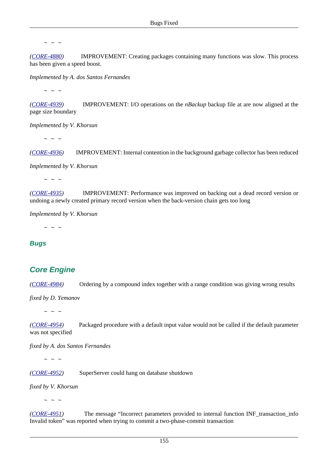*([CORE-4880](http://tracker.firebirdsql.org/browse/CORE-4880))* IMPROVEMENT: Creating packages containing many functions was slow. This process has been given a speed boost.

*Implemented by A. dos Santos Fernandes*

 $\sim$  ~ ~

*([CORE-4939](http://tracker.firebirdsql.org/browse/CORE-4939))* IMPROVEMENT: I/O operations on the *nBackup* backup file at are now aligned at the page size boundary

*Implemented by V. Khorsun*

 $\sim$  ~ ~

*([CORE-4936](http://tracker.firebirdsql.org/browse/CORE-4936))* IMPROVEMENT: Internal contention in the background garbage collector has been reduced

*Implemented by V. Khorsun*

 $\sim$  ~ ~

*([CORE-4935](http://tracker.firebirdsql.org/browse/CORE-4935))* IMPROVEMENT: Performance was improved on backing out a dead record version or undoing a newly created primary record version when the back-version chain gets too long

*Implemented by V. Khorsun*

 $\sim$  ~ ~

#### **Bugs**

## **Core Engine**

*([CORE-4984](http://tracker.firebirdsql.org/browse/CORE-4984))* Ordering by a compound index together with a range condition was giving wrong results

*fixed by D. Yemanov*

 $\sim$  ~ ~

*([CORE-4954](http://tracker.firebirdsql.org/browse/CORE-4954))* Packaged procedure with a default input value would not be called if the default parameter was not specified

*fixed by A. dos Santos Fernandes*

 $\sim$  ~ ~

*([CORE-4952](http://tracker.firebirdsql.org/browse/CORE-4952))* SuperServer could hang on database shutdown

*fixed by V. Khorsun*

 $\sim$   $\sim$   $\sim$ 

*([CORE-4951](http://tracker.firebirdsql.org/browse/CORE-4951))* The message "Incorrect parameters provided to internal function INF\_transaction\_info Invalid token" was reported when trying to commit a two-phase-commit transaction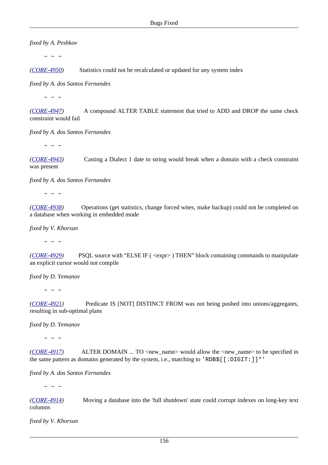*fixed by A. Peshkov*

 $\sim$  ~ ~

*([CORE-4950](http://tracker.firebirdsql.org/browse/CORE-4950))* Statistics could not be recalculated or updated for any system index

*fixed by A. dos Santos Fernandes*

 $\sim$  ~ ~

*([CORE-4947](http://tracker.firebirdsql.org/browse/CORE-4947))* A compound ALTER TABLE statement that tried to ADD and DROP the same check constraint would fail

*fixed by A. dos Santos Fernandes*

 $\sim$  ~ ~

*([CORE-4943](http://tracker.firebirdsql.org/browse/CORE-4943))* Casting a Dialect 1 date to string would break when a domain with a check constraint was present

*fixed by A. dos Santos Fernandes*

 $\sim$  ~ ~

*([CORE-4938](http://tracker.firebirdsql.org/browse/CORE-4938))* Operations (get statistics, change forced wites, make backup) could not be completed on a database when working in embedded mode

*fixed by V. Khorsun*

 $\sim$  ~ ~

*([CORE-4929](http://tracker.firebirdsql.org/browse/CORE-4929))* PSQL source with "ELSE IF ( <expr> ) THEN" block containing commands to manipulate an explicit cursor would not compile

*fixed by D. Yemanov*

 $\sim$  ~ ~

*([CORE-4921](http://tracker.firebirdsql.org/browse/CORE-4921))* Predicate IS [NOT] DISTINCT FROM was not being pushed into unions/aggregates, resulting in sub-optimal plans

*fixed by D. Yemanov*

 $\sim$   $\sim$   $\sim$ 

*([CORE-4917](http://tracker.firebirdsql.org/browse/CORE-4917))* ALTER DOMAIN ... TO <new\_name> would allow the <new\_name> to be specified in the same pattern as domains generated by the system, i.e., matching to 'RDB\$ $[$  [:DIGIT:]]\*'

*fixed by A. dos Santos Fernandes*

 $\sim$  ~ ~

*([CORE-4914](http://tracker.firebirdsql.org/browse/CORE-4914))* Moving a database into the 'full shutdown' state could corrupt indexes on long-key text columns

*fixed by V. Khorsun*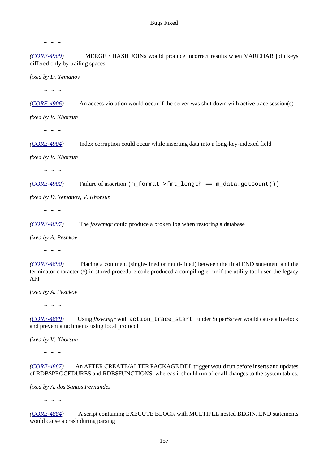*([CORE-4909](http://tracker.firebirdsql.org/browse/CORE-4909))* MERGE / HASH JOINs would produce incorrect results when VARCHAR join keys differed only by trailing spaces

*fixed by D. Yemanov*

 $\sim$  ~ ~

*([CORE-4906](http://tracker.firebirdsql.org/browse/CORE-4906))* An access violation would occur if the server was shut down with active trace session(s)

*fixed by V. Khorsun*

 $\sim$  ~ ~

*([CORE-4904](http://tracker.firebirdsql.org/browse/CORE-4904))* Index corruption could occur while inserting data into a long-key-indexed field

*fixed by V. Khorsun*

 $\sim$   $\sim$   $\sim$ 

*([CORE-4902](http://tracker.firebirdsql.org/browse/CORE-4902))* Failure of assertion (m\_format->fmt\_length == m\_data.getCount())

*fixed by D. Yemanov, V. Khorsun*

 $\sim$  ~ ~

*([CORE-4897](http://tracker.firebirdsql.org/browse/CORE-4897))* The *fbsvcmgr* could produce a broken log when restoring a database

*fixed by A. Peshkov*

 $\sim$   $\sim$   $\sim$ 

*([CORE-4890](http://tracker.firebirdsql.org/browse/CORE-4890))* Placing a comment (single-lined or multi-lined) between the final END statement and the terminator character (^) in stored procedure code produced a compiling error if the utility tool used the legacy API

*fixed by A. Peshkov*

 $\sim$  ~ ~

*([CORE-4889](http://tracker.firebirdsql.org/browse/CORE-4889))* Using *fbsvcmgr* with action\_trace\_start under SuperSsrver would cause a livelock and prevent attachments using local protocol

*fixed by V. Khorsun*

 $\sim$  ~ ~

*([CORE-4887](http://tracker.firebirdsql.org/browse/CORE-4887))* An AFTER CREATE/ALTER PACKAGE DDL trigger would run before inserts and updates of RDB\$PROCEDURES and RDB\$FUNCTIONS, whereas it should run after all changes to the system tables.

*fixed by A. dos Santos Fernandes*

 $\sim$   $\sim$   $\sim$ 

*([CORE-4884](http://tracker.firebirdsql.org/browse/CORE-4884))* A script containing EXECUTE BLOCK with MULTIPLE nested BEGIN..END statements would cause a crash during parsing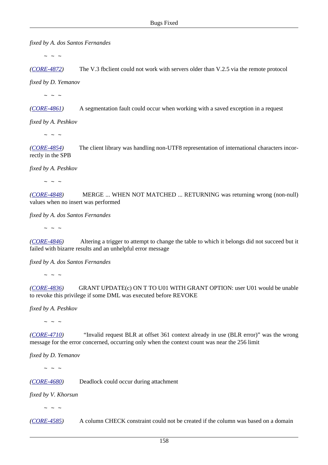*fixed by A. dos Santos Fernandes*

 $\sim$  ~ ~

*([CORE-4872](http://tracker.firebirdsql.org/browse/CORE-4872))* The V.3 fbclient could not work with servers older than V.2.5 via the remote protocol *fixed by D. Yemanov*

 $\sim$  ~ ~

*([CORE-4861](http://tracker.firebirdsql.org/browse/CORE-4861))* A segmentation fault could occur when working with a saved exception in a request

*fixed by A. Peshkov*

 $\sim$  ~ ~

*([CORE-4854](http://tracker.firebirdsql.org/browse/CORE-4854))* The client library was handling non-UTF8 representation of international characters incorrectly in the SPB

*fixed by A. Peshkov*

 $\sim$  ~ ~

*([CORE-4848](http://tracker.firebirdsql.org/browse/CORE-4848))* MERGE ... WHEN NOT MATCHED ... RETURNING was returning wrong (non-null) values when no insert was performed

*fixed by A. dos Santos Fernandes*

 $\sim$  ~ ~

*([CORE-4846](http://tracker.firebirdsql.org/browse/CORE-4846))* Altering a trigger to attempt to change the table to which it belongs did not succeed but it failed with bizarre results and an unhelpful error message

*fixed by A. dos Santos Fernandes*

 $\sim$  ~ ~

*([CORE-4836](http://tracker.firebirdsql.org/browse/CORE-4836))* GRANT UPDATE(c) ON T TO U01 WITH GRANT OPTION: user U01 would be unable to revoke this privilege if some DML was executed before REVOKE

*fixed by A. Peshkov*

 $\sim$  ~ ~

*([CORE-4710](http://tracker.firebirdsql.org/browse/CORE-4710))* "Invalid request BLR at offset 361 context already in use (BLR error)" was the wrong message for the error concerned, occurring only when the context count was near the 256 limit

*fixed by D. Yemanov*

 $\sim$   $\sim$   $\sim$ 

*([CORE-4680](http://tracker.firebirdsql.org/browse/CORE-4680))* Deadlock could occur during attachment

*fixed by V. Khorsun*

 $\sim$  ~ ~

*([CORE-4585](http://tracker.firebirdsql.org/browse/CORE-4585))* A column CHECK constraint could not be created if the column was based on a domain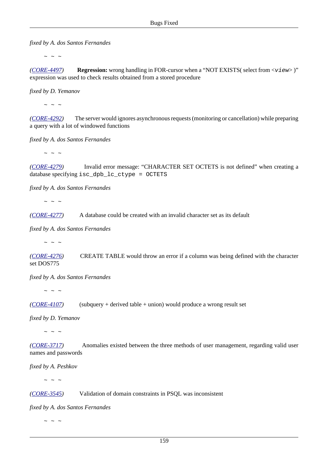*fixed by A. dos Santos Fernandes*

 $\sim$  ~ ~

*([CORE-4497](http://tracker.firebirdsql.org/browse/CORE-4497))* **Regression:** wrong handling in FOR-cursor when a "NOT EXISTS( select from <view> )" expression was used to check results obtained from a stored procedure

*fixed by D. Yemanov*

 $\sim$  ~ ~

*([CORE-4292](http://tracker.firebirdsql.org/browse/CORE-4292))* The server would ignores asynchronous requests (monitoring or cancellation) while preparing a query with a lot of windowed functions

*fixed by A. dos Santos Fernandes*

 $\sim$   $\sim$   $\sim$ 

*([CORE-4279](http://tracker.firebirdsql.org/browse/CORE-4279))* Invalid error message: "CHARACTER SET OCTETS is not defined" when creating a database specifying isc\_dpb\_lc\_ctype = OCTETS

*fixed by A. dos Santos Fernandes*

 $\sim$  ~ ~

*([CORE-4277](http://tracker.firebirdsql.org/browse/CORE-4277))* A database could be created with an invalid character set as its default

*fixed by A. dos Santos Fernandes*

 $\sim$  ~ ~

*([CORE-4276](http://tracker.firebirdsql.org/browse/CORE-4276))* CREATE TABLE would throw an error if a column was being defined with the character set DOS775

*fixed by A. dos Santos Fernandes*

 $\sim$  ~ ~

*([CORE-4107](http://tracker.firebirdsql.org/browse/CORE-4107))* (subquery + derived table + union) would produce a wrong result set

*fixed by D. Yemanov*

 $\sim$  ~ ~

*([CORE-3717](http://tracker.firebirdsql.org/browse/CORE-3717))* Anomalies existed between the three methods of user management, regarding valid user names and passwords

*fixed by A. Peshkov*

 $\sim$  ~ ~

*([CORE-3545](http://tracker.firebirdsql.org/browse/CORE-3545))* Validation of domain constraints in PSQL was inconsistent

*fixed by A. dos Santos Fernandes*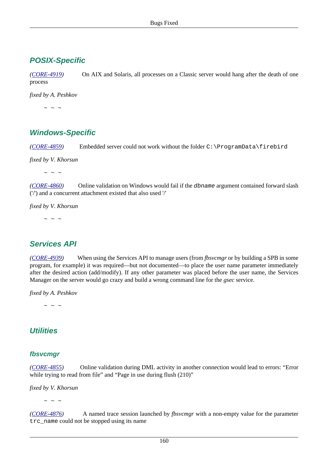## **POSIX-Specific**

*([CORE-4919](http://tracker.firebirdsql.org/browse/CORE-4919))* On AIX and Solaris, all processes on a Classic server would hang after the death of one process

*fixed by A. Peshkov*

 $\sim$  ~ ~

## **Windows-Specific**

*([CORE-4859](http://tracker.firebirdsql.org/browse/CORE-4859))* Embedded server could not work without the folder C:\ProgramData\firebird

*fixed by V. Khorsun*

 $\sim$  ~ ~

*([CORE-4860](http://tracker.firebirdsql.org/browse/CORE-4860))* Online validation on Windows would fail if the dbname argument contained forward slash ('/') and a concurrent attachment existed that also used '/'

*fixed by V. Khorsun*

 $\sim$  ~ ~

## **Services API**

*([CORE-4939](http://tracker.firebirdsql.org/browse/CORE-4979))* When using the Services API to manage users (from *fbsvcmgr* or by building a SPB in some program, for example) it was required—but not documented—to place the user name parameter immediately after the desired action (add/modify). If any other parameter was placed before the user name, the Services Manager on the server would go crazy and build a wrong command line for the *gsec* service.

*fixed by A. Peshkov*

 $\sim$  ~ ~

## **Utilities**

#### **fbsvcmgr**

*([CORE-4855](http://tracker.firebirdsql.org/browse/CORE-4855))* Online validation during DML activity in another connection would lead to errors: "Error while trying to read from file" and "Page in use during flush (210)"

*fixed by V. Khorsun*

 $\sim$   $\sim$   $\sim$ 

*([CORE-4876](http://tracker.firebirdsql.org/browse/CORE-4876))* A named trace session launched by *fbsvcmgr* with a non-empty value for the parameter trc\_name could not be stopped using its name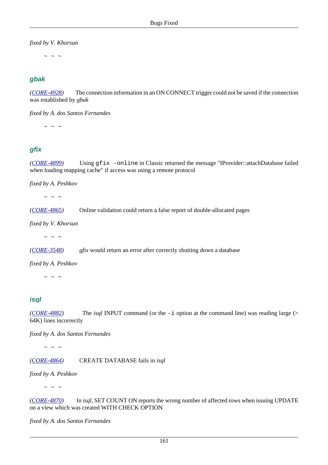*fixed by V. Khorsun*

 $\sim$  ~ ~

## **gbak**

*([CORE-4928](http://tracker.firebirdsql.org/browse/CORE-4928))* The connection information in an ON CONNECT trigger could not be saved if the connection was established by *gbak*

*fixed by A. dos Santos Fernandes*

 $\mathbb{Z}^2$   $\mathbb{Z}^2$   $\mathbb{Z}^2$   $\mathbb{Z}^2$ 

### **gfix**

*([CORE-4899](http://tracker.firebirdsql.org/browse/CORE-4899))* Using gfix -online in Classic returned the message "IProvider::attachDatabase failed when loading mapping cache" if access was using a remote protocol

*fixed by A. Peshkov*

 $\sim$  ~ ~

*([CORE-4865](http://tracker.firebirdsql.org/browse/CORE-4865))* Online validation could return a false report of double-allocated pages

*fixed by V. Khorsun*

 $\sim$   $\sim$   $\sim$ 

*([CORE-3548](http://tracker.firebirdsql.org/browse/CORE-3548)) gfix* would return an error after correctly shutting down a database

*fixed by A. Peshkov*

 $\sim$  ~ ~

### **isql**

*([CORE-4882](http://tracker.firebirdsql.org/browse/CORE-4882))* The *isql* INPUT command (or the -i option at the command line) was reading large (> 64K) lines incorrectly

*fixed by A. dos Santos Fernandes*

 $\sim$  ~ ~

*([CORE-4864](http://tracker.firebirdsql.org/browse/CORE-4864))* CREATE DATABASE fails in *isql*

*fixed by A. Peshkov*

 $\sim$   $\,$   $\sim$   $\,$   $\sim$ 

*([CORE-4870](http://tracker.firebirdsql.org/browse/CORE-4870))* In *isql*, SET COUNT ON reports the wrong number of affected rows when issuing UPDATE on a view which was created WITH CHECK OPTION

*fixed by A. dos Santos Fernandes*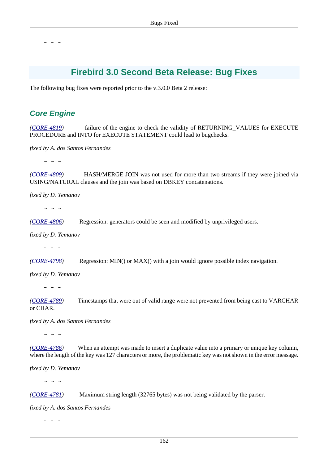# **Firebird 3.0 Second Beta Release: Bug Fixes**

The following bug fixes were reported prior to the v.3.0.0 Beta 2 release:

## **Core Engine**

*([CORE-4819](http://tracker.firebirdsql.org/browse/CORE-4819))* failure of the engine to check the validity of RETURNING\_VALUES for EXECUTE PROCEDURE and INTO for EXECUTE STATEMENT could lead to bugchecks.

*fixed by A. dos Santos Fernandes*

 $\sim$  ~ ~

*([CORE-4809](http://tracker.firebirdsql.org/browse/CORE-4809))* HASH/MERGE JOIN was not used for more than two streams if they were joined via USING/NATURAL clauses and the join was based on DBKEY concatenations.

*fixed by D. Yemanov*

 $\sim$  ~ ~

*([CORE-4806](http://tracker.firebirdsql.org/browse/CORE-4806))* Regression: generators could be seen and modified by unprivileged users.

*fixed by D. Yemanov*

 $\sim$  ~ ~

*([CORE-4798](http://tracker.firebirdsql.org/browse/CORE-4798))* Regression: MIN() or MAX() with a join would ignore possible index navigation.

*fixed by D. Yemanov*

 $\sim$  ~ ~

*([CORE-4789](http://tracker.firebirdsql.org/browse/CORE-4789))* Timestamps that were out of valid range were not prevented from being cast to VARCHAR or CHAR.

*fixed by A. dos Santos Fernandes*

 $\sim$  ~ ~

*([CORE-4786](http://tracker.firebirdsql.org/browse/CORE-4786))* When an attempt was made to insert a duplicate value into a primary or unique key column, where the length of the key was 127 characters or more, the problematic key was not shown in the error message.

*fixed by D. Yemanov*

 $\sim$   $\sim$   $\sim$ 

*([CORE-4781](http://tracker.firebirdsql.org/browse/CORE-4781))* Maximum string length (32765 bytes) was not being validated by the parser.

*fixed by A. dos Santos Fernandes*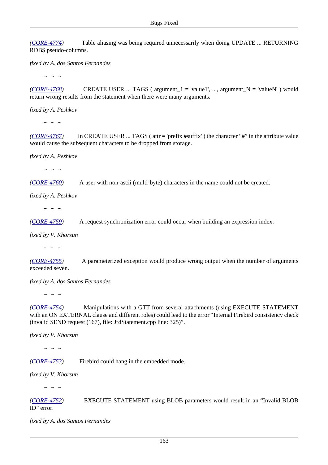*([CORE-4774](http://tracker.firebirdsql.org/browse/CORE-4774))* Table aliasing was being required unnecessarily when doing UPDATE ... RETURNING RDB\$ pseudo-columns.

*fixed by A. dos Santos Fernandes*

 $\sim$  ~ ~

 $(CORE-4768)$  $(CORE-4768)$  $(CORE-4768)$  CREATE USER ... TAGS (argument 1 = 'value1', ..., argument  $N =$  'valueN') would return wrong results from the statement when there were many arguments.

*fixed by A. Peshkov*

 $\sim$  ~ ~

*([CORE-4767](http://tracker.firebirdsql.org/browse/CORE-4767))* In CREATE USER ... TAGS ( attr = 'prefix #suffix' ) the character "#" in the attribute value would cause the subsequent characters to be dropped from storage.

*fixed by A. Peshkov*

 $\sim$  ~ ~

*([CORE-4760](http://tracker.firebirdsql.org/browse/CORE-4760))* A user with non-ascii (multi-byte) characters in the name could not be created.

*fixed by A. Peshkov*

 $\sim$   $\sim$   $\sim$ 

*([CORE-4759](http://tracker.firebirdsql.org/browse/CORE-4759))* A request synchronization error could occur when building an expression index.

*fixed by V. Khorsun*

 $\sim$   $\,$   $\sim$   $\,$   $\sim$ 

*([CORE-4755](http://tracker.firebirdsql.org/browse/CORE-4755))* A parameterized exception would produce wrong output when the number of arguments exceeded seven.

*fixed by A. dos Santos Fernandes*

 $\sim$  ~ ~

*([CORE-4754](http://tracker.firebirdsql.org/browse/CORE-4754))* Manipulations with a GTT from several attachments (using EXECUTE STATEMENT with an ON EXTERNAL clause and different roles) could lead to the error "Internal Firebird consistency check (invalid SEND request (167), file: JrdStatement.cpp line: 325)".

*fixed by V. Khorsun*

 $\sim$  ~ ~

*([CORE-4753](http://tracker.firebirdsql.org/browse/CORE-4753))* Firebird could hang in the embedded mode.

*fixed by V. Khorsun*

 $\sim$  ~ ~

*([CORE-4752](http://tracker.firebirdsql.org/browse/CORE-4752))* EXECUTE STATEMENT using BLOB parameters would result in an "Invalid BLOB ID" error.

*fixed by A. dos Santos Fernandes*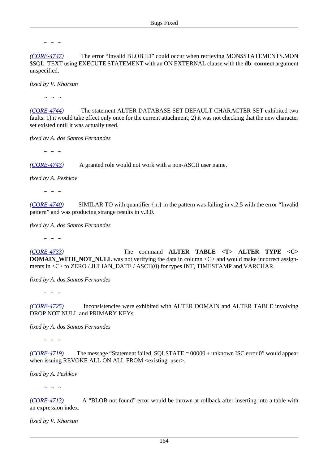*([CORE-4747](http://tracker.firebirdsql.org/browse/CORE-4747))* The error "Invalid BLOB ID" could occur when retrieving MON\$STATEMENTS.MON \$SQL\_TEXT using EXECUTE STATEMENT with an ON EXTERNAL clause with the **db\_connect** argument unspecified.

*fixed by V. Khorsun*

 $\sim$  ~ ~

*([CORE-4744](http://tracker.firebirdsql.org/browse/CORE-4744))* The statement ALTER DATABASE SET DEFAULT CHARACTER SET exhibited two faults: 1) it would take effect only once for the current attachment; 2) it was not checking that the new character set existed until it was actually used.

*fixed by A. dos Santos Fernandes*

 $\sim$  ~ ~

*([CORE-4743](http://tracker.firebirdsql.org/browse/CORE-4743))* A granted role would not work with a non-ASCII user name.

*fixed by A. Peshkov*

 $\sim$  ~ ~

*([CORE-4740](http://tracker.firebirdsql.org/browse/CORE-4740))* SIMILAR TO with quantifier {n,} in the pattern was failing in v.2.5 with the error "Invalid pattern" and was producing strange results in v.3.0.

*fixed by A. dos Santos Fernandes*

 $\sim$  ~ ~

*([CORE-4733](http://tracker.firebirdsql.org/browse/CORE-4733))* The command **ALTER TABLE <T> ALTER TYPE <C> DOMAIN\_WITH\_NOT\_NULL** was not verifying the data in column <C> and would make incorrect assignments in <C> to ZERO / JULIAN\_DATE / ASCII(0) for types INT, TIMESTAMP and VARCHAR.

*fixed by A. dos Santos Fernandes*

 $\sim$  ~ ~

*([CORE-4725](http://tracker.firebirdsql.org/browse/CORE-4725))* Inconsistencies were exhibited with ALTER DOMAIN and ALTER TABLE involving DROP NOT NULL and PRIMARY KEYs.

*fixed by A. dos Santos Fernandes*

 $\sim$  ~ ~

*([CORE-4719](http://tracker.firebirdsql.org/browse/CORE-4719))* The message "Statement failed, SQLSTATE = 00000 + unknown ISC error 0" would appear when issuing REVOKE ALL ON ALL FROM  $\langle$ existing\_user $\rangle$ .

*fixed by A. Peshkov*

 $\sim$   $\sim$   $\sim$ 

*([CORE-4713](http://tracker.firebirdsql.org/browse/CORE-4713))* A "BLOB not found" error would be thrown at rollback after inserting into a table with an expression index.

*fixed by V. Khorsun*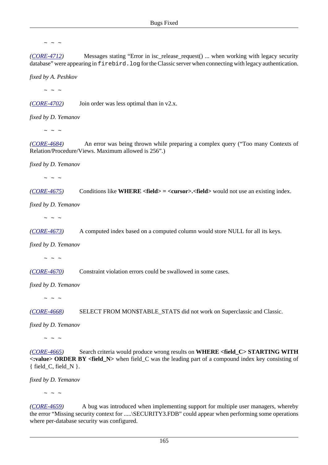*([CORE-4712](http://tracker.firebirdsql.org/browse/CORE-4712))* Messages stating "Error in isc\_release\_request() ... when working with legacy security database" were appearing in firebird.log for the Classic server when connecting with legacy authentication.

*fixed by A. Peshkov*

 $\sim$  ~ ~

*([CORE-4702](http://tracker.firebirdsql.org/browse/CORE-4702))* Join order was less optimal than in v2.x.

*fixed by D. Yemanov*

 $\sim$  ~ ~

*([CORE-4684](http://tracker.firebirdsql.org/browse/CORE-4684))* An error was being thrown while preparing a complex query ("Too many Contexts of Relation/Procedure/Views. Maximum allowed is 256".)

*fixed by D. Yemanov*

 $\sim$  ~ ~

*([CORE-4675](http://tracker.firebirdsql.org/browse/CORE-4675))* Conditions like **WHERE <field> = <cursor>.<field>** would not use an existing index.

*fixed by D. Yemanov*

 $\sim$  ~ ~

*([CORE-4673](http://tracker.firebirdsql.org/browse/CORE-4673))* A computed index based on a computed column would store NULL for all its keys.

*fixed by D. Yemanov*

 $\sim$   $\sim$   $\sim$ 

*([CORE-4670](http://tracker.firebirdsql.org/browse/CORE-4670))* Constraint violation errors could be swallowed in some cases.

*fixed by D. Yemanov*

 $\sim$  ~ ~

*([CORE-4668](http://tracker.firebirdsql.org/browse/CORE-4668))* SELECT FROM MON\$TABLE\_STATS did not work on Superclassic and Classic.

*fixed by D. Yemanov*

 $\sim$   $\,$   $\sim$   $\,$   $\sim$ 

*([CORE-4665](http://tracker.firebirdsql.org/browse/CORE-4665))* Search criteria would produce wrong results on **WHERE <field\_C> STARTING WITH <:value> ORDER BY <field\_N>** when field\_C was the leading part of a compound index key consisting of { field  $C$ , field  $N$  }.

*fixed by D. Yemanov*

 $\sim$   $\sim$   $\sim$ 

*([CORE-4659](http://tracker.firebirdsql.org/browse/CORE-4659))* A bug was introduced when implementing support for multiple user managers, whereby the error "Missing security context for .....\SECURITY3.FDB" could appear when performing some operations where per-database security was configured.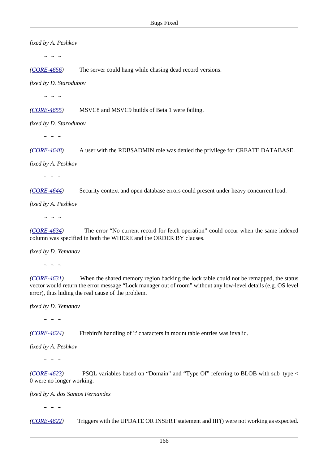*fixed by A. Peshkov*  $\sim$  ~ ~ *([CORE-4656](http://tracker.firebirdsql.org/browse/CORE-4656))* The server could hang while chasing dead record versions. *fixed by D. Starodubov*  $\sim$  ~ ~ *([CORE-4655](http://tracker.firebirdsql.org/browse/CORE-4655))* MSVC8 and MSVC9 builds of Beta 1 were failing. *fixed by D. Starodubov*  $\sim$  ~ ~ *([CORE-4648](http://tracker.firebirdsql.org/browse/CORE-4648))* A user with the RDB\$ADMIN role was denied the privilege for CREATE DATABASE. *fixed by A. Peshkov*  $\sim$   $\sim$   $\sim$ *([CORE-4644](http://tracker.firebirdsql.org/browse/CORE-4644))* Security context and open database errors could present under heavy concurrent load. *fixed by A. Peshkov*  $\sim$  ~ ~ *([CORE-4634](http://tracker.firebirdsql.org/browse/CORE-4634))* The error "No current record for fetch operation" could occur when the same indexed column was specified in both the WHERE and the ORDER BY clauses.

*fixed by D. Yemanov*

 $\sim$   $\sim$   $\sim$ 

*([CORE-4631](http://tracker.firebirdsql.org/browse/CORE-4631))* When the shared memory region backing the lock table could not be remapped, the status vector would return the error message "Lock manager out of room" without any low-level details (e.g. OS level error), thus hiding the real cause of the problem.

*fixed by D. Yemanov*

 $\sim$   $\sim$   $\sim$ 

*([CORE-4624](http://tracker.firebirdsql.org/browse/CORE-4624))* Firebird's handling of ':' characters in mount table entries was invalid.

*fixed by A. Peshkov*

 $\sim$  ~ ~

*([CORE-4623](http://tracker.firebirdsql.org/browse/CORE-4623))* PSQL variables based on "Domain" and "Type Of" referring to BLOB with sub\_type < 0 were no longer working.

*fixed by A. dos Santos Fernandes*

 $\sim$  ~ ~

*([CORE-4622](http://tracker.firebirdsql.org/browse/CORE-4622))* Triggers with the UPDATE OR INSERT statement and IIF() were not working as expected.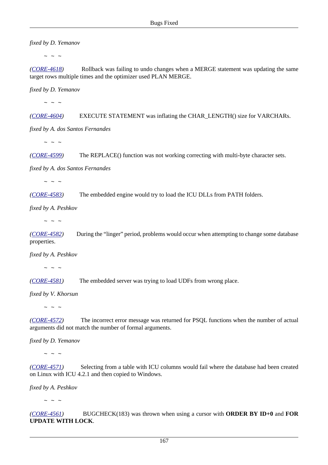*fixed by D. Yemanov*

 $\sim$  ~ ~

*([CORE-4618](http://tracker.firebirdsql.org/browse/CORE-4618))* Rollback was failing to undo changes when a MERGE statement was updating the same target rows multiple times and the optimizer used PLAN MERGE.

*fixed by D. Yemanov*

 $\sim$  ~ ~

*([CORE-4604](http://tracker.firebirdsql.org/browse/CORE-4604))* EXECUTE STATEMENT was inflating the CHAR\_LENGTH() size for VARCHARs.

*fixed by A. dos Santos Fernandes*

 $\sim$  ~ ~

*([CORE-4599](http://tracker.firebirdsql.org/browse/CORE-4599))* The REPLACE() function was not working correcting with multi-byte character sets.

*fixed by A. dos Santos Fernandes*

 $\sim$  ~ ~

*([CORE-4583](http://tracker.firebirdsql.org/browse/CORE-4583))* The embedded engine would try to load the ICU DLLs from PATH folders.

*fixed by A. Peshkov*

 $\sim$   $\,$   $\sim$   $\,$   $\sim$ 

*([CORE-4582](http://tracker.firebirdsql.org/browse/CORE-4582))* During the "linger" period, problems would occur when attempting to change some database properties.

*fixed by A. Peshkov*

 $\sim$  ~ ~

*([CORE-4581](http://tracker.firebirdsql.org/browse/CORE-4581))* The embedded server was trying to load UDFs from wrong place.

*fixed by V. Khorsun*

 $\sim$   $\sim$   $\sim$ 

*([CORE-4572](http://tracker.firebirdsql.org/browse/CORE-4572))* The incorrect error message was returned for PSQL functions when the number of actual arguments did not match the number of formal arguments.

*fixed by D. Yemanov*

 $\sim$  ~ ~

*([CORE-4571](http://tracker.firebirdsql.org/browse/CORE-4571))* Selecting from a table with ICU columns would fail where the database had been created on Linux with ICU 4.2.1 and then copied to Windows.

*fixed by A. Peshkov*

 $\sim$  ~ ~

*([CORE-4561](http://tracker.firebirdsql.org/browse/CORE-4561))* BUGCHECK(183) was thrown when using a cursor with **ORDER BY ID+0** and **FOR UPDATE WITH LOCK**.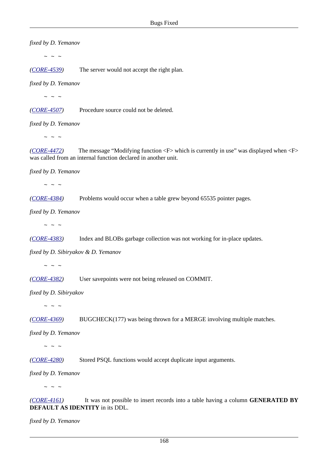*fixed by D. Yemanov*

 $\sim$  ~ ~

*([CORE-4539](http://tracker.firebirdsql.org/browse/CORE-4539))* The server would not accept the right plan.

*fixed by D. Yemanov*

 $\sim$  ~ ~

*([CORE-4507](http://tracker.firebirdsql.org/browse/CORE-4507))* Procedure source could not be deleted.

*fixed by D. Yemanov*

 $\sim$  ~ ~

*([CORE-4472](http://tracker.firebirdsql.org/browse/CORE-4472))* The message "Modifying function <F> which is currently in use" was displayed when <F> was called from an internal function declared in another unit.

*fixed by D. Yemanov*

 $\sim$  ~ ~

*([CORE-4384](http://tracker.firebirdsql.org/browse/CORE-4384))* Problems would occur when a table grew beyond 65535 pointer pages.

*fixed by D. Yemanov*

 $\sim$  ~ ~

*([CORE-4383](http://tracker.firebirdsql.org/browse/CORE-4383))* Index and BLOBs garbage collection was not working for in-place updates.

*fixed by D. Sibiryakov & D. Yemanov*

 $\sim$  ~ ~

*([CORE-4382](http://tracker.firebirdsql.org/browse/CORE-4382))* User savepoints were not being released on COMMIT.

*fixed by D. Sibiryakov*

 $\sim$  ~ ~

*([CORE-4369](http://tracker.firebirdsql.org/browse/CORE-4369))* BUGCHECK(177) was being thrown for a MERGE involving multiple matches.

*fixed by D. Yemanov*

 $\sim$  ~ ~

*([CORE-4280](http://tracker.firebirdsql.org/browse/CORE-4280))* Stored PSQL functions would accept duplicate input arguments.

*fixed by D. Yemanov*

 $\sim$   $\sim$   $\sim$ 

*([CORE-4161](http://tracker.firebirdsql.org/browse/CORE-4161))* It was not possible to insert records into a table having a column **GENERATED BY DEFAULT AS IDENTITY** in its DDL.

*fixed by D. Yemanov*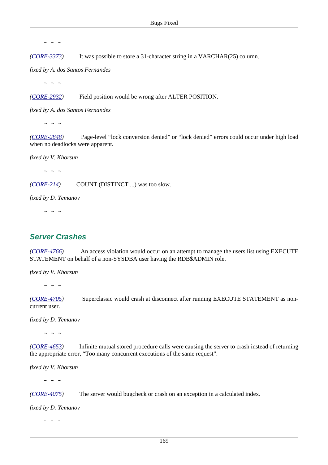*([CORE-3373](http://tracker.firebirdsql.org/browse/CORE-3373))* It was possible to store a 31-character string in a VARCHAR(25) column.

*fixed by A. dos Santos Fernandes*

 $\sim$  ~ ~

*([CORE-2932](http://tracker.firebirdsql.org/browse/CORE-2932))* Field position would be wrong after ALTER POSITION.

*fixed by A. dos Santos Fernandes*

 $\sim$  ~ ~

*([CORE-2848](http://tracker.firebirdsql.org/browse/CORE-2848))* Page-level "lock conversion denied" or "lock denied" errors could occur under high load when no deadlocks were apparent.

*fixed by V. Khorsun*

 $\sim$  ~ ~

*([CORE-214\)](http://tracker.firebirdsql.org/browse/CORE-214)* COUNT (DISTINCT ...) was too slow.

*fixed by D. Yemanov*

 $\sim$  ~ ~

## **Server Crashes**

*([CORE-4766](http://tracker.firebirdsql.org/browse/CORE-4766))* An access violation would occur on an attempt to manage the users list using EXECUTE STATEMENT on behalf of a non-SYSDBA user having the RDB\$ADMIN role.

*fixed by V. Khorsun*

 $\sim$  ~ ~

*([CORE-4705](http://tracker.firebirdsql.org/browse/CORE-4705))* Superclassic would crash at disconnect after running EXECUTE STATEMENT as noncurrent user.

*fixed by D. Yemanov*

 $\sim$  ~ ~

*([CORE-4653](http://tracker.firebirdsql.org/browse/CORE-4653))* Infinite mutual stored procedure calls were causing the server to crash instead of returning the appropriate error, "Too many concurrent executions of the same request".

*fixed by V. Khorsun*

 $\sim$  ~ ~

*([CORE-4075](http://tracker.firebirdsql.org/browse/CORE-4075))* The server would bugcheck or crash on an exception in a calculated index.

*fixed by D. Yemanov*

 $\sim$   $\sim$   $\sim$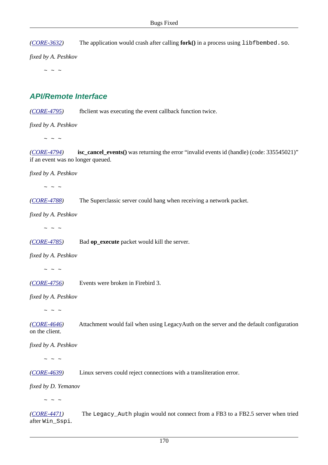*([CORE-3632](http://tracker.firebirdsql.org/browse/CORE-3632))* The application would crash after calling **fork()** in a process using libfbembed.so.

*fixed by A. Peshkov*

 $\sim$  ~ ~

### **API/Remote Interface**

*([CORE-4795](http://tracker.firebirdsql.org/browse/CORE-4795))* fbclient was executing the event callback function twice.

*fixed by A. Peshkov*

 $\sim$   $\sim$   $\sim$ 

*([CORE-4794](http://tracker.firebirdsql.org/browse/CORE-4794))* **isc\_cancel\_events()** was returning the error "invalid events id (handle) (code: 335545021)" if an event was no longer queued.

*fixed by A. Peshkov*

 $\sim$  ~ ~

*([CORE-4788](http://tracker.firebirdsql.org/browse/CORE-4788))* The Superclassic server could hang when receiving a network packet.

*fixed by A. Peshkov*

 $\sim$  ~ ~

*([CORE-4785](http://tracker.firebirdsql.org/browse/CORE-4785))* Bad **op\_execute** packet would kill the server.

*fixed by A. Peshkov*

 $\sim$   $\sim$   $\sim$ 

*([CORE-4756](http://tracker.firebirdsql.org/browse/CORE-4756))* Events were broken in Firebird 3.

*fixed by A. Peshkov*

 $\sim$  ~ ~

*([CORE-4646](http://tracker.firebirdsql.org/browse/CORE-4646))* Attachment would fail when using LegacyAuth on the server and the default configuration on the client.

*fixed by A. Peshkov*

 $\sim$   $\sim$   $\sim$ 

*([CORE-4639](http://tracker.firebirdsql.org/browse/CORE-4639))* Linux servers could reject connections with a transliteration error.

*fixed by D. Yemanov*

 $\sim$   $\sim$   $\sim$ 

*([CORE-4471](http://tracker.firebirdsql.org/browse/CORE-4471))* The Legacy\_Auth plugin would not connect from a FB3 to a FB2.5 server when tried after Win\_Sspi.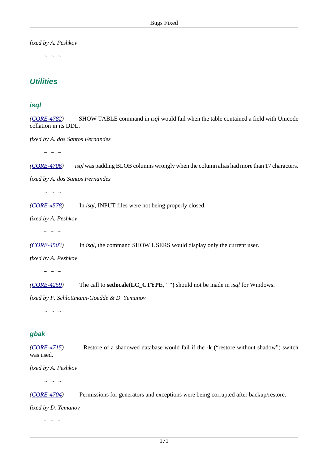*fixed by A. Peshkov*

 $\sim$  ~ ~

## **Utilities**

#### **isql**

*([CORE-4782](http://tracker.firebirdsql.org/browse/CORE-4782))* SHOW TABLE command in *isql* would fail when the table contained a field with Unicode collation in its DDL.

*fixed by A. dos Santos Fernandes*

 $\sim$   $\sim$   $\sim$ 

*([CORE-4706](http://tracker.firebirdsql.org/browse/CORE-4706)) isql* was padding BLOB columns wrongly when the column alias had more than 17 characters.

*fixed by A. dos Santos Fernandes*

 $\sim$  ~ ~

*([CORE-4578](http://tracker.firebirdsql.org/browse/CORE-4578))* In *isql*, INPUT files were not being properly closed.

*fixed by A. Peshkov*

 $\sim$   $\sim$   $\sim$ 

*([CORE-4503](http://tracker.firebirdsql.org/browse/CORE-4503))* In *isql*, the command SHOW USERS would display only the current user.

*fixed by A. Peshkov*

 $\sim$   $\sim$   $\sim$ 

*([CORE-4259](http://tracker.firebirdsql.org/browse/CORE-4259))* The call to **setlocale(LC\_CTYPE, "")** should not be made in *isql* for Windows.

*fixed by F. Schlottmann-Goedde & D. Yemanov*

 $\sim$  ~ ~

#### **gbak**

*([CORE-4715](http://tracker.firebirdsql.org/browse/CORE-4715))* Restore of a shadowed database would fail if the **-k** ("restore without shadow") switch was used.

*fixed by A. Peshkov*

 $\sim$  ~ ~

*([CORE-4704](http://tracker.firebirdsql.org/browse/CORE-4704))* Permissions for generators and exceptions were being corrupted after backup/restore.

*fixed by D. Yemanov*

 $\sim$  ~ ~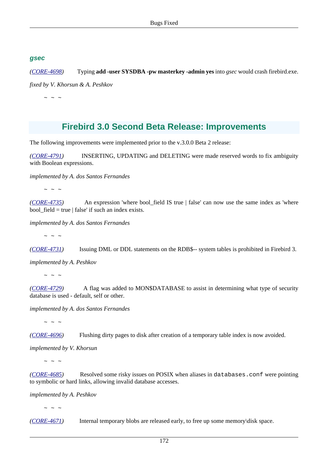#### **gsec**

*([CORE-4698](http://tracker.firebirdsql.org/browse/CORE-4698))* Typing **add -user SYSDBA -pw masterkey -admin yes** into *gsec* would crash firebird.exe.

*fixed by V. Khorsun & A. Peshkov*

 $\sim$   $\sim$   $\sim$ 

# **Firebird 3.0 Second Beta Release: Improvements**

The following improvements were implemented prior to the v.3.0.0 Beta 2 release:

*([CORE-4791](http://tracker.firebirdsql.org/browse/CORE-4791))* INSERTING, UPDATING and DELETING were made reserved words to fix ambiguity with Boolean expressions.

*implemented by A. dos Santos Fernandes*

 $\sim$  ~ ~

*([CORE-4735](http://tracker.firebirdsql.org/browse/CORE-4735))* An expression 'where bool\_field IS true | false' can now use the same index as 'where bool  $field = true | false'$  if such an index exists.

*implemented by A. dos Santos Fernandes*

 $\sim$  ~ ~

*([CORE-4731](http://tracker.firebirdsql.org/browse/CORE-4731))* Issuing DML or DDL statements on the RDB\$-- system tables is prohibited in Firebird 3.

*implemented by A. Peshkov*

 $\sim$  ~ ~

*([CORE-4729](http://tracker.firebirdsql.org/browse/CORE-4729))* A flag was added to MON\$DATABASE to assist in determining what type of security database is used - default, self or other.

*implemented by A. dos Santos Fernandes*

 $\sim$  ~ ~

*([CORE-4696](http://tracker.firebirdsql.org/browse/CORE-4696))* Flushing dirty pages to disk after creation of a temporary table index is now avoided.

*implemented by V. Khorsun*

 $\sim$  ~ ~

*([CORE-4685](http://tracker.firebirdsql.org/browse/CORE-4685))* Resolved some risky issues on POSIX when aliases in databases.conf were pointing to symbolic or hard links, allowing invalid database accesses.

*implemented by A. Peshkov*

 $\sim$  ~ ~

*([CORE-4671](http://tracker.firebirdsql.org/browse/CORE-4671))* Internal temporary blobs are released early, to free up some memory\disk space.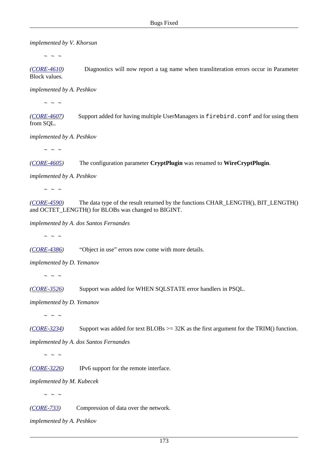*implemented by V. Khorsun*

 $\sim$  ~ ~

*([CORE-4610](http://tracker.firebirdsql.org/browse/CORE-4610))* Diagnostics will now report a tag name when transliteration errors occur in Parameter Block values.

*implemented by A. Peshkov*

 $\sim$  ~ ~

*([CORE-4607](http://tracker.firebirdsql.org/browse/CORE-4607))* Support added for having multiple UserManagers in firebird.conf and for using them from SQL.

*implemented by A. Peshkov*

 $\sim$  ~ ~

*([CORE-4605](http://tracker.firebirdsql.org/browse/CORE-4605))* The configuration parameter **CryptPlugin** was renamed to **WireCryptPlugin**.

*implemented by A. Peshkov*

 $\sim$  ~ ~

*([CORE-4590](http://tracker.firebirdsql.org/browse/CORE-4590))* The data type of the result returned by the functions CHAR\_LENGTH(), BIT\_LENGTH() and OCTET\_LENGTH() for BLOBs was changed to BIGINT.

*implemented by A. dos Santos Fernandes*

 $\sim$  ~ ~

*([CORE-4386](http://tracker.firebirdsql.org/browse/CORE-4386))* "Object in use" errors now come with more details.

*implemented by D. Yemanov*

 $\sim$  ~ ~

*([CORE-3526](http://tracker.firebirdsql.org/browse/CORE-3526))* Support was added for WHEN SQLSTATE error handlers in PSQL.

*implemented by D. Yemanov*

 $\sim$   $\sim$   $\sim$ 

*([CORE-3234](http://tracker.firebirdsql.org/browse/CORE-3234))* Support was added for text BLOBs >= 32K as the first argument for the TRIM() function.

*implemented by A. dos Santos Fernandes*

 $\sim$  ~ ~

*([CORE-3226](http://tracker.firebirdsql.org/browse/CORE-3226))* IPv6 support for the remote interface.

*implemented by M. Kubecek*

 $\sim$  ~ ~

*([CORE-733\)](http://tracker.firebirdsql.org/browse/CORE-733)* Compression of data over the network.

*implemented by A. Peshkov*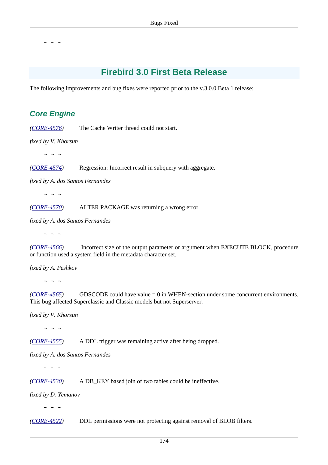# **Firebird 3.0 First Beta Release**

The following improvements and bug fixes were reported prior to the v.3.0.0 Beta 1 release:

# **Core Engine**

*([CORE-4576](http://tracker.firebirdsql.org/browse/CORE-4576))* The Cache Writer thread could not start.

*fixed by V. Khorsun*

 $\sim$  ~ ~

*([CORE-4574](http://tracker.firebirdsql.org/browse/CORE-4574))* Regression: Incorrect result in subquery with aggregate.

*fixed by A. dos Santos Fernandes*

 $\sim$  ~ ~

*([CORE-4570](http://tracker.firebirdsql.org/browse/CORE-4570))* ALTER PACKAGE was returning a wrong error.

*fixed by A. dos Santos Fernandes*

 $\sim$  ~ ~

*([CORE-4566](http://tracker.firebirdsql.org/browse/CORE-4566))* Incorrect size of the output parameter or argument when EXECUTE BLOCK, procedure or function used a system field in the metadata character set.

*fixed by A. Peshkov*

 $\sim$  ~ ~

*([CORE-4565](http://tracker.firebirdsql.org/browse/CORE-4565))* GDSCODE could have value = 0 in WHEN-section under some concurrent environments. This bug affected Superclassic and Classic models but not Superserver.

*fixed by V. Khorsun*

 $\sim$  ~ ~

*([CORE-4555](http://tracker.firebirdsql.org/browse/CORE-4555))* A DDL trigger was remaining active after being dropped.

*fixed by A. dos Santos Fernandes*

 $\sim$  ~ ~

*([CORE-4530](http://tracker.firebirdsql.org/browse/CORE-4530))* A DB\_KEY based join of two tables could be ineffective.

*fixed by D. Yemanov*

 $\sim$  ~ ~

*([CORE-4522](http://tracker.firebirdsql.org/browse/CORE-4522))* DDL permissions were not protecting against removal of BLOB filters.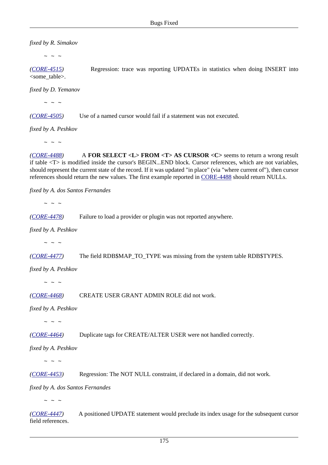*fixed by R. Simakov*

 $\sim$  ~ ~

*([CORE-4515](http://tracker.firebirdsql.org/browse/CORE-4515))* Regression: trace was reporting UPDATEs in statistics when doing INSERT into <some\_table>.

*fixed by D. Yemanov*

 $\sim$  ~ ~

*([CORE-4505](http://tracker.firebirdsql.org/browse/CORE-4505))* Use of a named cursor would fail if a statement was not executed.

*fixed by A. Peshkov*

 $\sim$  ~ ~

*([CORE-4488](http://tracker.firebirdsql.org/browse/CORE-4488))* A **FOR SELECT <L> FROM <T> AS CURSOR <C>** seems to return a wrong result if table <T> is modified inside the cursor's BEGIN...END block. Cursor references, which are not variables, should represent the current state of the record. If it was updated "in place" (via "where current of"), then cursor references should return the new values. The first example reported in [CORE-4488](http://tracker.firebirdsql.org/browse/CORE-4488) should return NULLs.

*fixed by A. dos Santos Fernandes*

 $\sim$  ~ ~

*([CORE-4478](http://tracker.firebirdsql.org/browse/CORE-4478))* Failure to load a provider or plugin was not reported anywhere.

*fixed by A. Peshkov*

 $\sim$  ~ ~

*([CORE-4477](http://tracker.firebirdsql.org/browse/CORE-4477))* The field RDB\$MAP\_TO\_TYPE was missing from the system table RDB\$TYPES.

*fixed by A. Peshkov*

 $\sim$  ~ ~

*([CORE-4468](http://tracker.firebirdsql.org/browse/CORE-4468))* CREATE USER GRANT ADMIN ROLE did not work.

*fixed by A. Peshkov*

 $\sim$  ~ ~

*([CORE-4464](http://tracker.firebirdsql.org/browse/CORE-4464))* Duplicate tags for CREATE/ALTER USER were not handled correctly.

*fixed by A. Peshkov*

 $\sim$  ~ ~

*([CORE-4453](http://tracker.firebirdsql.org/browse/CORE-4453))* Regression: The NOT NULL constraint, if declared in a domain, did not work.

*fixed by A. dos Santos Fernandes*

 $\sim$   $\sim$   $\sim$ 

*([CORE-4447](http://tracker.firebirdsql.org/browse/CORE-4447))* A positioned UPDATE statement would preclude its index usage for the subsequent cursor field references.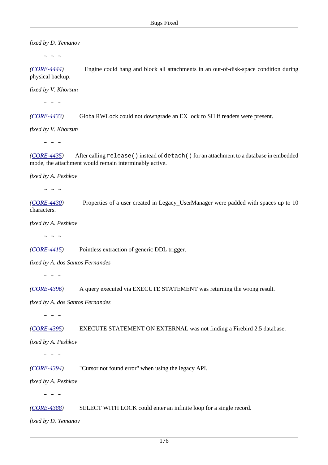*fixed by D. Yemanov*

 $\sim$  ~ ~

*([CORE-4444](http://tracker.firebirdsql.org/browse/CORE-4444))* Engine could hang and block all attachments in an out-of-disk-space condition during physical backup.

*fixed by V. Khorsun*

 $\sim$  ~ ~

*([CORE-4433](http://tracker.firebirdsql.org/browse/CORE-4433))* GlobalRWLock could not downgrade an EX lock to SH if readers were present.

*fixed by V. Khorsun*

 $\sim$  ~ ~

*([CORE-4435](http://tracker.firebirdsql.org/browse/CORE-4435))* After calling release() instead of detach() for an attachment to a database in embedded mode, the attachment would remain interminably active.

*fixed by A. Peshkov*

 $\sim$  ~ ~

*([CORE-4430](http://tracker.firebirdsql.org/browse/CORE-4430))* Properties of a user created in Legacy\_UserManager were padded with spaces up to 10 characters.

*fixed by A. Peshkov*

 $\sim$  ~ ~

*([CORE-4415](http://tracker.firebirdsql.org/browse/CORE-4415))* Pointless extraction of generic DDL trigger.

*fixed by A. dos Santos Fernandes*

 $\sim$  ~ ~

*([CORE-4396](http://tracker.firebirdsql.org/browse/CORE-4396))* A query executed via EXECUTE STATEMENT was returning the wrong result.

*fixed by A. dos Santos Fernandes*

 $\sim$   $\sim$   $\sim$ 

*([CORE-4395](http://tracker.firebirdsql.org/browse/CORE-4395))* EXECUTE STATEMENT ON EXTERNAL was not finding a Firebird 2.5 database.

*fixed by A. Peshkov*

 $\sim$  ~ ~

*([CORE-4394](http://tracker.firebirdsql.org/browse/CORE-4394))* "Cursor not found error" when using the legacy API.

*fixed by A. Peshkov*

 $\sim$  ~ ~

*([CORE-4388](http://tracker.firebirdsql.org/browse/CORE-4388))* SELECT WITH LOCK could enter an infinite loop for a single record.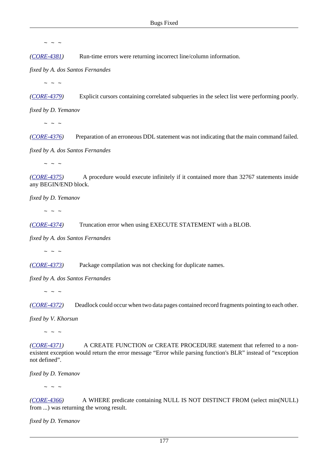*([CORE-4381](http://tracker.firebirdsql.org/browse/CORE-4381))* Run-time errors were returning incorrect line/column information.

*fixed by A. dos Santos Fernandes*

 $\sim$  ~ ~

*([CORE-4379](http://tracker.firebirdsql.org/browse/CORE-4379))* Explicit cursors containing correlated subqueries in the select list were performing poorly.

*fixed by D. Yemanov*

 $\sim$  ~ ~

*([CORE-4376](http://tracker.firebirdsql.org/browse/CORE-4376))* Preparation of an erroneous DDL statement was not indicating that the main command failed.

*fixed by A. dos Santos Fernandes*

 $\sim$   $\sim$   $\sim$ 

*([CORE-4375](http://tracker.firebirdsql.org/browse/CORE-4375))* A procedure would execute infinitely if it contained more than 32767 statements inside any BEGIN/END block.

*fixed by D. Yemanov*

 $\sim$  ~ ~

*([CORE-4374](http://tracker.firebirdsql.org/browse/CORE-4374))* Truncation error when using EXECUTE STATEMENT with a BLOB.

*fixed by A. dos Santos Fernandes*

 $\sim$  ~ ~

*([CORE-4373](http://tracker.firebirdsql.org/browse/CORE-4373))* Package compilation was not checking for duplicate names.

*fixed by A. dos Santos Fernandes*

 $\sim$  ~ ~

*([CORE-4372](http://tracker.firebirdsql.org/browse/CORE-4372))* Deadlock could occur when two data pages contained record fragments pointing to each other.

*fixed by V. Khorsun*

 $\sim$   $\sim$   $\sim$ 

*([CORE-4371](http://tracker.firebirdsql.org/browse/CORE-4371))* A CREATE FUNCTION or CREATE PROCEDURE statement that referred to a nonexistent exception would return the error message "Error while parsing function's BLR" instead of "exception not defined".

*fixed by D. Yemanov*

 $\sim$  ~ ~

*([CORE-4366](http://tracker.firebirdsql.org/browse/CORE-4366))* A WHERE predicate containing NULL IS NOT DISTINCT FROM (select min(NULL) from ...) was returning the wrong result.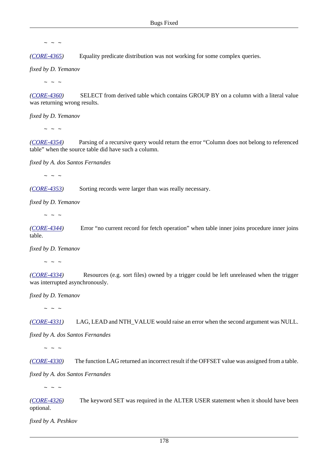*([CORE-4365](http://tracker.firebirdsql.org/browse/CORE-4365))* Equality predicate distribution was not working for some complex queries.

*fixed by D. Yemanov*

 $\sim$  ~ ~

*([CORE-4360](http://tracker.firebirdsql.org/browse/CORE-4360))* SELECT from derived table which contains GROUP BY on a column with a literal value was returning wrong results.

*fixed by D. Yemanov*

 $\sim$  ~ ~

*([CORE-4354](http://tracker.firebirdsql.org/browse/CORE-4354))* Parsing of a recursive query would return the error "Column does not belong to referenced table" when the source table did have such a column.

*fixed by A. dos Santos Fernandes*

 $\sim$  ~ ~

*([CORE-4353](http://tracker.firebirdsql.org/browse/CORE-4353))* Sorting records were larger than was really necessary.

*fixed by D. Yemanov*

 $\sim$  ~ ~

*([CORE-4344](http://tracker.firebirdsql.org/browse/CORE-4344))* Error "no current record for fetch operation" when table inner joins procedure inner joins table.

*fixed by D. Yemanov*

 $\sim$  ~ ~

*([CORE-4334](http://tracker.firebirdsql.org/browse/CORE-4334))* Resources (e.g. sort files) owned by a trigger could be left unreleased when the trigger was interrupted asynchronously.

*fixed by D. Yemanov*

 $\sim$   $\sim$   $\sim$ 

*([CORE-4331](http://tracker.firebirdsql.org/browse/CORE-4331))* LAG, LEAD and NTH\_VALUE would raise an error when the second argument was NULL.

*fixed by A. dos Santos Fernandes*

 $\sim$  ~ ~

*([CORE-4330](http://tracker.firebirdsql.org/browse/CORE-4330))* The function LAG returned an incorrect result if the OFFSET value was assigned from a table.

*fixed by A. dos Santos Fernandes*

 $\sim$   $\,$   $\sim$   $\,$   $\sim$ 

*([CORE-4326](http://tracker.firebirdsql.org/browse/CORE-4326))* The keyword SET was required in the ALTER USER statement when it should have been optional.

*fixed by A. Peshkov*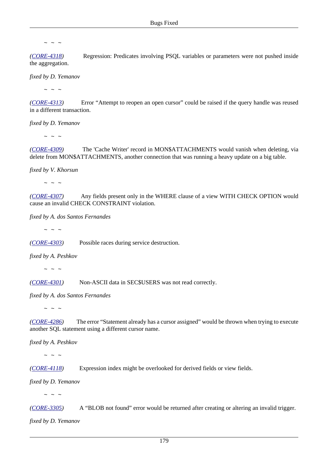*([CORE-4318](http://tracker.firebirdsql.org/browse/CORE-4318))* Regression: Predicates involving PSQL variables or parameters were not pushed inside the aggregation.

*fixed by D. Yemanov*

 $\sim$  ~ ~

*([CORE-4313](http://tracker.firebirdsql.org/browse/CORE-4313))* Error "Attempt to reopen an open cursor" could be raised if the query handle was reused in a different transaction.

*fixed by D. Yemanov*

 $\sim$  ~ ~

*([CORE-4309](http://tracker.firebirdsql.org/browse/CORE-4309))* The 'Cache Writer' record in MON\$ATTACHMENTS would vanish when deleting, via delete from MON\$ATTACHMENTS, another connection that was running a heavy update on a big table.

*fixed by V. Khorsun*

 $\sim$   $\sim$   $\sim$ 

*([CORE-4307](http://tracker.firebirdsql.org/browse/CORE-4307))* Any fields present only in the WHERE clause of a view WITH CHECK OPTION would cause an invalid CHECK CONSTRAINT violation.

*fixed by A. dos Santos Fernandes*

 $\sim$  ~ ~

*([CORE-4303](http://tracker.firebirdsql.org/browse/CORE-4303))* Possible races during service destruction.

*fixed by A. Peshkov*

 $\sim$  ~ ~

*([CORE-4301](http://tracker.firebirdsql.org/browse/CORE-4301))* Non-ASCII data in SEC\$USERS was not read correctly.

*fixed by A. dos Santos Fernandes*

 $\sim$   $\sim$   $\sim$ 

*([CORE-4286](http://tracker.firebirdsql.org/browse/CORE-4286))* The error "Statement already has a cursor assigned" would be thrown when trying to execute another SQL statement using a different cursor name.

*fixed by A. Peshkov*

 $\sim$  ~ ~

*([CORE-4118](http://tracker.firebirdsql.org/browse/CORE-4118))* Expression index might be overlooked for derived fields or view fields.

*fixed by D. Yemanov*

 $\sim$  ~ ~

*([CORE-3305](http://tracker.firebirdsql.org/browse/CORE-3305))* A "BLOB not found" error would be returned after creating or altering an invalid trigger.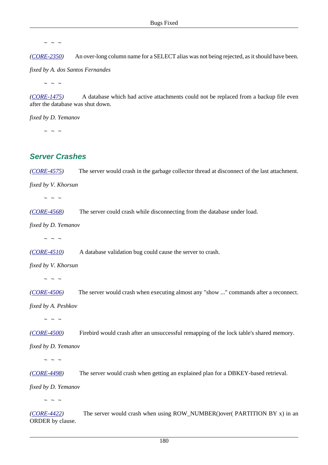*([CORE-2350](http://tracker.firebirdsql.org/browse/CORE-2350))* An over-long column name for a SELECT alias was not being rejected, as it should have been.

*fixed by A. dos Santos Fernandes*

 $\sim$  ~ ~

*([CORE-1475](http://tracker.firebirdsql.org/browse/CORE-1475))* A database which had active attachments could not be replaced from a backup file even after the database was shut down.

*fixed by D. Yemanov*

 $\sim$  ~ ~

#### **Server Crashes**

*([CORE-4575](http://tracker.firebirdsql.org/browse/CORE-4575))* The server would crash in the garbage collector thread at disconnect of the last attachment.

*fixed by V. Khorsun*

 $\sim$  ~ ~

*([CORE-4568](http://tracker.firebirdsql.org/browse/CORE-4568))* The server could crash while disconnecting from the database under load.

*fixed by D. Yemanov*

 $\sim$  ~ ~

*([CORE-4510](http://tracker.firebirdsql.org/browse/CORE-4510))* A database validation bug could cause the server to crash.

*fixed by V. Khorsun*

 $\sim$   $\sim$   $\sim$ 

*([CORE-4506](http://tracker.firebirdsql.org/browse/CORE-4506))* The server would crash when executing almost any "show ..." commands after a reconnect.

*fixed by A. Peshkov*

 $\sim$   $\sim$   $\sim$ 

*([CORE-4500](http://tracker.firebirdsql.org/browse/CORE-4500))* Firebird would crash after an unsuccessful remapping of the lock table's shared memory.

*fixed by D. Yemanov*

 $\sim$  ~ ~

*([CORE-4498](http://tracker.firebirdsql.org/browse/CORE-4498))* The server would crash when getting an explained plan for a DBKEY-based retrieval.

*fixed by D. Yemanov*

 $\sim$   $\sim$   $\sim$ 

*([CORE-4422](http://tracker.firebirdsql.org/browse/CORE-4422))* The server would crash when using ROW\_NUMBER()over( PARTITION BY x) in an ORDER by clause.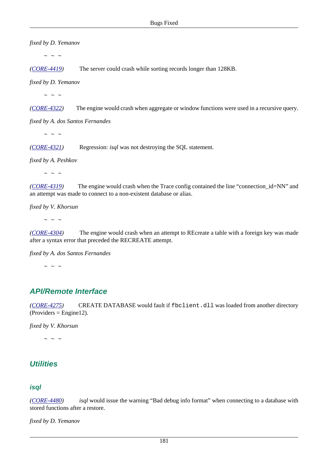*fixed by D. Yemanov*

 $\sim$  ~ ~

*([CORE-4419](http://tracker.firebirdsql.org/browse/CORE-4419))* The server could crash while sorting records longer than 128KB.

*fixed by D. Yemanov*

 $\sim$  ~ ~

*([CORE-4322](http://tracker.firebirdsql.org/browse/CORE-4322))* The engine would crash when aggregate or window functions were used in a recursive query.

*fixed by A. dos Santos Fernandes*

 $\sim$   $\sim$   $\sim$ 

*([CORE-4321](http://tracker.firebirdsql.org/browse/CORE-4321))* Regression: *isql* was not destroying the SQL statement.

*fixed by A. Peshkov*

 $\sim$  ~ ~

*([CORE-4319](http://tracker.firebirdsql.org/browse/CORE-4319))* The engine would crash when the Trace config contained the line "connection\_id=NN" and an attempt was made to connect to a non-existent database or alias.

*fixed by V. Khorsun*

 $\sim$  ~ ~

*([CORE-4304](http://tracker.firebirdsql.org/browse/CORE-4304))* The engine would crash when an attempt to REcreate a table with a foreign key was made after a syntax error that preceded the RECREATE attempt.

*fixed by A. dos Santos Fernandes*

 $\sim$  ~ ~

## **API/Remote Interface**

*([CORE-4275](http://tracker.firebirdsql.org/browse/CORE-4275))* CREATE DATABASE would fault if fbclient.dll was loaded from another directory  $(Provides = Engine12).$ 

*fixed by V. Khorsun*

 $\sim$   $\sim$   $\sim$ 

# **Utilities**

#### **isql**

*([CORE-4480](http://tracker.firebirdsql.org/browse/CORE-4480)) isql* would issue the warning "Bad debug info format" when connecting to a database with stored functions after a restore.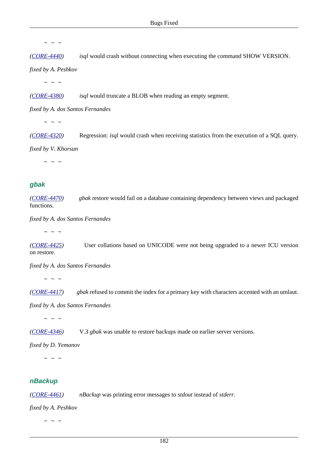$\sim$   $\sim$   $\sim$ 

*([CORE-4440](http://tracker.firebirdsql.org/browse/CORE-4440)) isql* would crash without connecting when executing the command SHOW VERSION.

*fixed by A. Peshkov*

 $\sim$  ~ ~

*([CORE-4380](http://tracker.firebirdsql.org/browse/CORE-4380)) isql* would truncate a BLOB when reading an empty segment.

*fixed by A. dos Santos Fernandes*

 $\sim$  ~ ~

*([CORE-4320](http://tracker.firebirdsql.org/browse/CORE-4320))* Regression: *isql* would crash when receiving statistics from the execution of a SQL query.

*fixed by V. Khorsun*

 $\sim$  ~ ~

#### **gbak**

*([CORE-4470](http://tracker.firebirdsql.org/browse/CORE-4470)) gbak* restore would fail on a database containing dependency between views and packaged functions.

*fixed by A. dos Santos Fernandes*

 $\sim$  ~ ~

*([CORE-4425](http://tracker.firebirdsql.org/browse/CORE-4425))* User collations based on UNICODE were not being upgraded to a newer ICU version on restore.

*fixed by A. dos Santos Fernandes*

 $\sim$  ~ ~

*([CORE-4417](http://tracker.firebirdsql.org/browse/CORE-4417)) gbak* refused to commit the index for a primary key with characters accented with an umlaut.

*fixed by A. dos Santos Fernandes*

 $\sim$  ~ ~

*([CORE-4346](http://tracker.firebirdsql.org/browse/CORE-4346))* V.3 *gbak* was unable to restore backups made on earlier server versions.

*fixed by D. Yemanov*

 $\sim$   $\sim$   $\sim$ 

#### **nBackup**

*([CORE-4461](http://tracker.firebirdsql.org/browse/CORE-4461)) nBackup* was printing error messages to *stdout* instead of *stderr*.

*fixed by A. Peshkov*

 $\sim$  ~ ~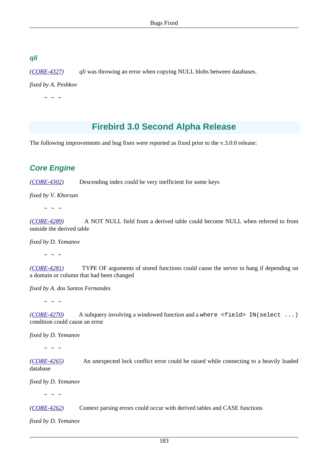#### **qli**

*([CORE-4327](http://tracker.firebirdsql.org/browse/CORE-4327)) qli* was throwing an error when copying NULL blobs between databases.

*fixed by A. Peshkov*

 $\sim$   $\sim$   $\sim$ 

# **Firebird 3.0 Second Alpha Release**

The following improvements and bug fixes were reported as fixed prior to the v.3.0.0 release:

# **Core Engine**

*([CORE-4302](http://tracker.firebirdsql.org/browse/CORE-4302))* Descending index could be very inefficient for some keys

*fixed by V. Khorsun*

 $\sim$   $\sim$   $\sim$ 

*([CORE-4289](http://tracker.firebirdsql.org/browse/CORE-4289))* A NOT NULL field from a derived table could become NULL when referred to from outside the derived table

*fixed by D. Yemanov*

~ ~ ~

*([CORE-4281](http://tracker.firebirdsql.org/browse/CORE-4281))* TYPE OF arguments of stored functions could cause the server to hang if depending on a domain or column that had been changed

*fixed by A. dos Santos Fernandes*

 $\sim$  ~ ~

*([CORE-4270](http://tracker.firebirdsql.org/browse/CORE-4270))* A subquery involving a windowed function and a where <field> IN(select ...) condition could cause an error

*fixed by D. Yemanov*

 $\sim$  ~ ~

*([CORE-4265](http://tracker.firebirdsql.org/browse/CORE-4265))* An unexpected lock conflict error could be raised while connecting to a heavily loaded database

*fixed by D. Yemanov*

 $\sim$   $\sim$   $\sim$ 

*([CORE-4262](http://tracker.firebirdsql.org/browse/CORE-4262))* Context parsing errors could occur with derived tables and CASE functions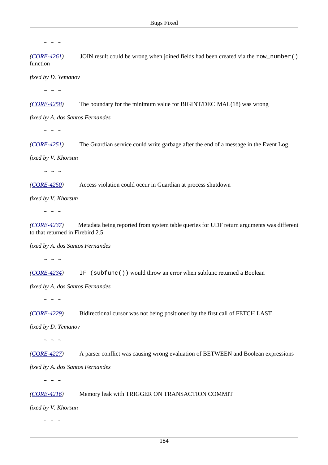*([CORE-4261](http://tracker.firebirdsql.org/browse/CORE-4261))* JOIN result could be wrong when joined fields had been created via the row\_number() function

*fixed by D. Yemanov*

 $\sim$   $\sim$   $\sim$ 

*([CORE-4258](http://tracker.firebirdsql.org/browse/CORE-4258))* The boundary for the minimum value for BIGINT/DECIMAL(18) was wrong

*fixed by A. dos Santos Fernandes*

 $\sim$  ~ ~

*([CORE-4251](http://tracker.firebirdsql.org/browse/CORE-4251))* The Guardian service could write garbage after the end of a message in the Event Log

*fixed by V. Khorsun*

 $\sim$   $\sim$   $\sim$ 

*([CORE-4250](http://tracker.firebirdsql.org/browse/CORE-4250))* Access violation could occur in Guardian at process shutdown

*fixed by V. Khorsun*

 $\sim$  ~ ~

*([CORE-4237](http://tracker.firebirdsql.org/browse/CORE-4237))* Metadata being reported from system table queries for UDF return arguments was different to that returned in Firebird 2.5

*fixed by A. dos Santos Fernandes*

 $\sim$  ~ ~

*([CORE-4234](http://tracker.firebirdsql.org/browse/CORE-4234))* IF (subfunc()) would throw an error when subfunc returned a Boolean

*fixed by A. dos Santos Fernandes*

 $\sim$  ~ ~

*([CORE-4229](http://tracker.firebirdsql.org/browse/CORE-4229))* Bidirectional cursor was not being positioned by the first call of FETCH LAST

*fixed by D. Yemanov*

 $\sim$  ~ ~

*([CORE-4227](http://tracker.firebirdsql.org/browse/CORE-4227))* A parser conflict was causing wrong evaluation of BETWEEN and Boolean expressions

*fixed by A. dos Santos Fernandes*

 $\sim$   $\sim$   $\sim$ 

*([CORE-4216](http://tracker.firebirdsql.org/browse/CORE-4216))* Memory leak with TRIGGER ON TRANSACTION COMMIT

*fixed by V. Khorsun*

 $\sim$  ~ ~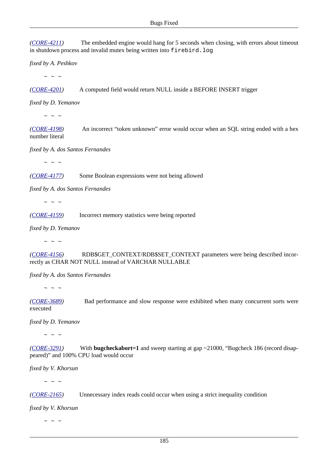*([CORE-4211](http://tracker.firebirdsql.org/browse/CORE-4211))* The embedded engine would hang for 5 seconds when closing, with errors about timeout in shutdown process and invalid mutex being written into firebird.log

*fixed by A. Peshkov*

 $\sim$  ~ ~

*([CORE-4201](http://tracker.firebirdsql.org/browse/CORE-4201))* A computed field would return NULL inside a BEFORE INSERT trigger

*fixed by D. Yemanov*

 $\sim$   $\sim$   $\sim$ 

*([CORE-4198](http://tracker.firebirdsql.org/browse/CORE-4198))* An incorrect "token unknown" error would occur when an SQL string ended with a hex number literal

*fixed by A. dos Santos Fernandes*

 $\sim$  ~ ~

*([CORE-4177](http://tracker.firebirdsql.org/browse/CORE-4177))* Some Boolean expressions were not being allowed

*fixed by A. dos Santos Fernandes*

 $\sim$   $\sim$   $\sim$ 

*([CORE-4159](http://tracker.firebirdsql.org/browse/CORE-4159))* Incorrect memory statistics were being reported

*fixed by D. Yemanov*

 $\sim$  ~ ~

*([CORE-4156](http://tracker.firebirdsql.org/browse/CORE-4156))* RDB\$GET\_CONTEXT/RDB\$SET\_CONTEXT parameters were being described incorrectly as CHAR NOT NULL instead of VARCHAR NULLABLE

*fixed by A. dos Santos Fernandes*

 $\sim$  ~ ~

*([CORE-3689](http://tracker.firebirdsql.org/browse/CORE-3689))* Bad performance and slow response were exhibited when many concurrent sorts were executed

*fixed by D. Yemanov*

 $\sim$  ~ ~

*([CORE-3291](http://tracker.firebirdsql.org/browse/CORE-3291))* With **bugcheckabort=1** and sweep starting at gap ~21000, "Bugcheck 186 (record disappeared)" and 100% CPU load would occur

*fixed by V. Khorsun*

 $\sim$  ~ ~

*([CORE-2165](http://tracker.firebirdsql.org/browse/CORE-2165))* Unnecessary index reads could occur when using a strict inequality condition

*fixed by V. Khorsun*

 $\sim$  ~ ~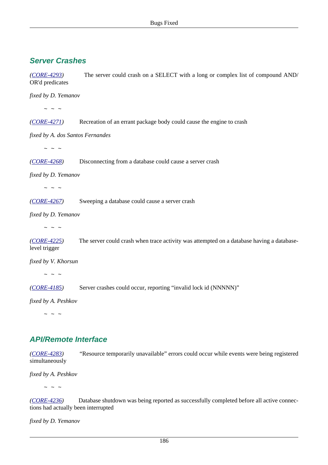# **Server Crashes**

*([CORE-4293](http://tracker.firebirdsql.org/browse/CORE-4293))* The server could crash on a SELECT with a long or complex list of compound AND/ OR'd predicates

*fixed by D. Yemanov*

 $\sim$  ~ ~

*([CORE-4271](http://tracker.firebirdsql.org/browse/CORE-4271))* Recreation of an errant package body could cause the engine to crash

*fixed by A. dos Santos Fernandes*

 $\sim$  ~ ~

*([CORE-4268](http://tracker.firebirdsql.org/browse/CORE-4268))* Disconnecting from a database could cause a server crash

*fixed by D. Yemanov*

 $\sim$  ~ ~

*([CORE-4267](http://tracker.firebirdsql.org/browse/CORE-4267))* Sweeping a database could cause a server crash

*fixed by D. Yemanov*

 $\sim$   $\sim$   $\sim$ 

*([CORE-4225](http://tracker.firebirdsql.org/browse/CORE-4225))* The server could crash when trace activity was attempted on a database having a databaselevel trigger

*fixed by V. Khorsun*

 $\sim$  ~ ~

*([CORE-4185](http://tracker.firebirdsql.org/browse/CORE-4185))* Server crashes could occur, reporting "invalid lock id (NNNNN)"

*fixed by A. Peshkov*

 $\sim$   $\sim$   $\sim$ 

## **API/Remote Interface**

*([CORE-4283](http://tracker.firebirdsql.org/browse/CORE-4283))* "Resource temporarily unavailable" errors could occur while events were being registered simultaneously

*fixed by A. Peshkov*

 $\sim$   $\sim$   $\sim$ 

*([CORE-4236](http://tracker.firebirdsql.org/browse/CORE-4236))* Database shutdown was being reported as successfully completed before all active connections had actually been interrupted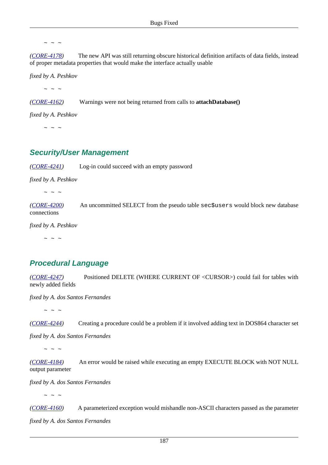$\sim$   $\sim$   $\sim$ 

*([CORE-4178](http://tracker.firebirdsql.org/browse/CORE-4178))* The new API was still returning obscure historical definition artifacts of data fields, instead of proper metadata properties that would make the interface actually usable

*fixed by A. Peshkov*

 $\sim$  ~ ~

*([CORE-4162](http://tracker.firebirdsql.org/browse/CORE-4162))* Warnings were not being returned from calls to **attachDatabase()**

*fixed by A. Peshkov*

 $\sim$  ~ ~

#### **Security/User Management**

*([CORE-4241](http://tracker.firebirdsql.org/browse/CORE-4241))* Log-in could succeed with an empty password

*fixed by A. Peshkov*

 $\sim$  ~ ~

*([CORE-4200](http://tracker.firebirdsql.org/browse/CORE-4200))* An uncommitted SELECT from the pseudo table sec\$users would block new database connections

*fixed by A. Peshkov*

 $\sim$  ~ ~

## **Procedural Language**

*([CORE-4247](http://tracker.firebirdsql.org/browse/CORE-4247))* Positioned DELETE (WHERE CURRENT OF <CURSOR>) could fail for tables with newly added fields

*fixed by A. dos Santos Fernandes*

 $\sim$  ~ ~

*([CORE-4244](http://tracker.firebirdsql.org/browse/CORE-4244))* Creating a procedure could be a problem if it involved adding text in DOS864 character set

*fixed by A. dos Santos Fernandes*

 $\sim$  ~ ~

*([CORE-4184](http://tracker.firebirdsql.org/browse/CORE-4184))* An error would be raised while executing an empty EXECUTE BLOCK with NOT NULL output parameter

*fixed by A. dos Santos Fernandes*

 $\sim$   $\sim$   $\sim$ 

*([CORE-4160](http://tracker.firebirdsql.org/browse/CORE-4160))* A parameterized exception would mishandle non-ASCII characters passed as the parameter *fixed by A. dos Santos Fernandes*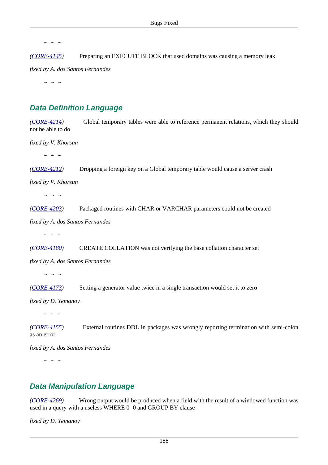*([CORE-4145](http://tracker.firebirdsql.org/browse/CORE-4145))* Preparing an EXECUTE BLOCK that used domains was causing a memory leak

*fixed by A. dos Santos Fernandes*

 $\sim$  ~ ~

# **Data Definition Language**

*([CORE-4214](http://tracker.firebirdsql.org/browse/CORE-4214))* Global temporary tables were able to reference permanent relations, which they should not be able to do

*fixed by V. Khorsun*

 $\sim$  ~ ~

*([CORE-4212](http://tracker.firebirdsql.org/browse/CORE-4212))* Dropping a foreign key on a Global temporary table would cause a server crash

*fixed by V. Khorsun*

 $\sim$  ~ ~

*([CORE-4203](http://tracker.firebirdsql.org/browse/CORE-4203))* Packaged routines with CHAR or VARCHAR parameters could not be created

*fixed by A. dos Santos Fernandes*

 $\sim$  ~ ~

*([CORE-4180](http://tracker.firebirdsql.org/browse/CORE-4180))* CREATE COLLATION was not verifying the base collation character set

*fixed by A. dos Santos Fernandes*

 $\sim$  ~ ~

*([CORE-4173](http://tracker.firebirdsql.org/browse/CORE-4173))* Setting a generator value twice in a single transaction would set it to zero

*fixed by D. Yemanov*

 $\sim$  ~ ~

*([CORE-4155](http://tracker.firebirdsql.org/browse/CORE-4155))* External routines DDL in packages was wrongly reporting termination with semi-colon as an error

*fixed by A. dos Santos Fernandes*

 $\sim$  ~ ~

#### **Data Manipulation Language**

*([CORE-4269](http://tracker.firebirdsql.org/browse/CORE-4269))* Wrong output would be produced when a field with the result of a windowed function was used in a query with a useless WHERE 0=0 and GROUP BY clause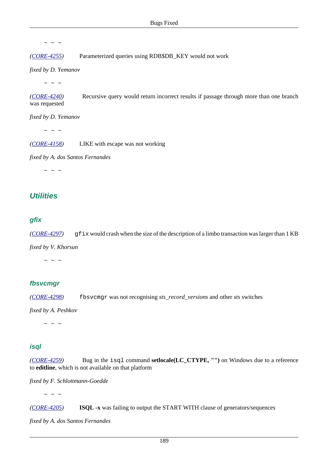*([CORE-4255](http://tracker.firebirdsql.org/browse/CORE-4255))* Parameterized queries using RDB\$DB\_KEY would not work

*fixed by D. Yemanov*

 $\sim$  ~ ~

*([CORE-4240](http://tracker.firebirdsql.org/browse/CORE-4240))* Recursive query would return incorrect results if passage through more than one branch was requested

*fixed by D. Yemanov*

 $\sim$  ~ ~

*([CORE-4158](http://tracker.firebirdsql.org/browse/CORE-4158))* LIKE with escape was not working

*fixed by A. dos Santos Fernandes*

 $\sim$  ~ ~

#### **Utilities**

#### **gfix**

*([CORE-4297](http://tracker.firebirdsql.org/browse/CORE-4297))* gfix would crash when the size of the description of a limbo transaction was larger than 1 KB

*fixed by V. Khorsun*

 $\sim$   $\sim$   $\sim$ 

#### **fbsvcmgr**

*([CORE-4298](http://tracker.firebirdsql.org/browse/CORE-4298))* fbsvcmgr was not recognising *sts\_record\_versions* and other *sts* switches

*fixed by A. Peshkov*

 $\sim$  ~ ~

#### **isql**

*([CORE-4259](http://tracker.firebirdsql.org/browse/CORE-4259))* Bug in the isql command **setlocale(LC\_CTYPE, "")** on Windows due to a reference to **editline**, which is not available on that platform

*fixed by F. Schlottmann-Goedde*

 $\sim$   $\sim$   $\sim$ 

*([CORE-4205](http://tracker.firebirdsql.org/browse/CORE-4205))* **ISQL -x** was failing to output the START WITH clause of generators/sequences

*fixed by A. dos Santos Fernandes*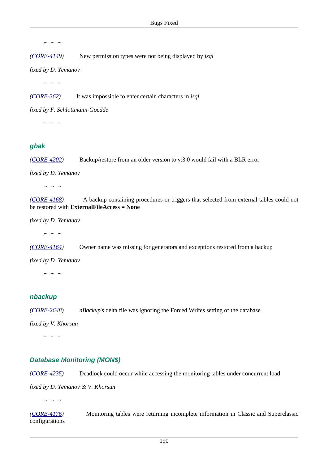*([CORE-4149](http://tracker.firebirdsql.org/browse/CORE-4149))* New permission types were not being displayed by *isql*

*fixed by D. Yemanov*

 $\sim$  ~ ~

*([CORE-362\)](http://tracker.firebirdsql.org/browse/CORE-362)* It was impossible to enter certain characters in *isql*

*fixed by F. Schlottmann-Goedde*

 $\sim$  ~ ~

#### **gbak**

*([CORE-4202](http://tracker.firebirdsql.org/browse/CORE-4202))* Backup/restore from an older version to v.3.0 would fail with a BLR error

*fixed by D. Yemanov*

 $\sim$  ~ ~

*([CORE-4168](http://tracker.firebirdsql.org/browse/CORE-4168))* A backup containing procedures or triggers that selected from external tables could not be restored with **ExternalFileAccess = None**

*fixed by D. Yemanov*

 $\sim$  ~ ~

*([CORE-4164](http://tracker.firebirdsql.org/browse/CORE-4164))* Owner name was missing for generators and exceptions restored from a backup

*fixed by D. Yemanov*

 $\sim$   $\sim$   $\sim$ 

#### **nbackup**

*([CORE-2648](http://tracker.firebirdsql.org/browse/CORE-2648)) nBackup*'s delta file was ignoring the Forced Writes setting of the database

*fixed by V. Khorsun*

 $\sim$   $\sim$   $\sim$ 

#### **Database Monitoring (MON\$)**

*([CORE-4235](http://tracker.firebirdsql.org/browse/CORE-4235))* Deadlock could occur while accessing the monitoring tables under concurrent load

*fixed by D. Yemanov & V. Khorsun*

 $\sim$   $\sim$   $\sim$ 

*([CORE-4176](http://tracker.firebirdsql.org/browse/CORE-4176))* Monitoring tables were returning incomplete information in Classic and Superclassic configurations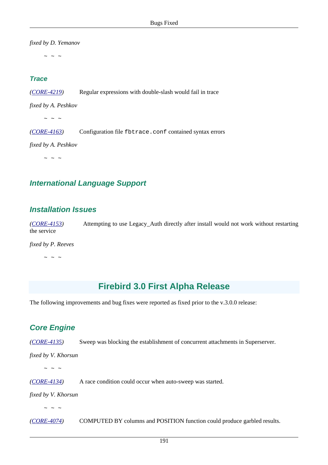*fixed by D. Yemanov*

 $\sim$  ~ ~

#### **Trace**

*([CORE-4219](http://tracker.firebirdsql.org/browse/CORE-4219))* Regular expressions with double-slash would fail in trace

*fixed by A. Peshkov*

 $\sim$  ~ ~

*([CORE-4163](http://tracker.firebirdsql.org/browse/CORE-4163))* Configuration file fbtrace.conf contained syntax errors

*fixed by A. Peshkov*

 $\sim$  ~ ~

## **International Language Support**

#### **Installation Issues**

*([CORE-4153](http://tracker.firebirdsql.org/browse/CORE-4153))* Attempting to use Legacy\_Auth directly after install would not work without restarting the service

*fixed by P. Reeves*

 $\sim$  ~ ~

# **Firebird 3.0 First Alpha Release**

The following improvements and bug fixes were reported as fixed prior to the v.3.0.0 release:

## **Core Engine**

*([CORE-4135](http://tracker.firebirdsql.org/browse/CORE-4135))* Sweep was blocking the establishment of concurrent attachments in Superserver.

*fixed by V. Khorsun*

 $\sim$  ~ ~

*([CORE-4134](http://tracker.firebirdsql.org/browse/CORE-4134))* A race condition could occur when auto-sweep was started.

*fixed by V. Khorsun*

 $\sim$  ~ ~

*([CORE-4074](http://tracker.firebirdsql.org/browse/CORE-4074))* COMPUTED BY columns and POSITION function could produce garbled results.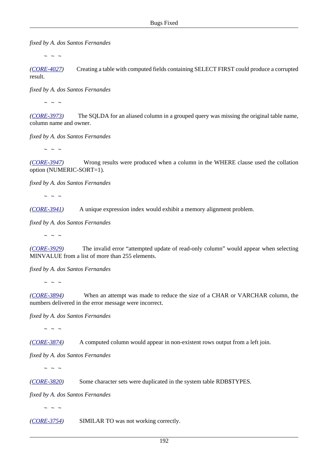*fixed by A. dos Santos Fernandes*

 $\sim$  ~ ~

*([CORE-4027](http://tracker.firebirdsql.org/browse/CORE-4027))* Creating a table with computed fields containing SELECT FIRST could produce a corrupted result.

*fixed by A. dos Santos Fernandes*

 $\sim$  ~ ~

*([CORE-3973](http://tracker.firebirdsql.org/browse/CORE-3973))* The SQLDA for an aliased column in a grouped query was missing the original table name, column name and owner.

*fixed by A. dos Santos Fernandes*

 $\sim$  ~ ~

*([CORE-3947](http://tracker.firebirdsql.org/browse/CORE-3947))* Wrong results were produced when a column in the WHERE clause used the collation option (NUMERIC-SORT=1).

*fixed by A. dos Santos Fernandes*

 $\sim$   $\sim$   $\sim$ 

*([CORE-3941](http://tracker.firebirdsql.org/browse/CORE-3941))* A unique expression index would exhibit a memory alignment problem.

*fixed by A. dos Santos Fernandes*

 $\sim$  ~ ~

*([CORE-3929](http://tracker.firebirdsql.org/browse/CORE-3929))* The invalid error "attempted update of read-only column" would appear when selecting MINVALUE from a list of more than 255 elements.

*fixed by A. dos Santos Fernandes*

 $\sim$  ~ ~

*([CORE-3894](http://tracker.firebirdsql.org/browse/CORE-3894))* When an attempt was made to reduce the size of a CHAR or VARCHAR column, the numbers delivered in the error message were incorrect.

*fixed by A. dos Santos Fernandes*

 $\sim$  ~ ~

*([CORE-3874](http://tracker.firebirdsql.org/browse/CORE-3874))* A computed column would appear in non-existent rows output from a left join.

*fixed by A. dos Santos Fernandes*

 $\sim$   $\sim$   $\sim$ 

*([CORE-3820](http://tracker.firebirdsql.org/browse/CORE-3820))* Some character sets were duplicated in the system table RDB\$TYPES.

*fixed by A. dos Santos Fernandes*

 $\sim$  ~ ~

*([CORE-3754](http://tracker.firebirdsql.org/browse/CORE-3754))* SIMILAR TO was not working correctly.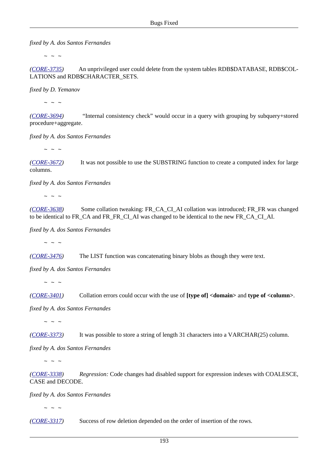*fixed by A. dos Santos Fernandes*

 $\sim$  ~ ~

*([CORE-3735](http://tracker.firebirdsql.org/browse/CORE-3735))* An unprivileged user could delete from the system tables RDB\$DATABASE, RDB\$COL-LATIONS and RDB\$CHARACTER\_SETS.

*fixed by D. Yemanov*

 $\sim$  ~ ~

*([CORE-3694](http://tracker.firebirdsql.org/browse/CORE-3694))* "Internal consistency check" would occur in a query with grouping by subquery+stored procedure+aggregate.

*fixed by A. dos Santos Fernandes*

 $\sim$  ~ ~

*([CORE-3672](http://tracker.firebirdsql.org/browse/CORE-3672))* It was not possible to use the SUBSTRING function to create a computed index for large columns.

*fixed by A. dos Santos Fernandes*

 $\sim$   $\sim$   $\sim$ 

*([CORE-3638](http://tracker.firebirdsql.org/browse/CORE-3638))* Some collation tweaking: FR\_CA\_CI\_AI collation was introduced; FR\_FR\_was changed to be identical to FR\_CA and FR\_FR\_CI\_AI was changed to be identical to the new FR\_CA\_CI\_AI.

*fixed by A. dos Santos Fernandes*

 $\sim$  ~ ~

*([CORE-3476](http://tracker.firebirdsql.org/browse/CORE-3476))* The LIST function was concatenating binary blobs as though they were text.

*fixed by A. dos Santos Fernandes*

 $\sim$  ~ ~

*([CORE-3401](http://tracker.firebirdsql.org/browse/CORE-3401))* Collation errors could occur with the use of **[type of] <domain>** and **type of <column>**.

*fixed by A. dos Santos Fernandes*

 $\sim$  ~ ~

*([CORE-3373](http://tracker.firebirdsql.org/browse/CORE-3373))* It was possible to store a string of length 31 characters into a VARCHAR(25) column.

*fixed by A. dos Santos Fernandes*

 $\sim$  ~ ~

*([CORE-3338](http://tracker.firebirdsql.org/browse/CORE-3338)) Regression:* Code changes had disabled support for expression indexes with COALESCE, CASE and DECODE.

*fixed by A. dos Santos Fernandes*

 $\sim$  ~ ~

*([CORE-3317](http://tracker.firebirdsql.org/browse/CORE-3317))* Success of row deletion depended on the order of insertion of the rows.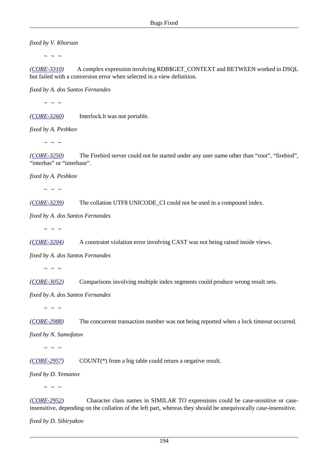*fixed by V. Khorsun*

 $\sim$  ~ ~

*([CORE-3310](http://tracker.firebirdsql.org/browse/CORE-3310))* A complex expression involving RDB\$GET\_CONTEXT and BETWEEN worked in DSQL but failed with a conversion error when selected in a view definition.

*fixed by A. dos Santos Fernandes*

 $\sim$  ~ ~

*([CORE-3260](http://tracker.firebirdsql.org/browse/CORE-3260))* Interlock.h was not portable.

*fixed by A. Peshkov*

 $\sim$  ~ ~

*([CORE-3250](http://tracker.firebirdsql.org/browse/CORE-3250))* The Firebird server could not be started under any user name other than "root", "firebird", "interbas" or "interbase".

*fixed by A. Peshkov*

 $\sim$  ~ ~

*([CORE-3239](http://tracker.firebirdsql.org/browse/CORE-3239))* The collation UTF8 UNICODE\_CI could not be used in a compound index.

*fixed by A. dos Santos Fernandes*

 $\sim$  ~ ~

*([CORE-3204](http://tracker.firebirdsql.org/browse/CORE-3204))* A constraint violation error involving CAST was not being raised inside views.

*fixed by A. dos Santos Fernandes*

 $\sim$  ~ ~

*([CORE-3052](http://tracker.firebirdsql.org/browse/CORE-3052))* Comparisons involving multiple index segments could produce wrong result sets.

*fixed by A. dos Santos Fernandes*

 $\sim$   $\sim$   $\sim$ 

*([CORE-2988](http://tracker.firebirdsql.org/browse/CORE-2988))* The concurrent transaction number was not being reported when a lock timeout occurred.

*fixed by N. Samofatov*

 $\sim$  ~ ~

*([CORE-2957](http://tracker.firebirdsql.org/browse/CORE-2957))* COUNT(\*) from a big table could return a negative result.

*fixed by D. Yemanov*

 $\sim$   $\sim$   $\sim$ 

*([CORE-2952](http://tracker.firebirdsql.org/browse/CORE-2952))* Character class names in SIMILAR TO expressions could be case-sensitive or caseinsensitive, depending on the collation of the left part, whereas they should be unequivocally case-insensitive.

*fixed by D. Sibiryakov*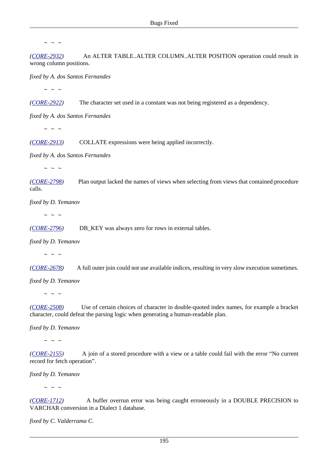*([CORE-2932](http://tracker.firebirdsql.org/browse/CORE-2932))* An ALTER TABLE..ALTER COLUMN..ALTER POSITION operation could result in wrong column positions.

*fixed by A. dos Santos Fernandes*

 $\sim$  ~ ~

*([CORE-2922](http://tracker.firebirdsql.org/browse/CORE-2922))* The character set used in a constant was not being registered as a dependency.

*fixed by A. dos Santos Fernandes*

 $\sim$  ~ ~

*([CORE-2913](http://tracker.firebirdsql.org/browse/CORE-2913))* COLLATE expressions were being applied incorrectly.

*fixed by A. dos Santos Fernandes*

 $\sim$  ~ ~

*([CORE-2798](http://tracker.firebirdsql.org/browse/CORE-2798))* Plan output lacked the names of views when selecting from views that contained procedure calls.

*fixed by D. Yemanov*

 $\sim$  ~ ~

*([CORE-2796](http://tracker.firebirdsql.org/browse/CORE-2796))* DB\_KEY was always zero for rows in external tables.

*fixed by D. Yemanov*

 $\sim$   $\sim$   $\sim$ 

*([CORE-2678](http://tracker.firebirdsql.org/browse/CORE-2678))* A full outer join could not use available indices, resulting in very slow execution sometimes.

*fixed by D. Yemanov*

 $\sim$  ~ ~

*([CORE-2508](http://tracker.firebirdsql.org/browse/CORE-2508))* Use of certain choices of character in double-quoted index names, for example a bracket character, could defeat the parsing logic when generating a human-readable plan.

*fixed by D. Yemanov*

 $\sim$  ~ ~

*([CORE-2155](http://tracker.firebirdsql.org/browse/CORE-2155))* A join of a stored procedure with a view or a table could fail with the error "No current record for fetch operation".

*fixed by D. Yemanov*

 $\sim$   $\sim$   $\sim$ 

*([CORE-1712](http://tracker.firebirdsql.org/browse/CORE-1712))* A buffer overrun error was being caught erroneously in a DOUBLE PRECISION to VARCHAR conversion in a Dialect 1 database.

*fixed by C. Valderrama C.*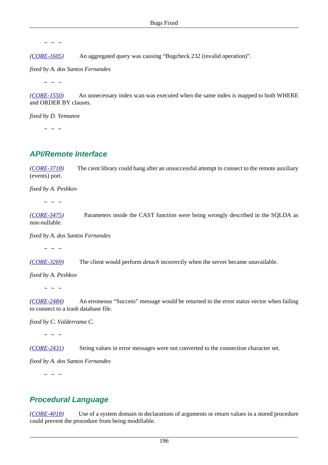*([CORE-1605](http://tracker.firebirdsql.org/browse/CORE-1605))* An aggregated query was causing "Bugcheck 232 (invalid operation)".

*fixed by A. dos Santos Fernandes*

 $\sim$  ~ ~

*([CORE-1550](http://tracker.firebirdsql.org/browse/CORE-1550))* An unnecessary index scan was executed when the same index is mapped to both WHERE and ORDER BY clauses.

*fixed by D. Yemanov*

 $\sim$  ~ ~

#### **API/Remote Interface**

*([CORE-3718](http://tracker.firebirdsql.org/browse/CORE-3718))* The cient library could hang after an unsuccessful attempt to connect to the remote auxiliary (events) port.

*fixed by A. Peshkov*

 $\sim$  ~ ~

*([CORE-3475](http://tracker.firebirdsql.org/browse/CORE-3475))* Parameters inside the CAST function were being wrongly described in the SQLDA as non-nullable.

*fixed by A. dos Santos Fernandes*

 $\sim$  ~ ~

*([CORE-3269](http://tracker.firebirdsql.org/browse/CORE-3269))* The client would perform *detach* incorrectly when the server became unavailable.

*fixed by A. Peshkov*

 $\sim$   $\sim$   $\sim$ 

*([CORE-2484](http://tracker.firebirdsql.org/browse/CORE-2484))* An erroneous "Success" message would be returned in the error status vector when failing to connect to a trash database file.

*fixed by C. Valderrama C.*

 $\sim$  ~ ~

*([CORE-2431](http://tracker.firebirdsql.org/browse/CORE-2431))* String values in error messages were not converted to the connection character set.

*fixed by A. dos Santos Fernandes*

 $\sim$  ~ ~

#### **Procedural Language**

*([CORE-4018](http://tracker.firebirdsql.org/browse/CORE-4018))* Use of a system domain in declarations of arguments or return values in a stored procedure could prevent the procedure from being modifiable.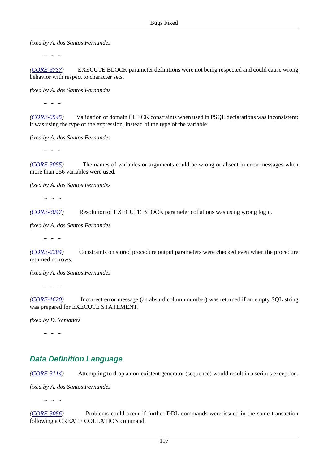*fixed by A. dos Santos Fernandes*

 $\sim$  ~ ~

*([CORE-3737](http://tracker.firebirdsql.org/browse/CORE-3737))* EXECUTE BLOCK parameter definitions were not being respected and could cause wrong behavior with respect to character sets.

*fixed by A. dos Santos Fernandes*

 $\sim$  ~ ~

*([CORE-3545](http://tracker.firebirdsql.org/browse/CORE-3545))* Validation of domain CHECK constraints when used in PSQL declarations was inconsistent: it was using the type of the expression, instead of the type of the variable.

*fixed by A. dos Santos Fernandes*

 $\sim$  ~ ~

*([CORE-3055](http://tracker.firebirdsql.org/browse/CORE-3055))* The names of variables or arguments could be wrong or absent in error messages when more than 256 variables were used.

*fixed by A. dos Santos Fernandes*

 $\sim$  ~ ~

*([CORE-3047](http://tracker.firebirdsql.org/browse/CORE-3047))* Resolution of EXECUTE BLOCK parameter collations was using wrong logic.

*fixed by A. dos Santos Fernandes*

 $\sim$   $\sim$   $\sim$ 

*([CORE-2204](http://tracker.firebirdsql.org/browse/CORE-2204))* Constraints on stored procedure output parameters were checked even when the procedure returned no rows.

*fixed by A. dos Santos Fernandes*

 $\sim$  ~ ~

*([CORE-1620](http://tracker.firebirdsql.org/browse/CORE-1620))* Incorrect error message (an absurd column number) was returned if an empty SQL string was prepared for EXECUTE STATEMENT.

*fixed by D. Yemanov*

 $\sim$  ~ ~

# **Data Definition Language**

*([CORE-3114](http://tracker.firebirdsql.org/browse/CORE-3114))* Attempting to drop a non-existent generator (sequence) would result in a serious exception.

*fixed by A. dos Santos Fernandes*

 $\sim$   $\sim$   $\sim$ 

*([CORE-3056](http://tracker.firebirdsql.org/browse/CORE-3056))* Problems could occur if further DDL commands were issued in the same transaction following a CREATE COLLATION command.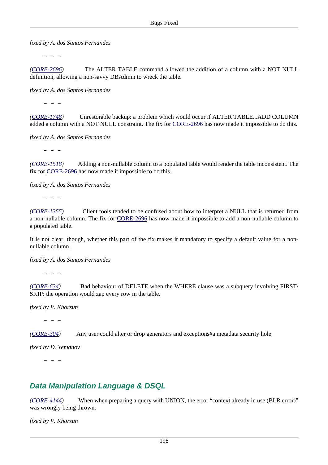*fixed by A. dos Santos Fernandes*

 $\sim$  ~ ~

*([CORE-2696](http://tracker.firebirdsql.org/browse/CORE-2696))* The ALTER TABLE command allowed the addition of a column with a NOT NULL definition, allowing a non-savvy DBAdmin to wreck the table.

*fixed by A. dos Santos Fernandes*

 $\sim$  ~ ~

*([CORE-1748](http://tracker.firebirdsql.org/browse/CORE-1748))* Unrestorable backup: a problem which would occur if ALTER TABLE...ADD COLUMN added a column with a NOT NULL constraint. The fix for [CORE-2696](http://tracker.firebirdsql.org/browse/CORE-2696) has now made it impossible to do this.

*fixed by A. dos Santos Fernandes*

 $\sim$  ~ ~

*([CORE-1518](http://tracker.firebirdsql.org/browse/CORE-1518))* Adding a non-nullable column to a populated table would render the table inconsistent. The fix for [CORE-2696](http://tracker.firebirdsql.org/browse/CORE-2696) has now made it impossible to do this.

*fixed by A. dos Santos Fernandes*

 $\sim$  ~ ~

*([CORE-1355](http://tracker.firebirdsql.org/browse/CORE-1355))* Client tools tended to be confused about how to interpret a NULL that is returned from a non-nullable column. The fix for [CORE-2696](http://tracker.firebirdsql.org/browse/CORE-2696) has now made it impossible to add a non-nullable column to a populated table.

It is not clear, though, whether this part of the fix makes it mandatory to specify a default value for a nonnullable column.

*fixed by A. dos Santos Fernandes*

 $\sim$  ~ ~

*([CORE-634\)](http://tracker.firebirdsql.org/browse/CORE-634)* Bad behaviour of DELETE when the WHERE clause was a subquery involving FIRST/ SKIP: the operation would zap every row in the table.

*fixed by V. Khorsun*

 $\sim$  ~ ~

*([CORE-304\)](http://tracker.firebirdsql.org/browse/CORE-304)* Any user could alter or drop generators and exceptions#a metadata security hole.

*fixed by D. Yemanov*

 $\sim$  ~ ~

## **Data Manipulation Language & DSQL**

*([CORE-4144](http://tracker.firebirdsql.org/browse/CORE-4144))* When when preparing a query with UNION, the error "context already in use (BLR error)" was wrongly being thrown.

*fixed by V. Khorsun*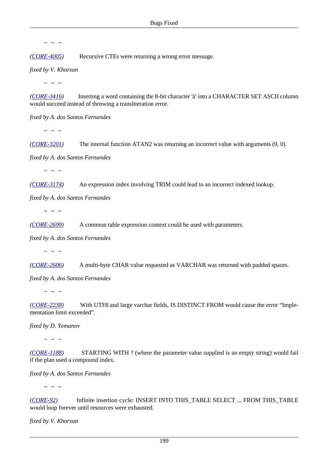*([CORE-4005](http://tracker.firebirdsql.org/browse/CORE-4005))* Recursive CTEs were returning a wrong error message.

*fixed by V. Khorsun*

 $\sim$  ~ ~

*([CORE-3416](http://tracker.firebirdsql.org/browse/CORE-3416))* Inserting a word containing the 8-bit character 'ä' into a CHARACTER SET ASCII column would succeed instead of throwing a transliteration error.

*fixed by A. dos Santos Fernandes*

 $\sim$  ~ ~

*([CORE-3201](http://tracker.firebirdsql.org/browse/CORE-3201))* The internal function ATAN2 was returning an incorrect value with arguments (0, 0).

*fixed by A. dos Santos Fernandes*

 $\sim$   $\sim$   $\sim$ 

*([CORE-3174](http://tracker.firebirdsql.org/browse/CORE-3174))* An expression index involving TRIM could lead to an incorrect indexed lookup.

*fixed by A. dos Santos Fernandes*

 $\sim$  ~ ~

*([CORE-2699](http://tracker.firebirdsql.org/browse/CORE-2699))* A common table expression context could be used with parameters.

*fixed by A. dos Santos Fernandes*

 $\sim$  ~ ~

*([CORE-2606](http://tracker.firebirdsql.org/browse/CORE-2606))* A multi-byte CHAR value requested as VARCHAR was returned with padded spaces.

*fixed by A. dos Santos Fernandes*

 $\sim$  ~ ~

*([CORE-2238](http://tracker.firebirdsql.org/browse/CORE-2238))* With UTF8 and large varchar fields, IS DISTINCT FROM would cause the error "Implementation limit exceeded".

*fixed by D. Yemanov*

 $\sim$   $\sim$   $\sim$ 

*([CORE-1188](http://tracker.firebirdsql.org/browse/CORE-1188))* STARTING WITH ? (where the parameter value supplied is an empty string) would fail if the plan used a compound index.

*fixed by A. dos Santos Fernandes*

 $\sim$  ~ ~

*([CORE-92](http://tracker.firebirdsql.org/browse/CORE-92))* Infinite insertion cycle: INSERT INTO THIS\_TABLE SELECT ... FROM THIS\_TABLE would loop forever until resources were exhausted.

*fixed by V. Khorsun*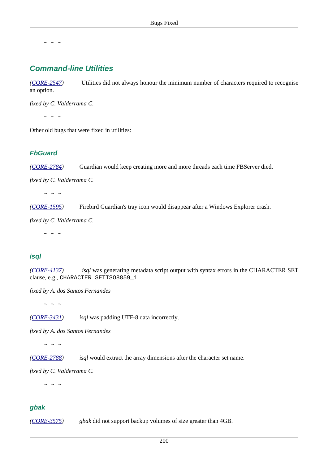## **Command-line Utilities**

*([CORE-2547](http://tracker.firebirdsql.org/browse/CORE-2547))* Utilities did not always honour the minimum number of characters required to recognise an option.

*fixed by C. Valderrama C.*

 $\sim$  ~ ~

Other old bugs that were fixed in utilities:

#### **FbGuard**

*([CORE-2784](http://tracker.firebirdsql.org/browse/CORE-2784))* Guardian would keep creating more and more threads each time FBServer died.

*fixed by C. Valderrama C.*

 $\sim$  ~ ~

*([CORE-1595](http://tracker.firebirdsql.org/browse/CORE-1595))* Firebird Guardian's tray icon would disappear after a Windows Explorer crash.

*fixed by C. Valderrama C.*

 $\sim$   $\sim$   $\sim$ 

#### **isql**

*([CORE-4137](http://tracker.firebirdsql.org/browse/CORE-4137)) isql* was generating metadata script output with syntax errors in the CHARACTER SET clause, e.g., CHARACTER SETISO8859\_1.

*fixed by A. dos Santos Fernandes*

 $\sim$  ~ ~

*([CORE-3431](http://tracker.firebirdsql.org/browse/CORE-3431)) isql* was padding UTF-8 data incorrectly.

*fixed by A. dos Santos Fernandes*

 $\sim$  ~ ~

*([CORE-2788](http://tracker.firebirdsql.org/browse/CORE-2788)) isql* would extract the array dimensions after the character set name.

*fixed by C. Valderrama C.*

 $\sim$  ~ ~

#### **gbak**

*([CORE-3575](http://tracker.firebirdsql.org/browse/CORE-3575)) gbak* did not support backup volumes of size greater than 4GB.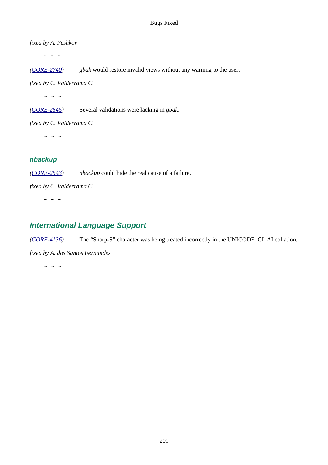*fixed by A. Peshkov*

 $\sim$   $\sim$   $\sim$ 

*([CORE-2740](http://tracker.firebirdsql.org/browse/CORE-2740)) gbak* would restore invalid views without any warning to the user.

*fixed by C. Valderrama C.*

 $\sim$   $\sim$   $\sim$ 

*([CORE-2545](http://tracker.firebirdsql.org/browse/CORE-2545))* Several validations were lacking in *gbak*.

*fixed by C. Valderrama C.*

 $\sim$  ~ ~

#### **nbackup**

*([CORE-2543](http://tracker.firebirdsql.org/browse/CORE-2543)) nbackup* could hide the real cause of a failure.

*fixed by C. Valderrama C.*

 $\sim$  ~ ~

# **International Language Support**

*([CORE-4136](http://tracker.firebirdsql.org/browse/CORE-4136))* The "Sharp-S" character was being treated incorrectly in the UNICODE\_CI\_AI collation.

*fixed by A. dos Santos Fernandes*

 $\sim$  ~ ~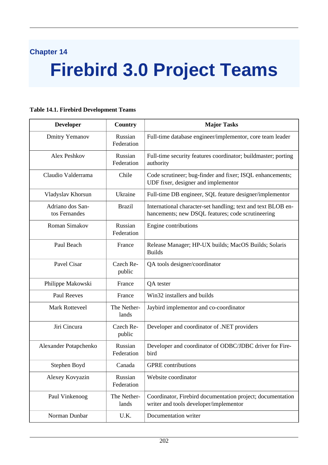# **Chapter 14**

# **Firebird 3.0 Project Teams**

#### **Developer Country Major Tasks** Dmitry Yemanov Russian Federation Full-time database engineer/implementor, core team leader Alex Peshkov Russian Federation Full-time security features coordinator; buildmaster; porting authority Claudio Valderrama Chile Code scrutineer; bug-finder and fixer; ISQL enhancements; UDF fixer, designer and implementor Vladyslav Khorsun Ukraine Full-time DB engineer, SQL feature designer/implementor Adriano dos Santos Fernandes Brazil International character-set handling; text and text BLOB enhancements; new DSQL features; code scrutineering Roman Simakov | Russian Federation Engine contributions Paul Beach France Release Manager; HP-UX builds; MacOS Builds; Solaris Builds Pavel Cisar Czech Republic QA tools designer/coordinator Philippe Makowski France QA tester Paul Reeves France Win32 installers and builds Mark Rotteveel The Netherlands Jaybird implementor and co-coordinator Jiri Cincura Czech Republic Developer and coordinator of .NET providers Alexander Potapchenko | Russian Federation Developer and coordinator of ODBC/JDBC driver for Firebird Stephen Boyd Canada GPRE contributions Alexey Kovyazin Russian Federation Website coordinator Paul Vinkenoog The Netherlands Coordinator, Firebird documentation project; documentation writer and tools developer/implementor Norman Dunbar | U.K. | Documentation writer

#### **Table 14.1. Firebird Development Teams**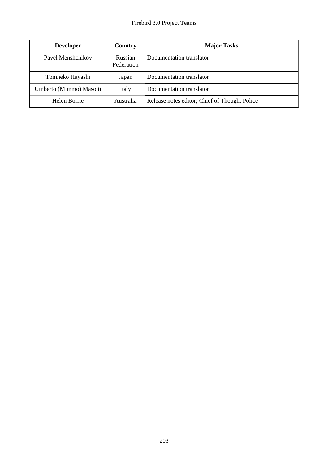| <b>Developer</b>        | Country               | <b>Major Tasks</b>                            |
|-------------------------|-----------------------|-----------------------------------------------|
| Pavel Menshchikov       | Russian<br>Federation | Documentation translator                      |
| Tomneko Hayashi         | Japan                 | Documentation translator                      |
| Umberto (Mimmo) Masotti | Italy                 | Documentation translator                      |
| Helen Borrie            | Australia             | Release notes editor; Chief of Thought Police |